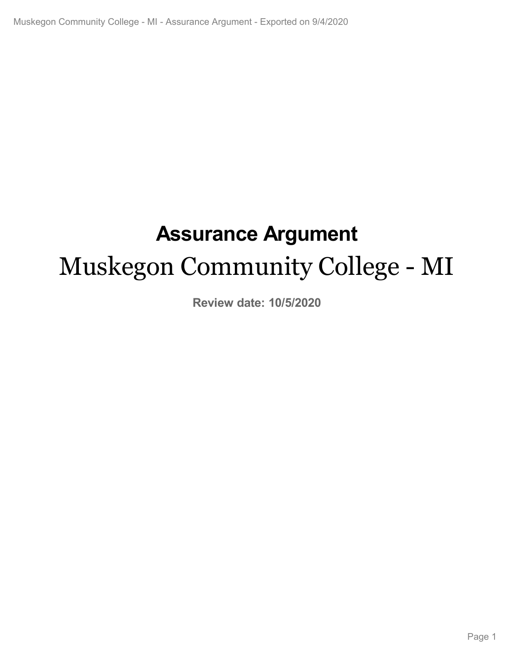# **Assurance Argument** Muskegon Community College - MI

**Review date: 10/5/2020**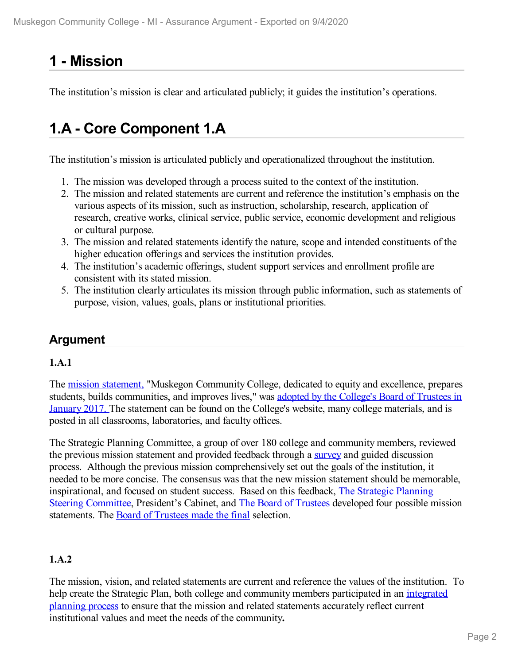# **1 -Mission**

The institution's mission is clear and articulated publicly; it guides the institution's operations.

# **1.A - Core Component 1.A**

The institution's mission is articulated publicly and operationalized throughout the institution.

- 1. The mission was developed through a process suited to the context of the institution.
- 2. The mission and related statements are current and reference the institution's emphasis on the various aspects of its mission, such as instruction, scholarship, research, application of research, creative works, clinical service, public service, economic development and religious or cultural purpose.
- 3. The mission and related statements identify the nature, scope and intended constituents of the higher education offerings and services the institution provides.
- 4. The institution's academic offerings, student support services and enrollment profile are consistent with its stated mission.
- 5. The institution clearly articulates its mission through public information, such as statements of purpose, vision, values, goals, plans or institutional priorities.

# **Argument**

# **1.A.1**

The mission [statement,](file:///D:/evidence/viewfile?fileId=1097023) "Muskegon Community College, dedicated to equity and excellence, prepares students, builds [communities,](file:///D:/evidence/viewfile?fileid=1068642#page=3) and improves lives," was adopted by the College's Board of Trustees in January 2017. The statement can be found on the College's website, many college materials, and is posted in all classrooms, laboratories, and faculty offices.

The Strategic Planning Committee, a group of over 180 college and community members, reviewed the previous mission statement and provided feedback through a [survey](file:///D:/evidence/viewfile?fileId=1068683) and guided discussion process. Although the previous mission comprehensively set out the goals of the institution, it needed to be more concise. The consensus was that the new mission statement should be memorable, [inspirational,](file:///D:/evidence/viewfile?fileId=1063221) and focused on student success. Based on this feedback, The Strategic Planning Steering Committee, President's Cabinet, and The Board of [Trustees](file:///D:/evidence/viewfile?fileId=1077286) developed four possible mission statements. The Board of [Trustees](file:///D:/evidence/viewfile?fileid=1068642#page=3) made the final selection.

# **1.A.2**

The mission, vision, and related statements are current and reference the values of the institution. To help create the Strategic Plan, both college and community members [participated](file:///D:/evidence/viewfile?fileId=1077285) in an integrated planning process to ensure that the mission and related statements accurately reflect current institutional values and meet the needs of the community**.**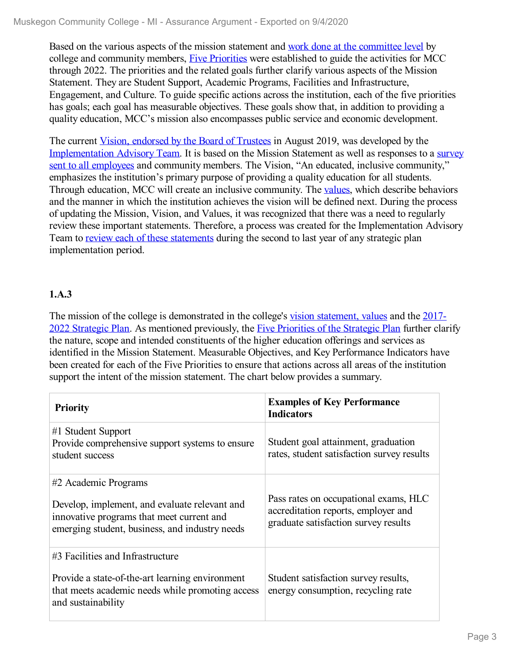Based on the various aspects of the mission statement and work done at the [committee](file:///D:/evidence/viewfile?fileId=1077285) level by college and community members, Five [Priorities](file:///D:/evidence/viewfile?fileid=1079290) were established to guide the activities for MCC through 2022. The priorities and the related goals further clarify various aspects of the Mission Statement. They are Student Support, Academic Programs, Facilities and Infrastructure, Engagement, and Culture. To guide specific actions across the institution, each of the five priorities has goals; each goal has measurable objectives. These goals show that, in addition to providing a quality education, MCC's mission also encompasses public service and economic development.

The current <u>Vision, [endorsed](file:///D:/evidence/viewfile?fileId=1097025#page=3) by the Board of Trustees</u> in August 2019, was developed by the [Implementation](file:///D:/evidence/viewfile?fileId=1063224#page=3) Advisory Team. It is based on the Mission Statement as well as responses to a survey sent to all employees and community members. The Vision, "An educated, inclusive community," emphasizes the institution's primary purpose of providing a quality education for all students. Through education, MCC will create an inclusive community. The [values](file:///D:/evidence/viewfile?fileid=1097023), which describe behaviors and the manner in which the institution achieves the vision will be defined next. During the process of updating the Mission, Vision, and Values, it was recognized that there was a need to regularly review these important statements. Therefore, a process was created for the Implementation Advisory Team to review each of these [statements](file:///D:/evidence/viewfile?fileId=1097026#page=1) during the second to last year of any strategic plan implementation period.

## **1.A.3**

The mission of the college is [demonstrated](file:///D:/evidence/viewfile?fileId=1077293) in the college's vision [statement,](file:///D:/evidence/viewfile?fileid=1097023) values and the 2017-2022 Strategic Plan. As mentioned previously, the Five [Priorities](file:///D:/evidence/viewfile?fileId=1079290) of the Strategic Plan further clarify the nature, scope and intended constituents of the higher education offerings and services as identified in the Mission Statement. Measurable Objectives, and Key Performance Indicators have been created for each of the Five Priorities to ensure that actions across all areas of the institution support the intent of the mission statement. The chart below provides a summary.

| <b>Priority</b>                                                                                                                              | <b>Examples of Key Performance</b><br><b>Indicators</b>                                                              |
|----------------------------------------------------------------------------------------------------------------------------------------------|----------------------------------------------------------------------------------------------------------------------|
| #1 Student Support<br>Provide comprehensive support systems to ensure<br>student success                                                     | Student goal attainment, graduation<br>rates, student satisfaction survey results                                    |
| #2 Academic Programs                                                                                                                         |                                                                                                                      |
| Develop, implement, and evaluate relevant and<br>innovative programs that meet current and<br>emerging student, business, and industry needs | Pass rates on occupational exams, HLC<br>accreditation reports, employer and<br>graduate satisfaction survey results |
| #3 Facilities and Infrastructure                                                                                                             |                                                                                                                      |
| Provide a state-of-the-art learning environment<br>that meets academic needs while promoting access<br>and sustainability                    | Student satisfaction survey results,<br>energy consumption, recycling rate                                           |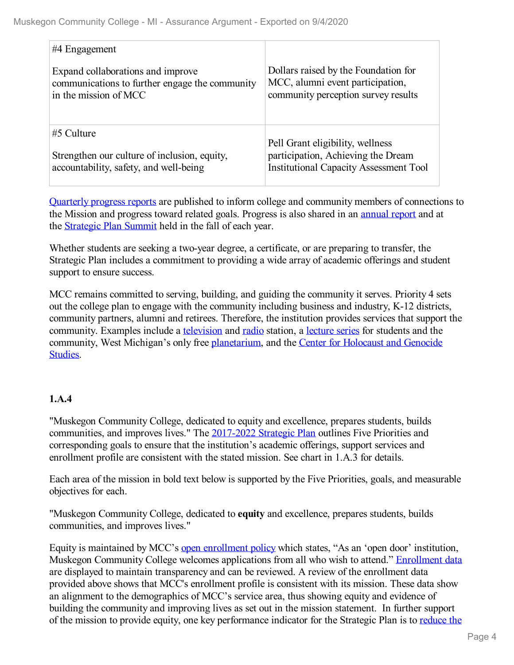| #4 Engagement                                  |                                               |
|------------------------------------------------|-----------------------------------------------|
| Expand collaborations and improve              | Dollars raised by the Foundation for          |
| communications to further engage the community | MCC, alumni event participation,              |
| in the mission of MCC                          | community perception survey results           |
| $#5$ Culture                                   | Pell Grant eligibility, wellness              |
| Strengthen our culture of inclusion, equity,   | participation, Achieving the Dream            |
| accountability, safety, and well-being         | <b>Institutional Capacity Assessment Tool</b> |

[Quarterly](file:///D:/evidence/viewfile?fileid=1100518) progress reports are published to inform college and community members of connections to the Mission and progress toward related goals. Progress is also shared in an [annual](file:///D:/evidence/viewfile?fileid=1077292) report and at the [Strategic](file:///D:/evidence/viewfile?fileId=1079303) Plan Summit held in the fall of each year.

Whether students are seeking a two-year degree, a certificate, or are preparing to transfer, the Strategic Plan includes a commitment to providing a wide array of academic offerings and student support to ensure success.

MCC remains committed to serving, building, and guiding the community it serves. Priority 4 sets out the college plan to engage with the community including business and industry, K-12 districts, community partners, alumni and retirees. Therefore, the institution provides services that support the community. Examples include a [television](file:///D:/evidence/viewfile?fileId=1079299) and [radio](file:///D:/evidence/viewfile?fileId=1079296) station, a [lecture](file:///D:/evidence/viewfile?fileId=1079300) series for students and the community, West Michigan's only free [planetarium,](file:///D:/evidence/viewfile?fileId=1079298) and the Center for Holocaust and Genocide Studies.

# **1.A.4**

"Muskegon Community College, dedicated to equity and excellence, prepares students, builds communities, and improves lives." The [2017-2022](file:///D:/evidence/viewfile?fileId=1077293) Strategic Plan outlines Five Priorities and corresponding goals to ensure that the institution's academic offerings, support services and enrollment profile are consistent with the stated mission. See chart in 1.A.3 for details.

Each area of the mission in bold text below is supported by the Five Priorities, goals, and measurable objectives for each.

"Muskegon Community College, dedicated to **equity** and excellence, prepares students, builds communities, and improves lives."

Equity is maintained by MCC's open [enrollment](file:///D:/evidence/viewfile?fileId=1082267) policy which states, "As an 'open door' institution, Muskegon Community College welcomes applications from all who wish to attend." [Enrollment](file:///D:/evidence/viewfile?fileId=1077291) data are displayed to maintain transparency and can be reviewed. A review of the enrollment data provided above shows that MCC's enrollment profile is consistent with its mission. These data show an alignment to the demographics of MCC's service area, thus showing equity and evidence of building the community and improving lives as set out in the mission statement. In further support of the mission to provide equity, one key [performance](file:///D:/evidence/viewfile?fileId=1100518) indicator for the Strategic Plan is to reduce the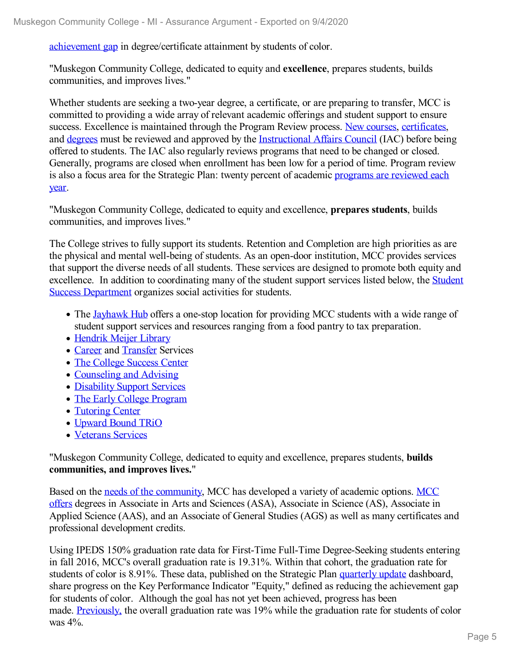achievement gap in degree/certificate attainment by students of color.

"Muskegon Community College, dedicated to equity and **excellence**, prepares students, builds communities, and improves lives."

Whether students are seeking a two-year degree, a certificate, or are preparing to transfer, MCC is committed to providing a wide array of relevant academic offerings and student support to ensure success. Excellence is maintained through the Program Review process. New [courses](file:///D:/evidence/viewfile?fileId=1079283), [certificates](file:///D:/evidence/viewfile?fileId=1077296), and [degrees](file:///D:/evidence/viewfile?fileId=1077295) must be reviewed and approved by the [Instructional](file:///D:/evidence/viewfile?fileId=1068863) Affairs Council (IAC) before being offered to students. The IAC also regularly reviews programs that need to be changed or closed. Generally, programs are closed when enrollment has been low for a period of time. Program review is also a focus area for the Strategic Plan: twenty percent of academic [programs](file:///D:/evidence/viewfile?fileId=1077292#page=5) are reviewed each year.

"Muskegon Community College, dedicated to equity and excellence, **prepares students**, builds communities, and improves lives."

The College strives to fully support its students. Retention and Completion are high priorities as are the physical and mental well-being of students. As an open-door institution, MCC provides services that support the diverse needs of all students. These services are designed to promote both equity and excellence. In addition to [coordinating](file:///D:/evidence/viewfile?fileId=1079275) many of the student support services listed below, the Student Success Department organizes social activities for students.

- The [Jayhawk](file:///D:/evidence/viewfile?fileId=1079269) Hub offers a one-stop location for providing MCC students with a wide range of student support services and resources ranging from a food pantry to tax preparation.
- [Hendrik](file:///D:/evidence/viewfile?fileId=1098555) Meijer Library
- [Career](file:///D:/evidence/viewfile?fileId=1079272) and [Transfer](file:///D:/evidence/viewfile?fileId=1079294) Services
- The College [Success](file:///D:/evidence/viewfile?fileId=1079271) Center
- [Counseling](file:///D:/evidence/viewfile?fileId=1079273) and Advising
- [Disability](file:///D:/evidence/viewfile?fileId=1079274) Support Services
- The Early College [Program](file:///D:/evidence/viewfile?fileId=1079270)
- [Tutoring](file:///D:/evidence/viewfile?fileId=1079292) Center
- [Upward](file:///D:/evidence/viewfile?fileId=1079295) Bound TRiO
- [Veterans](file:///D:/evidence/viewfile?fileId=1079293) Services

"Muskegon Community College, dedicated to equity and excellence, prepares students, **builds communities, and improves lives.**"

Based on the needs of the [community,](file:///D:/evidence/viewfile?fileId=1082268) MCC has developed a variety of academic options. MCC offers degrees in Associate in Arts and Sciences (ASA), Associate in Science (AS), Associate in Applied Science (AAS), and an Associate of General Studies (AGS) as well as many certificates and professional development credits.

Using IPEDS 150% graduation rate data for First-Time Full-Time Degree-Seeking students entering in fall 2016, MCC's overall graduation rate is 19.31%. Within that cohort, the graduation rate for students of color is 8.91%. These data, published on the Strategic Plan [quarterly](file:///D:/evidence/viewfile?fileId=1100518) update dashboard, share progress on the Key Performance Indicator "Equity," defined as reducing the achievement gap for students of color. Although the goal has not yet been achieved, progress has been made. [Previously,](file:///D:/evidence/viewfile?fileId=1077292#page=3) the overall graduation rate was 19% while the graduation rate for students of color was 4%.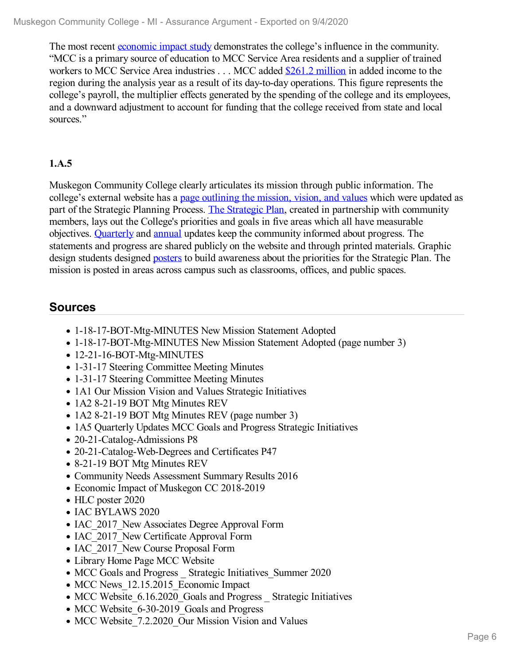The most recent [economic](file:///D:/evidence/viewfile?fileId=1063225) impact study demonstrates the college's influence in the community. "MCC is a primary source of education to MCC Service Area residents and a supplier of trained workers to MCC Service Area industries . . . MCC added \$261.2 [million](file:///D:/evidence/viewfile?fileId=1094474) in added income to the region during the analysis year as a result of its day-to-day operations. This figure represents the college's payroll, the multiplier effects generated by the spending of the college and its employees, and a downward adjustment to account for funding that the college received from state and local sources."

# **1.A.5**

Muskegon Community College clearly articulates its mission through public information. The college's external website has a page [outlining](file:///D:/evidence/viewfile?fileid=1097023) the mission, vision, and values which were updated as part of the Strategic Planning Process. The [Strategic](file:///D:/evidence/viewfile?fileid=1077293) Plan, created in partnership with community members, lays out the College's priorities and goals in five areas which all have measurable objectives. [Quarterly](file:///D:/evidence/viewfile?fileId=1097051) and [annual](file:///D:/evidence/viewfile?fileid=1077292) updates keep the community informed about progress. The statements and progress are shared publicly on the website and through printed materials. Graphic design students designed [posters](file:///D:/evidence/viewfile?fileId=1097052) to build awareness about the priorities for the Strategic Plan. The mission is posted in areas across campus such as classrooms, offices, and public spaces.

# **Sources**

- 1-18-17-BOT-Mtg-MINUTES New Mission Statement Adopted
- 1-18-17-BOT-Mtg-MINUTES New Mission Statement Adopted (page number 3)
- 12-21-16-BOT-Mtg-MINUTES
- 1-31-17 Steering Committee Meeting Minutes
- 1-31-17 Steering Committee Meeting Minutes
- 1A1 Our Mission Vision and Values Strategic Initiatives
- 1A2 8-21-19 BOT Mtg Minutes REV
- 1A2 8-21-19 BOT Mtg Minutes REV (page number 3)
- 1A5 Quarterly Updates MCC Goals and Progress Strategic Initiatives
- 20-21-Catalog-Admissions P8
- 20-21-Catalog-Web-Degrees and Certificates P47
- 8-21-19 BOT Mtg Minutes REV
- Community Needs Assessment Summary Results 2016
- Economic Impact of Muskegon CC 2018-2019
- HLC poster 2020
- IAC BYLAWS 2020
- IAC 2017 New Associates Degree Approval Form
- IAC 2017 New Certificate Approval Form
- IAC 2017 New Course Proposal Form
- Library Home Page MCC Website
- MCC Goals and Progress Strategic Initiatives Summer 2020
- MCC News 12.15.2015 Economic Impact
- MCC Website 6.16.2020 Goals and Progress Strategic Initiatives
- MCC Website 6-30-2019 Goals and Progress
- MCC Website 7.2.2020 Our Mission Vision and Values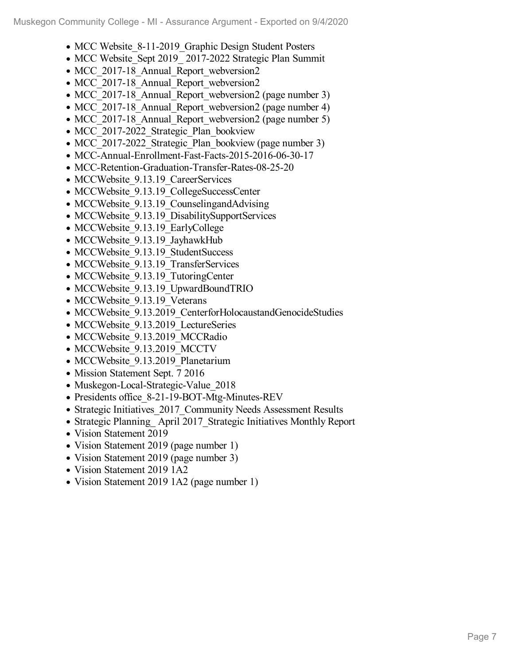- MCC Website 8-11-2019 Graphic Design Student Posters
- MCC Website Sept 2019 2017-2022 Strategic Plan Summit
- MCC 2017-18 Annual Report webversion2
- MCC 2017-18 Annual Report webversion2
- MCC 2017-18 Annual Report webversion2 (page number 3)
- MCC 2017-18 Annual Report webversion2 (page number 4)
- MCC 2017-18 Annual Report webversion2 (page number 5)
- MCC 2017-2022 Strategic Plan bookview
- MCC 2017-2022 Strategic Plan bookview (page number 3)
- MCC-Annual-Enrollment-Fast-Facts-2015-2016-06-30-17
- MCC-Retention-Graduation-Transfer-Rates-08-25-20
- MCCWebsite 9.13.19 CareerServices
- MCCWebsite 9.13.19 CollegeSuccessCenter
- MCCWebsite 9.13.19 CounselingandAdvising
- MCCWebsite 9.13.19 DisabilitySupportServices
- MCCWebsite 9.13.19 EarlyCollege
- MCCWebsite 9.13.19 JayhawkHub
- MCCWebsite 9.13.19 StudentSuccess
- MCCWebsite 9.13.19 TransferServices
- MCCWebsite 9.13.19 TutoringCenter
- MCCWebsite 9.13.19 UpwardBoundTRIO
- MCCWebsite 9.13.19 Veterans
- MCCWebsite 9.13.2019 CenterforHolocaustandGenocideStudies
- MCCWebsite 9.13.2019 LectureSeries
- MCCWebsite 9.13.2019 MCCRadio
- MCCWebsite 9.13.2019 MCCTV
- MCCWebsite 9.13.2019 Planetarium
- Mission Statement Sept. 7 2016
- Muskegon-Local-Strategic-Value 2018
- Presidents office 8-21-19-BOT-Mtg-Minutes-REV
- Strategic Initiatives 2017 Community Needs Assessment Results
- Strategic Planning April 2017 Strategic Initiatives Monthly Report
- Vision Statement 2019
- Vision Statement 2019 (page number 1)
- Vision Statement 2019 (page number 3)
- Vision Statement 2019 1A2
- Vision Statement 2019 1A2 (page number 1)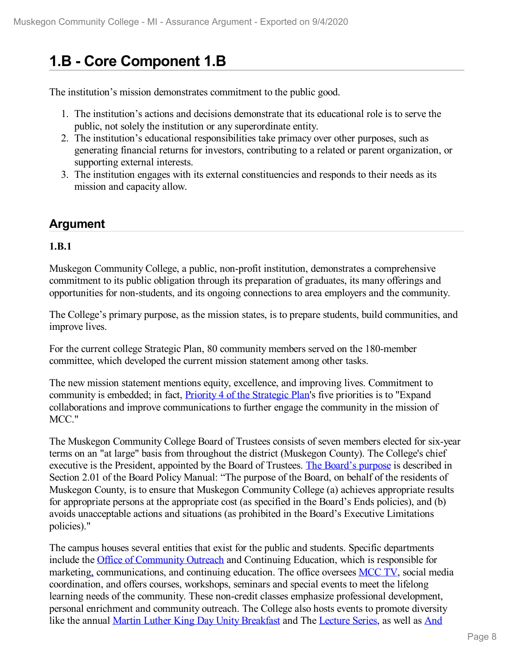# **1.B - Core Component 1.B**

The institution's mission demonstrates commitment to the public good.

- 1. The institution's actions and decisions demonstrate that its educational role is to serve the public, not solely the institution or any superordinate entity.
- 2. The institution's educational responsibilities take primacy over other purposes, such as generating financial returns for investors, contributing to a related or parent organization, or supporting external interests.
- 3. The institution engages with its external constituencies and responds to their needs as its mission and capacity allow.

# **Argument**

### **1.B.1**

Muskegon Community College, a public, non-profit institution, demonstrates a comprehensive commitment to its public obligation through its preparation of graduates, its many offerings and opportunities for non-students, and its ongoing connections to area employers and the community.

The College's primary purpose, as the mission states, is to prepare students, build communities, and improve lives.

For the current college Strategic Plan, 80 community members served on the 180-member committee, which developed the current mission statement among other tasks.

The new mission statement mentions equity, excellence, and improving lives. Commitment to community is embedded; in fact, Priority 4 of the [Strategic](file:///D:/evidence/viewfile?fileId=1068644) Plan's five priorities is to "Expand collaborations and improve communications to further engage the community in the mission of MCC."

The Muskegon Community College Board of Trustees consists of seven members elected for six-year terms on an "at large" basis from throughout the district (Muskegon County). The College's chief executive is the President, appointed by the Board of Trustees. The [Board's](file:///D:/evidence/viewfile?fileId=1068648) purpose is described in Section 2.01 of the Board Policy Manual: "The purpose of the Board, on behalf of the residents of Muskegon County, is to ensure that Muskegon Community College (a) achieves appropriate results for appropriate persons at the appropriate cost (as specified in the Board's Ends policies), and (b) avoids unacceptable actions and situations (as prohibited in the Board's Executive Limitations policies)."

The campus houses several entities that exist for the public and students. Specific departments include the Office of [Community](file:///D:/evidence/viewfile?fileId=1086545#page=35) Outreach and Continuing Education, which is responsible for marketin[g,](file:///D:/evidence/viewfile?fileId=1082271) communications, and continuing education. The office oversees [MCC](file:///D:/evidence/viewfile?fileId=1079299) TV, social media coordination, and offers courses, workshops, seminars and special events to meet the lifelong learning needs of the community. These non-credit classes emphasize professional development, personal enrichment and community outreach. The College also hosts events to promote diversity like the annual Martin Luther King Day Unity [Breakfast](file:///D:/evidence/viewfile?fileId=1068842) and The [Lecture](file:///D:/evidence/viewfile?fileId=1094560) Series, as well as And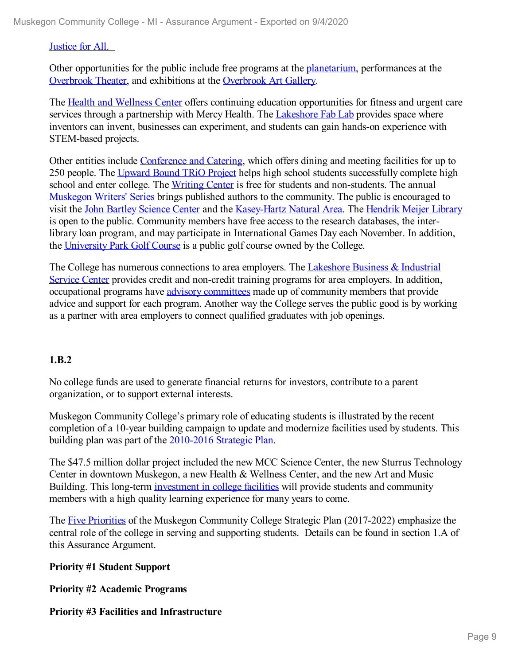### Justice for All.

Other opportunities for the public include free programs at the [planetarium,](file:///D:/evidence/viewfile?fileId=1079297) performances at the [Overbrook](file:///D:/evidence/viewfile?fileId=1068698) Theater, and exhibitions at the [Overbrook](file:///D:/evidence/viewfile?fileId=1097058) Art Gallery.

The Health and [Wellness](file:///D:/evidence/viewfile?fileId=1097063) Center offers continuing education opportunities for fitness and urgent care services through a partnership with Mercy Health. The [Lakeshore](file:///D:/evidence/viewfile?fileId=1097061) Fab Lab provides space where inventors can invent, businesses can experiment, and students can gain hands-on experience with STEM-based projects.

Other entities include [Conference](file:///D:/evidence/viewfile?fileId=1097060) and Catering, which offers dining and meeting facilities for up to 250 people. The [Upward](file:///D:/evidence/viewfile?fileId=1079295) Bound TRiO Project helps high school students successfully complete high school and enter college. The [Writing](file:///D:/evidence/viewfile?fileId=1097066) Center is free for students and non-students. The annual [Muskegon](file:///D:/evidence/viewfile?fileId=1083384) Writers' Series brings published authors to the community. The public is encouraged to visit the John Bartley [Science](file:///D:/evidence/viewfile?fileId=1097064) Center and the [Kasey-Hartz](file:///D:/evidence/viewfile?fileId=1097065) Natural Area. The [Hendrik](file:///D:/evidence/viewfile?fileId=1079213) Meijer Library is open to the public. Community members have free access to the research databases, the interlibrary loan program, and may participate in International Games Day each November. In addition, the [University](file:///D:/evidence/viewfile?fileId=1097062) Park Golf Course is a public golf course owned by the College.

The College has numerous [connections](file:///D:/evidence/viewfile?fileId=1068675) to area employers. The Lakeshore Business & Industrial Service Center provides credit and non-credit training programs for area employers. In addition, occupational programs have advisory [committees](file:///D:/evidence/viewfile?fileId=1068676) made up of community members that provide advice and support for each program. Another way the College serves the public good is by working as a partner with area employers to connect qualified graduates with job openings.

### **1.B.2**

No college funds are used to generate financial returns for investors, contribute to a parent organization, or to support external interests.

Muskegon Community College's primary role of educating students is illustrated by the recent completion of a 10-year building campaign to update and modernize facilities used by students. This building plan was part of the [2010-2016](file:///D:/evidence/viewfile?fileid=1082364) Strategic Plan.

The \$47.5 million dollar project included the new MCC Science Center, the new Sturrus Technology Center in downtown Muskegon, a new Health & Wellness Center, and the new Art and Music Building. This long-term [investment](file:///D:/evidence/viewfile?fileId=1079101) in college facilities will provide students and community members with a high quality learning experience for many years to come.

The Five [Priorities](file:///D:/evidence/viewfile?fileId=1077293) of the Muskegon Community College Strategic Plan (2017-2022) emphasize the central role of the college in serving and supporting students. Details can be found in section 1.A of this Assurance Argument.

### **Priority #1 Student Support**

**Priority #2 Academic Programs**

### **Priority #3 Facilities and Infrastructure**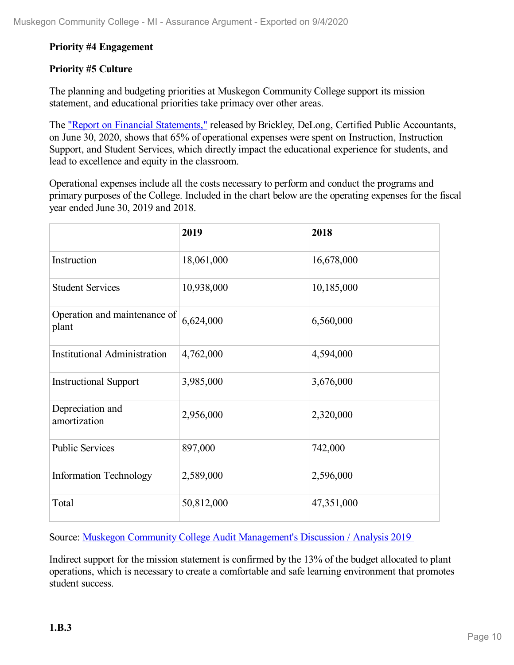### **Priority #4 Engagement**

### **Priority #5 Culture**

The planning and budgeting priorities at Muskegon Community College support its mission statement, and educational priorities take primacy over other areas.

The "Report on Financial [Statements,"](file:///D:/evidence/viewfile?fileId=1077332) released by Brickley, DeLong, Certified Public Accountants, on June 30, 2020, shows that 65% of operational expenses were spent on Instruction, Instruction Support, and Student Services, which directly impact the educational experience for students, and lead to excellence and equity in the classroom.

Operational expenses include all the costs necessary to perform and conduct the programs and primary purposes of the College. Included in the chart below are the operating expenses for the fiscal year ended June 30, 2019 and 2018.

|                                       | 2019       | 2018       |
|---------------------------------------|------------|------------|
| Instruction                           | 18,061,000 | 16,678,000 |
| <b>Student Services</b>               | 10,938,000 | 10,185,000 |
| Operation and maintenance of<br>plant | 6,624,000  | 6,560,000  |
| <b>Institutional Administration</b>   | 4,762,000  | 4,594,000  |
| <b>Instructional Support</b>          | 3,985,000  | 3,676,000  |
| Depreciation and<br>amortization      | 2,956,000  | 2,320,000  |
| <b>Public Services</b>                | 897,000    | 742,000    |
| <b>Information Technology</b>         | 2,589,000  | 2,596,000  |
| Total                                 | 50,812,000 | 47,351,000 |

Source: Muskegon Community College Audit [Management's](file:///D:/evidence/viewfile?fileid=1077332) Discussion / Analysis 2019

Indirect support for the mission statement is confirmed by the 13% of the budget allocated to plant operations, which is necessary to create a comfortable and safe learning environment that promotes student success.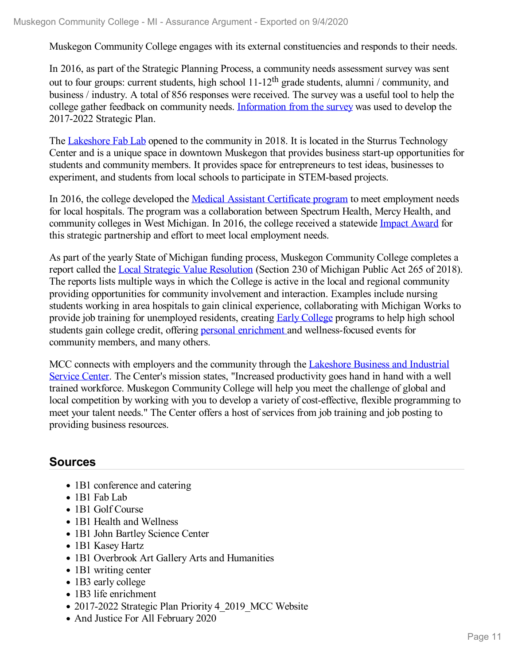Muskegon Community College engages with its external constituencies and responds to their needs.

In 2016, as part of the Strategic Planning Process, a community needs assessment survey was sent out to four groups: current students, high school 11-12<sup>th</sup> grade students, alumni / community, and business / industry. A total of 856 responses were received. The survey was a useful tool to help the college gather feedback on community needs. [Information](file:///D:/evidence/viewfile?fileId=1068654) from the survey was used to develop the 2017-2022 Strategic Plan.

The [Lakeshore](file:///D:/evidence/viewfile?fileid=1097061) Fab Lab opened to the community in 2018. It is located in the Sturrus Technology Center and is a unique space in downtown Muskegon that provides business start-up opportunities for students and community members. It provides space for entrepreneurs to test ideas, businesses to experiment, and students from local schools to participate in STEM-based projects.

In 2016, the college developed the Medical Assistant [Certificate](file:///D:/evidence/viewfile?fileId=1079207) program to meet employment needs for local hospitals. The program was a collaboration between Spectrum Health, Mercy Health, and community colleges in West Michigan. In 2016, the college received a statewide [Impact](file:///D:/evidence/viewfile?fileId=1068680) Award for this strategic partnership and effort to meet local employment needs.

As part of the yearly State of Michigan funding process, Muskegon Community College completes a report called the Local Strategic Value [Resolution](file:///D:/evidence/viewfile?fileId=1068684) (Section 230 of Michigan Public Act 265 of 2018). The reports lists multiple ways in which the College is active in the local and regional community providing opportunities for community involvement and interaction. Examples include nursing students working in area hospitals to gain clinical experience, collaborating with Michigan Works to provide job training for unemployed residents, creating Early [College](file:///D:/evidence/viewfile?fileId=1097187) programs to help high school students gain college credit, offering personal [enrichment](file:///D:/evidence/viewfile?fileId=1097193) and wellness-focused events for community members, and many others.

MCC connects with employers and the community through the Lakeshore Business and Industrial Service Center. The Center's mission states, "Increased [productivity](file:///D:/evidence/viewfile?fileid=1068675) goes hand in hand with a well trained workforce. Muskegon Community College will help you meet the challenge of global and local competition by working with you to develop a variety of cost-effective, flexible programming to meet your talent needs." The Center offers a host of services from job training and job posting to providing business resources.

# **Sources**

- 1B1 conference and catering
- 1B1 Fab Lab
- 1B1 Golf Course
- 1B1 Health and Wellness
- 1B1 John Bartley Science Center
- 1B1 Kasey Hartz
- 1B1 Overbrook Art Gallery Arts and Humanities
- 1B1 writing center
- 1B3 early college
- 1B3 life enrichment
- 2017-2022 Strategic Plan Priority 4 2019 MCC Website
- And Justice For All February 2020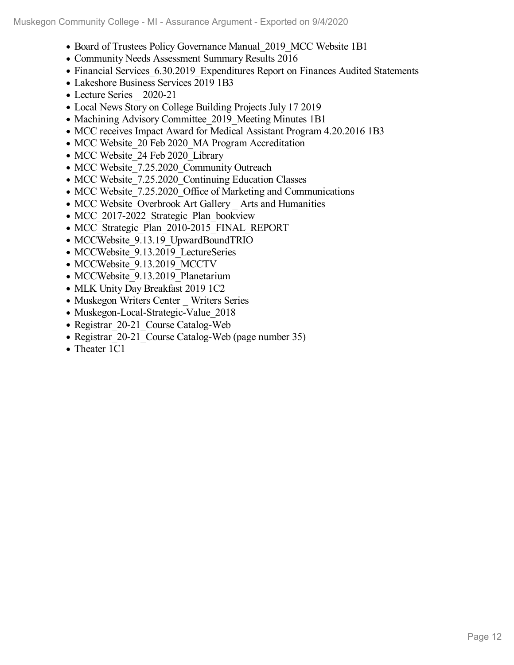- Board of Trustees Policy Governance Manual 2019 MCC Website 1B1
- Community Needs Assessment Summary Results 2016
- Financial Services 6.30.2019 Expenditures Report on Finances Audited Statements
- Lakeshore Business Services 2019 1B3
- Lecture Series 2020-21
- Local News Story on College Building Projects July 17 2019
- Machining Advisory Committee 2019 Meeting Minutes 1B1
- MCC receives Impact Award for Medical Assistant Program 4.20.2016 1B3
- MCC Website 20 Feb 2020 MA Program Accreditation
- MCC Website 24 Feb 2020 Library
- MCC Website 7.25.2020 Community Outreach
- MCC Website 7.25.2020 Continuing Education Classes
- MCC Website 7.25.2020 Office of Marketing and Communications
- MCC Website\_Overbrook Art Gallery \_ Arts and Humanities
- MCC 2017-2022 Strategic Plan bookview
- MCC Strategic Plan 2010-2015 FINAL REPORT
- MCCWebsite 9.13.19 UpwardBoundTRIO
- MCCWebsite 9.13.2019 LectureSeries
- MCCWebsite 9.13.2019 MCCTV
- MCCWebsite 9.13.2019 Planetarium
- MLK Unity Day Breakfast 2019 1C2
- Muskegon Writers Center Writers Series
- Muskegon-Local-Strategic-Value 2018
- Registrar 20-21 Course Catalog-Web
- Registrar 20-21 Course Catalog-Web (page number 35)
- Theater 1C1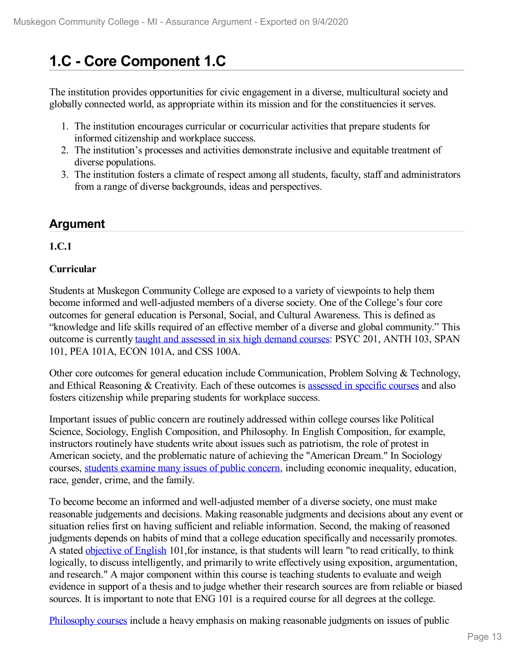# **1.C - Core Component 1.C**

The institution provides opportunities for civic engagement in a diverse, multicultural society and globally connected world, as appropriate within its mission and for the constituencies it serves.

- 1. The institution encourages curricular or cocurricular activities that prepare students for informed citizenship and workplace success.
- 2. The institution's processes and activities demonstrate inclusive and equitable treatment of diverse populations.
- 3. The institution fosters a climate of respect among all students, faculty, staff and administrators from a range of diverse backgrounds, ideas and perspectives.

# **Argument**

### **1.C.1**

## **Curricular**

Students at Muskegon Community College are exposed to a variety of viewpoints to help them become informed and well-adjusted members of a diverse society. One of the College's four core outcomes for general education is Personal, Social, and Cultural Awareness. This is defined as "knowledge and life skills required of an effective member of a diverse and global community." This outcome is currently taught and [assessed](file:///D:/evidence/viewfile?fileId=1068665) in six high demand courses: PSYC 201, ANTH 103, SPAN 101, PEA 101A, ECON 101A, and CSS 100A.

Other core outcomes for general education include Communication, Problem Solving & Technology, and Ethical Reasoning & Creativity. Each of these outcomes is [assessed](file:///D:/evidence/viewfile?fileId=1068665) in specific courses and also fosters citizenship while preparing students for workplace success.

Important issues of public concern are routinely addressed within college courses like Political Science, Sociology, English Composition, and Philosophy. In English Composition, for example, instructors routinely have students write about issues such as patriotism, the role of protest in American society, and the problematic nature of achieving the "American Dream." In Sociology courses, students [examine](file:///D:/evidence/viewfile?fileId=1068693) many issues of public concern, including economic inequality, education, race, gender, crime, and the family.

To become become an informed and well-adjusted member of a diverse society, one must make reasonable judgements and decisions. Making reasonable judgments and decisions about any event or situation relies first on having sufficient and reliable information. Second, the making of reasoned judgments depends on habits of mind that a college education specifically and necessarily promotes. A stated [objective](file:///D:/evidence/viewfile?fileId=1097316#page=1) of English 101,for instance, is that students will learn "to read critically, to think logically, to discuss intelligently, and primarily to write effectively using exposition, argumentation, and research." A major component within this course is teaching students to evaluate and weigh evidence in support of a thesis and to judge whether their research sources are from reliable or biased sources. It is important to note that ENG 101 is a required course for all degrees at the college.

[Philosophy](file:///D:/evidence/viewfile?fileId=1068691) courses include a heavy emphasis on making reasonable judgments on issues of public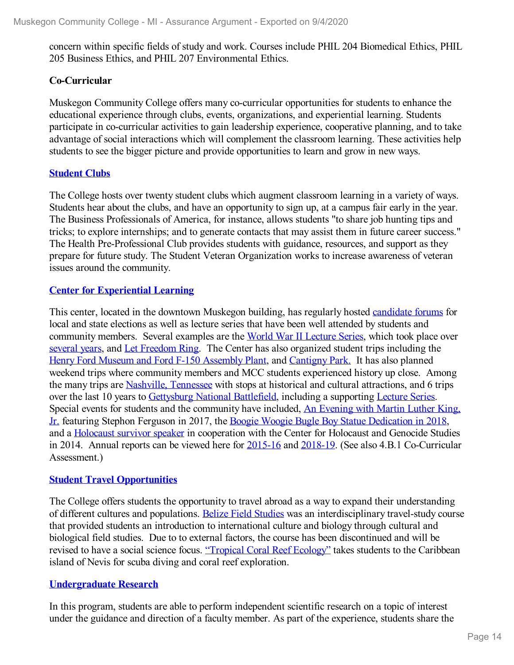concern within specific fields of study and work. Courses include PHIL 204 Biomedical Ethics, PHIL 205 Business Ethics, and PHIL 207 Environmental Ethics.

### **Co-Curricular**

Muskegon Community College offers many co-curricular opportunities for students to enhance the educational experience through clubs, events, organizations, and experiential learning. Students participate in co-curricular activities to gain leadership experience, cooperative planning, and to take advantage of social interactions which will complement the classroom learning. These activities help students to see the bigger picture and provide opportunities to learn and grow in new ways.

### **[Student](file:///D:/evidence/viewfile?fileId=1068697) Clubs**

The College hosts over twenty student clubs which augment classroom learning in a variety of ways. Students hear about the clubs, and have an opportunity to sign up, at a campus fair early in the year. The Business Professionals of America, for instance, allows students "to share job hunting tips and tricks; to explore internships; and to generate contacts that may assist them in future career success." The Health Pre-Professional Club provides students with guidance, resources, and support as they prepare for future study. The Student Veteran Organization works to increase awareness of veteran issues around the community.

### **Center for [Experiential](file:///D:/evidence/viewfile?fileId=1068664) Learning**

This center, located in the downtown Muskegon building, has regularly hosted [candidate](file:///D:/evidence/viewfile?fileId=1099442) forums for local and state elections as well as lecture series that have been well attended by students and community members. Several examples are the World War II [Lecture](file:///D:/evidence/viewfile?fileId=1099436) Series, which took place over [several](file:///D:/evidence/viewfile?fileId=1099432) years, and Let [Freedom](file:///D:/evidence/viewfile?fileId=1099433) Ring. The Center has also organized student trips including the Henry Ford [Museum](file:///D:/evidence/viewfile?fileid=1099430) and Ford F-150 [Assembly](file:///D:/evidence/viewfile?fileId=1099430) Plant, and [Cantigny](file:///D:/evidence/viewfile?fileid=1099427) Park. It has also planned weekend trips where community members and MCC students experienced history up close. Among the many trips are [Nashville,](file:///D:/evidence/viewfile?fileId=1099434) Tennessee with stops at historical and cultural attractions, and 6 trips over the last 10 years to [Gettysburg](file:///D:/evidence/viewfile?fileId=1099431) National Battlefield, including a supporting [Lecture](file:///D:/evidence/viewfile?fileId=1099443) Series. Special events for students and the [community](file:///D:/evidence/viewfile?fileId=1099444) have included, An Evening with Martin Luther King, Jr. featuring Stephon Ferguson in 2017, the Boogie Woogie Bugle Boy Statue [Dedication](file:///D:/evidence/viewfile?fileId=1099441) in 2018, and a [Holocaust](file:///D:/evidence/viewfile?fileId=1099435) survivor speaker in cooperation with the Center for Holocaust and Genocide Studies in 2014. Annual reports can be viewed here for [2015-16](file:///D:/evidence/viewfile?fileId=1099429) and [2018-19](file:///D:/evidence/viewfile?fileId=1099428). (See also 4.B.1 Co-Curricular Assessment.)

### **Student Travel [Opportunities](file:///D:/evidence/viewfile?fileId=1068673)**

The College offers students the opportunity to travel abroad as a way to expand their understanding of different cultures and populations. Belize Field [Studies](file:///D:/evidence/viewfile?fileId=1068646) was an interdisciplinary travel-study course that provided students an introduction to international culture and biology through cultural and biological field studies. Due to to external factors, the course has been discontinued and will be revised to have a social science focus. ["Tropical](file:///D:/evidence/viewfile?fileId=1097320) Coral Reef Ecology" takes students to the Caribbean island of Nevis for scuba diving and coral reef exploration.

### **[Undergraduate](file:///D:/evidence/viewfile?fileId=1068695) Research**

In this program, students are able to perform independent scientific research on a topic of interest under the guidance and direction of a faculty member. As part of the experience, students share the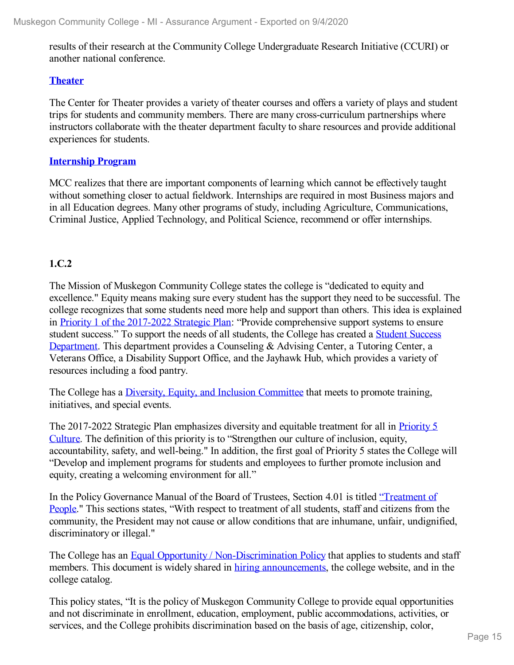results of their research at the Community College Undergraduate Research Initiative (CCURI) or another national conference.

### **[Theater](file:///D:/evidence/viewfile?fileId=1068698)**

The Center for Theater provides a variety of theater courses and offers a variety of plays and student trips for students and community members. There are many cross-curriculum partnerships where instructors collaborate with the theater department faculty to share resources and provide additional experiences for students.

### **[Internship](file:///D:/evidence/viewfile?fileId=1068674) Program**

MCC realizes that there are important components of learning which cannot be effectively taught without something closer to actual fieldwork. Internships are required in most Business majors and in all Education degrees. Many other programs of study, including Agriculture, Communications, Criminal Justice, Applied Technology, and Political Science, recommend or offer internships.

### **1.C.2**

The Mission of Muskegon Community College states the college is "dedicated to equity and excellence." Equity means making sure every student has the support they need to be successful. The college recognizes that some students need more help and support than others. This idea is explained in Priority 1 of the [2017-2022](file:///D:/evidence/viewfile?fileId=1079287#page=3) Strategic Plan: "Provide comprehensive support systems to ensure student success." To support the needs of all students, the College has created a Student Success [Department.](file:///D:/evidence/viewfile?fileId=1079275) This department provides a Counseling & Advising Center, a Tutoring Center, a Veterans Office, a Disability Support Office, and the Jayhawk Hub, which provides a variety of resources including a food pantry.

The College has a Diversity, Equity, and Inclusion [Committee](file:///D:/evidence/viewfile?fileId=1100426) that meets to promote training, initiatives, and special events.

The 2017-2022 Strategic Plan [emphasizes](file:///D:/evidence/viewfile?fileId=1079287#page=5) diversity and equitable treatment for all in Priority 5 Culture. The definition of this priority is to "Strengthen our culture of inclusion, equity, accountability, safety, and well-being." In addition, the first goal of Priority 5 states the College will "Develop and implement programs for students and employees to further promote inclusion and equity, creating a welcoming environment for all."

In the Policy [Governance](file:///D:/evidence/viewfile?fileId=1068647) Manual of the Board of Trustees, Section 4.01 is titled "Treatment of People." This sections states, "With respect to treatment of all students, staff and citizens from the community, the President may not cause or allow conditions that are inhumane, unfair, undignified, discriminatory or illegal."

The College has an Equal Opportunity / [Non-Discrimination](file:///D:/evidence/viewfile?fileId=1068668) Policy that applies to students and staff members. This document is widely shared in hiring [announcements](file:///D:/evidence/viewfile?fileId=1069042#page=3), the college website, and in the college catalog.

This policy states, "It is the policy of Muskegon Community College to provide equal opportunities and not discriminate in enrollment, education, employment, public accommodations, activities, or services, and the College prohibits discrimination based on the basis of age, citizenship, color,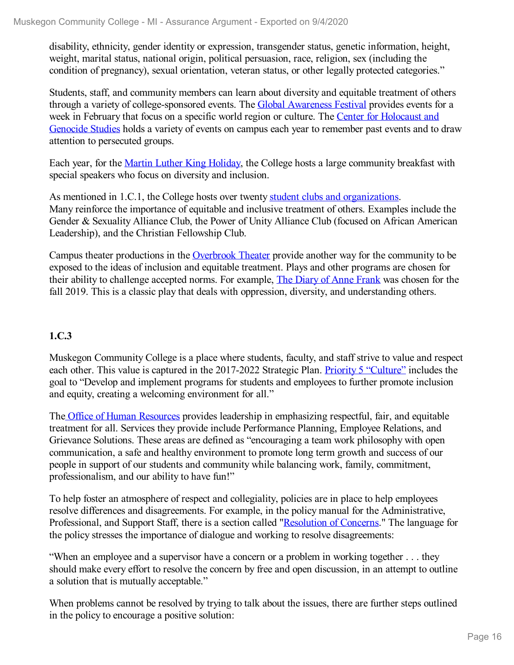disability, ethnicity, gender identity or expression, transgender status, genetic information, height, weight, marital status, national origin, political persuasion, race, religion, sex (including the condition of pregnancy), sexual orientation, veteran status, or other legally protected categories."

Students, staff, and community members can learn about diversity and equitable treatment of others through a variety of college-sponsored events. The Global [Awareness](file:///D:/evidence/viewfile?fileId=1068666) Festival provides events for a week in February that focus on a specific world region or culture. The Center for [Holocaust](file:///D:/evidence/viewfile?fileId=1068656) and Genocide Studies holds a variety of events on campus each year to remember past events and to draw attention to persecuted groups.

Each year, for the Martin Luther King [Holiday](file:///D:/evidence/viewfile?fileId=1068685), the College hosts a large community breakfast with special speakers who focus on diversity and inclusion.

As mentioned in 1.C.1, the College hosts over twenty student clubs and [organizations](file:///D:/evidence/viewfile?fileid=1068697). Many reinforce the importance of equitable and inclusive treatment of others. Examples include the Gender & Sexuality Alliance Club, the Power of Unity Alliance Club (focused on African American Leadership), and the Christian Fellowship Club.

Campus theater productions in the [Overbrook](file:///D:/evidence/viewfile?fileid=1068698) Theater provide another way for the community to be exposed to the ideas of inclusion and equitable treatment. Plays and other programs are chosen for their ability to challenge accepted norms. For example, The Diary of Anne [Frank](file:///D:/evidence/viewfile?fileId=1097335) was chosen for the fall 2019. This is a classic play that deals with oppression, diversity, and understanding others.

### **1.C.3**

Muskegon Community College is a place where students, faculty, and staff strive to value and respect each other. This value is captured in the 2017-2022 Strategic Plan. Priority 5 ["Culture"](file:///D:/evidence/viewfile?fileid=1079287#page=5) includes the goal to "Develop and implement programs for students and employees to further promote inclusion and equity, creating a welcoming environment for all."

The Office of Human [Resources](file:///D:/evidence/viewfile?fileId=1068672) provides leadership in emphasizing respectful, fair, and equitable treatment for all. Services they provide include Performance Planning, Employee Relations, and Grievance Solutions. These areas are defined as "encouraging a team work philosophy with open communication, a safe and healthy environment to promote long term growth and success of our people in support of our students and community while balancing work, family, commitment, professionalism, and our ability to have fun!"

To help foster an atmosphere of respect and collegiality, policies are in place to help employees resolve differences and disagreements. For example, in the policy manual for the Administrative, Professional, and Support Staff, there is a section called "[Resolution](file:///D:/evidence/viewfile?fileId=1068645) of Concerns." The language for the policy stresses the importance of dialogue and working to resolve disagreements:

"When an employee and a supervisor have a concern or a problem in working together . . . they should make every effort to resolve the concern by free and open discussion, in an attempt to outline a solution that is mutually acceptable."

When problems cannot be resolved by trying to talk about the issues, there are further steps outlined in the policy to encourage a positive solution: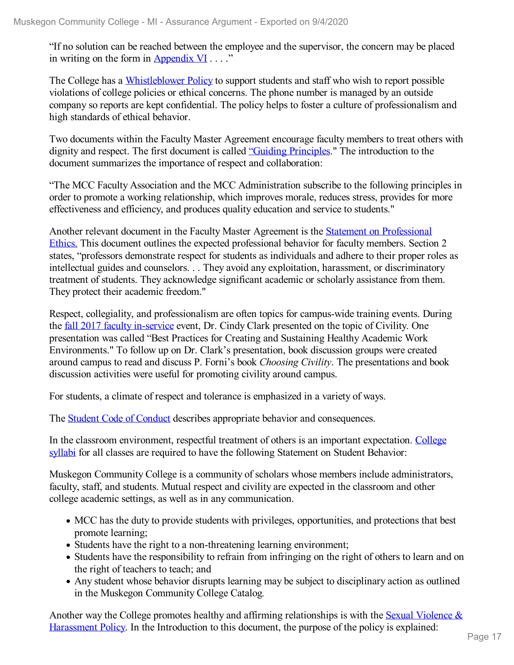"If no solution can be reached between the employee and the supervisor, the concern may be placed in writing on the form in [Appendix](file:///D:/evidence/viewfile?fileId=1097366#page=31) VI  $\dots$ ."

The College has a [Whistleblower](file:///D:/evidence/viewfile?fileId=1068699) Policy to support students and staff who wish to report possible violations of college policies or ethical concerns. The phone number is managed by an outside company so reports are kept confidential. The policy helps to foster a culture of professionalism and high standards of ethical behavior.

Two documents within the Faculty Master Agreement encourage faculty members to treat others with dignity and respect. The first document is called "Guiding [Principles](file:///D:/evidence/viewfile?fileId=1068663)." The introduction to the document summarizes the importance of respect and collaboration:

"The MCC Faculty Association and the MCC Administration subscribe to the following principles in order to promote a working relationship, which improves morale, reduces stress, provides for more effectiveness and efficiency, and produces quality education and service to students."

Another relevant document in the Faculty Master Agreement is the Statement on [Professional](file:///D:/evidence/viewfile?fileid=1068677) Ethics. This document outlines the expected professional behavior for faculty members. Section 2 states, "professors demonstrate respect for students as individuals and adhere to their proper roles as intellectual guides and counselors. . . They avoid any exploitation, harassment, or discriminatory treatment of students. They acknowledge significant academic or scholarly assistance from them. They protect their academic freedom."

Respect, collegiality, and professionalism are often topics for campus-wide training events. During the fall 2017 faculty [in-service](file:///D:/evidence/viewfile?fileId=1068667) event, Dr. Cindy Clark presented on the topic of Civility. One presentation was called "Best Practices for Creating and Sustaining Healthy Academic Work Environments." To follow up on Dr. Clark's presentation, book discussion groups were created around campus to read and discuss P. Forni's book *Choosing Civility*. The presentations and book discussion activities were useful for promoting civility around campus.

For students, a climate of respect and tolerance is emphasized in a variety of ways.

The Student Code of [Conduct](file:///D:/evidence/viewfile?fileId=1101240) describes appropriate behavior and consequences.

In the classroom [environment,](file:///D:/evidence/viewfile?fileId=1086727) respectful treatment of others is an important expectation. College syllabi for all classes are required to have the following Statement on Student Behavior:

Muskegon Community College is a community of scholars whose members include administrators, faculty, staff, and students. Mutual respect and civility are expected in the classroom and other college academic settings, as well as in any communication.

- MCC has the duty to provide students with privileges, opportunities, and protections that best promote learning;
- Students have the right to a non-threatening learning environment;
- Students have the responsibility to refrain from infringing on the right of others to learn and on the right of teachers to teach; and
- Any student whose behavior disrupts learning may be subject to disciplinary action as outlined in the Muskegon Community College Catalog*.*

Another way the College promotes healthy and affirming [relationships](file:///D:/evidence/viewfile?fileId=1068692) is with the Sexual Violence  $\&$ Harassment Policy. In the Introduction to this document, the purpose of the policy is explained: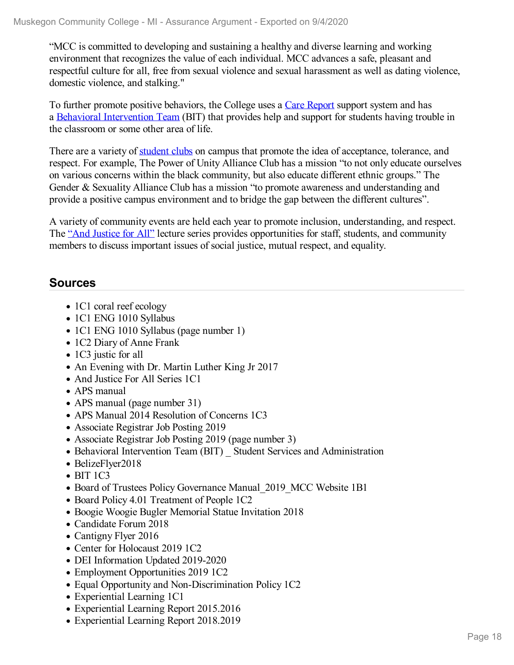"MCC is committed to developing and sustaining a healthy and diverse learning and working environment that recognizes the value of each individual. MCC advances a safe, pleasant and respectful culture for all, free from sexual violence and sexual harassment as well as dating violence, domestic violence, and stalking."

To further promote positive behaviors, the College uses a Care [Report](file:///D:/evidence/viewfile?fileId=1079301) support system and has a Behavioral [Intervention](file:///D:/evidence/viewfile?fileId=1101235) Team (BIT) that provides help and support for students having trouble in the classroom or some other area of life.

There are a variety of [student](file:///D:/evidence/viewfile?fileid=1068697) clubs on campus that promote the idea of acceptance, tolerance, and respect. For example, The Power of Unity Alliance Club has a mission "to not only educate ourselves on various concerns within the black community, but also educate different ethnic groups." The Gender & Sexuality Alliance Club has a mission "to promote awareness and understanding and provide a positive campus environment and to bridge the gap between the different cultures".

A variety of community events are held each year to promote inclusion, understanding, and respect. The "And [Justice](file:///D:/evidence/viewfile?fileId=1097377) for All" lecture series provides opportunities for staff, students, and community members to discuss important issues of social justice, mutual respect, and equality.

# **Sources**

- 1C1 coral reef ecology
- 1C1 ENG 1010 Syllabus
- 1C1 ENG 1010 Syllabus (page number 1)
- 1C2 Diary of Anne Frank
- 1C3 justic for all
- An Evening with Dr. Martin Luther King Jr 2017
- And Justice For All Series 1C1
- APS manual
- APS manual (page number 31)
- APS Manual 2014 Resolution of Concerns 1C3
- Associate Registrar Job Posting 2019
- Associate Registrar Job Posting 2019 (page number 3)
- Behavioral Intervention Team (BIT) Student Services and Administration
- BelizeFlyer2018
- $\bullet$  BIT 1C3
- Board of Trustees Policy Governance Manual 2019 MCC Website 1B1
- Board Policy 4.01 Treatment of People 1C2
- Boogie Woogie Bugler Memorial Statue Invitation 2018
- Candidate Forum 2018
- Cantigny Flyer 2016
- Center for Holocaust 2019 1C2
- DEI Information Updated 2019-2020
- Employment Opportunities 2019 1C2
- Equal Opportunity and Non-Discrimination Policy 1C2
- Experiential Learning 1C1
- Experiential Learning Report 2015.2016
- Experiential Learning Report 2018.2019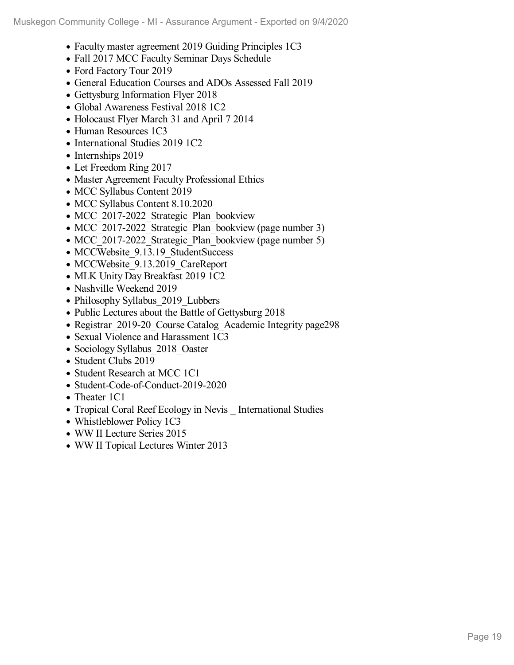- Faculty master agreement 2019 Guiding Principles 1C3
- Fall 2017 MCC Faculty Seminar Days Schedule
- Ford Factory Tour 2019
- General Education Courses and ADOs Assessed Fall 2019
- Gettysburg Information Flyer 2018
- Global Awareness Festival 2018 1C2
- Holocaust Flyer March 31 and April 7 2014
- Human Resources 1C3
- International Studies 2019 1C2
- Internships 2019
- Let Freedom Ring 2017
- Master Agreement Faculty Professional Ethics
- MCC Syllabus Content 2019
- MCC Syllabus Content 8.10.2020
- MCC 2017-2022 Strategic Plan bookview
- MCC 2017-2022 Strategic Plan bookview (page number 3)
- MCC 2017-2022 Strategic Plan bookview (page number 5)
- MCCWebsite 9.13.19 StudentSuccess
- MCCWebsite 9.13.2019 CareReport
- MLK Unity Day Breakfast 2019 1C2
- Nashville Weekend 2019
- Philosophy Syllabus 2019 Lubbers
- Public Lectures about the Battle of Gettysburg 2018
- Registrar 2019-20 Course Catalog Academic Integrity page298
- Sexual Violence and Harassment 1C3
- Sociology Syllabus 2018 Oaster
- Student Clubs 2019
- Student Research at MCC 1C1
- Student-Code-of-Conduct-2019-2020
- Theater 1C1
- Tropical Coral Reef Ecology in Nevis International Studies
- Whistleblower Policy 1C3
- WW II Lecture Series 2015
- WW II Topical Lectures Winter 2013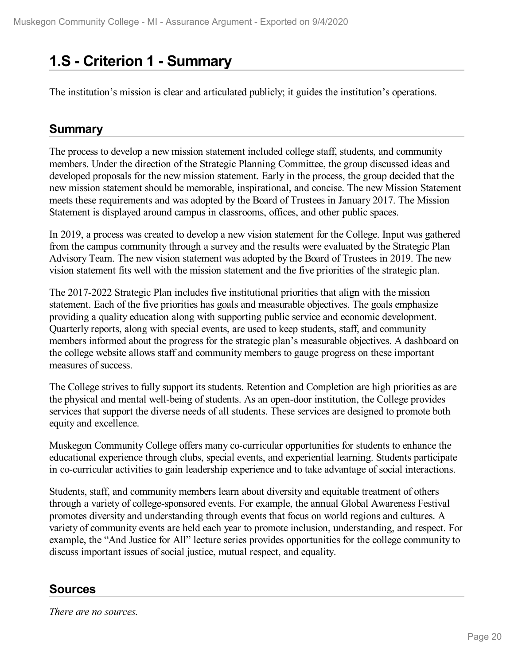# **1.S - Criterion 1 -Summary**

The institution's mission is clear and articulated publicly; it guides the institution's operations.

# **Summary**

The process to develop a new mission statement included college staff, students, and community members. Under the direction of the Strategic Planning Committee, the group discussed ideas and developed proposals for the new mission statement. Early in the process, the group decided that the new mission statement should be memorable, inspirational, and concise. The new Mission Statement meets these requirements and was adopted by the Board of Trustees in January 2017. The Mission Statement is displayed around campus in classrooms, offices, and other public spaces.

In 2019, a process was created to develop a new vision statement for the College. Input was gathered from the campus community through a survey and the results were evaluated by the Strategic Plan Advisory Team. The new vision statement was adopted by the Board of Trustees in 2019. The new vision statement fits well with the mission statement and the five priorities of the strategic plan.

The 2017-2022 Strategic Plan includes five institutional priorities that align with the mission statement. Each of the five priorities has goals and measurable objectives. The goals emphasize providing a quality education along with supporting public service and economic development. Quarterly reports, along with special events, are used to keep students, staff, and community members informed about the progress for the strategic plan's measurable objectives. A dashboard on the college website allows staff and community members to gauge progress on these important measures of success.

The College strives to fully support its students. Retention and Completion are high priorities as are the physical and mental well-being of students. As an open-door institution, the College provides services that support the diverse needs of all students. These services are designed to promote both equity and excellence.

Muskegon Community College offers many co-curricular opportunities for students to enhance the educational experience through clubs, special events, and experiential learning. Students participate in co-curricular activities to gain leadership experience and to take advantage of social interactions.

Students, staff, and community members learn about diversity and equitable treatment of others through a variety of college-sponsored events. For example, the annual Global Awareness Festival promotes diversity and understanding through events that focus on world regions and cultures. A variety of community events are held each year to promote inclusion, understanding, and respect. For example, the "And Justice for All" lecture series provides opportunities for the college community to discuss important issues of social justice, mutual respect, and equality.

# **Sources**

*There are no sources.*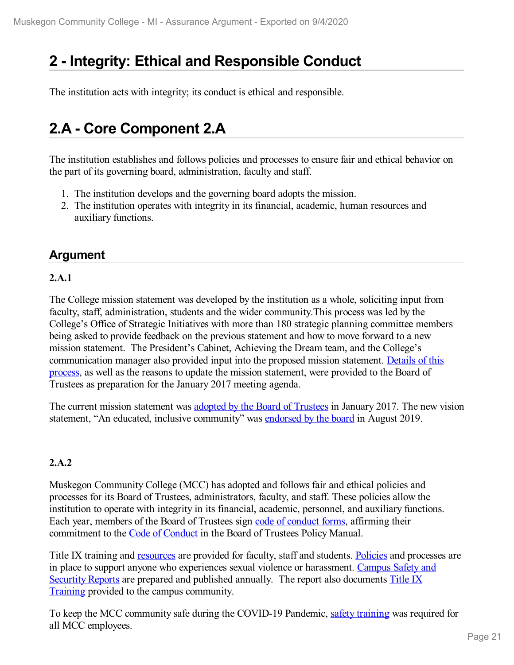# **2 -Integrity: Ethical and Responsible Conduct**

The institution acts with integrity; its conduct is ethical and responsible.

# **2.A - Core Component 2.A**

The institution establishes and follows policies and processes to ensure fair and ethical behavior on the part of its governing board, administration, faculty and staff.

- 1. The institution develops and the governing board adopts the mission.
- 2. The institution operates with integrity in its financial, academic, human resources and auxiliary functions.

# **Argument**

### **2.A.1**

The College mission statement was developed by the institution as a whole, soliciting input from faculty, staff, administration, students and the wider community.This process was led by the College's Office of Strategic Initiatives with more than 180 strategic planning committee members being asked to provide feedback on the previous statement and how to move forward to a new mission statement. The President's Cabinet, Achieving the Dream team, and the College's [communication](file:///D:/evidence/viewfile?fileId=1063226) manager also provided input into the proposed mission statement. Details of this process, as well as the reasons to update the mission statement, were provided to the Board of Trustees as preparation for the January 2017 meeting agenda.

The current mission statement was adopted by the Board of [Trustees](file:///D:/evidence/viewfile?fileId=1068642#page=3) in January 2017. The new vision statement, "An educated, inclusive community" was [endorsed](file:///D:/evidence/viewfile?fileId=1077035#page=3) by the board in August 2019.

# **2.A.2**

Muskegon Community College (MCC) has adopted and follows fair and ethical policies and processes for its Board of Trustees, administrators, faculty, and staff. These policies allow the institution to operate with integrity in its financial, academic, personnel, and auxiliary functions. Each year, members of the Board of Trustees sign code of [conduct](file:///D:/evidence/viewfile?fileId=1084958) forms, affirming their commitment to the Code of [Conduct](file:///D:/evidence/viewfile?fileId=1068722#page=8) in the Board of Trustees Policy Manual.

Title IX training and [resources](file:///D:/evidence/viewfile?fileId=1077019) are provided for faculty, staff and students. [Policies](file:///D:/evidence/viewfile?fileid=1077033) and processes are in place to support anyone who experiences sexual violence or [harassment.](file:///D:/evidence/viewfile?fileId=1099457) Campus Safety and Securtity Reports are prepared and published annually. The report also documents Title IX Train[ing](file:///D:/evidence/viewfile?fileId=1099457#page=14) provided to the campus [community.](file:///D:/evidence/viewfile?fileId=1099457#page=14)

To keep the MCC community safe during the COVID-19 Pandemic, safety [training](file:///D:/evidence/viewfile?fileId=1101101) was required for all MCC employees.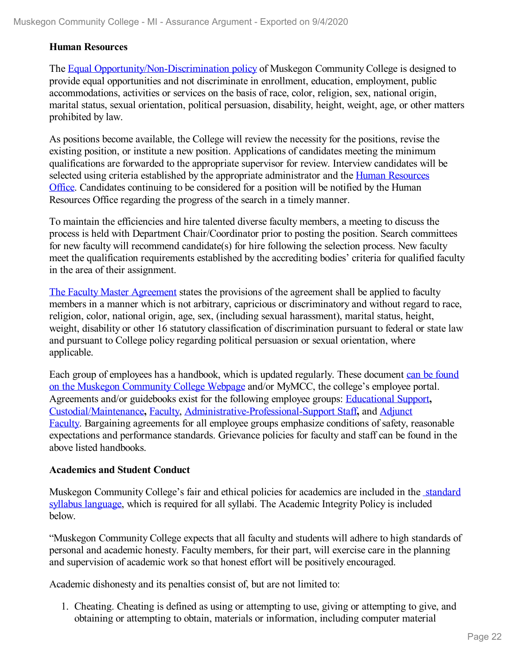#### **Human Resources**

The Equal [Opportunity/Non-Discrimination](file:///D:/evidence/viewfile?fileId=1085313) policy of Muskegon Community College is designed to provide equal opportunities and not discriminate in enrollment, education, employment, public accommodations, activities or services on the basis of race, color, religion, sex, national origin, marital status, sexual orientation, political persuasion, disability, height, weight, age, or other matters prohibited by law.

As positions become available, the College will review the necessity for the positions, revise the existing position, or institute a new position. Applications of candidates meeting the minimum qualifications are forwarded to the appropriate supervisor for review. Interview candidates will be selected using criteria established by the appropriate [administrator](file:///D:/evidence/viewfile?fileId=1097910) and the Human Resources Office. Candidates continuing to be considered for a position will be notified by the Human Resources Office regarding the progress of the search in a timely manner.

To maintain the efficiencies and hire talented diverse faculty members, a meeting to discuss the process is held with Department Chair/Coordinator prior to posting the position. Search committees for new faculty will recommend candidate(s) for hire following the selection process. New faculty meet the qualification requirements established by the accrediting bodies' criteria for qualified faculty in the area of their assignment.

The Faculty Master [Agreement](file:///D:/evidence/viewfile?fileId=1077024#page=16) states the provisions of the agreement shall be applied to faculty members in a manner which is not arbitrary, capricious or discriminatory and without regard to race, religion, color, national origin, age, sex, (including sexual harassment), marital status, height, weight, disability or other 16 statutory classification of discrimination pursuant to federal or state law and pursuant to College policy regarding political persuasion or sexual orientation, where applicable.

Each group of employees has a handbook, which is updated regularly. These document can be found on the Muskegon [Community](file:///D:/evidence/viewfile?fileId=1079252) College Webpage and/or MyMCC, the college's employee portal. Agreements and/or guidebooks exist for the following employee groups: [Educational](file:///D:/evidence/viewfile?fileid=1079249) Support**,** [Custodial/Maintenance](file:///D:/evidence/viewfile?fileId=1085317)**,** [Faculty](file:///D:/evidence/viewfile?fileid=1077024), [Administrative-Professional-Support](file:///D:/evidence/viewfile?fileId=1079250) Staff**,** and Adjunct Faculty. Bargaining agreements for all employee groups emphasize conditions of safety, reasonable expectations and performance standards. Grievance policies for faculty and staff can be found in the above listed handbooks.

#### **Academics and Student Conduct**

Muskegon [Community](file:///D:/evidence/viewfile?fileId=1077214) College's fair and ethical policies for academics are included in the standard syllabus language, which is required for all syllabi. The Academic Integrity Policy is included below.

"Muskegon Community College expects that all faculty and students will adhere to high standards of personal and academic honesty. Faculty members, for their part, will exercise care in the planning and supervision of academic work so that honest effort will be positively encouraged.

Academic dishonesty and its penalties consist of, but are not limited to:

1. Cheating. Cheating is defined as using or attempting to use, giving or attempting to give, and obtaining or attempting to obtain, materials or information, including computer material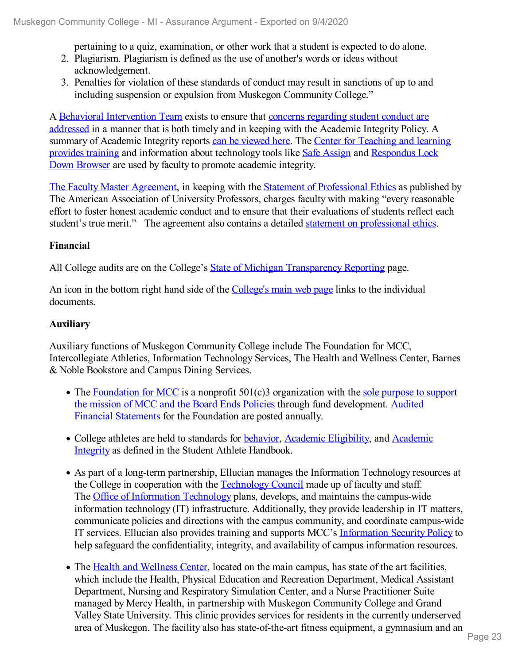pertaining to a quiz, examination, or other work that a student is expected to do alone.

- 2. Plagiarism. Plagiarism is defined as the use of another's words or ideas without acknowledgement.
- 3. Penalties for violation of these standards of conduct may result in sanctions of up to and including suspension or expulsion from Muskegon Community College."

A Behavioral [Intervention](file:///D:/evidence/viewfile?fileId=1079246) Team exists to ensure that concerns regarding student conduct are addressed in a manner that is both timely and in keeping with the Academic Integrity Policy. A summary of Academic Integrity reports can be [viewed](file:///D:/evidence/viewfile?fileId=1077017) here. The Center for Teaching and learning provides training and [information](file:///D:/evidence/viewfile?fileId=1077020) about technology tools like Safe [Assign](file:///D:/evidence/viewfile?fileId=1077013) and Respondus Lock Down Browser are used by faculty to promote academic integrity.

The Faculty Master [Agreement](file:///D:/evidence/viewfile?fileId=1077024#page=11), in keeping with the Statement of [Professional](file:///D:/evidence/viewfile?fileId=1077014) Ethics as published by The American Association of University Professors, charges faculty with making "every reasonable effort to foster honest academic conduct and to ensure that their evaluations of students reflect each student's true merit." The agreement also contains a detailed statement on [professional](file:///D:/evidence/viewfile?fileId=1077024#page=88) ethics.

### **Financial**

All College audits are on the College's State of Michigan [Transparency](file:///D:/evidence/viewfile?fileId=1097906) Reporting page.

An icon in the bottom right hand side of the [College's](file:///D:/evidence/viewfile?fileId=1085312) main web page links to the individual documents.

### **Auxiliary**

Auxiliary functions of Muskegon Community College include The Foundation for MCC, Intercollegiate Athletics, Information Technology Services, The Health and Wellness Center, Barnes & Noble Bookstore and Campus Dining Services.

- The [Foundation](file:///D:/evidence/viewfile?fileId=1079254) for MCC is a nonprofit  $501(c)3$  organization with the sole purpose to support the mission of MCC and the Board Ends Policies through fund [development.](file:///D:/evidence/viewfile?fileId=1085311) Audited Financial Statements for the Foundation are posted annually.
- College athletes are held to standards for [behavior](file:///D:/evidence/viewfile?fileId=1079255#page=4), Academic [Eligibility,](file:///D:/evidence/viewfile?fileId=1079255#page=11) and Academic Integrity as defined in the Student Athlete Handbook.
- As part of a long-term partnership, Ellucian manages the Information Technology resources at the College in cooperation with the [Technology](file:///D:/evidence/viewfile?fileId=1077279) Council made up of faculty and staff. The Office of [Information](file:///D:/evidence/viewfile?fileId=1079257) Technology plans, develops, and maintains the campus-wide information technology (IT) infrastructure. Additionally, they provide leadership in IT matters, communicate policies and directions with the campus community, and coordinate campus-wide IT services. Ellucian also provides training and supports MCC's [Information](file:///D:/evidence/viewfile?fileId=1079251) Security Policy to help safeguard the confidentiality, integrity, and availability of campus information resources.
- The Health and [Wellness](file:///D:/evidence/viewfile?fileId=1097909) Center, located on the main campus, has state of the art facilities, which include the Health, Physical Education and Recreation Department, Medical Assistant Department, Nursing and Respiratory Simulation Center, and a Nurse Practitioner Suite managed by Mercy Health, in partnership with Muskegon Community College and Grand Valley State University. This clinic provides services for residents in the currently underserved area of Muskegon. The facility also has state-of-the-art fitness equipment, a gymnasium and an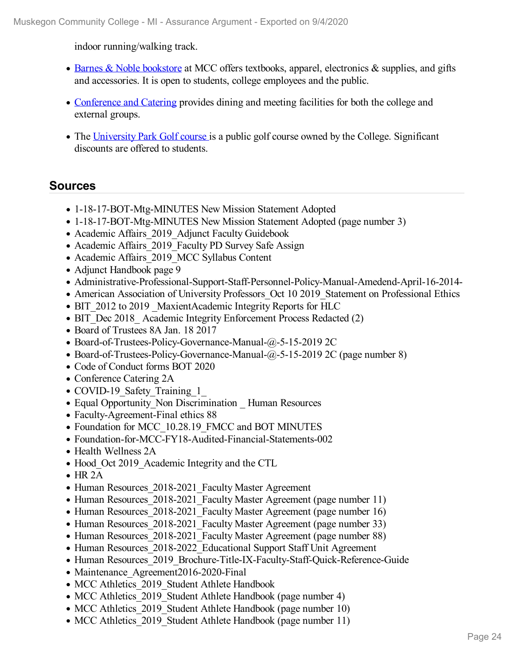indoor running/walking track.

- Barnes & Noble [bookstore](file:///D:/evidence/viewfile?fileId=1077034) at MCC offers textbooks, apparel, electronics & supplies, and gifts and accessories. It is open to students, college employees and the public.
- [Conference](file:///D:/evidence/viewfile?fileId=1097908) and Catering provides dining and meeting facilities for both the college and external groups.
- The [University](file:///D:/evidence/viewfile?fileId=1097911) Park Golf course is a public golf course owned by the College. Significant discounts are offered to students.

# **Sources**

- 1-18-17-BOT-Mtg-MINUTES New Mission Statement Adopted
- 1-18-17-BOT-Mtg-MINUTES New Mission Statement Adopted (page number 3)
- Academic Affairs 2019 Adjunct Faculty Guidebook
- Academic Affairs 2019 Faculty PD Survey Safe Assign
- Academic Affairs 2019 MCC Syllabus Content
- Adjunct Handbook page 9
- Administrative-Professional-Support-Staff-Personnel-Policy-Manual-Amedend-April-16-2014-
- American Association of University Professors Oct 10 2019 Statement on Professional Ethics
- BIT 2012 to 2019 MaxientAcademic Integrity Reports for HLC
- BIT Dec 2018 Academic Integrity Enforcement Process Redacted (2)
- Board of Trustees 8A Jan. 18 2017
- Board-of-Trustees-Policy-Governance-Manual-@-5-15-2019 2C
- Board-of-Trustees-Policy-Governance-Manual-@-5-15-2019 2C (page number 8)
- Code of Conduct forms BOT 2020
- Conference Catering 2A
- COVID-19 Safety Training 1
- Equal Opportunity Non Discrimination Human Resources
- Faculty-Agreement-Final ethics 88
- Foundation for MCC 10.28.19 FMCC and BOT MINUTES
- Foundation-for-MCC-FY18-Audited-Financial-Statements-002
- Health Wellness 2A
- Hood Oct 2019 Academic Integrity and the CTL
- $\bullet$  HR 2A
- Human Resources 2018-2021 Faculty Master Agreement
- Human Resources 2018-2021 Faculty Master Agreement (page number 11)
- Human Resources 2018-2021 Faculty Master Agreement (page number 16)
- Human Resources 2018-2021 Faculty Master Agreement (page number 33)
- Human Resources 2018-2021 Faculty Master Agreement (page number 88)
- Human Resources 2018-2022 Educational Support Staff Unit Agreement
- Human Resources 2019 Brochure-Title-IX-Faculty-Staff-Quick-Reference-Guide
- Maintenance Agreement2016-2020-Final
- MCC Athletics 2019 Student Athlete Handbook
- MCC Athletics 2019 Student Athlete Handbook (page number 4)
- MCC Athletics 2019 Student Athlete Handbook (page number 10)
- MCC Athletics 2019 Student Athlete Handbook (page number 11)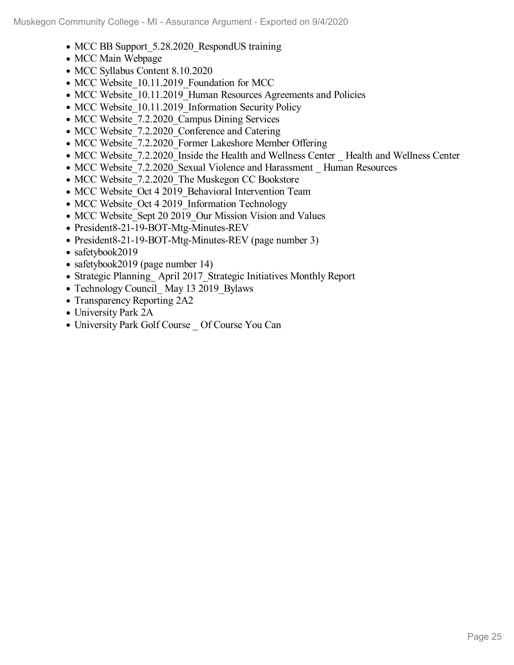- MCC BB Support 5.28.2020 RespondUS training
- MCC Main Webpage
- MCC Syllabus Content 8.10.2020
- MCC Website 10.11.2019 Foundation for MCC
- MCC Website\_10.11.2019\_Human Resources Agreements and Policies
- MCC Website 10.11.2019 Information Security Policy
- MCC Website 7.2.2020 Campus Dining Services
- MCC Website 7.2.2020 Conference and Catering
- MCC Website 7.2.2020 Former Lakeshore Member Offering
- MCC Website 7.2.2020 Inside the Health and Wellness Center Health and Wellness Center
- MCC Website 7.2.2020 Sexual Violence and Harassment Human Resources
- MCC Website 7.2.2020 The Muskegon CC Bookstore
- MCC Website Oct 4 2019 Behavioral Intervention Team
- MCC Website Oct 4 2019 Information Technology
- MCC Website Sept 20 2019 Our Mission Vision and Values
- President8-21-19-BOT-Mtg-Minutes-REV
- President8-21-19-BOT-Mtg-Minutes-REV (page number 3)
- safetybook2019
- safetybook2019 (page number 14)
- Strategic Planning April 2017 Strategic Initiatives Monthly Report
- Technology Council May 13 2019 Bylaws
- Transparency Reporting 2A2
- University Park 2A
- University Park Golf Course \_ Of Course You Can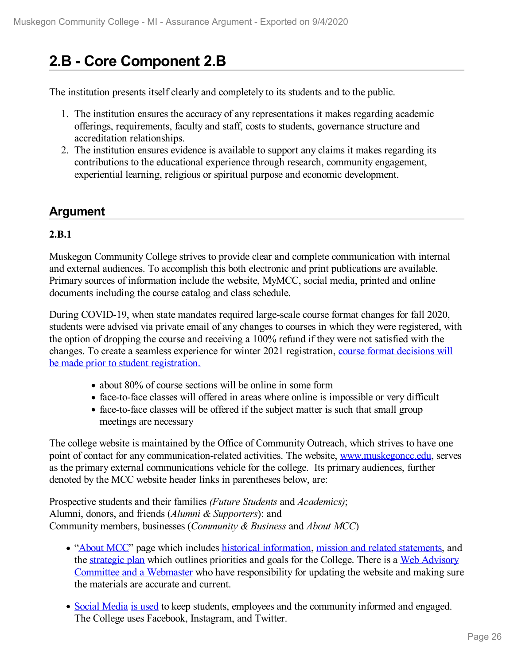# **2.B - Core Component 2.B**

The institution presents itself clearly and completely to its students and to the public.

- 1. The institution ensures the accuracy of any representations it makes regarding academic offerings, requirements, faculty and staff, costs to students, governance structure and accreditation relationships.
- 2. The institution ensures evidence is available to support any claims it makes regarding its contributions to the educational experience through research, community engagement, experiential learning, religious or spiritual purpose and economic development.

# **Argument**

## **2.B.1**

Muskegon Community College strives to provide clear and complete communication with internal and external audiences. To accomplish this both electronic and print publications are available. Primary sources of information include the website, MyMCC, social media, printed and online documents including the course catalog and class schedule.

During COVID-19, when state mandates required large-scale course format changes for fall 2020, students were advised via private email of any changes to courses in which they were registered, with the option of dropping the course and receiving a 100% refund if they were not satisfied with the changes. To create a seamless experience for winter 2021 [registration,](file:///D:/evidence/viewfile?fileId=1099506) course format decisions will be made prior to student registration.

- about 80% of course sections will be online in some form
- face-to-face classes will offered in areas where online is impossible or very difficult
- face-to-face classes will be offered if the subject matter is such that small group meetings are necessary

The college website is maintained by the Office of Community Outreach, which strives to have one point of contact for any communication-related activities. The website, [www.muskegoncc.edu](file:///D:/evidence/viewfile?fileId=1085312), serves as the primary external communications vehicle for the college. Its primary audiences, further denoted by the MCC website header links in parentheses below, are:

Prospective students and their families *(Future Students* and *Academics)*; Alumni, donors, and friends (*Alumni & Supporters*): and Community members, businesses (*Community & Business* and *About MCC*)

- ["About](file:///D:/evidence/viewfile?fileId=1068764) MCC" page which includes historical [information](file:///D:/evidence/viewfile?fileId=1068746), mission and related [statements](file:///D:/evidence/viewfile?fileId=1077288), and the [strategic](file:///D:/evidence/viewfile?fileId=1079262) plan which outlines priorities and goals for the College. There is a Web Advisory Committee and a Webmaster who have [responsibility](file:///D:/evidence/viewfile?fileId=1068772) for updating the website and making sure the materials are accurate and current.
- Social [Media](file:///D:/evidence/viewfile?fileId=1079256) is [used](file:///D:/evidence/viewfile?fileId=1068751) to keep students, employees and the community informed and engaged. The College uses Facebook, Instagram, and Twitter.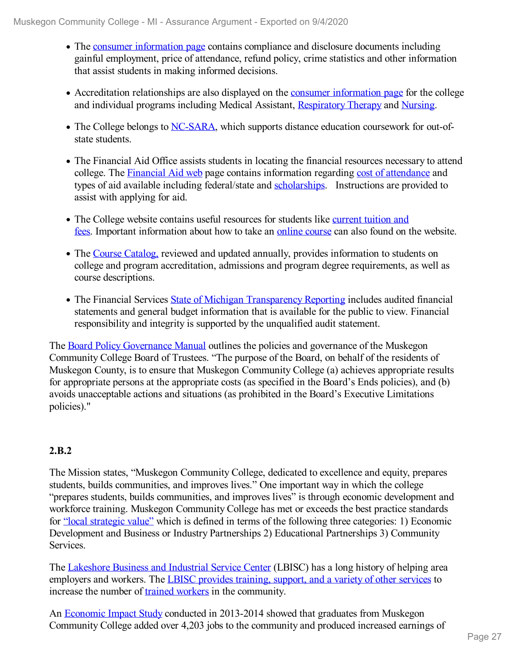- The consumer [information](file:///D:/evidence/viewfile?fileid=1098012) page contains compliance and disclosure documents including gainful employment, price of attendance, refund policy, crime statistics and other information that assist students in making informed decisions.
- Accreditation relationships are also displayed on the consumer [information](file:///D:/evidence/viewfile?fileId=1098012) page for the college and individual programs including Medical Assistant, [Respiratory](file:///D:/evidence/viewfile?fileId=1098014) Therapy and [Nursing](file:///D:/evidence/viewfile?fileId=1098013).
- The College belongs to [NC-SARA](file:///D:/evidence/viewfile?fileId=1068761), which supports distance education coursework for out-ofstate students.
- The Financial Aid Office assists students in locating the financial resources necessary to attend college. The [Financial](file:///D:/evidence/viewfile?fileId=1068734) Aid web page contains information regarding cost of [attendance](file:///D:/evidence/viewfile?fileId=1068725) and types of aid available including federal/state and [scholarships](file:///D:/evidence/viewfile?fileId=1068768). Instructions are provided to assist with applying for aid.
- The College website contains useful resources for students like current tuition and fees. Important [information](file:///D:/evidence/viewfile?fileId=1098032) about how to take an online [course](file:///D:/evidence/viewfile?fileId=1068761) can also found on the website.
- The Course [Catalog,](file:///D:/evidence/viewfile?fileId=1098033) reviewed and updated annually, provides information to students on college and program accreditation, admissions and program degree requirements, as well as course descriptions.
- The Financial Services State of Michigan [Transparency](file:///D:/evidence/viewfile?fileId=1068770) Reporting includes audited financial statements and general budget information that is available for the public to view. Financial responsibility and integrity is supported by the unqualified audit statement.

The Board Policy [Governance](file:///D:/evidence/viewfile?fileId=1068722#page=5) Manual outlines the policies and governance of the Muskegon Community College Board of Trustees. "The purpose of the Board, on behalf of the residents of Muskegon County, is to ensure that Muskegon Community College (a) achieves appropriate results for appropriate persons at the appropriate costs (as specified in the Board's Ends policies), and (b) avoids unacceptable actions and situations (as prohibited in the Board's Executive Limitations policies)."

# **2.B.2**

The Mission states, "Muskegon Community College, dedicated to excellence and equity, prepares students, builds communities, and improves lives." One important way in which the college "prepares students, builds communities, and improves lives" is through economic development and workforce training. Muskegon Community College has met or exceeds the best practice standards for "local [strategic](file:///D:/evidence/viewfile?fileId=1077016) value" which is defined in terms of the following three categories: 1) Economic Development and Business or Industry Partnerships 2) Educational Partnerships 3) Community Services.

The [Lakeshore](file:///D:/evidence/viewfile?fileId=1068744) Business and Industrial Service Center (LBISC) has a long history of helping area employers and workers. The LBISC provides [training,](file:///D:/evidence/viewfile?fileId=1068743) support, and a variety of other services to increase the number of trained [workers](file:///D:/evidence/viewfile?fileId=1068736) in the community.

An [Economic](file:///D:/evidence/viewfile?fileId=1068753) Impact Study conducted in 2013-2014 showed that graduates from Muskegon Community College added over 4,203 jobs to the community and produced increased earnings of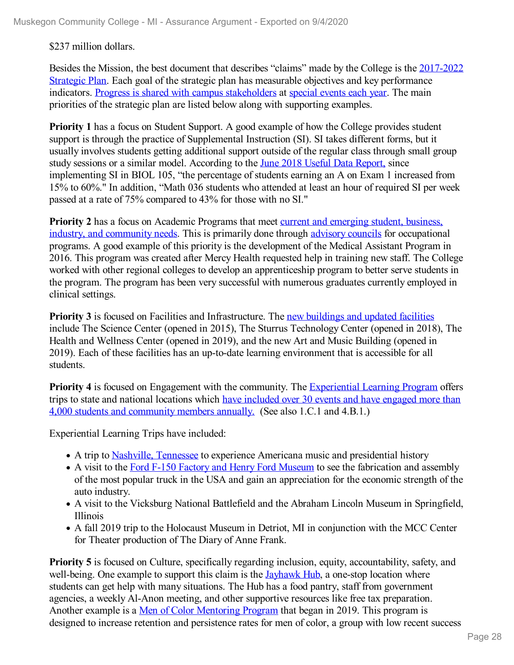### \$237 million dollars.

Besides the Mission, the best document that describes "claims" made by the College is the 2017-2022 Strategic Plan. Each goal of the strategic plan has measurable objectives and key [performance](file:///D:/evidence/viewfile?fileId=1077293) indicators. Progress is shared with campus [stakeholders](file:///D:/evidence/viewfile?fileId=1084959) at [special](file:///D:/evidence/viewfile?fileId=1068724) events each year. The main priorities of the strategic plan are listed below along with supporting examples.

**Priority 1** has a focus on Student Support. A good example of how the College provides student support is through the practice of Supplemental Instruction (SI). SI takes different forms, but it usually involves students getting additional support outside of the regular class through small group study sessions or a similar model. According to the June 2018 Useful Data [Report,](file:///D:/evidence/viewfile?fileId=1068767) since implementing SI in BIOL 105, "the percentage of students earning an A on Exam 1 increased from 15% to 60%." In addition, "Math 036 students who attended at least an hour of required SI per week passed at a rate of 75% compared to 43% for those with no SI."

**Priority** 2 has a focus on Academic Programs that meet current and emerging student, business, industry, and [community](file:///D:/evidence/viewfile?fileId=1068757) needs. This is primarily done through [advisory](file:///D:/evidence/viewfile?fileId=1098034) councils for occupational programs. A good example of this priority is the development of the Medical Assistant Program in 2016. This program was created after Mercy Health requested help in training new staff. The College worked with other regional colleges to develop an apprenticeship program to better serve students in the program. The program has been very successful with numerous graduates currently employed in clinical settings.

**Priority** 3 is focused on Facilities and Infrastructure. The new [buildings](file:///D:/evidence/viewfile?fileId=1068759) and updated facilities include The Science Center (opened in 2015), The Sturrus Technology Center (opened in 2018), The Health and Wellness Center (opened in 2019), and the new Art and Music Building (opened in 2019). Each of these facilities has an up-to-date learning environment that is accessible for all students.

**Priority** 4 is focused on Engagement with the community. The [Experiential](file:///D:/evidence/viewfile?fileId=1068735) Learning Program offers trips to state and national locations which have included over 30 events and have engaged more than 4,000 students and [community](file:///D:/evidence/viewfile?fileId=1099428) members annually. (See also 1.C.1 and 4.B.1.)

Experiential Learning Trips have included:

- A trip to Nashville, [Tennessee](file:///D:/evidence/viewfile?fileId=1099434) to experience Americana music and presidential history
- A visit to the Ford F-150 Factory and Henry Ford [Museum](file:///D:/evidence/viewfile?fileId=1099430) to see the fabrication and assembly of the most popular truck in the USA and gain an appreciation for the economic strength of the auto industry.
- A visit to the Vicksburg National Battlefield and the Abraham Lincoln Museum in Springfield, Illinois
- A fall 2019 trip to the Holocaust Museum in Detriot, MI in conjunction with the MCC Center for Theater production of The Diary of Anne Frank.

**Priority** 5 is focused on Culture, specifically regarding inclusion, equity, accountability, safety, and well-being. One example to support this claim is the **[Jayhawk](file:///D:/evidence/viewfile?fileId=1068740) Hub**, a one-stop location where students can get help with many situations. The Hub has a food pantry, staff from government agencies, a weekly Al-Anon meeting, and other supportive resources like free tax preparation. Another example is a Men of Color [Mentoring](file:///D:/evidence/viewfile?fileId=1068756) Program that began in 2019. This program is designed to increase retention and persistence rates for men of color, a group with low recent success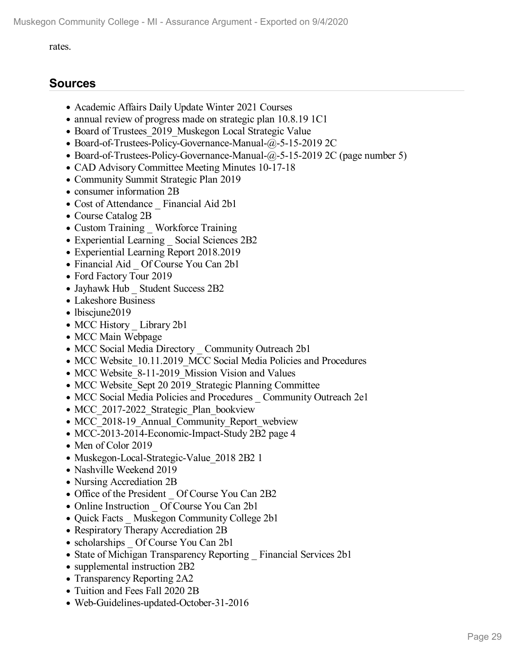#### rates.

# **Sources**

- Academic Affairs Daily Update Winter 2021 Courses
- annual review of progress made on strategic plan 10.8.19 1C1
- Board of Trustees 2019 Muskegon Local Strategic Value
- Board-of-Trustees-Policy-Governance-Manual-@-5-15-2019 2C
- Board-of-Trustees-Policy-Governance-Manual-@-5-15-2019 2C (page number 5)
- CAD Advisory Committee Meeting Minutes 10-17-18
- Community Summit Strategic Plan 2019
- consumer information 2B
- Cost of Attendance Financial Aid 2b1
- Course Catalog 2B
- Custom Training Workforce Training
- Experiential Learning Social Sciences 2B2
- Experiential Learning Report 2018.2019
- Financial Aid Of Course You Can 2b1
- Ford Factory Tour 2019
- Jayhawk Hub Student Success 2B2
- Lakeshore Business
- lbiscjune2019
- MCC History Library 2b1
- MCC Main Webpage
- MCC Social Media Directory Community Outreach 2b1
- MCC Website 10.11.2019 MCC Social Media Policies and Procedures
- MCC Website 8-11-2019 Mission Vision and Values
- MCC Website Sept 20 2019 Strategic Planning Committee
- MCC Social Media Policies and Procedures Community Outreach 2e1
- MCC 2017-2022 Strategic Plan bookview
- MCC 2018-19 Annual Community Report webview
- MCC-2013-2014-Economic-Impact-Study 2B2 page 4
- Men of Color 2019
- Muskegon-Local-Strategic-Value 2018 2B2 1
- Nashville Weekend 2019
- Nursing Accrediation 2B
- Office of the President Of Course You Can 2B2
- Online Instruction Of Course You Can 2b1
- Quick Facts Muskegon Community College 2b1
- Respiratory Therapy Accrediation 2B
- scholarships Of Course You Can 2b1
- State of Michigan Transparency Reporting \_ Financial Services 2b1
- supplemental instruction 2B2
- Transparency Reporting 2A2
- Tuition and Fees Fall 2020 2B
- Web-Guidelines-updated-October-31-2016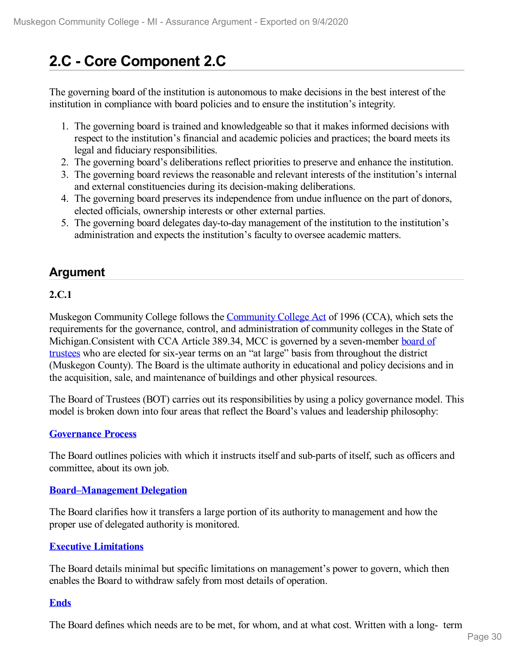# **2.C - Core Component 2.C**

The governing board of the institution is autonomous to make decisions in the best interest of the institution in compliance with board policies and to ensure the institution's integrity.

- 1. The governing board is trained and knowledgeable so that it makes informed decisions with respect to the institution's financial and academic policies and practices; the board meets its legal and fiduciary responsibilities.
- 2. The governing board's deliberations reflect priorities to preserve and enhance the institution.
- 3. The governing board reviews the reasonable and relevant interests of the institution's internal and external constituencies during its decision-making deliberations.
- 4. The governing board preserves its independence from undue influence on the part of donors, elected officials, ownership interests or other external parties.
- 5. The governing board delegates day-to-day management of the institution to the institution's administration and expects the institution's faculty to oversee academic matters.

# **Argument**

### **2.C.1**

Muskegon [Community](file:///D:/evidence/viewfile?fileId=1068754) College follows the Community College Act of 1996 (CCA), which sets the requirements for the governance, control, and administration of community colleges in the State of [Michigan.Consistent](file:///D:/evidence/viewfile?fileId=1068727) with CCA Article 389.34, MCC is governed by a seven-member board of trustees who are elected for six-year terms on an "at large" basis from throughout the district (Muskegon County). The Board is the ultimate authority in educational and policy decisions and in the acquisition, sale, and maintenance of buildings and other physical resources.

The Board of Trustees (BOT) carries out its responsibilities by using a policy governance model. This model is broken down into four areas that reflect the Board's values and leadership philosophy:

### **[Governance](file:///D:/evidence/viewfile?fileId=1079267#page=5) Process**

The Board outlines policies with which it instructs itself and sub-parts of itself, such as officers and committee, about its own job.

### **[Board–Management](file:///D:/evidence/viewfile?fileId=1079267#page=4) Delegation**

The Board clarifies how it transfers a large portion of its authority to management and how the proper use of delegated authority is monitored.

### **Executive [Limitations](file:///D:/evidence/viewfile?fileId=1079267#page=4)**

The Board details minimal but specific limitations on management's power to govern, which then enables the Board to withdraw safely from most details of operation.

### **[Ends](file:///D:/evidence/viewfile?fileId=1079267#page=4)**

The Board defines which needs are to be met, for whom, and at what cost. Written with a long- term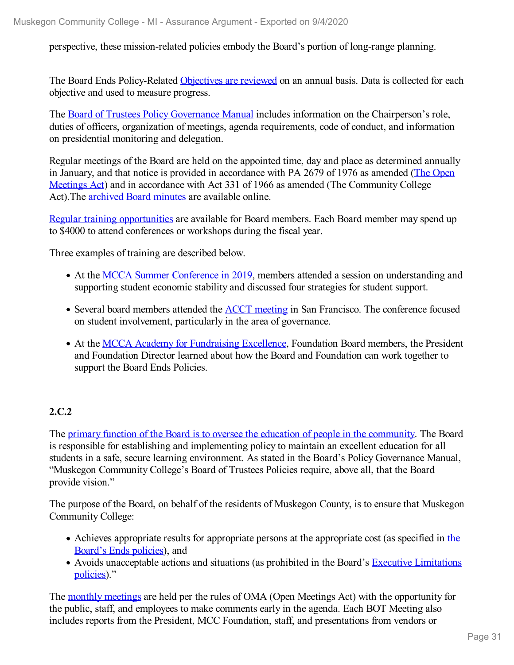perspective, these mission-related policies embody the Board's portion of long-range planning.

The Board Ends Policy-Related [Objectives](file:///D:/evidence/viewfile?fileId=1068718) are reviewed on an annual basis. Data is collected for each objective and used to measure progress.

The Board of Trustees Policy [Governance](file:///D:/evidence/viewfile?fileId=1079267#page=6) Manual includes information on the Chairperson's role, duties of officers, organization of meetings, agenda requirements, code of conduct, and information on presidential monitoring and delegation.

Regular meetings of the Board are held on the appointed time, day and place as determined annually in January, and that notice is provided in accordance with PA 2679 of 1976 as amended (The Open Meetings Act) and in accordance with Act 331 of 1966 as amended (The [Community](file:///D:/evidence/viewfile?fileId=1068754) College Act). The **[archived](file:///D:/evidence/viewfile?fileId=1068720) Board minutes** are available online.

Regular training [opportunities](file:///D:/evidence/viewfile?fileId=1079267#page=10) are available for Board members. Each Board member may spend up to \$4000 to attend conferences or workshops during the fiscal year.

Three examples of training are described below.

- At the MCCA Summer [Conference](file:///D:/evidence/viewfile?fileId=1077038#page=2) in 2019, members attended a session on understanding and supporting student economic stability and discussed four strategies for student support.
- Several board members attended the **ACCT** [meeting](file:///D:/evidence/viewfile?fileId=1077040#page=2) in San Francisco. The conference focused on student involvement, particularly in the area of governance.
- At the MCCA Academy for [Fundraising](file:///D:/evidence/viewfile?fileId=1077015#page=2) Excellence, Foundation Board members, the President and Foundation Director learned about how the Board and Foundation can work together to support the Board Ends Policies.

# **2.C.2**

The primary function of the Board is to oversee the education of people in the [community.](file:///D:/evidence/viewfile?fileId=1079267#page=4) The Board is responsible for establishing and implementing policy to maintain an excellent education for all students in a safe, secure learning environment. As stated in the Board's Policy Governance Manual, "Muskegon Community College's Board of Trustees Policies require, above all, that the Board provide vision."

The purpose of the Board, on behalf of the residents of Muskegon County, is to ensure that Muskegon Community College:

- Achieves appropriate results for [appropriate](file:///D:/evidence/viewfile?fileId=1079267#page=4) persons at the appropriate cost (as specified in the Board's Ends policies), and
- Avoids [unacceptable](file:///D:/evidence/viewfile?fileId=1079267#page=5) actions and situations (as prohibited in the Board's Executive Limitations policies)."

The monthly [meetings](file:///D:/evidence/viewfile?fileId=1079267#page=11) are held per the rules of OMA (Open Meetings Act) with the opportunity for the public, staff, and employees to make comments early in the agenda. Each BOT Meeting also includes reports from the President, MCC Foundation, staff, and presentations from vendors or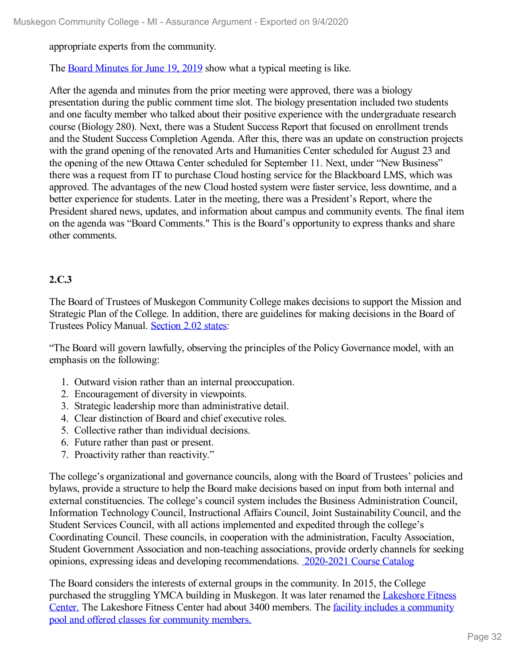appropriate experts from the community.

The Board [Minutes](file:///D:/evidence/viewfile?fileId=1068717) for June 19, 2019 show what a typical meeting is like.

After the agenda and minutes from the prior meeting were approved, there was a biology presentation during the public comment time slot. The biology presentation included two students and one faculty member who talked about their positive experience with the undergraduate research course (Biology 280). Next, there was a Student Success Report that focused on enrollment trends and the Student Success Completion Agenda. After this, there was an update on construction projects with the grand opening of the renovated Arts and Humanities Center scheduled for August 23 and the opening of the new Ottawa Center scheduled for September 11. Next, under "New Business" there was a request from IT to purchase Cloud hosting service for the Blackboard LMS, which was approved. The advantages of the new Cloud hosted system were faster service, less downtime, and a better experience for students. Later in the meeting, there was a President's Report, where the President shared news, updates, and information about campus and community events. The final item on the agenda was "Board Comments." This is the Board's opportunity to express thanks and share other comments.

### **2.C.3**

The Board of Trustees of Muskegon Community College makes decisions to support the Mission and Strategic Plan of the College. In addition, there are guidelines for making decisions in the Board of Trustees Policy Manual. [Section](file:///D:/evidence/viewfile?fileId=1079267#page=5) 2.02 states:

"The Board will govern lawfully, observing the principles of the Policy Governance model, with an emphasis on the following:

- 1. Outward vision rather than an internal preoccupation.
- 2. Encouragement of diversity in viewpoints.
- 3. Strategic leadership more than administrative detail.
- 4. Clear distinction of Board and chief executive roles.
- 5. Collective rather than individual decisions.
- 6. Future rather than past or present.
- 7. Proactivity rather than reactivity."

The college's organizational and governance councils, along with the Board of Trustees' policies and bylaws, provide a structure to help the Board make decisions based on input from both internal and external constituencies. The college's council system includes the Business Administration Council, Information Technology Council, Instructional Affairs Council, Joint Sustainability Council, and the Student Services Council, with all actions implemented and expedited through the college's Coordinating Council. These councils, in cooperation with the administration, Faculty Association, Student Government Association and non-teaching associations, provide orderly channels for seeking opinions, expressing ideas and developing recommendations. [2020-2021](file:///D:/evidence/viewfile?fileId=1086545#page=304) Course Catalog

The Board considers the interests of external groups in the community. In 2015, the College purchased the struggling YMCA building in [Muskegon.](file:///D:/evidence/viewfile?fileId=1068747) It was later renamed the Lakeshore Fitness Center. The Lakeshore Fitness Center had about 3400 members. The facility includes a [community](file:///D:/evidence/viewfile?fileId=1068741) pool and offered classes for community members.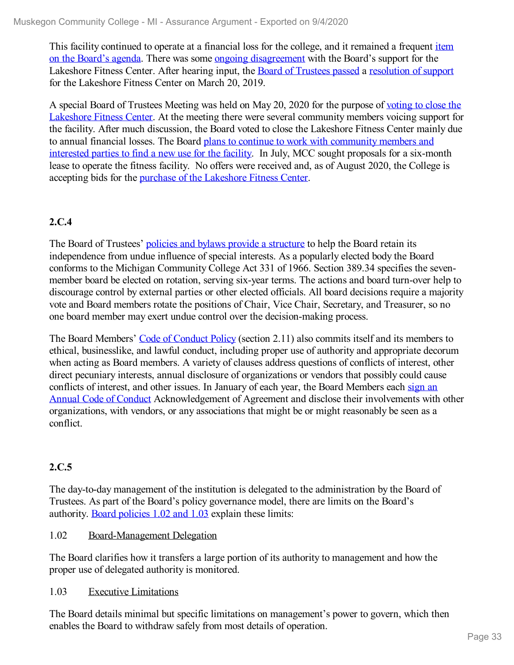This facility continued to operate at a financial loss for the college, and it remained a frequent item on the Board's agenda. There was some ongoing [disagreement](file:///D:/evidence/viewfile?fileId=1068716#page=3) with the Board's support for the Lakeshore Fitness Center. After hearing input, the Board of [Trustees](file:///D:/evidence/viewfile?fileId=1068716#page=4) passed a [resolution](file:///D:/evidence/viewfile?fileId=1068769) of support for the Lakeshore Fitness Center on March 20, 2019.

A special Board of Trustees Meeting was held on May 20, 2020 for the purpose of voting to close the Lakeshore Fitness Center. At the meeting there were several [community](file:///D:/evidence/viewfile?fileId=1086546) members voicing support for the facility. After much discussion, the Board voted to close the Lakeshore Fitness Center mainly due to annual financial losses. The Board plans to continue to work with [community](file:///D:/evidence/viewfile?fileId=1086547) members and interested parties to find a new use for the facility. In July, MCC sought proposals for a six-month lease to operate the fitness facility. No offers were received and, as of August 2020, the College is accepting bids for the purchase of the [Lakeshore](file:///D:/evidence/viewfile?fileId=1099547) Fitness Center.

## **2.C.4**

The Board of Trustees' policies and bylaws provide a [structure](file:///D:/evidence/viewfile?fileId=1079267#page=7) to help the Board retain its independence from undue influence of special interests. As a popularly elected body the Board conforms to the Michigan Community College Act 331 of 1966. Section 389.34 specifies the seven member board be elected on rotation, serving six-year terms. The actions and board turn-over help to discourage control by external parties or other elected officials. All board decisions require a majority vote and Board members rotate the positions of Chair, Vice Chair, Secretary, and Treasurer, so no one board member may exert undue control over the decision-making process.

The Board Members' Code of [Conduct](file:///D:/evidence/viewfile?fileId=1079267#page=8) Policy (section 2.11) also commits itself and its members to ethical, businesslike, and lawful conduct, including proper use of authority and appropriate decorum when acting as Board members. A variety of clauses address questions of conflicts of interest, other direct pecuniary interests, annual disclosure of organizations or vendors that possibly could cause conflicts of interest, and other issues. In January of each year, the Board Members each sign an Annual Code of Conduct [Acknowledgement](file:///D:/evidence/viewfile?fileId=1084958) of Agreement and disclose their involvements with other organizations, with vendors, or any associations that might be or might reasonably be seen as a conflict.

### **2.C.5**

The day-to-day management of the institution is delegated to the administration by the Board of Trustees. As part of the Board's policy governance model, there are limits on the Board's authority. Board [policies](file:///D:/evidence/viewfile?fileId=1079267#page=4) 1.02 and 1.03 explain these limits:

1.02 Board-Management Delegation

The Board clarifies how it transfers a large portion of its authority to management and how the proper use of delegated authority is monitored.

1.03 Executive Limitations

The Board details minimal but specific limitations on management's power to govern, which then enables the Board to withdraw safely from most details of operation.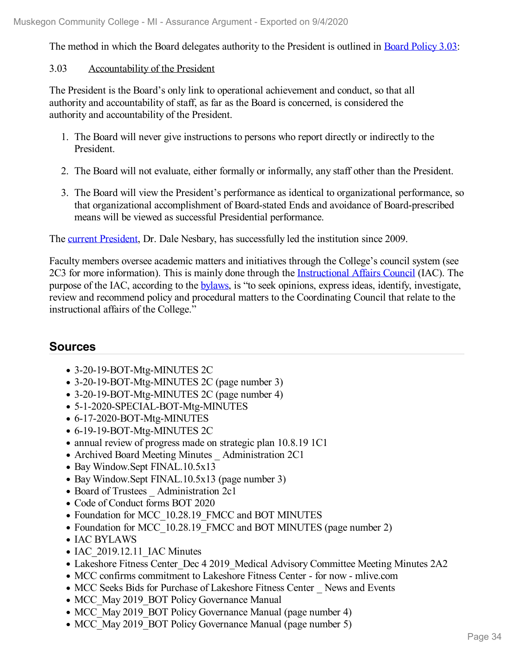The method in which the Board delegates authority to the President is outlined in Board [Policy](file:///D:/evidence/viewfile?fileId=1079267#page=14) 3.03:

### 3.03 Accountability of the President

The President is the Board's only link to operational achievement and conduct, so that all authority and accountability of staff, as far as the Board is concerned, is considered the authority and accountability of the President.

- 1. The Board will never give instructions to persons who report directly or indirectly to the President.
- 2. The Board will not evaluate, either formally or informally, any staff other than the President.
- 3. The Board will view the President's performance as identical to organizational performance, so that organizational accomplishment of Board-stated Ends and avoidance of Board-prescribed means will be viewed as successful Presidential performance.

The current [President](file:///D:/evidence/viewfile?fileId=1068765), Dr. Dale Nesbary, has successfully led the institution since 2009.

Faculty members oversee academic matters and initiatives through the College's council system (see 2C3 for more information). This is mainly done through the [Instructional](file:///D:/evidence/viewfile?fileId=1077119) Affairs Council (IAC). The purpose of the IAC, according to the [bylaws](file:///D:/evidence/viewfile?fileId=1068738), is "to seek opinions, express ideas, identify, investigate, review and recommend policy and procedural matters to the Coordinating Council that relate to the instructional affairs of the College."

# **Sources**

- 3-20-19-BOT-Mtg-MINUTES 2C
- 3-20-19-BOT-Mtg-MINUTES 2C (page number 3)
- 3-20-19-BOT-Mtg-MINUTES 2C (page number 4)
- 5-1-2020-SPECIAL-BOT-Mtg-MINUTES
- 6-17-2020-BOT-Mtg-MINUTES
- 6-19-19-BOT-Mtg-MINUTES 2C
- annual review of progress made on strategic plan 10.8.19 1C1
- Archived Board Meeting Minutes Administration 2C1
- Bay Window.Sept FINAL.10.5x13
- Bay Window.Sept FINAL.10.5x13 (page number 3)
- Board of Trustees Administration 2c1
- Code of Conduct forms BOT 2020
- Foundation for MCC 10.28.19 FMCC and BOT MINUTES
- Foundation for MCC 10.28.19 FMCC and BOT MINUTES (page number 2)
- IAC BYLAWS
- IAC 2019.12.11 IAC Minutes
- Lakeshore Fitness Center Dec 4 2019 Medical Advisory Committee Meeting Minutes 2A2
- MCC confirms commitment to Lakeshore Fitness Center for now mlive.com
- MCC Seeks Bids for Purchase of Lakeshore Fitness Center News and Events
- MCC May 2019 BOT Policy Governance Manual
- MCC May 2019 BOT Policy Governance Manual (page number 4)
- MCC\_May 2019\_BOT Policy Governance Manual (page number 5)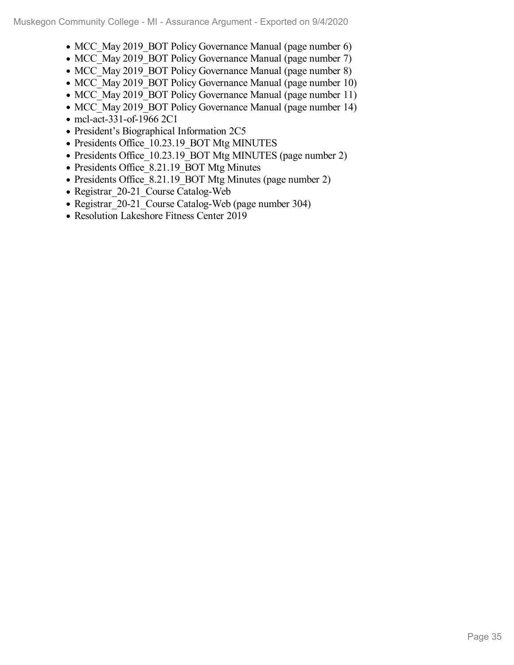- MCC May 2019 BOT Policy Governance Manual (page number 6)
- MCC May 2019 BOT Policy Governance Manual (page number 7)
- MCC May 2019 BOT Policy Governance Manual (page number 8)
- MCC May 2019 BOT Policy Governance Manual (page number 10)
- MCC\_May 2019\_BOT Policy Governance Manual (page number 11)
- MCC May 2019 BOT Policy Governance Manual (page number 14)
- mcl-act-331-of-1966 2C1
- President's Biographical Information 2C5
- Presidents Office 10.23.19 BOT Mtg MINUTES
- Presidents Office 10.23.19 BOT Mtg MINUTES (page number 2)
- Presidents Office 8.21.19 BOT Mtg Minutes
- Presidents Office 8.21.19 BOT Mtg Minutes (page number 2)
- Registrar 20-21 Course Catalog-Web
- Registrar 20-21 Course Catalog-Web (page number 304)
- Resolution Lakeshore Fitness Center 2019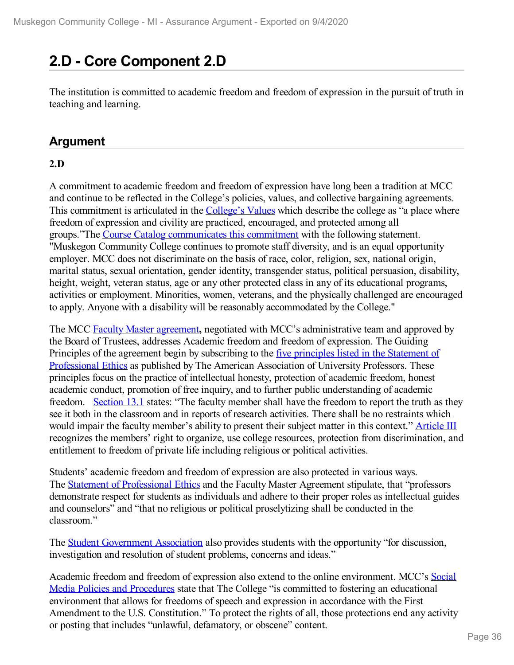# **2.D - Core Component 2.D**

The institution is committed to academic freedom and freedom of expression in the pursuit of truth in teaching and learning.

# **Argument**

## **2.D**

A commitment to academic freedom and freedom of expression have long been a tradition at MCC and continue to be reflected in the College's policies, values, and collective bargaining agreements. This commitment is articulated in the [College's](file:///D:/evidence/viewfile?fileId=1098559) Values which describe the college as "a place where freedom of expression and civility are practiced, encouraged, and protected among all groups."The Course Catalog [communicates](file:///D:/evidence/viewfile?fileId=1086545#page=2) this commitment with the following statement. "Muskegon Community College continues to promote staff diversity, and is an equal opportunity employer. MCC does not discriminate on the basis of race, color, religion, sex, national origin, marital status, sexual orientation, gender identity, transgender status, political persuasion, disability, height, weight, veteran status, age or any other protected class in any of its educational programs, activities or employment. Minorities, women, veterans, and the physically challenged are encouraged to apply. Anyone with a disability will be reasonably accommodated by the College."

The MCC Faculty Master [agreemen](file:///D:/evidence/viewfile?fileId=1069062)[t](file:///D:/evidence/viewfile?fileid=1069062)**,** negotiated with MCC's administrative team and approved by the Board of Trustees, addresses Academic freedom and freedom of expression. The Guiding Principles of the agreement begin by subscribing to the five principles listed in the Statement of [Professional](file:///D:/evidence/viewfile?fileId=1069062#page=88) Ethics as published by The American Association of University Professors. These principles focus on the practice of intellectual honesty, protection of academic freedom, honest academic conduct, promotion of free inquiry, and to further public understanding of academic freedom. [Section](file:///D:/evidence/viewfile?fileId=1069062#page=54) 13.1 states: "The faculty member shall have the freedom to report the truth as they see it both in the classroom and in reports of research activities. There shall be no restraints which would impair the faculty member's ability to present their subject matter in this context." [Article](file:///D:/evidence/viewfile?fileId=1069062#page=15) III recognizes the members' right to organize, use college resources, protection from discrimination, and entitlement to freedom of private life including religious or political activities.

Students' academic freedom and freedom of expression are also protected in various ways. The Statement of [Professional](file:///D:/evidence/viewfile?fileId=1069062#page=88) Ethics and the Faculty Master Agreement stipulate, that "professors demonstrate respect for students as individuals and adhere to their proper roles as intellectual guides and counselors" and "that no religious or political proselytizing shall be conducted in the classroom."

The Student [Government](file:///D:/evidence/viewfile?fileId=1086545#page=31) Association also provides students with the opportunity "for discussion, investigation and resolution of student problems, concerns and ideas."

Academic freedom and freedom of expression also extend to the online [environment.](file:///D:/evidence/viewfile?fileId=1079256) MCC's Social Media Policies and Procedures state that The College "is committed to fostering an educational environment that allows for freedoms of speech and expression in accordance with the First Amendment to the U.S. Constitution." To protect the rights of all, those protections end any activity or posting that includes "unlawful, defamatory, or obscene" content.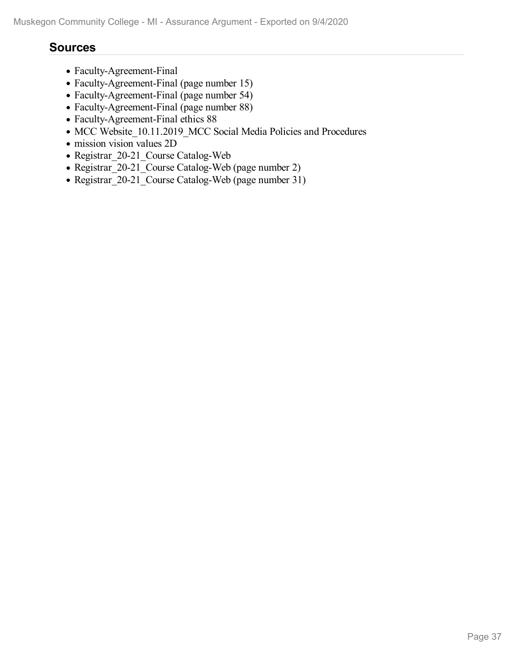### **Sources**

- Faculty-Agreement-Final
- Faculty-Agreement-Final (page number 15)
- Faculty-Agreement-Final (page number 54)
- Faculty-Agreement-Final (page number 88)
- Faculty-Agreement-Final ethics 88
- MCC Website\_10.11.2019\_MCC Social Media Policies and Procedures
- mission vision values 2D
- Registrar\_20-21\_Course Catalog-Web
- Registrar\_20-21\_Course Catalog-Web (page number 2)
- Registrar 20-21 Course Catalog-Web (page number 31)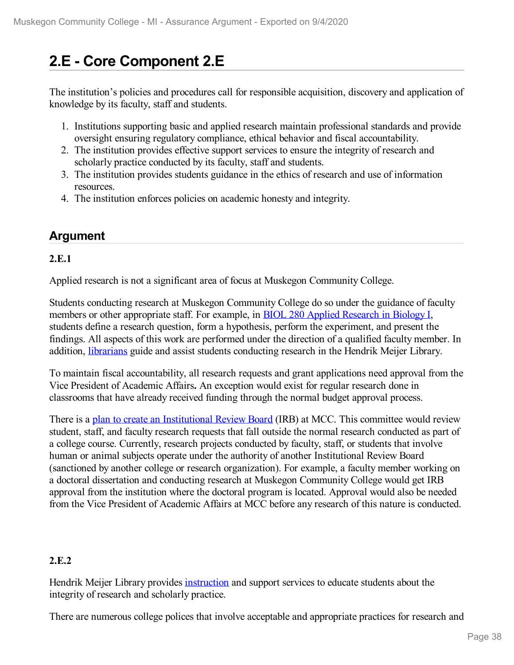# **2.E - Core Component 2.E**

The institution's policies and procedures call for responsible acquisition, discovery and application of knowledge by its faculty, staff and students.

- 1. Institutions supporting basic and applied research maintain professional standards and provide oversight ensuring regulatory compliance, ethical behavior and fiscal accountability.
- 2. The institution provides effective support services to ensure the integrity of research and scholarly practice conducted by its faculty, staff and students.
- 3. The institution provides students guidance in the ethics of research and use of information resources.
- 4. The institution enforces policies on academic honesty and integrity.

## **Argument**

### **2.E.1**

Applied research is not a significant area of focus at Muskegon Community College.

Students conducting research at Muskegon Community College do so under the guidance of faculty members or other appropriate staff. For example, in BIOL 280 Applied [Research](file:///D:/evidence/viewfile?fileId=1068721) in Biology [I,](file:///D:/evidence/viewfile?fileId=1068721) students define a research question, form a hypothesis, perform the experiment, and present the findings. All aspects of this work are performed under the direction of a qualified faculty member. In addition, [librarians](file:///D:/evidence/viewfile?fileid=1098555) guide and assist students conducting research in the Hendrik Meijer Library.

To maintain fiscal accountability, all research requests and grant applications need approval from the Vice President of Academic Affairs**.** An exception would exist for regular research done in classrooms that have already received funding through the normal budget approval process.

There is a plan to create an [Institutional](file:///D:/evidence/viewfile?fileId=1086728) Review Board (IRB) at MCC. This committee would review student, staff, and faculty research requests that fall outside the normal research conducted as part of a college course. Currently, research projects conducted by faculty, staff, or students that involve human or animal subjects operate under the authority of another Institutional Review Board (sanctioned by another college or research organization). For example, a faculty member working on a doctoral dissertation and conducting research at Muskegon Community College would get IRB approval from the institution where the doctoral program is located. Approval would also be needed from the Vice President of Academic Affairs at MCC before any research of this nature is conducted.

### **2.E.2**

Hendrik Meijer Library provides [instruction](file:///D:/evidence/viewfile?fileId=1077028) and support services to educate students about the integrity of research and scholarly practice.

There are numerous college polices that involve acceptable and appropriate practices for research and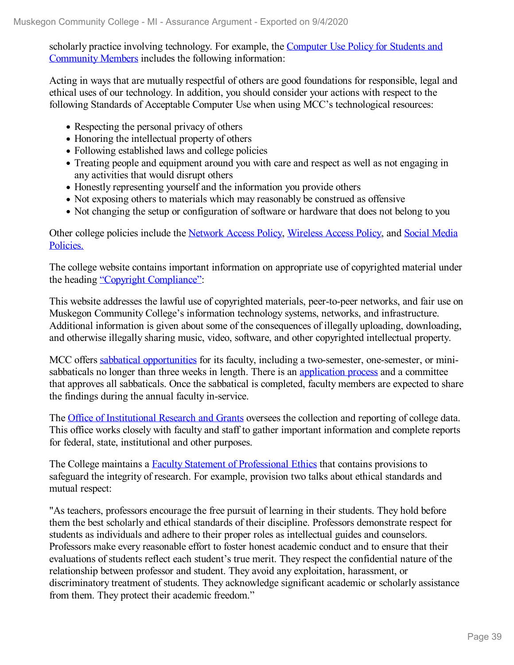scholarly practice involving technology. For example, the Computer Use Policy for Students and Community Members includes the following [information:](file:///D:/evidence/viewfile?fileId=1068723)

Acting in ways that are mutually respectful of others are good foundations for responsible, legal and ethical uses of our technology. In addition, you should consider your actions with respect to the following Standards of Acceptable Computer Use when using MCC's technological resources:

- Respecting the personal privacy of others
- Honoring the intellectual property of others
- Following established laws and college policies
- Treating people and equipment around you with care and respect as well as not engaging in any activities that would disrupt others
- Honestly representing yourself and the information you provide others
- Not exposing others to materials which may reasonably be construed as offensive
- Not changing the setup or configuration of software or hardware that does not belong to you

Other college policies include the [Network](file:///D:/evidence/viewfile?fileId=1068758) Access Policy, [Wireless](file:///D:/evidence/viewfile?fileId=1068752) Access Policy, and Social Media Policies.

The college website contains important information on appropriate use of copyrighted material under the heading "Copyright [Compliance"](file:///D:/evidence/viewfile?fileId=1068728):

This website addresses the lawful use of copyrighted materials, peer-to-peer networks, and fair use on Muskegon Community College's information technology systems, networks, and infrastructure. Additional information is given about some of the consequences of illegally uploading, downloading, and otherwise illegally sharing music, video, software, and other copyrighted intellectual property.

MCC offers sabbatical [opportunities](file:///D:/evidence/viewfile?fileId=1069062#page=39) for its faculty, including a two-semester, one-semester, or minisabbaticals no longer than three weeks in length. There is an [application](file:///D:/evidence/viewfile?fileId=1068766) process and a committee that approves all sabbaticals. Once the sabbatical is completed, faculty members are expected to share the findings during the annual faculty in-service.

The Office of [Institutional](file:///D:/evidence/viewfile?fileId=1068742) Research and Grants oversees the collection and reporting of college data. This office works closely with faculty and staff to gather important information and complete reports for federal, state, institutional and other purposes.

The College maintains a Faculty Statement of [Professional](file:///D:/evidence/viewfile?fileId=1069062#page=88) Ethics that contains provisions to safeguard the integrity of research. For example, provision two talks about ethical standards and mutual respect:

"As teachers, professors encourage the free pursuit of learning in their students. They hold before them the best scholarly and ethical standards of their discipline. Professors demonstrate respect for students as individuals and adhere to their proper roles as intellectual guides and counselors. Professors make every reasonable effort to foster honest academic conduct and to ensure that their evaluations of students reflect each student's true merit. They respect the confidential nature of the relationship between professor and student. They avoid any exploitation, harassment, or discriminatory treatment of students. They acknowledge significant academic or scholarly assistance from them. They protect their academic freedom."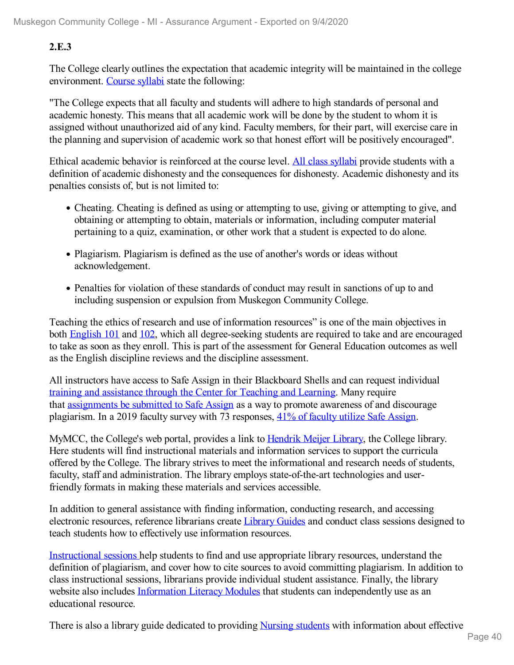### **2.E.3**

The College clearly outlines the expectation that academic integrity will be maintained in the college environment. [Course](file:///D:/evidence/viewfile?fileid=1086727) syllabi state the following:

"The College expects that all faculty and students will adhere to high standards of personal and academic honesty. This means that all academic work will be done by the student to whom it is assigned without unauthorized aid of any kind. Faculty members, for their part, will exercise care in the planning and supervision of academic work so that honest effort will be positively encouraged".

Ethical academic behavior is reinforced at the course level. All class [syllabi](file:///D:/evidence/viewfile?fileId=1086727) provide students with a definition of academic dishonesty and the consequences for dishonesty. Academic dishonesty and its penalties consists of, but is not limited to:

- Cheating. Cheating is defined as using or attempting to use, giving or attempting to give, and obtaining or attempting to obtain, materials or information, including computer material pertaining to a quiz, examination, or other work that a student is expected to do alone.
- Plagiarism. Plagiarism is defined as the use of another's words or ideas without acknowledgement.
- Penalties for violation of these standards of conduct may result in sanctions of up to and including suspension or expulsion from Muskegon Community College.

Teaching the ethics of research and use of information resources" is one of the main objectives in both **[English](file:///D:/evidence/viewfile?fileId=1079232) 101** and [102](file:///D:/evidence/viewfile?fileId=1068913), which all degree-seeking students are required to take and are encouraged to take as soon as they enroll. This is part of the assessment for General Education outcomes as well as the English discipline reviews and the discipline assessment.

All instructors have access to Safe Assign in their Blackboard Shells and can request individual training and [assistance](file:///D:/evidence/viewfile?fileId=1079247) through the Center for Teaching and Learning. Many require that [assignments](file:///D:/evidence/viewfile?fileId=1079264#page=4) be submitted to Safe Assign as a way to promote awareness of and discourage plagiarism. In a 2019 faculty survey with 73 responses, 41% of [faculty](file:///D:/evidence/viewfile?fileId=1077013) utilize Safe Assign.

MyMCC, the College's web portal, provides a link to [Hendrik](file:///D:/evidence/viewfile?fileId=1098555) Meijer Library, the College library. Here students will find instructional materials and information services to support the curricula offered by the College. The library strives to meet the informational and research needs of students, faculty, staff and administration. The library employs state-of-the-art technologies and userfriendly formats in making these materials and services accessible.

In addition to general assistance with finding information, conducting research, and accessing electronic resources, reference librarians create [Library](file:///D:/evidence/viewfile?fileid=1098552) Guides and conduct class sessions designed to teach students how to effectively use information resources.

[Instructional](file:///D:/evidence/viewfile?fileId=1098553) sessions help students to find and use appropriate library resources, understand the definition of plagiarism, and cover how to cite sources to avoid committing plagiarism. In addition to class instructional sessions, librarians provide individual student assistance. Finally, the library website also includes [Information](file:///D:/evidence/viewfile?fileId=1098556) Literacy Modules that students can independently use as an educational resource.

There is also a library guide dedicated to providing [Nursing](file:///D:/evidence/viewfile?fileId=1098554) students with information about effective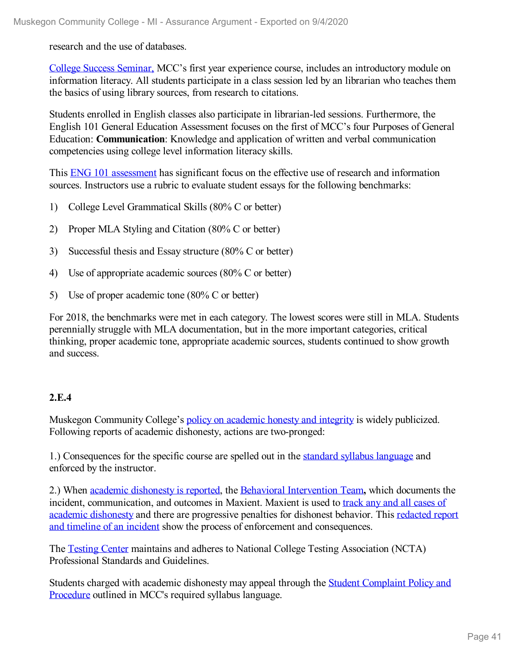research and the use of databases.

College Success [Seminar,](file:///D:/evidence/viewfile?fileId=1098549) MCC's first year experience course, includes an introductory module on information literacy. All students participate in a class session led by an librarian who teaches them the basics of using library sources, from research to citations.

Students enrolled in English classes also participate in librarian-led sessions. Furthermore, the English 101 General Education Assessment focuses on the first of MCC's four Purposes of General Education: **Communication**: Knowledge and application of written and verbal communication competencies using college level information literacy skills.

This ENG 101 [assessment](file:///D:/evidence/viewfile?fileId=1098550) has significant focus on the effective use of research and information sources. Instructors use a rubric to evaluate student essays for the following benchmarks:

- 1) College Level Grammatical Skills (80% C or better)
- 2) Proper MLA Styling and Citation (80% C or better)
- 3) Successful thesis and Essay structure (80% C or better)
- 4) Use of appropriate academic sources (80% C or better)
- 5) Use of proper academic tone (80% C or better)

For 2018, the benchmarks were met in each category. The lowest scores were still in MLA. Students perennially struggle with MLA documentation, but in the more important categories, critical thinking, proper academic tone, appropriate academic sources, students continued to show growth and success.

#### **2.E.4**

Muskegon Community College's policy on [academic](file:///D:/evidence/viewfile?fileid=1079265) honesty and integrity is widely publicized. Following reports of academic dishonesty, actions are two-pronged:

1.) Consequences for the specific course are spelled out in the standard syllabus [language](file:///D:/evidence/viewfile?fileid=1086727) and enforced by the instructor.

2.) When academic [dishonesty](file:///D:/evidence/viewfile?fileId=1101226) is reported, the Behavioral [Intervention](file:///D:/evidence/viewfile?fileId=1101235) Team**,** which documents the incident, [communication,](file:///D:/evidence/viewfile?fileId=1077017) and outcomes in Maxient. Maxient is used to track any and all cases of academic dishonesty and there are progressive penalties for dishonest behavior. This redacted report and timeline of an incident show the process of enforcement and [consequences.](file:///D:/evidence/viewfile?fileId=1079246)

The [Testing](file:///D:/evidence/viewfile?fileId=1079258) Center maintains and adheres to National College Testing Association (NCTA) Professional Standards and Guidelines.

Students charged with academic [dishonesty](file:///D:/evidence/viewfile?fileid=1086727) may appeal through the Student Complaint Policy and Procedure outlined in MCC's required syllabus language.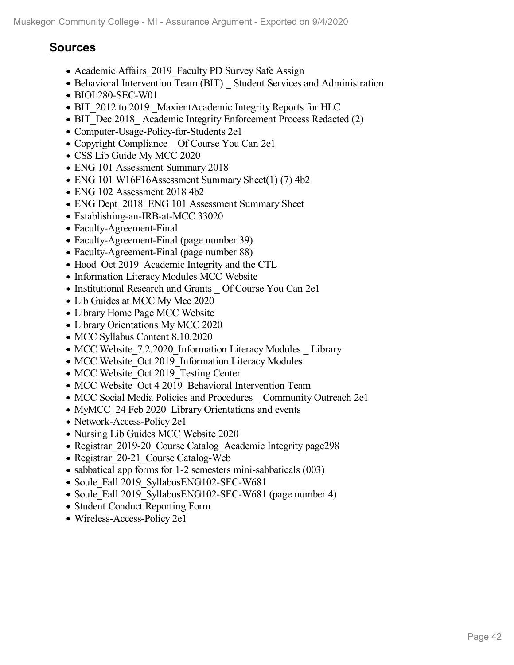## **Sources**

- Academic Affairs 2019 Faculty PD Survey Safe Assign
- Behavioral Intervention Team (BIT) Student Services and Administration
- BIOL280-SEC-W01
- BIT 2012 to 2019 MaxientAcademic Integrity Reports for HLC
- BIT Dec 2018 Academic Integrity Enforcement Process Redacted (2)
- Computer-Usage-Policy-for-Students 2e1
- Copyright Compliance Of Course You Can 2e1
- CSS Lib Guide My MCC 2020
- ENG 101 Assessment Summary 2018
- ENG 101 W16F16Assessment Summary Sheet(1) (7) 4b2
- ENG 102 Assessment 2018 4b2
- ENG Dept 2018 ENG 101 Assessment Summary Sheet
- Establishing-an-IRB-at-MCC 33020
- Faculty-Agreement-Final
- Faculty-Agreement-Final (page number 39)
- Faculty-Agreement-Final (page number 88)
- Hood Oct 2019 Academic Integrity and the CTL
- Information Literacy Modules MCC Website
- Institutional Research and Grants Of Course You Can 2e1
- Lib Guides at MCC My Mcc 2020
- Library Home Page MCC Website
- Library Orientations My MCC 2020
- MCC Syllabus Content 8.10.2020
- MCC Website 7.2.2020 Information Literacy Modules Library
- MCC Website\_Oct 2019 Information Literacy Modules
- MCC Website Oct 2019 Testing Center
- MCC Website Oct 4 2019 Behavioral Intervention Team
- MCC Social Media Policies and Procedures Community Outreach 2e1
- MyMCC 24 Feb 2020 Library Orientations and events
- Network-Access-Policy 2e1
- Nursing Lib Guides MCC Website 2020
- Registrar 2019-20 Course Catalog Academic Integrity page298
- Registrar 20-21 Course Catalog-Web
- sabbatical app forms for 1-2 semesters mini-sabbaticals (003)
- Soule Fall 2019 SyllabusENG102-SEC-W681
- Soule Fall 2019 SyllabusENG102-SEC-W681 (page number 4)
- Student Conduct Reporting Form
- Wireless-Access-Policy 2e1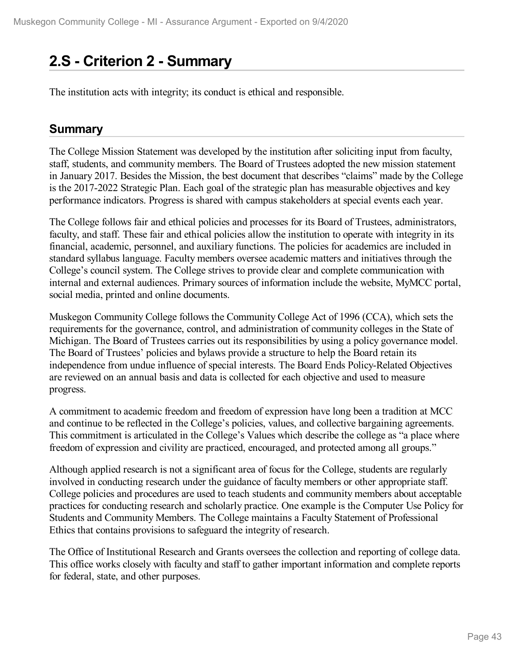# **2.S - Criterion 2 -Summary**

The institution acts with integrity; its conduct is ethical and responsible.

## **Summary**

The College Mission Statement was developed by the institution after soliciting input from faculty, staff, students, and community members. The Board of Trustees adopted the new mission statement in January 2017. Besides the Mission, the best document that describes "claims" made by the College is the 2017-2022 Strategic Plan. Each goal of the strategic plan has measurable objectives and key performance indicators. Progress is shared with campus stakeholders at special events each year.

The College follows fair and ethical policies and processes for its Board of Trustees, administrators, faculty, and staff. These fair and ethical policies allow the institution to operate with integrity in its financial, academic, personnel, and auxiliary functions. The policies for academics are included in standard syllabus language. Faculty members oversee academic matters and initiatives through the College's council system. The College strives to provide clear and complete communication with internal and external audiences. Primary sources of information include the website, MyMCC portal, social media, printed and online documents.

Muskegon Community College follows the Community College Act of 1996 (CCA), which sets the requirements for the governance, control, and administration of community colleges in the State of Michigan. The Board of Trustees carries out its responsibilities by using a policy governance model. The Board of Trustees' policies and bylaws provide a structure to help the Board retain its independence from undue influence of special interests. The Board Ends Policy-Related Objectives are reviewed on an annual basis and data is collected for each objective and used to measure progress.

A commitment to academic freedom and freedom of expression have long been a tradition at MCC and continue to be reflected in the College's policies, values, and collective bargaining agreements. This commitment is articulated in the College's Values which describe the college as "a place where freedom of expression and civility are practiced, encouraged, and protected among all groups."

Although applied research is not a significant area of focus for the College, students are regularly involved in conducting research under the guidance of faculty members or other appropriate staff. College policies and procedures are used to teach students and community members about acceptable practices for conducting research and scholarly practice. One example is the Computer Use Policy for Students and Community Members. The College maintains a Faculty Statement of Professional Ethics that contains provisions to safeguard the integrity of research.

The Office of Institutional Research and Grants oversees the collection and reporting of college data. This office works closely with faculty and staff to gather important information and complete reports for federal, state, and other purposes.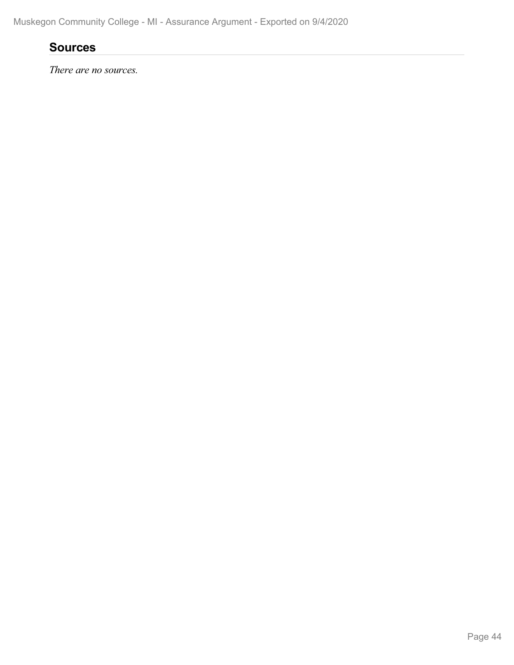## **Sources**

*There are no sources.*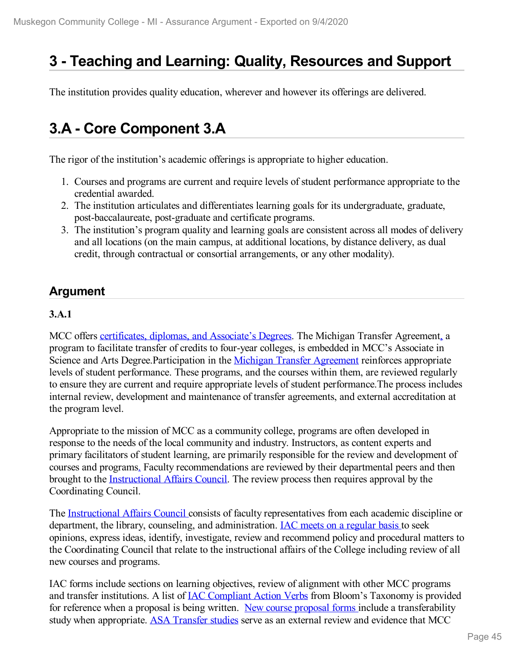# **3 -Teaching and Learning: Quality, Resources and Support**

The institution provides quality education, wherever and however its offerings are delivered.

# **3.A - Core Component 3.A**

The rigor of the institution's academic offerings is appropriate to higher education.

- 1. Courses and programs are current and require levels of student performance appropriate to the credential awarded.
- 2. The institution articulates and differentiates learning goals for its undergraduate, graduate, post-baccalaureate, post-graduate and certificate programs.
- 3. The institution's program quality and learning goals are consistent across all modes of delivery and all locations (on the main campus, at additional locations, by distance delivery, as dual credit, through contractual or consortial arrangements, or any other modality).

## **Argument**

### **3.A.1**

MCC offers [certificates,](file:///D:/evidence/viewfile?fileid=1077134) diplomas, and Associate's Degrees. The Michigan Transfer Agreemen[t,](file:///D:/evidence/viewfile?fileid=1079112) a program to facilitate transfer of credits to four-year colleges, is embedded in MCC's Associate in Science and Arts Degree. Participation in the Michigan Transfer [Agreement](file:///D:/evidence/viewfile?fileid=1079112) reinforces appropriate levels of student performance. These programs, and the courses within them, are reviewed regularly to ensure they are current and require appropriate levels of student performance.The process includes internal review, development and maintenance of transfer agreements, and external accreditation at the program level.

Appropriate to the mission of MCC as a community college, programs are often developed in response to the needs of the local community and industry. Instructors, as content experts and primary facilitators of student learning, are primarily responsible for the review and development of courses and programs[.](file:///D:/evidence/viewfile?fileid=1079137) Faculty recommendations are reviewed by their departmental peers and then brought to the [I](file:///D:/evidence/viewfile?fileid=1068863)[nstructional](file:///D:/evidence/viewfile?fileid=1079137) Affairs Council. The review process then requires approval by the Coordinating Council.

The [Instructional](file:///D:/evidence/viewfile?fileid=1068863) Affairs Council consists of faculty representatives from each academic discipline or department, the library, counseling, and administration. IAC meets on a [regular](file:///D:/evidence/viewfile?fileid=1079138) basis to seek opinions, express ideas, identify, investigate, review and recommend policy and procedural matters to the Coordinating Council that relate to the instructional affairs of the College including review ofall new courses and programs.

IAC forms include sections on learning objectives, review of alignment with other MCC programs and transfer institutions. A list of IAC [Compliant](file:///D:/evidence/viewfile?fileId=1079193) Action Verbs from Bloom's Taxonomy is provided for reference when a [proposal](file:///D:/evidence/viewfile?fileid=1077294) is being written. New course proposal forms include a transferability study when appropriate. ASA [Transfer](file:///D:/evidence/viewfile?fileid=1077124) studies serve as an external review and evidence that MCC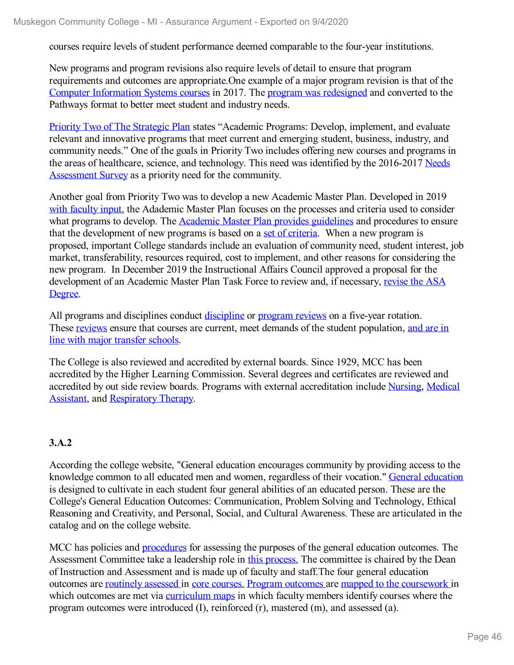courses require levels of student performance deemed comparable to the four-year institutions.

New programs and program revisions also require levels of detail to ensure that program requirements and outcomes are appropriate.One example of a major program revision is that of the Computer [Information](file:///D:/evidence/viewfile?fileId=1079198) Systems courses in 2017. The program was [redesigned](file:///D:/evidence/viewfile?fileId=1079200) and converted to the Pathways format to better meet student and industry needs.

Priority Two of The [Strategic](file:///D:/evidence/viewfile?fileId=1079211) Plan states "Academic Programs: Develop, implement, and evaluate relevant and innovative programs that meet current and emerging student, business, industry, and community needs." One of the goals in Priority Two includes offering new courses and programs in the areas of healthcare, science, and [technology.](file:///D:/evidence/viewfile?fileId=1079228) This need was identified by the 2016-2017 Needs Assessment Survey as a priority need for the community.

Another goal from Priority Two was to develop a new Academic Master Plan. Developed in 2019 with [faculty](file:///D:/evidence/viewfile?fileId=1101095) input, the Adademic Master Plan focuses on the processes and criteria used to consider what programs to develop. The **[Academic](file:///D:/evidence/viewfile?fileId=1101093) Master Plan provides guidelines** and procedures to ensure that the development of new programs is based on a set of [criteria](file:///D:/evidence/viewfile?fileId=1079206). When a new program is proposed, important College standards include an evaluation of community need, student interest, job market, transferability, resources required, cost to implement, and other reasons for considering the new program. In December 2019 the Instructional Affairs Council approved a proposal for the [development](file:///D:/evidence/viewfile?fileId=1077119) of an Academic Master Plan Task Force to review and, if necessary, revise the ASA Degree.

All programs and [discipline](file:///D:/evidence/viewfile?fileId=1079231)s conduct discipline or [program](file:///D:/evidence/viewfile?fileId=1068960) reviews on a five-year rotation. These [reviews](file:///D:/evidence/viewfile?fileId=1068959) ensure that courses are current, meet demands of the student [population,](file:///D:/evidence/viewfile?fileId=1079197) and are in line with major transfer schools.

The College is also reviewed and accredited by external boards. Since 1929, MCC has been accredited by the Higher Learning Commission. Several degrees and certificates are reviewed and accredited by out side review boards. Programs with external [accreditation](file:///D:/evidence/viewfile?fileId=1079207) include [Nursing](file:///D:/evidence/viewfile?fileId=1079205), Medical Assistant, and [Respiratory](file:///D:/evidence/viewfile?fileId=1079209) Therapy.

## **3.A.2**

According the college website, "General education encourages community by providing access to the knowledge common to all educated men and women, regardless of their vocation." General [education](file:///D:/evidence/viewfile?fileId=1077138) is designed to cultivate in each student four general abilities of an educated person. These are the College's General Education Outcomes: Communication, Problem Solving and Technology, Ethical Reasoning and Creativity, and Personal, Social, and Cultural Awareness. These are articulated in the catalog and on the college website.

MCC has policies and [procedures](file:///D:/evidence/viewfile?fileId=1077120) for assessing the purposes of the general education outcomes. The Assessment Committee take a leadership role in this [process.](file:///D:/evidence/viewfile?fileId=1077114) The committee is chaired by the Dean of Instruction and Assessment and is made up of faculty and staff.The four general education outcomes are [routinely](file:///D:/evidence/viewfile?fileId=1077131) assessed in core [courses.](file:///D:/evidence/viewfile?fileId=1077121) Program [outcomes](file:///D:/evidence/viewfile?fileId=1063210) are mapped to the [coursework](file:///D:/evidence/viewfile?fileId=1068916) in which outcomes are met via [curriculum](file:///D:/evidence/viewfile?fileId=1077130) maps in which faculty members identify courses where the program outcomes were introduced (I), reinforced (r), mastered (m), and assessed (a).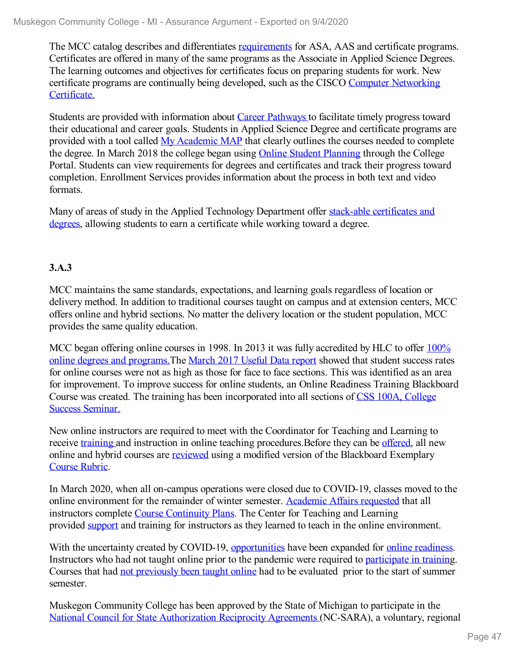The MCC catalog describes and differentiates [requirements](file:///D:/evidence/viewfile?fileid=1077134) for ASA, AAS and certificate programs. Certificates are offered in many of the same programs as the Associate in Applied Science Degrees. The learning outcomes and objectives for certificates focus on preparing students for work. New certificate programs are continually being developed, such as the CISCO Computer [Networking](file:///D:/evidence/viewfile?fileId=1077123) Certificate.

Students are provided with information about Career [Pathways](file:///D:/evidence/viewfile?fileId=1081456) to facilitate timely progress toward their educational and career goals. Students in Applied Science Degree and certificate programs are provided with a tool called My [Academic](file:///D:/evidence/viewfile?fileId=1100423) MAP that clearly outlines the courses needed to complete the degree. In March 2018 the college began using Online Student [Planning](file:///D:/evidence/viewfile?fileId=1081451) through the College Portal. Students can view requirements for degrees and certificates and track their progress toward completion. Enrollment Services provides information about the process in both text and video formats.

Many of areas of study in the Applied [Technology](file:///D:/evidence/viewfile?fileId=1079195) Department offer stack-able certificates and degrees, allowing students to earn a certificate while working toward a degree.

## **3.A.3**

MCC maintains the same standards, expectations, and learning goals regardless of location or delivery method. In addition to traditional courses taught on campus and at extension centers, MCC offers online and hybrid sections. No matter the delivery location or the student population, MCC provides the same quality education.

MCC began offering online courses in 1998. In 2013 it was fully accredited by HLC to offer  $100\%$ online degrees and programs. The [March](file:///D:/evidence/viewfile?fileId=1077140) 2017 Useful Data report showed that student success rates for online courses were not as high as those for face to face sections. This was identified as an area for improvement. To improve success for online students, an Online Readiness Training Blackboard Course was created. The training has been [incorporated](file:///D:/evidence/viewfile?fileId=1077105#page=2) into all sections of CSS 100A, College Success Seminar.

New online instructors are required to meet with the Coordinator for Teaching and Learning to receive [training](file:///D:/evidence/viewfile?fileId=1077056) and instruction in online teaching procedures. Before they can be [offered](file:///D:/evidence/viewfile?fileId=1077113), all new online and hybrid courses are [reviewed](file:///D:/evidence/viewfile?fileId=1077060) using a modified version of the Blackboard Exemplary [Course](file:///D:/evidence/viewfile?fileId=1077047) Rubric.

In March 2020, when all on-campus operations were closed due to COVID-19, classes moved to the online environment for the remainder of winter semester. [Academic](file:///D:/evidence/viewfile?fileId=1077103) Affairs requested that all instructors complete Course [Continuity](file:///D:/evidence/viewfile?fileId=1077104) Plans. The Center for Teaching and Learning provided [support](file:///D:/evidence/viewfile?fileId=1077108) and training for instructors as they learned to teach in the online environment.

With the uncertainty created by COVID-19, [opportunities](file:///D:/evidence/viewfile?fileId=1068936) have been expanded for online [readiness](file:///D:/evidence/viewfile?fileId=1077049). Instructors who had not taught online prior to the pandemic were required to [participate](file:///D:/evidence/viewfile?fileId=1077050) in training. Courses that had not [previously](file:///D:/evidence/viewfile?fileId=1077106) been taught online had to be evaluated prior to the start of summer semester.

Muskegon Community College has been approved by the State of Michigan to participate in the National Council for State [Authorization](file:///D:/evidence/viewfile?fileId=1077139) Reciprocity Agreements (NC-SARA), a voluntary, regional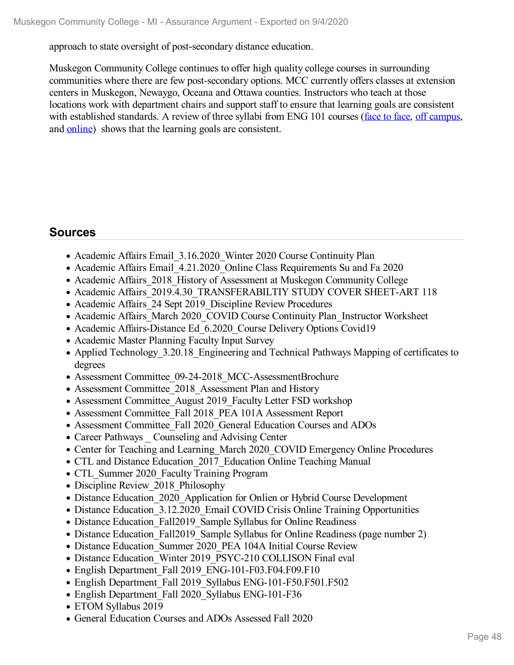approach to state oversight of post-secondary distance education.

Muskegon Community College continues to offer high quality college courses in surrounding communities where there are few post-secondary options. MCC currently offers classes at extension centers in Muskegon, Newaygo, Oceana and Ottawa counties. Instructors who teach at those locations work with department chairs and support staff to ensure that learning goals are consistent with established standards. A review of three syllabi from ENG 101 courses [\(face](file:///D:/evidence/viewfile?fileId=1077099) to face, off [campus](file:///D:/evidence/viewfile?fileId=1077101), and [online](file:///D:/evidence/viewfile?fileId=1077102)) shows that the learning goals are consistent.

# **Sources**

- Academic Affairs Email 3.16.2020 Winter 2020 Course Continuity Plan
- Academic Affairs Email 4.21.2020 Online Class Requirements Su and Fa 2020
- Academic Affairs 2018 History of Assessment at Muskegon Community College
- Academic Affairs 2019.4.30 TRANSFERABILTIY STUDY COVER SHEET-ART 118
- Academic Affairs 24 Sept 2019 Discipline Review Procedures
- Academic Affairs\_March 2020\_COVID Course Continuity Plan\_Instructor Worksheet
- Academic Affairs-Distance Ed 6.2020 Course Delivery Options Covid19
- Academic Master Planning Faculty Input Survey
- Applied Technology 3.20.18 Engineering and Technical Pathways Mapping of certificates to degrees
- Assessment Committee 09-24-2018 MCC-AssessmentBrochure
- Assessment Committee 2018 Assessment Plan and History
- Assessment Committee August 2019 Faculty Letter FSD workshop
- Assessment Committee Fall 2018 PEA 101A Assessment Report
- Assessment Committee\_Fall 2020\_General Education Courses and ADOs
- Career Pathways Counseling and Advising Center
- Center for Teaching and Learning March 2020 COVID Emergency Online Procedures
- CTL and Distance Education 2017 Education Online Teaching Manual
- CTL Summer 2020 Faculty Training Program
- Discipline Review 2018 Philosophy
- Distance Education 2020 Application for Onlien or Hybrid Course Development
- Distance Education 3.12.2020 Email COVID Crisis Online Training Opportunities
- Distance Education Fall2019 Sample Syllabus for Online Readiness
- Distance Education Fall2019 Sample Syllabus for Online Readiness (page number 2)
- Distance Education Summer 2020 PEA 104A Initial Course Review
- Distance Education Winter 2019 PSYC-210 COLLISON Final eval
- English Department Fall 2019 ENG-101-F03.F04.F09.F10
- English Department Fall 2019 Syllabus ENG-101-F50.F501.F502
- English Department Fall 2020 Syllabus ENG-101-F36
- ETOM Syllabus 2019
- General Education Courses and ADOs Assessed Fall 2020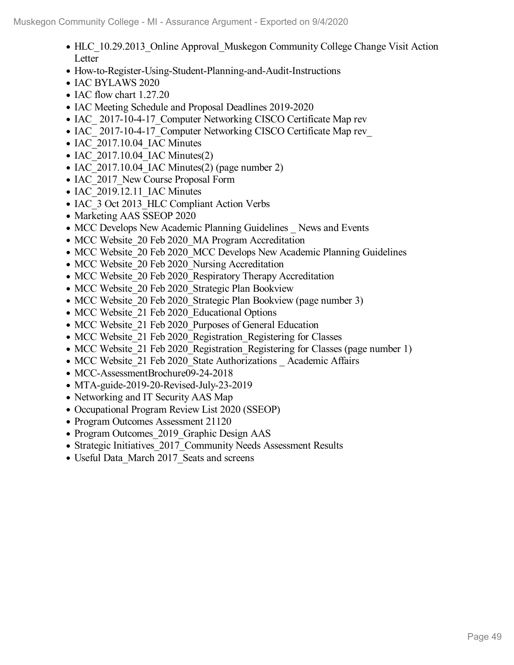- HLC 10.29.2013 Online Approval Muskegon Community College Change Visit Action Letter
- How-to-Register-Using-Student-Planning-and-Audit-Instructions
- IAC BYLAWS 2020
- IAC flow chart 1.27.20
- IAC Meeting Schedule and Proposal Deadlines 2019-2020
- IAC 2017-10-4-17 Computer Networking CISCO Certificate Map rev
- IAC\_2017-10-4-17\_Computer Networking CISCO Certificate Map rev\_
- IAC 2017.10.04 IAC Minutes
- $\bullet$  IAC 2017.10.04 IAC Minutes(2)
- IAC 2017.10.04 IAC Minutes(2) (page number 2)
- IAC 2017 New Course Proposal Form
- IAC 2019.12.11 IAC Minutes
- IAC 3 Oct 2013 HLC Compliant Action Verbs
- Marketing AAS SSEOP 2020
- MCC Develops New Academic Planning Guidelines News and Events
- MCC Website 20 Feb 2020 MA Program Accreditation
- MCC Website 20 Feb 2020 MCC Develops New Academic Planning Guidelines
- MCC Website 20 Feb 2020 Nursing Accreditation
- MCC Website 20 Feb 2020 Respiratory Therapy Accreditation
- MCC Website 20 Feb 2020 Strategic Plan Bookview
- MCC Website 20 Feb 2020 Strategic Plan Bookview (page number 3)
- MCC Website 21 Feb 2020 Educational Options
- MCC Website 21 Feb 2020 Purposes of General Education
- MCC Website 21 Feb 2020 Registration Registering for Classes
- MCC Website 21 Feb 2020 Registration Registering for Classes (page number 1)
- MCC Website 21 Feb 2020 State Authorizations Academic Affairs
- MCC-AssessmentBrochure09-24-2018
- MTA-guide-2019-20-Revised-July-23-2019
- Networking and IT Security AAS Map
- Occupational Program Review List 2020 (SSEOP)
- Program Outcomes Assessment 21120
- Program Outcomes 2019 Graphic Design AAS
- Strategic Initiatives 2017 Community Needs Assessment Results
- Useful Data March 2017 Seats and screens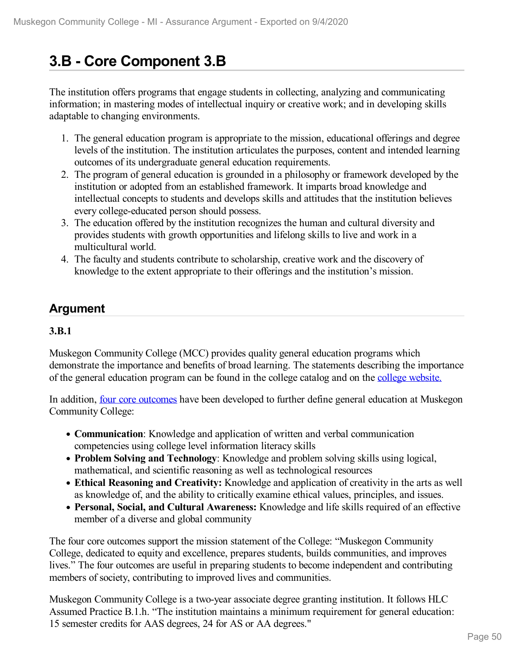# **3.B - Core Component 3.B**

The institution offers programs that engage students in collecting, analyzing and communicating information; in mastering modes of intellectual inquiry or creative work; and in developing skills adaptable to changing environments.

- 1. The general education program is appropriate to the mission, educational offerings and degree levels of the institution. The institution articulates the purposes, content and intended learning outcomes of its undergraduate general education requirements.
- 2. The program of general education is grounded in a philosophy or framework developed by the institution or adopted from an established framework. It imparts broad knowledge and intellectual concepts to students and develops skills and attitudes that the institution believes every college-educated person should possess.
- 3. The education offered by the institution recognizes the human and cultural diversity and provides students with growth opportunities and lifelong skills to live and work in a multicultural world.
- 4. The faculty and students contribute to scholarship, creative work and the discovery of knowledge to the extent appropriate to their offerings and the institution's mission.

# **Argument**

### **3.B.1**

Muskegon Community College (MCC) provides quality general education programs which demonstrate the importance and benefits of broad learning. The statements describing the importance of the general education program can be found in the college catalog and on the college [website.](file:///D:/evidence/viewfile?fileId=1077138)

In addition, **four core [outcomes](file:///D:/evidence/viewfile?fileId=1077138)** have been developed to further define general education at Muskegon Community College:

- **Communication**: Knowledge and application of written and verbal communication competencies using college level information literacy skills
- **Problem Solving and Technology**: Knowledge and problem solving skills using logical, mathematical, and scientific reasoning as well as technological resources
- **Ethical Reasoning and Creativity:** Knowledge and application of creativity in the arts as well as knowledge of, and the ability to critically examine ethical values, principles, and issues.
- **Personal, Social, and Cultural Awareness:** Knowledge and life skills required of an effective member of a diverse and global community

The four core outcomes support the mission statement of the College: "Muskegon Community College, dedicated to equity and excellence, prepares students, builds communities, and improves lives." The four outcomes are useful in preparing students to become independent and contributing members of society, contributing to improved lives and communities.

Muskegon Community College is a two-year associate degree granting institution. It follows HLC Assumed Practice B.1.h. "The institution maintains a minimum requirement for general education: 15 semester credits for AAS degrees, 24 for AS or AA degrees."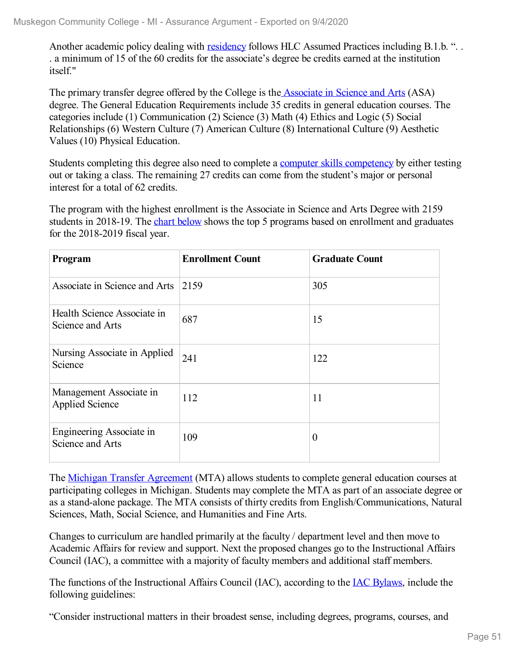Another academic policy dealing with [residency](file:///D:/evidence/viewfile?fileId=1063212#page=2) follows HLC Assumed Practices including B.1.b. "... . a minimum of15 of the 60 credits for the associate's degree be credits earned at the institution itself."

The primary transfer degree offered by the College is the [Associate](file:///D:/evidence/viewfile?fileId=1079208) in Science and Arts (ASA) degree. The General Education Requirements include 35 credits in general education courses. The categories include (1) Communication (2) Science (3) Math (4) Ethics and Logic (5) Social Relationships (6) Western Culture (7) American Culture (8) International Culture (9) Aesthetic Values (10) Physical Education.

Students completing this degree also need to complete a computer skills [competency](file:///D:/evidence/viewfile?fileid=1086545#page=48) by either testing out or taking a class. The remaining 27 credits can come from the student's major or personal interest for a total of 62 credits.

The program with the highest enrollment is the Associate in Science and Arts Degree with 2159 students in 2018-19. The chart [below](file:///D:/evidence/viewfile?fileId=1068849) shows the top 5 programs based on enrollment and graduates for the 2018-2019 fiscal year.

| Program                                           | <b>Enrollment Count</b> | <b>Graduate Count</b> |
|---------------------------------------------------|-------------------------|-----------------------|
| Associate in Science and Arts                     | 2159                    | 305                   |
| Health Science Associate in<br>Science and Arts   | 687                     | 15                    |
| Nursing Associate in Applied<br>Science           | 241                     | 122                   |
| Management Associate in<br><b>Applied Science</b> | 112                     | 11                    |
| Engineering Associate in<br>Science and Arts      | 109                     | $\overline{0}$        |

The Michigan Transfer [Agreement](file:///D:/evidence/viewfile?fileid=1079204) (MTA) allows students to complete general education courses at participating colleges in Michigan. Students may complete the MTA as part of an associate degree or as a stand-alone package. The MTA consists of thirty credits from English/Communications, Natural Sciences, Math, Social Science, and Humanities and Fine Arts.

Changes to curriculum are handled primarily at the faculty / department level and then move to Academic Affairs for review and support. Next the proposed changes go to the Instructional Affairs Council (IAC), a committee with a majority of faculty members and additional staff members.

The functions of the Instructional Affairs Council (IAC), according to the IAC [Bylaws](file:///D:/evidence/viewfile?fileId=1068864), include the following guidelines:

"Consider instructional matters in their broadest sense, including degrees, programs, courses, and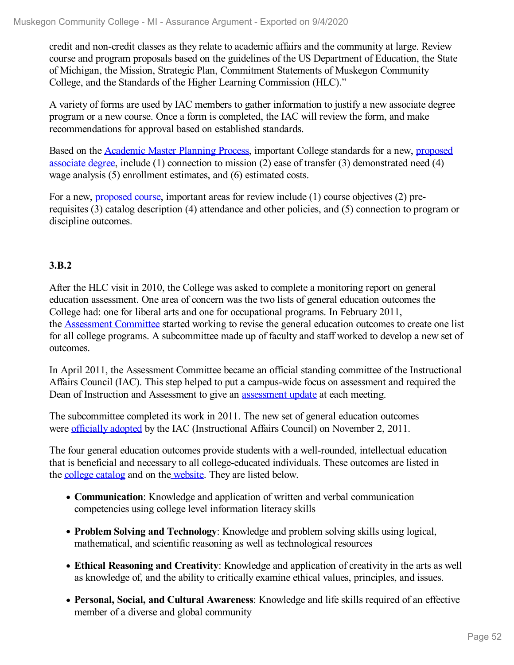credit and non-credit classes as they relate to academic affairs and the community at large. Review course and program proposals based on the guidelines of the US Department of Education, the State of Michigan, the Mission, Strategic Plan, Commitment Statements of Muskegon Community College, and the Standards of the Higher Learning Commission (HLC)."

A variety of forms are used by IAC members to gather information to justify a new associate degree program or a new course. Once a form is completed, the IAC will review the form, and make recommendations for approval based on established standards.

Based on the [Academic](file:///D:/evidence/viewfile?fileId=1101093) Master Planning Process, important College standards for a new, proposed associate degree, include (1) connection to mission (2) ease of transfer (3) [demonstrated](file:///D:/evidence/viewfile?fileId=1081830) need (4) wage analysis (5) enrollment estimates, and (6) estimated costs.

For a new, [proposed](file:///D:/evidence/viewfile?fileId=1081831) course, important areas for review include (1) course objectives (2) prerequisites (3) catalog description (4) attendance and other policies, and (5) connection to program or discipline outcomes.

### **3.B.2**

After the HLC visit in 2010, the College was asked to complete a monitoring report on general education assessment. One area of concern was the two lists of general education outcomes the College had: one for liberal arts and one for occupational programs. In February 2011, the [Assessment](file:///D:/evidence/viewfile?fileId=1077114) Committee started working to revise the general education outcomes to create one list for all college programs. A subcommittee made up of faculty and staff worked to develop a new set of outcomes.

In April 2011, the Assessment Committee became an official standing committee of the Instructional Affairs Council (IAC). This step helped to put a campus-wide focus on assessment and required the Dean of Instruction and Assessment to give an [assessment](file:///D:/evidence/viewfile?fileId=1068862) update at each meeting.

The subcommittee completed its work in 2011. The new set of general education outcomes were [officially](file:///D:/evidence/viewfile?fileId=1068865#page=4) adopted by the IAC (Instructional Affairs Council) on November 2, 2011.

The four general education outcomes provide students with a well-rounded, intellectual education that is beneficial and necessary to all college-educated individuals. These outcomes are listed in the college [catalog](file:///D:/evidence/viewfile?fileId=1086545#page=46) and on the [website](file:///D:/evidence/viewfile?fileid=1077138). They are listed below.

- **Communication**: Knowledge and application of written and verbal communication competencies using college level information literacy skills
- **Problem Solving and Technology**: Knowledge and problem solving skills using logical, mathematical, and scientific reasoning as well as technological resources
- **Ethical Reasoning and Creativity**: Knowledge and application of creativity in the arts as well as knowledge of, and the ability to critically examine ethical values, principles, and issues.
- **Personal, Social, and Cultural Awareness**: Knowledge and life skills required of an effective member of a diverse and global community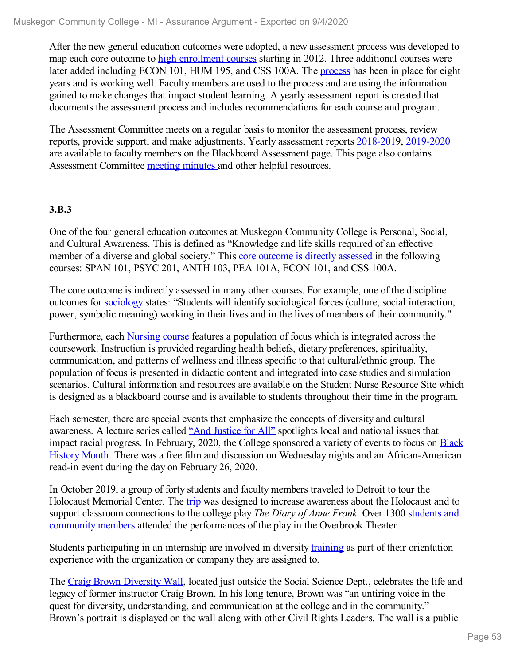After the new general education outcomes were adopted, a new assessment process was developed to map each core outcome to high [enrollment](file:///D:/evidence/viewfile?fileId=1068824) courses starting in 2012. Three additional courses were later added including ECON 101, HUM 195, and CSS 100A. The [process](file:///D:/evidence/viewfile?fileid=1068880) has been in place for eight years and is working well. Faculty members are used to the process and are using the information gained to make changes that impact student learning. A yearly assessment report is created that documents the assessment process and includes recommendations for each course and program.

The Assessment Committee meets on a regular basis to monitor the assessment process, review reports, provide support, and make adjustments. Yearly assessment reports [2018-201](file:///D:/evidence/viewfile?fileid=1081849)9, [2019-2020](file:///D:/evidence/viewfile?fileId=1100923) are available to faculty members on the Blackboard Assessment page. This page also contains Assessment Committee [meeting](file:///D:/evidence/viewfile?fileId=1081848) minutes and other helpful resources.

### **3.B.3**

One of the four general education outcomes at Muskegon Community College is Personal, Social, and Cultural Awareness. This is defined as "Knowledge and life skills required of an effective member of a diverse and global society." This core [outcome](file:///D:/evidence/viewfile?fileId=1068857) is directly assessed in the following courses: SPAN 101, PSYC 201, ANTH 103, PEA 101A, ECON 101, and CSS 100A.

The core outcome is indirectly assessed in many other courses. For example, one of the discipline outcomes for [sociology](file:///D:/evidence/viewfile?fileId=1068887) states: "Students will identify sociological forces (culture, social interaction, power, symbolic meaning) working in their lives and in the lives of members of their community."

Furthermore, each [Nursing](file:///D:/evidence/viewfile?fileId=1068885) course features a population of focus which is integrated across the coursework. Instruction is provided regarding health beliefs, dietary preferences, spirituality, communication, and patterns of wellness and illness specific to that cultural/ethnic group. The population of focus is presented in didactic content and integrated into case studies and simulation scenarios. Cultural information and resources are available on the Student Nurse Resource Site which is designed as a blackboard course and is available to students throughout their time in the program.

Each semester, there are special events that emphasize the concepts of diversity and cultural awareness. A lecture series called ["](file:///D:/evidence/viewfile?fileid=1068842)And [Justice](file:///D:/evidence/viewfile?fileId=1068842) for A[ll"](file:///D:/evidence/viewfile?fileid=1068842) spotlights local and national issues that impact racial progress. In February, 2020, the College sponsored a variety of events to focus on Black History Month. There was a free film and discussion on Wednesday nights and an [African-American](file:///D:/evidence/viewfile?fileId=1068845) read-in event during the day on February 26, 2020.

In October 2019, a group of forty students and faculty members traveled to Detroit to tour the Holocaust Memorial Center. The [trip](file:///D:/evidence/viewfile?fileId=1068826#page=29) was designed to increase awareness about the Holocaust and to support classroom connections to the college play *The Diary of Anne Frank.* Over 1300 students and community members attended the [performances](file:///D:/evidence/viewfile?fileId=1068827#page=17) of the play in the Overbrook Theater.

Students participating in an internship are involved in diversity [training](file:///D:/evidence/viewfile?fileId=1068870) as part of their orientation experience with the organization or company they are assigned to.

The Craig Brown [Diversity](file:///D:/evidence/viewfile?fileid=1068848) Wall, located just outside the Social Science Dept., celebrates the life and legacy of former instructor Craig Brown. In his long tenure, Brown was "an untiring voice in the quest for diversity, understanding, and communication at the college and in the community." Brown's portrait is displayed on the wall along with other Civil Rights Leaders. The wall is a public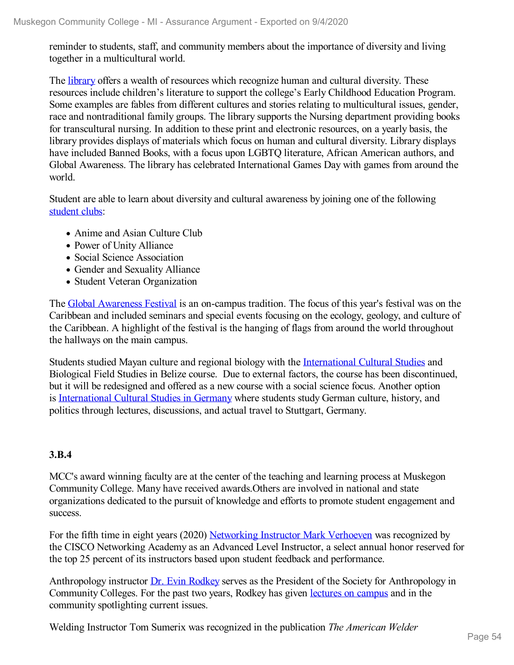reminder to students, staff, and community members about the importance of diversity and living together in a multicultural world.

The [library](file:///D:/evidence/viewfile?fileId=1079213) offers a wealth of resources which recognize human and cultural diversity. These resources include children's literature to support the college's Early Childhood Education Program. Some examples are fables from different cultures and stories relating to multicultural issues, gender, race and nontraditional family groups. The library supports the Nursing department providing books for transcultural nursing. In addition to these print and electronic resources, on a yearly basis, the library provides displays of materials which focus on human and cultural diversity. Library displays have included Banned Books, with a focus upon LGBTQ literature, African American authors, and Global Awareness. The library has celebrated International Games Day with games from around the world.

Student are able to learn about diversity and cultural awareness by joining one of the following [student](file:///D:/evidence/viewfile?fileId=1079220) clubs:

- Anime and Asian Culture Club
- Power of Unity Alliance
- Social Science Association
- Gender and Sexuality Alliance
- Student Veteran Organization

The Global [Awareness](file:///D:/evidence/viewfile?fileId=1068840) Festival is an on-campus tradition. The focus of this year's festival was on the Caribbean and included seminars and special events focusing on the ecology, geology, and culture of the Caribbean. A highlight of the festival is the hanging of flags from around the world throughout the hallways on the main campus.

Students studied Mayan culture and regional biology with the [International](file:///D:/evidence/viewfile?fileId=1068869) Cultural Studies and Biological Field Studies in Belize course. Due to external factors, the course has been discontinued, but it will be redesigned and offered as a new course with a social science focus. Another option is [International](file:///D:/evidence/viewfile?fileId=1100740) Cultural Studies in Germany where students study German culture, history, and politics through lectures, discussions, and actual travel to Stuttgart, Germany.

### **3.B.4**

MCC's award winning faculty are at the center of the teaching and learning process at Muskegon Community College. Many have received awards.Others are involved in national and state organizations dedicated to the pursuit of knowledge and efforts to promote student engagement and success.

For the fifth time in eight years (2020) [Networking](file:///D:/evidence/viewfile?fileId=1100720) Instructor Mark Verhoeven was recognized by the CISCO Networking Academy as an Advanced Level Instructor, a select annual honor reserved for the top 25 percent of its instructors based upon student feedback and performance.

Anthropology instructor Dr. Evin [Rodkey](file:///D:/evidence/viewfile?fileId=1068882#page=1) serves as the President of the Society for Anthropology in Community Colleges. For the past two years, Rodkey has given [lectures](file:///D:/evidence/viewfile?fileId=1068884) on campus and in the community spotlighting current issues.

Welding Instructor Tom Sumerix was recognized in the publication *The American Welder*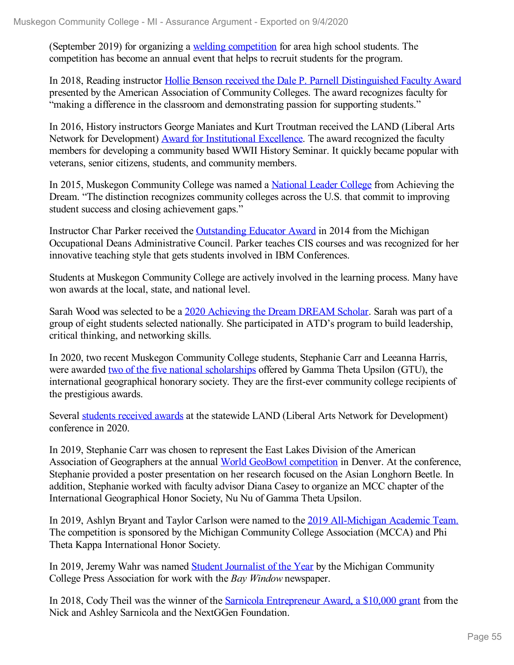(September 2019) for organizing a welding [competition](file:///D:/evidence/viewfile?fileId=1068846) for area high school students. The competition has become an annual event that helps to recruit students for the program.

In 2018, Reading instructor Hollie Benson received the Dale P. Parnell [Distinguished](file:///D:/evidence/viewfile?fileId=1068839) Faculty Award presented by the American Association of Community Colleges. The award recognizes faculty for "making a difference in the classroom and demonstrating passion for supporting students."

In 2016, History instructors George Maniates and Kurt Troutman received the LAND (Liberal Arts Network for Development) Award for [Institutional](file:///D:/evidence/viewfile?fileId=1068868) Excellence. The award recognized the faculty members for developing a community based WWII History Seminar. It quickly became popular with veterans, senior citizens, students, and community members.

In 2015, Muskegon Community College was named a [National](file:///D:/evidence/viewfile?fileId=1068874) Leader College from Achieving the Dream. "The distinction recognizes community colleges across the U.S. that commit to improving student success and closing achievement gaps."

Instructor Char Parker received the [Outstanding](file:///D:/evidence/viewfile?fileId=1068847) Educator Award in 2014 from the Michigan Occupational Deans Administrative Council. Parker teaches CIS courses and was recognized for her innovative teaching style that gets students involved in IBM Conferences.

Students at Muskegon Community College are actively involved in the learning process. Many have won awards at the local, state, and national level.

Sarah Wood was selected to be a 2020 [Achieving](file:///D:/evidence/viewfile?fileId=1082213) the Dream DREAM Scholar. Sarah was part of a group of eight students selected nationally. She participated in ATD's program to build leadership, critical thinking, and networking skills.

In 2020, two recent Muskegon Community College students, Stephanie Carr and Leeanna Harris, were awarded two of the five national [scholarships](file:///D:/evidence/viewfile?fileId=1100769) offered by Gamma Theta Upsilon (GTU), the international geographical honorary society. They are the first-ever community college recipients of the prestigious awards.

Several students [received](file:///D:/evidence/viewfile?fileId=1082212) awards at the statewide LAND (Liberal Arts Network for Development) conference in 2020.

In 2019, Stephanie Carr was chosen to represent the East Lakes Division of the American Association of Geographers at the annual World GeoBowl [competition](file:///D:/evidence/viewfile?fileId=1082214) in Denver. At the conference, Stephanie provided a poster presentation on her research focused on the Asian Longhorn Beetle. In addition, Stephanie worked with faculty advisor Diana Casey to organize an MCC chapter of the International Geographical Honor Society, Nu Nu of Gamma Theta Upsilon.

In 2019, Ashlyn Bryant and Taylor Carlson were named to the 2019 [All-Michigan](file:///D:/evidence/viewfile?fileid=1068889) Academic Team. The competition is sponsored by the Michigan Community College Association (MCCA) and Phi Theta Kappa International Honor Society.

In 2019, Jeremy Wahr was named Student [Journalist](file:///D:/evidence/viewfile?fileid=1068877) of the Year by the Michigan Community College Press Association for work with the *Bay Window* newspaper.

In 2018, Cody Theil was the winner of the Sarnicola [Entrepreneur](file:///D:/evidence/viewfile?fileId=1082215) Award, a \$10,000 grant from the Nick and Ashley Sarnicola and the NextGGen Foundation.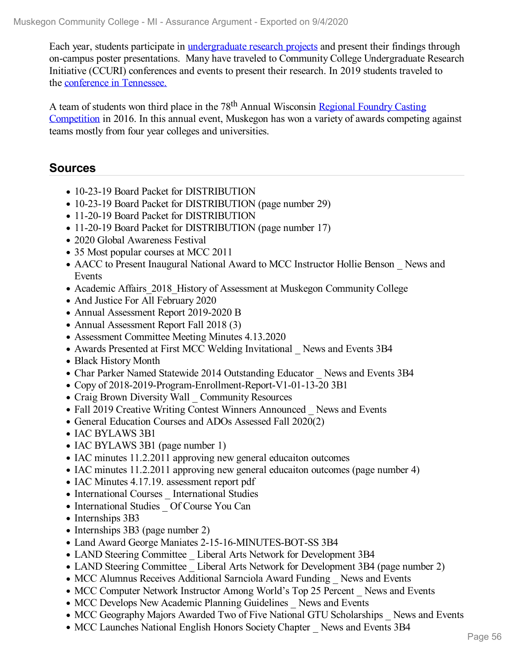Each year, students participate in [undergraduate](file:///D:/evidence/viewfile?fileId=1098824) research projects and present their findings through on-campus poster presentations. Many have traveled to Community College Undergraduate Research Initiative (CCURI) conferences and events to present their research. In 2019 students traveled to the conference in [Tennessee.](file:///D:/evidence/viewfile?fileid=1068881)

A team of students won third place in the 78<sup>th</sup> Annual Wisconsin Regional Foundry Casting [Competition](file:///D:/evidence/viewfile?fileId=1068875) in 2016. In this annual event, Muskegon has won a variety of awards competing against teams mostly from four year colleges and universities.

## **Sources**

- 10-23-19 Board Packet for DISTRIBUTION
- 10-23-19 Board Packet for DISTRIBUTION (page number 29)
- 11-20-19 Board Packet for DISTRIBUTION
- 11-20-19 Board Packet for DISTRIBUTION (page number 17)
- 2020 Global Awareness Festival
- 35 Most popular courses at MCC 2011
- AACC to Present Inaugural National Award to MCC Instructor Hollie Benson \_ News and Events
- Academic Affairs 2018 History of Assessment at Muskegon Community College
- And Justice For All February 2020
- Annual Assessment Report 2019-2020 B
- Annual Assessment Report Fall 2018 (3)
- Assessment Committee Meeting Minutes 4.13.2020
- Awards Presented at First MCC Welding Invitational News and Events 3B4
- Black History Month
- Char Parker Named Statewide 2014 Outstanding Educator News and Events 3B4
- Copy of 2018-2019-Program-Enrollment-Report-V1-01-13-20 3B1
- Craig Brown Diversity Wall Community Resources
- Fall 2019 Creative Writing Contest Winners Announced News and Events
- General Education Courses and ADOs Assessed Fall 2020(2)
- IAC BYLAWS 3B1
- IAC BYLAWS 3B1 (page number 1)
- IAC minutes 11.2.2011 approving new general educaiton outcomes
- IAC minutes 11.2.2011 approving new general educaiton outcomes (page number 4)
- IAC Minutes 4.17.19. assessment report pdf
- International Courses International Studies
- International Studies Of Course You Can
- Internships 3B3
- Internships 3B3 (page number 2)
- Land Award George Maniates 2-15-16-MINUTES-BOT-SS 3B4
- LAND Steering Committee Liberal Arts Network for Development 3B4
- LAND Steering Committee Liberal Arts Network for Development 3B4 (page number 2)
- MCC Alumnus Receives Additional Sarnciola Award Funding News and Events
- MCC Computer Network Instructor Among World's Top 25 Percent News and Events
- MCC Develops New Academic Planning Guidelines News and Events
- MCC Geography Majors Awarded Two of Five National GTU Scholarships News and Events
- MCC Launches National English Honors Society Chapter News and Events 3B4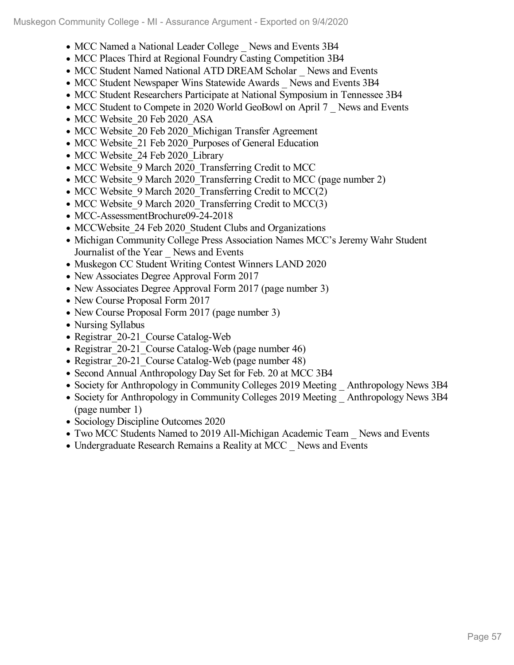- MCC Named a National Leader College News and Events 3B4
- MCC Places Third at Regional Foundry Casting Competition 3B4
- MCC Student Named National ATD DREAM Scholar News and Events
- MCC Student Newspaper Wins Statewide Awards News and Events 3B4
- MCC Student Researchers Participate at National Symposium in Tennessee 3B4
- MCC Student to Compete in 2020 World GeoBowl on April 7 News and Events
- MCC Website 20 Feb 2020 ASA
- MCC Website 20 Feb 2020 Michigan Transfer Agreement
- MCC Website 21 Feb 2020 Purposes of General Education
- MCC Website 24 Feb 2020 Library
- MCC Website 9 March 2020 Transferring Credit to MCC
- MCC Website 9 March 2020 Transferring Credit to MCC (page number 2)
- MCC Website 9 March 2020 Transferring Credit to MCC(2)
- MCC Website 9 March 2020 Transferring Credit to MCC(3)
- MCC-AssessmentBrochure09-24-2018
- MCCWebsite 24 Feb 2020 Student Clubs and Organizations
- Michigan Community College Press Association Names MCC's Jeremy Wahr Student Journalist of the Year \_ News and Events
- Muskegon CC Student Writing Contest Winners LAND 2020
- New Associates Degree Approval Form 2017
- New Associates Degree Approval Form 2017 (page number 3)
- New Course Proposal Form 2017
- New Course Proposal Form 2017 (page number 3)
- Nursing Syllabus
- Registrar 20-21 Course Catalog-Web
- Registrar 20-21 Course Catalog-Web (page number 46)
- Registrar 20-21 Course Catalog-Web (page number 48)
- Second Annual Anthropology Day Set for Feb. 20 at MCC 3B4
- Society for Anthropology in Community Colleges 2019 Meeting \_ Anthropology News 3B4
- Society for Anthropology in Community Colleges 2019 Meeting Anthropology News 3B4 (page number 1)
- Sociology Discipline Outcomes 2020
- Two MCC Students Named to 2019 All-Michigan Academic Team News and Events
- Undergraduate Research Remains a Reality at MCC News and Events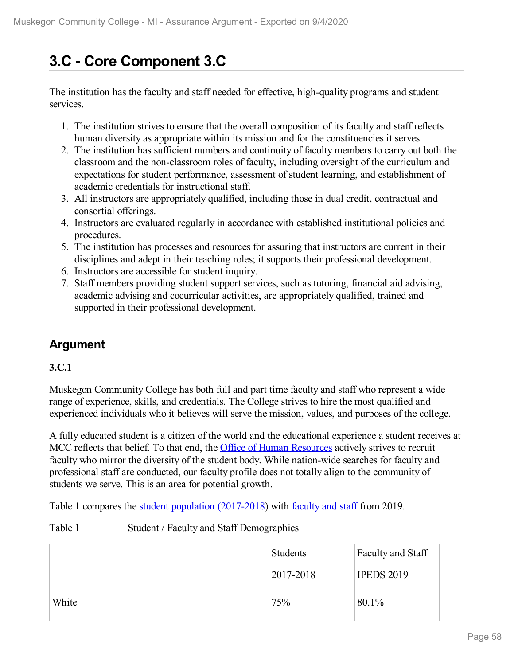# **3.C - Core Component 3.C**

The institution has the faculty and staff needed for effective, high-quality programs and student services.

- 1. The institution strives to ensure that the overall composition of its faculty and staff reflects human diversity as appropriate within its mission and for the constituencies it serves.
- 2. The institution has sufficient numbers and continuity of faculty members to carry out both the classroom and the non-classroom roles of faculty, including oversight of the curriculum and expectations for student performance, assessment of student learning, and establishment of academic credentials for instructional staff.
- 3. All instructors are appropriately qualified, including those in dual credit, contractual and consortial offerings.
- 4. Instructors are evaluated regularly in accordance with established institutional policies and procedures.
- 5. The institution has processes and resources for assuring that instructors are current in their disciplines and adept in their teaching roles; it supports their professional development.
- 6. Instructors are accessible for student inquiry.
- 7. Staff members providing student support services, such as tutoring, financial aid advising, academic advising and cocurricular activities, are appropriately qualified, trained and supported in their professional development.

# **Argument**

### **3.C.1**

Muskegon Community College has both full and part time faculty and staff who represent a wide range of experience, skills, and credentials. The College strives to hire the most qualified and experienced individuals who it believes will serve the mission, values, and purposes of the college.

A fully educated student is a citizen of the world and the educational experience a student receives at MCC reflects that belief. To that end, the **Office of Human [Resources](file:///D:/evidence/viewfile?fileId=1068861)** actively strives to recruit faculty who mirror the diversity of the student body. While nation-wide searches for faculty and professional staff are conducted, our faculty profile does not totally align to the community of students we serve. This is an area for potential growth.

Table 1 compares the student population [\(2017-2018](file:///D:/evidence/viewfile?fileId=1082370)) with [faculty](file:///D:/evidence/viewfile?fileId=1082371) and staff from 2019.

#### Table 1 Student / Faculty and Staff Demographics

|       | <b>Students</b> | Faculty and Staff |
|-------|-----------------|-------------------|
|       | 2017-2018       | <b>IPEDS 2019</b> |
| White | 75%             | 80.1%             |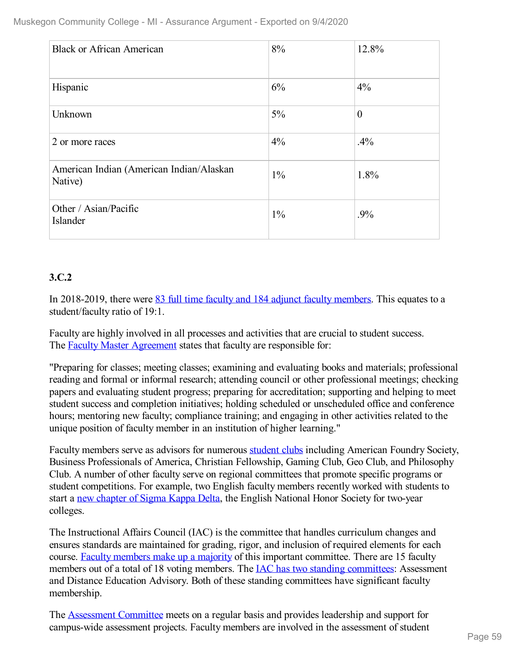| <b>Black or African American</b>                    | 8%    | 12.8%        |
|-----------------------------------------------------|-------|--------------|
| Hispanic                                            | 6%    | 4%           |
| Unknown                                             | $5\%$ | $\mathbf{0}$ |
| 2 or more races                                     | $4\%$ | .4%          |
| American Indian (American Indian/Alaskan<br>Native) | $1\%$ | 1.8%         |
| Other / Asian/Pacific<br>Islander                   | $1\%$ | .9%          |

## **3.C.2**

In 2018-2019, there were 83 full time faculty and 184 adjunct faculty [members](file:///D:/evidence/viewfile?fileId=1068860). This equates to a student/faculty ratio of 19:1.

Faculty are highly involved in all processes and activities that are crucial to student success. The Faculty Master [Agreement](file:///D:/evidence/viewfile?fileId=1068943) states that faculty are responsible for:

"Preparing for classes; meeting classes; examining and evaluating books and materials; professional reading and formal or informal research; attending council or other professional meetings; checking papers and evaluating student progress; preparing for accreditation; supporting and helping to meet student success and completion initiatives; holding scheduled or unscheduled office and conference hours; mentoring new faculty; compliance training; and engaging in other activities related to the unique position of faculty member in an institution of higher learning."

Faculty members serve as advisors for numerous [student](file:///D:/evidence/viewfile?fileId=1068697) clubs including American Foundry Society, Business Professionals of America, Christian Fellowship, Gaming Club, Geo Club, and Philosophy Club. A number of other faculty serve on regional committees that promote specific programs or student competitions. For example, two English faculty members recently worked with students to start a new [chapter](file:///D:/evidence/viewfile?fileId=1068873) of Sigma Kappa Delta, the English National Honor Society for two-year colleges.

The Instructional Affairs Council (IAC) is the committee that handles curriculum changes and ensures standards are maintained for grading, rigor, and inclusion of required elements for each course. Faculty [members](file:///D:/evidence/viewfile?fileId=1068830#page=1) make up a majority of this important committee. There are 15 faculty members out of a total of 18 voting members. The **IAC** has two standing [committees](file:///D:/evidence/viewfile?fileId=1068863#page=2): Assessment and Distance Education Advisory. Both of these standing committees have significant faculty membership.

The [Assessment](file:///D:/evidence/viewfile?fileId=1068844) Committee meets on a regular basis and provides leadership and support for campus-wide assessment projects. Faculty members are involved in the assessment of student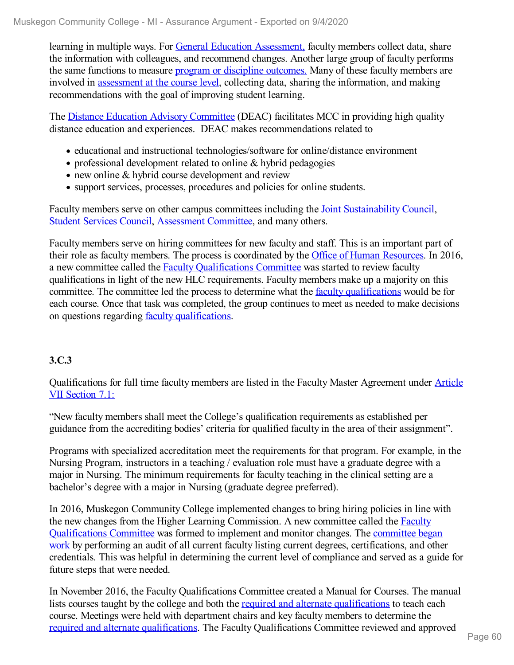learning in multiple ways. For General Education [Assessment,](file:///D:/evidence/viewfile?fileId=1077131) faculty members collect data, share the information with colleagues, and recommend changes. Another large group of faculty performs the same functions to measure program or discipline [outcomes.](file:///D:/evidence/viewfile?fileId=1068866) Many of these faculty members are involved in [assessment](file:///D:/evidence/viewfile?fileId=1068872) at the course level, collecting data, sharing the information, and making recommendations with the goal of improving student learning.

The Distance Education Advisory [Committee](file:///D:/evidence/viewfile?fileId=1101072) (DEAC) facilitates MCC in providing high quality distance education and experiences. DEAC makes recommendations related to

- educational and instructional technologies/software for online/distance environment
- professional development related to online & hybrid pedagogies
- new online & hybrid course development and review
- support services, processes, procedures and policies for online students.

Faculty members serve on other campus committees including the Joint [Sustainability](file:///D:/evidence/viewfile?fileId=1068831) Council, Student [Services](file:///D:/evidence/viewfile?fileId=1068823) Council, [Assessment](file:///D:/evidence/viewfile?fileid=1068844) Committee, and many others.

Faculty members serve on hiring committees for new faculty and staff. This is an important part of their role as faculty members. The process is coordinated by the Office of Human [Resources](file:///D:/evidence/viewfile?fileId=1068858). In 2016, a new committee called the Faculty [Qualifications](file:///D:/evidence/viewfile?fileId=1068956) Committee was started to review faculty qualifications in light of the new HLC requirements. Faculty members make up a majority on this committee. The committee led the process to determine what the faculty [qualifications](file:///D:/evidence/viewfile?fileId=1068853) would be for each course. Once that task was completed, the group continues to meet as needed to make decisions on questions regarding faculty [qualifications](file:///D:/evidence/viewfile?fileId=1077052).

## **3.C.3**

[Qualifications](file:///D:/evidence/viewfile?fileId=1068851) for full time faculty members are listed in the Faculty Master Agreement under Article VII Section 7.1:

"New faculty members shall meet the College's qualification requirements as established per guidance from the accrediting bodies' criteria for qualified faculty in the area of their assignment".

Programs with specialized accreditation meet the requirements for that program. For example, in the Nursing Program, instructors in a teaching / evaluation role must have a graduate degree with a major in Nursing. The minimum requirements for faculty teaching in the clinical setting are a bachelor's degree with a major in Nursing (graduate degree preferred).

In 2016, Muskegon Community College implemented changes to bring hiring policies in line with the new changes from the Higher Learning Commission. A new committee called the Faculty [Qualifications](file:///D:/evidence/viewfile?fileId=1068853) Committee was formed to implement and monitor changes. The committee began work by performing an audit of all current faculty listing current degrees, certifications, and other credentials. This was helpful in determining the current level of compliance and served as a guide for future steps that were needed.

In November 2016, the Faculty Qualifications Committee created a Manual for Courses. The manual lists courses taught by the college and both the required and alternate [qualifications](file:///D:/evidence/viewfile?fileId=1063186) to teach each course. Meetings were held with department chairs and key faculty members to determine the required and alternate [qualifications.](file:///D:/evidence/viewfile?fileId=1063192) The Faculty Qualifications Committee reviewed and approved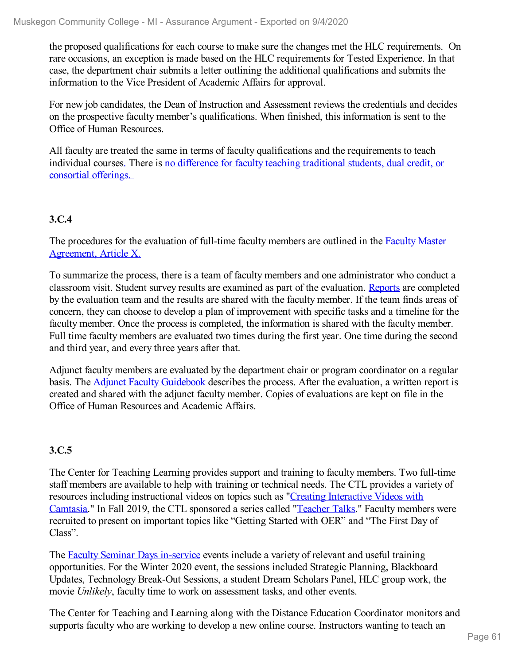the proposed qualifications for each course to make sure the changes met the HLC requirements. On rare occasions, an exception is made based on the HLC requirements for Tested Experience. In that case, the department chair submits a letter outlining the additional qualifications and submits the information to the Vice President of Academic Affairs for approval.

For new job candidates, the Dean of Instruction and Assessment reviews the credentials and decides on the prospective faculty member's qualifications. When finished, this information is sent to the Office of Human Resources.

All faculty are treated the same in terms of faculty qualifications and the requirements to teach individual course[s.](file:///D:/evidence/viewfile?fileId=1068853) There is no difference for faculty teaching [traditional](file:///D:/evidence/viewfile?fileId=1068853#page=3) students, dual credit, or consortial offerings.

### **3.C.4**

The [procedures](file:///D:/evidence/viewfile?fileId=1069062#page=44) for the evaluation of full-time faculty members are outlined in the Faculty Master Agreement, Article X.

To summarize the process, there is a team of faculty members and one administrator who conduct a classroom visit. Student survey results are examined as part of the evaluation. [Reports](file:///D:/evidence/viewfile?fileId=1100537) are completed by the evaluation team and the results are shared with the faculty member. If the team finds areas of concern, they can choose to develop a plan of improvement with specific tasks and a timeline for the faculty member. Once the process is completed, the information is shared with the faculty member. Full time faculty members are evaluated two times during the first year. One time during the second and third year, and every three years after that.

Adjunct faculty members are evaluated by the department chair or program coordinator on a regular basis. The **Adjunct Faculty [Guidebook](file:///D:/evidence/viewfile?fileId=1068841)** describes the process. After the evaluation, a written report is created and shared with the adjunct faculty member. Copies of evaluations are kept on file in the Office of Human Resources and Academic Affairs.

### **3.C.5**

The Center for Teaching Learning provides support and training to faculty members. Two full-time staff members are available to help with training or technical needs. The CTL provides a variety of resources including [instructional](file:///D:/evidence/viewfile?fileId=1068931) videos on topics such as "Creating Interactive Videos with Camtasia." In Fall 2019, the CTL sponsored a series called "[Teacher](file:///D:/evidence/viewfile?fileId=1068953) Talks." Faculty members were recruited to present on important topics like "Getting Started with OER" and "The First Day of Class".

The Faculty Seminar Days [in-service](file:///D:/evidence/viewfile?fileId=1068958) events include a variety of relevant and useful training opportunities. For the Winter 2020 event, the sessions included Strategic Planning, Blackboard Updates, Technology Break-Out Sessions, a student Dream Scholars Panel, HLC group work, the movie *Unlikely*, faculty time to work on assessment tasks, and other events.

The Center for Teaching and Learning along with the Distance Education Coordinator monitors and supports faculty who are working to develop a new online course. Instructors wanting to teach an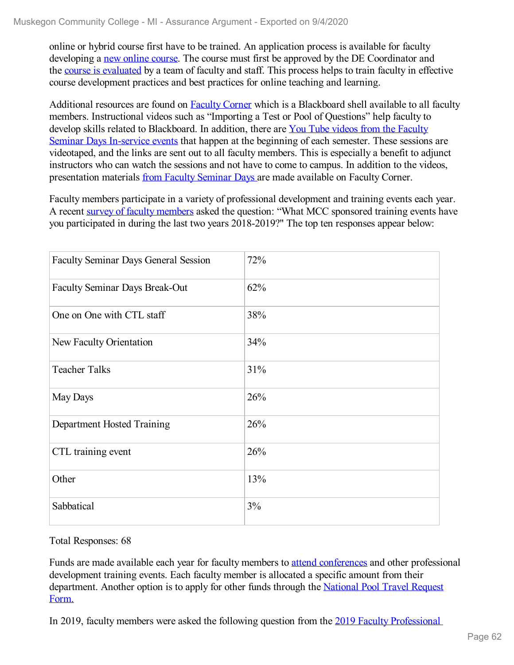online or hybrid course first have to be trained. An application process is available for faculty developing a new [online](file:///D:/evidence/viewfile?fileId=1100590) course. The course must first be approved by the DE Coordinator and the course is [evaluated](file:///D:/evidence/viewfile?fileId=1100595) by a team of faculty and staff. This process helps to train faculty in effective course development practices and best practices for online teaching and learning.

Additional resources are found on [Faculty](file:///D:/evidence/viewfile?fileId=1068934) Corner which is a Blackboard shell available to all faculty members. Instructional videos such as "Importing a Test or Pool of Questions" help faculty to develop skills related to [Blackboard.](file:///D:/evidence/viewfile?fileId=1068940) In addition, there are You Tube videos from the Faculty Seminar Days In-service events that happen at the beginning of each semester. These sessions are videotaped, and the links are sent out to all faculty members. This is especially a benefit to adjunct instructors who can watch the sessions and not have to come to campus. In addition to the videos, presentation materials from Faculty [Seminar](file:///D:/evidence/viewfile?fileId=1068928) Days are made available on Faculty Corner.

Faculty members participate in a variety of professional development and training events each year. A recent survey of faculty [members](file:///D:/evidence/viewfile?fileId=1068935) asked the question: "What MCC sponsored training events have you participated in during the last two years 2018-2019?" The top ten responses appear below:

| <b>Faculty Seminar Days General Session</b> | 72% |
|---------------------------------------------|-----|
| <b>Faculty Seminar Days Break-Out</b>       | 62% |
| One on One with CTL staff                   | 38% |
| New Faculty Orientation                     | 34% |
| <b>Teacher Talks</b>                        | 31% |
| May Days                                    | 26% |
| Department Hosted Training                  | 26% |
| CTL training event                          | 26% |
| Other                                       | 13% |
| Sabbatical                                  | 3%  |

Total Responses: 68

Funds are made available each year for faculty members to attend [conferences](file:///D:/evidence/viewfile?fileId=1068941) and other professional development training events. Each faculty member is allocated a specific amount from their [department.](file:///D:/evidence/viewfile?fileId=1068947) Another option is to apply for other funds through the National Pool Travel Request Form.

In 2019, faculty members were asked the following question from the 2019 Faculty [Professional](file:///D:/evidence/viewfile?fileId=1068938#page=7)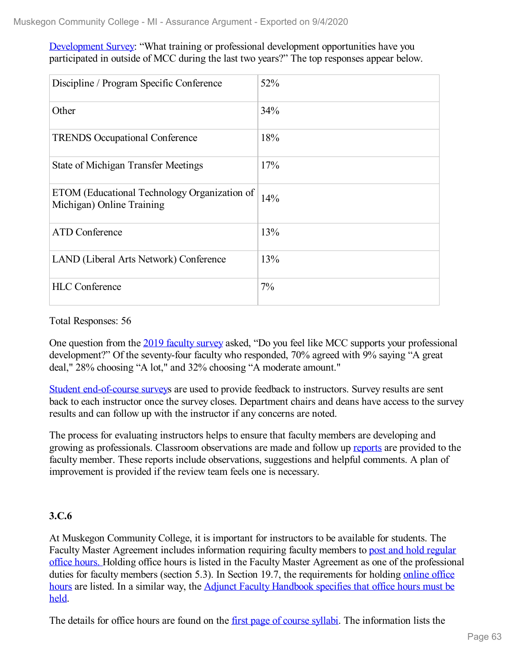#### Development Survey: "What training or professional development opportunities have you participated in outside of MCC during the last two years?" The top responses appear below.

| Discipline / Program Specific Conference                                  | 52% |
|---------------------------------------------------------------------------|-----|
| Other                                                                     | 34% |
| <b>TRENDS</b> Occupational Conference                                     | 18% |
| <b>State of Michigan Transfer Meetings</b>                                | 17% |
| ETOM (Educational Technology Organization of<br>Michigan) Online Training | 14% |
| <b>ATD</b> Conference                                                     | 13% |
| LAND (Liberal Arts Network) Conference                                    | 13% |
| <b>HLC</b> Conference                                                     | 7%  |

Total Responses: 56

One question from the 2019 [faculty](file:///D:/evidence/viewfile?fileId=1068935) survey asked, "Do you feel like MCC supports your professional development?" Of the seventy-four faculty who responded, 70% agreed with 9% saying "A great deal," 28% choosing "A lot," and 32% choosing "A moderate amount."

Student [end-of-course](file:///D:/evidence/viewfile?fileId=1068930) surveys are used to provide feedback to instructors. Survey results are sent back to each instructor once the survey closes. Department chairs and deans have access to the survey results and can follow up with the instructor if any concerns are noted.

The process for evaluating instructors helps to ensure that faculty members are developing and growing as professionals. Classroom observations are made and follow up [reports](file:///D:/evidence/viewfile?fileid=1100537) are provided to the faculty member. These reports include observations, suggestions and helpful comments. A plan of improvement is provided if the review team feels one is necessary.

### **3.C.6**

At Muskegon Community College, it is important for instructors to be available for students. The Faculty Master Agreement includes [information](file:///D:/evidence/viewfile?fileid=1068943) requiring faculty members to post and hold regular office hours. Holding office hours is listed in the Faculty Master Agreement as one of the professional duties for faculty members (section 5.3). In Section 19.7, the [requirements](file:///D:/evidence/viewfile?fileId=1068933) for holding online office hours are listed. In a similar way, the Adjunct Faculty [Handbook](file:///D:/evidence/viewfile?fileid=1068927) specifies that office hours must be held.

The details for office hours are found on the first page of [course](file:///D:/evidence/viewfile?fileId=1068926) sylla[bi](file:///D:/evidence/viewfile?fileid=1068926). The information lists the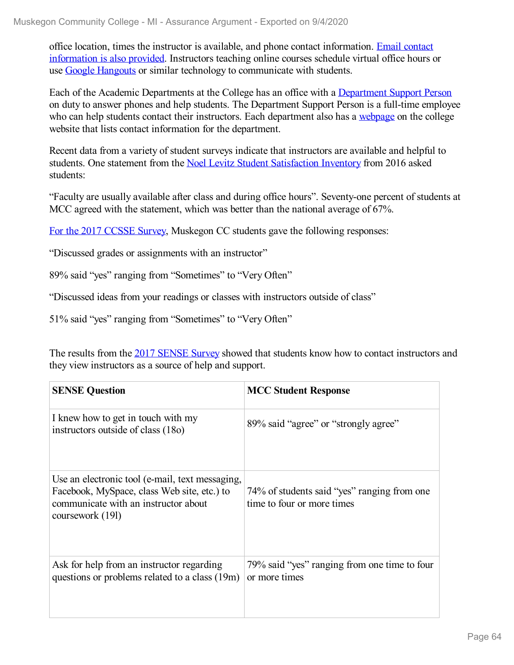office location, times the instructor is available, and phone contact [information.](file:///D:/evidence/viewfile?fileId=1068932) Email contact information is also provided. Instructors teaching online courses schedule virtual office hours or use Google [Hangouts](file:///D:/evidence/viewfile?fileId=1068929) or similar technology to communicate with students.

Each of the Academic Departments at the College has an office with a [Department](file:///D:/evidence/viewfile?fileId=1068955) Support Person on duty to answer phones and help students. The Department Support Person is a full-time employee who can help students contact their instructors. Each department also has a [webpage](file:///D:/evidence/viewfile?fileId=1068961) on the college website that lists contact information for the department.

Recent data from a variety of student surveys indicate that instructors are available and helpful to students. One statement from the Noel Levitz Student [Satisfaction](file:///D:/evidence/viewfile?fileId=1068945) Inventory from 2016 asked students:

"Faculty are usually available after class and during office hours". Seventy-one percent of students at MCC agreed with the statement, which was better than the national average of 67%.

For the 2017 [CCSSE](file:///D:/evidence/viewfile?fileId=1079097) Survey, Muskegon CC students gave the following responses:

"Discussed grades or assignments with an instructor"

89% said "yes" ranging from "Sometimes" to "Very Often"

"Discussed ideas from your readings or classes with instructors outside of class"

51% said "yes" ranging from "Sometimes" to "Very Often"

The results from the 2017 [SENSE](file:///D:/evidence/viewfile?fileId=1068951) Survey showed that students know how to contact instructors and they view instructors as a source of help and support.

| <b>SENSE Question</b>                                                                                                                                      | <b>MCC Student Response</b>                                               |
|------------------------------------------------------------------------------------------------------------------------------------------------------------|---------------------------------------------------------------------------|
| I knew how to get in touch with my<br>instructors outside of class (180)                                                                                   | 89% said "agree" or "strongly agree"                                      |
| Use an electronic tool (e-mail, text messaging,<br>Facebook, MySpace, class Web site, etc.) to<br>communicate with an instructor about<br>coursework (191) | 74% of students said "yes" ranging from one<br>time to four or more times |
| Ask for help from an instructor regarding<br>questions or problems related to a class (19m)                                                                | 79% said "yes" ranging from one time to four<br>or more times             |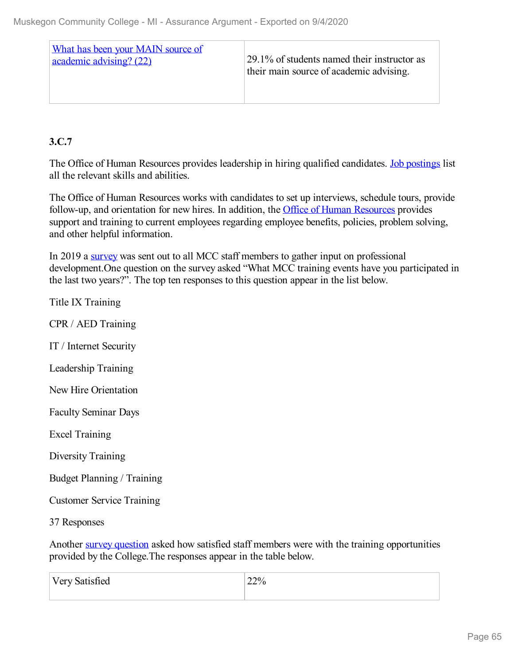| What has been your MAIN source of<br>academic advising? (22) | 29.1% of students named their instructor as<br>their main source of academic advising. |
|--------------------------------------------------------------|----------------------------------------------------------------------------------------|
|                                                              |                                                                                        |

## **3.C.7**

The Office of Human Resources provides leadership in hiring qualified candidates. Job [postings](file:///D:/evidence/viewfile?fileid=1089172) list all the relevant skills and abilities.

The Office of Human Resources works with candidates to set up interviews, schedule tours, provide follow-up, and orientation for new hires. In addition, the Office of Human [Resources](file:///D:/evidence/viewfile?fileid=1068942) provides support and training to current employees regarding employee benefits, policies, problem solving, and other helpful information.

In 2019 a [survey](file:///D:/evidence/viewfile?fileid=1068946) was sent out to all MCC staff members to gather input on professional development.One question on the survey asked "What MCC training events have you participated in the last two years?". The top ten responses to this question appear in the list below.

| Title IX Training                 |
|-----------------------------------|
| CPR / AED Training                |
| IT / Internet Security            |
| Leadership Training               |
| New Hire Orientation              |
| <b>Faculty Seminar Days</b>       |
| <b>Excel Training</b>             |
| Diversity Training                |
| <b>Budget Planning / Training</b> |
| <b>Customer Service Training</b>  |
| 37 Responses                      |
|                                   |

Another survey [question](file:///D:/evidence/viewfile?fileId=1068946#page=3) asked how satisfied staff members were with the training opportunities provided by the College.The responses appear in the table below.

| Very Satisfied | 22% |
|----------------|-----|
|                |     |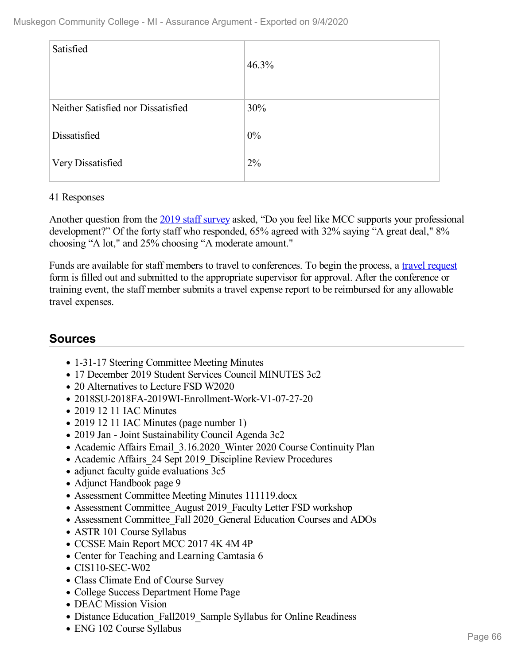| Satisfied                          | 46.3% |
|------------------------------------|-------|
| Neither Satisfied nor Dissatisfied | 30%   |
| Dissatisfied                       | $0\%$ |
| Very Dissatisfied                  | 2%    |

#### 41 Responses

Another question from the 2019 staff [survey](file:///D:/evidence/viewfile?fileid=1068950) asked, "Do you feel like MCC supports your professional development?" Of the forty staff who responded, 65% agreed with 32% saying "A great deal," 8% choosing "A lot," and 25% choosing "A moderate amount."

Funds are available for staff members to travel to conferences. To begin the process, a travel [request](file:///D:/evidence/viewfile?fileId=1089174) form is filled out and submitted to the appropriate supervisor for approval. After the conference or training event, the staff member submits a travel expense report to be reimbursed for any allowable travel expenses.

## **Sources**

- 1-31-17 Steering Committee Meeting Minutes
- 17 December 2019 Student Services Council MINUTES 3c2
- 20 Alternatives to Lecture FSD W2020
- 2018SU-2018FA-2019WI-Enrollment-Work-V1-07-27-20
- 2019 12 11 IAC Minutes
- 2019 12 11 IAC Minutes (page number 1)
- 2019 Jan Joint Sustainability Council Agenda 3c2
- Academic Affairs Email 3.16.2020 Winter 2020 Course Continuity Plan
- Academic Affairs 24 Sept 2019 Discipline Review Procedures
- adjunct faculty guide evaluations 3c5
- Adjunct Handbook page 9
- Assessment Committee Meeting Minutes 111119.docx
- Assessment Committee August 2019 Faculty Letter FSD workshop
- Assessment Committee\_Fall 2020\_General Education Courses and ADOs
- ASTR 101 Course Syllabus
- CCSSE Main Report MCC 2017 4K 4M 4P
- Center for Teaching and Learning Camtasia 6
- CIS110-SEC-W02
- Class Climate End of Course Survey
- College Success Department Home Page
- DEAC Mission Vision
- Distance Education Fall2019 Sample Syllabus for Online Readiness
- ENG 102 Course Syllabus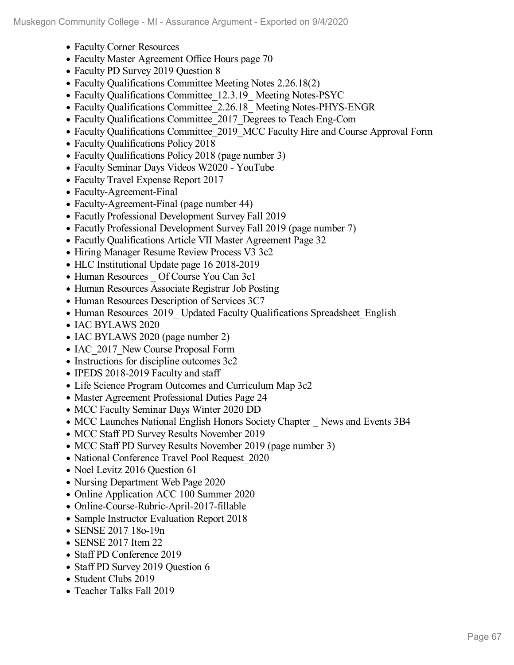- Faculty Corner Resources
- Faculty Master Agreement Office Hours page 70
- Faculty PD Survey 2019 Question 8
- Faculty Qualifications Committee Meeting Notes 2.26.18(2)
- Faculty Qualifications Committee 12.3.19 Meeting Notes-PSYC
- Faculty Qualifications Committee 2.26.18 Meeting Notes-PHYS-ENGR
- Faculty Qualifications Committee\_2017\_Degrees to Teach Eng-Com
- Faculty Qualifications Committee 2019 MCC Faculty Hire and Course Approval Form
- Faculty Qualifications Policy 2018
- Faculty Qualifications Policy 2018 (page number 3)
- Faculty Seminar Days Videos W2020 YouTube
- Faculty Travel Expense Report 2017
- Faculty-Agreement-Final
- Faculty-Agreement-Final (page number 44)
- Facutly Professional Development Survey Fall 2019
- Facutly Professional Development Survey Fall 2019 (page number 7)
- Facutly Qualifications Article VII Master Agreement Page 32
- Hiring Manager Resume Review Process V3 3c2
- HLC Institutional Update page 16 2018-2019
- Human Resources Of Course You Can 3c1
- Human Resources Associate Registrar Job Posting
- Human Resources Description of Services 3C7
- Human Resources 2019 Updated Faculty Qualifications Spreadsheet English
- IAC BYLAWS 2020
- IAC BYLAWS 2020 (page number 2)
- IAC 2017 New Course Proposal Form
- Instructions for discipline outcomes 3c2
- IPEDS 2018-2019 Faculty and staff
- Life Science Program Outcomes and Curriculum Map 3c2
- Master Agreement Professional Duties Page 24
- MCC Faculty Seminar Days Winter 2020 DD
- MCC Launches National English Honors Society Chapter News and Events 3B4
- MCC Staff PD Survey Results November 2019
- MCC Staff PD Survey Results November 2019 (page number 3)
- National Conference Travel Pool Request 2020
- Noel Levitz 2016 Question 61
- Nursing Department Web Page 2020
- Online Application ACC 100 Summer 2020
- Online-Course-Rubric-April-2017-fillable
- Sample Instructor Evaluation Report 2018
- SENSE 2017 18o-19n
- SENSE 2017 Item 22
- Staff PD Conference 2019
- Staff PD Survey 2019 Question 6
- Student Clubs 2019
- Teacher Talks Fall 2019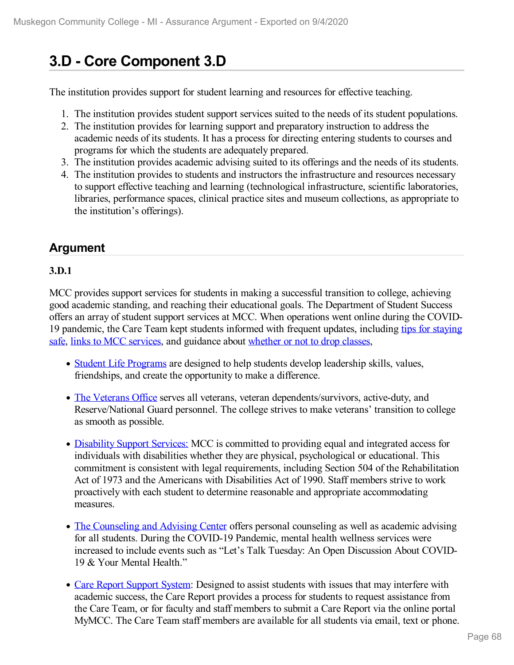# **3.D - Core Component 3.D**

The institution provides support for student learning and resources for effective teaching.

- 1. The institution provides student support services suited to the needs of its student populations.
- 2. The institution provides for learning support and preparatory instruction to address the academic needs of its students. It has a process for directing entering students to courses and programs for which the students are adequately prepared.
- 3. The institution provides academic advising suited to its offerings and the needs of its students.
- 4. The institution provides to students and instructors the infrastructure and resources necessary to support effective teaching and learning (technological infrastructure, scientific laboratories, libraries, performance spaces, clinical practice sites and museum collections, as appropriate to the institution's offerings).

## **Argument**

### **3.D.1**

MCC provides support services for students in making a successful transition to college, achieving good academic standing, and reaching their educational goals. The Department of Student Success offers an array of student support services at MCC. When operations went online during the COVID- 19 [pandemic,](file:///D:/evidence/viewfile?fileId=1079219) the Care Team kept students informed with frequent updates, including tips for staying safe, links to MCC [services,](file:///D:/evidence/viewfile?fileId=1077091) and guidance about [whether](file:///D:/evidence/viewfile?fileId=1077094) or not to drop classes,

- Student Life [Programs](file:///D:/evidence/viewfile?fileId=1079220) are designed to help students develop leadership skills, values, friendships, and create the opportunity to make a difference.
- The [Veterans](file:///D:/evidence/viewfile?fileId=1077087) Office serves all veterans, veteran dependents/survivors, active-duty, and Reserve/National Guard personnel. The college strives to make veterans' transition to college as smooth as possible.
- [Disability](file:///D:/evidence/viewfile?fileId=1077098) Support Services: MCC is committed to providing equal and integrated access for individuals with disabilities whether they are physical, psychological or educational. This commitment is consistent with legal requirements, including Section 504 of the Rehabilitation Act of 1973 and the Americans with Disabilities Act of 1990. Staff members strive to work proactively with each student to determine reasonable and appropriate accommodating measures.
- The [Counseling](file:///D:/evidence/viewfile?fileId=1077090) and Advising Center offers personal counseling as well as academic advising for all students. During the COVID-19 Pandemic, mental health wellness services were increased to include events such as "Let's Talk Tuesday: An Open Discussion About COVID- 19 & Your Mental Health."
- Care Report [Support](file:///D:/evidence/viewfile?fileId=1077091) System: Designed to assist students with issues that may interfere with academic success, the Care Report provides a process for students to request assistance from the Care Team, or for faculty and staff members to submit a Care Report via the online portal MyMCC. The Care Team staff members are available for all students via email, text or phone.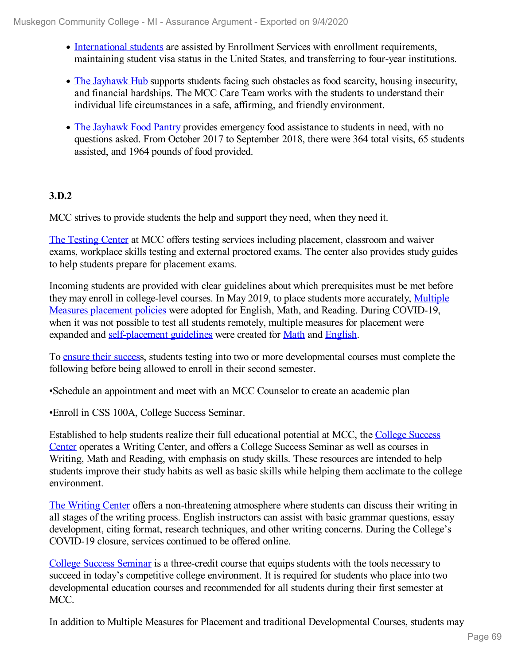- [International](file:///D:/evidence/viewfile?fileId=1077089) students are assisted by Enrollment Services with enrollment requirements, maintaining student visa status in the United States, and transferring to four-year institutions.
- The [Jayhawk](file:///D:/evidence/viewfile?fileId=1079216) Hub supports students facing such obstacles as food scarcity, housing insecurity, and financial hardships. The MCC Care Team works with the students to understand their individual life circumstances in a safe, affirming, and friendly environment.
- The [Jayhawk](file:///D:/evidence/viewfile?fileId=1077096) Food Pantry provides emergency food assistance to students in need, with no questions asked. From October 2017 to September 2018, there were 364 total visits, 65 students assisted, and 1964 pounds of food provided.

### **3.D.2**

MCC strives to provide students the help and support they need, when they need it.

The [Testing](file:///D:/evidence/viewfile?fileId=1077088) Center at MCC offers testing services including placement, classroom and waiver exams, workplace skills testing and external proctored exams. The center also provides study guides to help students prepare for placement exams.

Incoming students are provided with clear guidelines about which prerequisites must be met before they may enroll in [college-level](file:///D:/evidence/viewfile?fileId=1077043) courses. In May 2019, to place students more accurately, Multiple Measures placement policies were adopted for English, Math, and Reading. During COVID-19, when it was not possible to test all students remotely, multiple measures for placement were expanded and [self-placement](file:///D:/evidence/viewfile?fileId=1077045) guidelines were created for [Math](file:///D:/evidence/viewfile?fileId=1077044) and [English](file:///D:/evidence/viewfile?fileId=1100425).

To [ensure](file:///D:/evidence/viewfile?fileId=1077083) their success, students testing into two or more developmental courses must complete the following before being allowed to enroll in their second semester.

•Schedule an appointment and meet with an MCC Counselor to create an academic plan

•Enroll in CSS 100A, College Success Seminar.

Established to help students realize their full [educational](file:///D:/evidence/viewfile?fileId=1077042) potential at MCC, the College Success Center operates a Writing Center, and offers a College Success Seminar as well as courses in Writing, Math and Reading, with emphasis on study skills. These resources are intended to help students improve their study habits as well as basic skills while helping them acclimate to the college environment.

The [Writing](file:///D:/evidence/viewfile?fileId=1077081) Center offers a non-threatening atmosphere where students can discuss their writing in all stages of the writing process. English instructors can assist with basic grammar questions, essay development, citing format, research techniques, and other writing concerns. During the College's COVID-19 closure, services continued to be offered online.

College Success [Seminar](file:///D:/evidence/viewfile?fileId=1077082) is a three-credit course that equips students with the tools necessary to succeed in today's competitive college environment. It is required for students who place into two developmental education courses and recommended for all students during their first semester at MCC.

In addition to Multiple Measures for Placement and traditional Developmental Courses, students may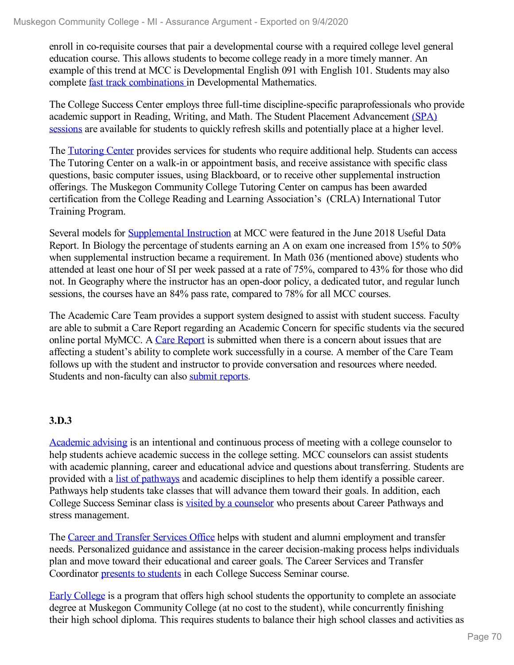enroll in co-requisite courses that pair a developmental course with a required college level general education course. This allows students to become college ready in a more timely manner. An example of this trend at MCC is Developmental English 091 with English 101. Students may also complete fast track [combinations](file:///D:/evidence/viewfile?fileId=1077085) in Developmental Mathematics.

The College Success Center employs three full-time discipline-specific paraprofessionals who provide academic support in Reading, Writing, and Math. The Student Placement [Advancement](file:///D:/evidence/viewfile?fileId=1077079) (SPA) sessions are available for students to quickly refresh skills and potentially place at a higher level.

The [Tutoring](file:///D:/evidence/viewfile?fileId=1077080) Center provides services for students who require additional help. Students can access The Tutoring Center on a walk-in or appointment basis, and receive assistance with specific class questions, basic computer issues, using Blackboard, or to receive other supplemental instruction offerings. The Muskegon Community College Tutoring Center on campus has been awarded certification from the College Reading and Learning Association's (CRLA) International Tutor Training Program.

Several models for [Supplemental](file:///D:/evidence/viewfile?fileId=1079226) Instruction at MCC were featured in the June 2018 Useful Data Report. In Biology the percentage of students earning an A on exam one increased from 15% to 50% when supplemental instruction became a requirement. In Math 036 (mentioned above) students who attended at least one hour of SI per week passed at a rate of 75%, compared to 43% for those who did not. In Geography where the instructor has an open-door policy, a dedicated tutor, and regular lunch sessions, the courses have an 84% pass rate, compared to 78% for all MCC courses.

The Academic Care Team provides a support system designed to assist with student success. Faculty are able to submit a Care Report regarding an Academic Concern for specific students via the secured online portal MyMCC. A Care [Report](file:///D:/evidence/viewfile?fileId=1077097) is submitted when there is a concern about issues that are affecting a student's ability to complete work successfully in a course. A member of the Care Team follows up with the student and instructor to provide conversation and resources where needed. Students and non-faculty can also submit [reports](file:///D:/evidence/viewfile?fileId=1077095).

## **3.D.3**

[Academic](file:///D:/evidence/viewfile?fileid=1077090) advising is an intentional and continuous process of meeting with a college counselor to help students achieve academic success in the college setting. MCC counselors can assist students with academic planning, career and educational advice and questions about transferring. Students are provided with a list of [pathways](file:///D:/evidence/viewfile?fileId=1079218) and academic disciplines to help them identify a possible career. Pathways help students take classes that will advance them toward their goals. In addition, each College Success Seminar class is visited by a [counselor](file:///D:/evidence/viewfile?fileId=1077100#page=5) who presents about Career Pathways and stress management.

The Career and [Transfer](file:///D:/evidence/viewfile?fileId=1077075) Services Office helps with student and alumni employment and transfer needs. Personalized guidance and assistance in the career decision-making process helps individuals plan and move toward their educational and career goals. The Career Services and Transfer Coordinator presents to [students](file:///D:/evidence/viewfile?fileId=1077100#page=6) in each College Success Seminar course.

Early [College](file:///D:/evidence/viewfile?fileId=1079212) is a program that offers high school students the opportunity to complete an associate degree at Muskegon Community College (at no cost to the student), while concurrently finishing their high school diploma. This requires students to balance their high school classes and activities as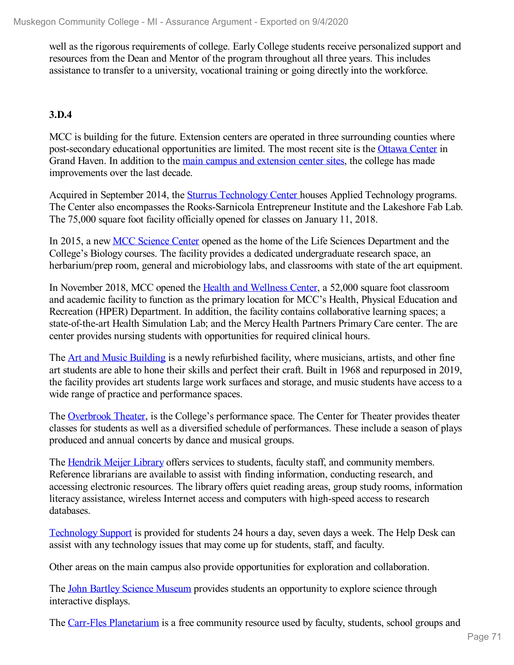well as the rigorous requirements of college. Early College students receive personalized support and resources from the Dean and Mentor of the program throughout all three years. This includes assistance to transfer to a university, vocational training or going directly into the workforce.

## **3.D.4**

MCC is building for the future. Extension centers are operated in three surrounding counties where post-secondary educational opportunities are limited. The most recent site is the [Ottawa](file:///D:/evidence/viewfile?fileId=1077070) Center in Grand Haven. In addition to the main campus and [extension](file:///D:/evidence/viewfile?fileId=1077072) center sites, the college has made improvements over the last decade.

Acquired in September 2014, the Sturrus [Technology](file:///D:/evidence/viewfile?fileId=1077077) Center houses Applied Technology programs. The Center also encompasses the Rooks-Sarnicola Entrepreneur Institute and the Lakeshore Fab Lab. The 75,000 square foot facility officially opened for classes on January 11, 2018.

In 2015, a new MCC [Science](file:///D:/evidence/viewfile?fileId=1077076) Center opened as the home of the Life Sciences Department and the College's Biology courses. The facility provides a dedicated undergraduate research space, an herbarium/prep room, general and microbiology labs, and classrooms with state of the art equipment.

In November 2018, MCC opened the Health and [Wellness](file:///D:/evidence/viewfile?fileId=1077071) Center, a 52,000 square foot classroom and academic facility to function as the primary location for MCC's Health, Physical Education and Recreation (HPER) Department. In addition, the facility contains collaborative learning spaces; a state-of-the-art Health Simulation Lab; and the Mercy Health Partners Primary Care center. The are center provides nursing students with opportunities for required clinical hours.

The Art and Music [Building](file:///D:/evidence/viewfile?fileId=1077073) is a newly refurbished facility, where musicians, artists, and other fine art students are able to hone their skills and perfect their craft. Built in 1968 and repurposed in 2019, the facility provides art students large work surfaces and storage, and music students have access to a wide range of practice and performance spaces.

The [Overbrook](file:///D:/evidence/viewfile?fileId=1079215) Theater, is the College's performance space. The Center for Theater provides theater classes for students as well as a diversified schedule of performances. These include a season of plays produced and annual concerts by dance and musical groups.

The [Hendrik](file:///D:/evidence/viewfile?fileId=1079213) Meijer Library offers services to students, faculty staff, and community members. Reference librarians are available to assist with finding information, conducting research, and accessing electronic resources. The library offers quiet reading areas, group study rooms, information literacy assistance, wireless Internet access and computers with high-speed access to research databases.

[Technology](file:///D:/evidence/viewfile?fileId=1079222) Support is provided for students 24 hours a day, seven days a week. The Help Desk can assist with any technology issues that may come up for students, staff, and faculty.

Other areas on the main campus also provide opportunities for exploration and collaboration.

The John Bartley Science [Museum](file:///D:/evidence/viewfile?fileId=1077058) provides students an opportunity to explore science through interactive displays.

The Carr-Fles [Planetarium](file:///D:/evidence/viewfile?fileId=1077057) is a free community resource used by faculty, students, school groups and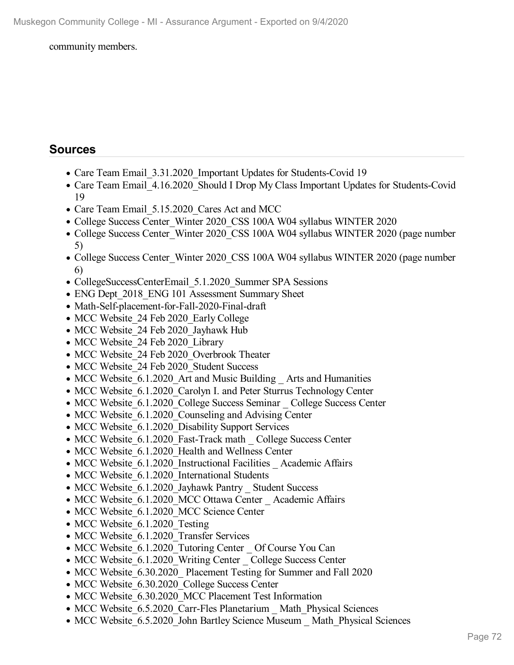#### community members.

## **Sources**

- Care Team Email 3.31.2020 Important Updates for Students-Covid 19
- Care Team Email 4.16.2020 Should I Drop My Class Important Updates for Students-Covid 19
- Care Team Email 5.15.2020 Cares Act and MCC
- College Success Center\_Winter 2020\_CSS 100A W04 syllabus WINTER 2020
- College Success Center Winter 2020 CSS 100A W04 syllabus WINTER 2020 (page number 5)
- College Success Center Winter 2020 CSS 100A W04 syllabus WINTER 2020 (page number 6)
- CollegeSuccessCenterEmail 5.1.2020 Summer SPA Sessions
- ENG Dept 2018 ENG 101 Assessment Summary Sheet
- Math-Self-placement-for-Fall-2020-Final-draft
- MCC Website 24 Feb 2020 Early College
- MCC Website 24 Feb 2020 Jayhawk Hub
- MCC Website 24 Feb 2020 Library
- MCC Website 24 Feb 2020 Overbrook Theater
- MCC Website 24 Feb 2020 Student Success
- MCC Website 6.1.2020 Art and Music Building Arts and Humanities
- MCC Website 6.1.2020 Carolyn I. and Peter Sturrus Technology Center
- MCC Website 6.1.2020 College Success Seminar College Success Center
- MCC Website 6.1.2020 Counseling and Advising Center
- MCC Website 6.1.2020 Disability Support Services
- MCC Website 6.1.2020 Fast-Track math College Success Center
- MCC Website 6.1.2020 Health and Wellness Center
- MCC Website 6.1.2020 Instructional Facilities Academic Affairs
- MCC Website 6.1.2020 International Students
- MCC Website 6.1.2020 Jayhawk Pantry Student Success
- MCC Website 6.1.2020 MCC Ottawa Center Academic Affairs
- MCC Website 6.1.2020 MCC Science Center
- MCC Website 6.1.2020 Testing
- MCC Website 6.1.2020 Transfer Services
- MCC Website 6.1.2020 Tutoring Center Of Course You Can
- MCC Website 6.1.2020 Writing Center College Success Center
- MCC Website 6.30.2020 Placement Testing for Summer and Fall 2020
- MCC Website 6.30.2020 College Success Center
- MCC Website 6.30.2020 MCC Placement Test Information
- MCC Website 6.5.2020 Carr-Fles Planetarium \_ Math\_Physical Sciences
- MCC Website 6.5.2020 John Bartley Science Museum \_ Math\_Physical Sciences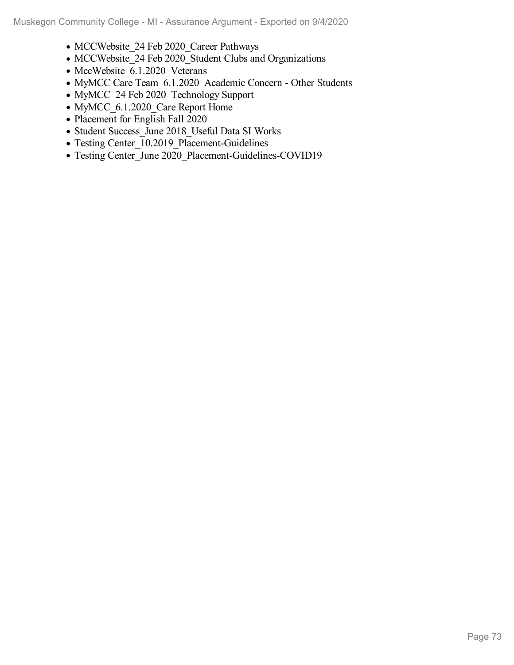- MCCWebsite 24 Feb 2020 Career Pathways
- MCCWebsite\_24 Feb 2020\_Student Clubs and Organizations
- MccWebsite\_6.1.2020\_Veterans
- MyMCC Care Team 6.1.2020 Academic Concern Other Students
- MyMCC\_24 Feb 2020\_Technology Support
- MyMCC 6.1.2020 Care Report Home
- Placement for English Fall 2020
- Student Success\_June 2018\_Useful Data SI Works
- Testing Center 10.2019 Placement-Guidelines
- Testing Center\_June 2020\_Placement-Guidelines-COVID19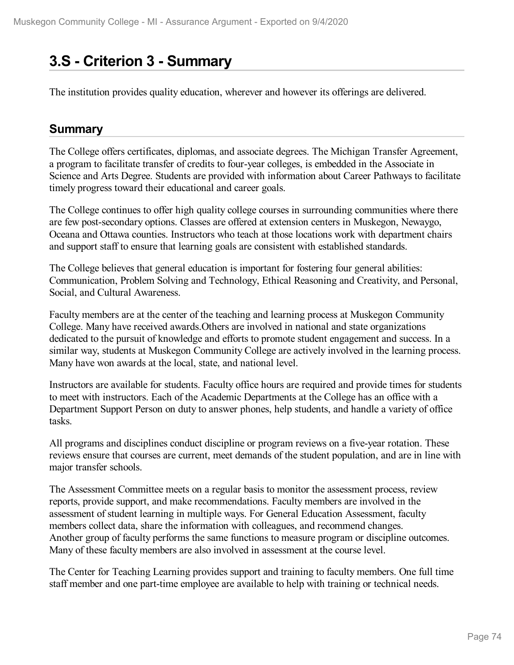# **3.S - Criterion 3 -Summary**

The institution provides quality education, wherever and however its offerings are delivered.

### **Summary**

The College offers certificates, diplomas, and associate degrees. The Michigan Transfer Agreement, a program to facilitate transfer of credits to four-year colleges, is embedded in the Associate in Science and Arts Degree. Students are provided with information about Career Pathways to facilitate timely progress toward their educational and career goals.

The College continues to offer high quality college courses in surrounding communities where there are few post-secondary options. Classes are offered at extension centers in Muskegon, Newaygo, Oceana and Ottawa counties. Instructors who teach at those locations work with department chairs and support staff to ensure that learning goals are consistent with established standards.

The College believes that general education is important for fostering four general abilities: Communication, Problem Solving and Technology, Ethical Reasoning and Creativity, and Personal, Social, and Cultural Awareness.

Faculty members are at the center of the teaching and learning process at Muskegon Community College. Many have received awards.Others are involved in national and state organizations dedicated to the pursuit of knowledge and efforts to promote student engagement and success. In a similar way, students at Muskegon Community College are actively involved in the learning process. Many have won awards at the local, state, and national level.

Instructors are available for students. Faculty office hours are required and provide times for students to meet with instructors. Each of the Academic Departments at the College has an office with a Department Support Person on duty to answer phones, help students, and handle a variety of office tasks.

All programs and disciplines conduct discipline or program reviews on a five-year rotation. These reviews ensure that courses are current, meet demands of the student population, and are in line with major transfer schools.

The Assessment Committee meets on a regular basis to monitor the assessment process, review reports, provide support, and make recommendations. Faculty members are involved in the assessment of student learning in multiple ways. For General Education Assessment, faculty members collect data, share the information with colleagues, and recommend changes. Another group of faculty performs the same functions to measure program or discipline outcomes. Many of these faculty members are also involved in assessment at the course level.

The Center for Teaching Learning provides support and training to faculty members. One full time staff member and one part-time employee are available to help with training or technical needs.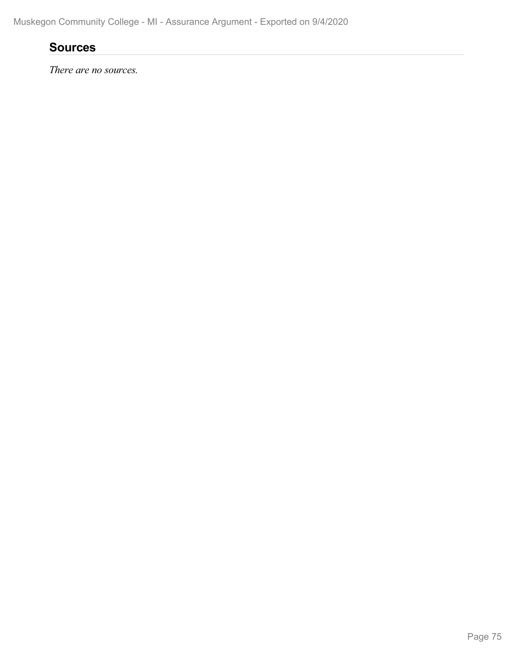## **Sources**

*There are no sources.*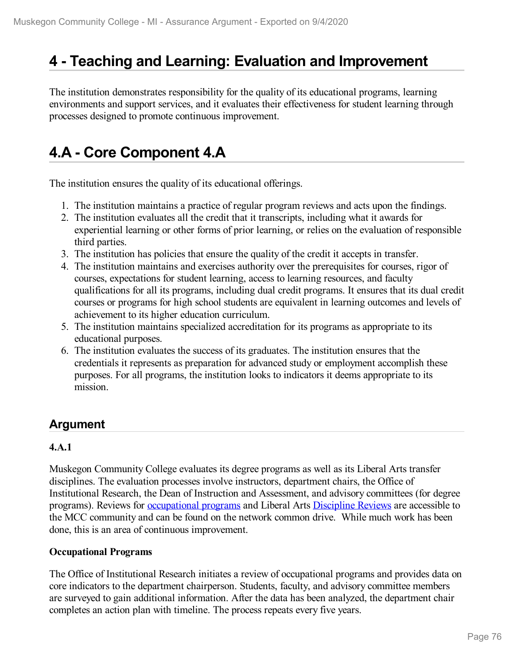# **4 -Teaching and Learning: Evaluation and Improvement**

The institution demonstrates responsibility for the quality of its educational programs, learning environments and support services, and it evaluates their effectiveness for student learning through processes designed to promote continuous improvement.

# **4.A - Core Component 4.A**

The institution ensures the quality of its educational offerings.

- 1. The institution maintains a practice of regular program reviews and acts upon the findings.
- 2. The institution evaluates all the credit that it transcripts, including what it awards for experiential learning or other forms of prior learning, or relies on the evaluation of responsible third parties.
- 3. The institution has policies that ensure the quality of the credit it accepts in transfer.
- 4. The institution maintains and exercises authority over the prerequisites for courses, rigor of courses, expectations for student learning, access to learning resources, and faculty qualifications for all its programs, including dual credit programs. It ensures that its dual credit courses or programs for high school students are equivalent in learning outcomes and levels of achievement to its higher education curriculum.
- 5. The institution maintains specialized accreditation for its programs as appropriate to its educational purposes.
- 6. The institution evaluates the success of its graduates. The institution ensures that the credentials it represents as preparation for advanced study or employment accomplish these purposes. For all programs, the institution looks to indicators it deems appropriate to its mission.

## **Argument**

#### **4.A.1**

Muskegon Community College evaluates its degree programs as well as its Liberal Arts transfer disciplines. The evaluation processes involve instructors, department chairs, the Office of Institutional Research, the Dean of Instruction and Assessment, and advisory committees (for degree programs). Reviews for [occupational](file:///D:/evidence/viewfile?fileId=1068919) programs and Liberal Arts [Discipline](file:///D:/evidence/viewfile?fileId=1068905) Reviews are accessible to the MCC community and can be found on the network common drive. While much work has been done, this is an area of continuous improvement.

#### **Occupational Programs**

The Office of Institutional Research initiates a review of occupational programs and provides data on core indicators to the department chairperson. Students, faculty, and advisory committee members are surveyed to gain additional information. After the data has been analyzed, the department chair completes an action plan with timeline. The process repeats every five years.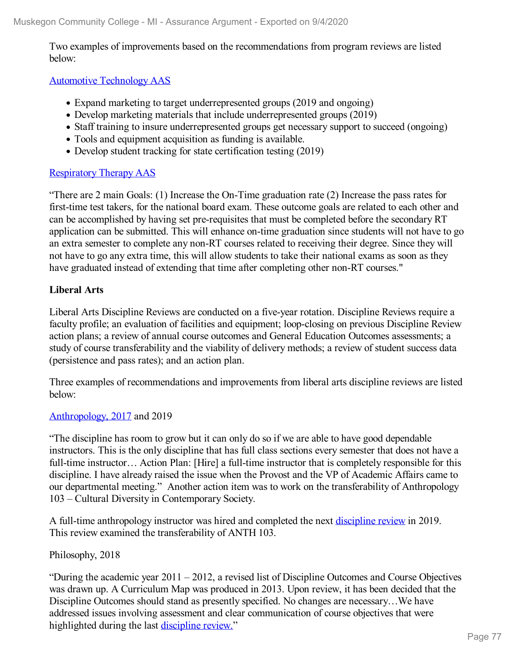Two examples of improvements based on the recommendations from program reviews are listed below:

#### Automotive [Technology](file:///D:/evidence/viewfile?fileId=1068902) AAS

- Expand marketing to target underrepresented groups (2019 and ongoing)
- Develop marketing materials that include underrepresented groups (2019)
- Staff training to insure underrepresented groups get necessary support to succeed (ongoing)
- Tools and equipment acquisition as funding is available.
- Develop student tracking for state certification testing (2019)

#### [Respiratory](file:///D:/evidence/viewfile?fileId=1068923) Therapy AAS

"There are 2 main Goals: (1) Increase the On-Time graduation rate (2) Increase the pass rates for first-time test takers, for the national board exam. These outcome goals are related to each other and can be accomplished by having set pre-requisites that must be completed before the secondary RT application can be submitted. This will enhance on-time graduation since students will not have to go an extra semester to complete any non-RT courses related to receiving their degree. Since they will not have to go any extra time, this will allow students to take their national exams as soon as they have graduated instead of extending that time after completing other non-RT courses."

#### **Liberal Arts**

Liberal Arts Discipline Reviews are conducted on a five-year rotation. Discipline Reviews require a faculty profile; an evaluation of facilities and equipment; loop-closing on previous Discipline Review action plans; a review ofannual course outcomes and General Education Outcomes assessments; a study of course transferability and the viability of delivery methods; a review of student success data (persistence and pass rates); and an action plan.

Three examples of recommendations and improvements from liberal arts discipline reviews are listed below:

#### [Anthropology](file:///D:/evidence/viewfile?fileId=1077144#page=15), [2017](file:///D:/evidence/viewfile?fileId=1077144#page=15) and 2019

"The discipline has room to grow but it can only do so if we are able to have good dependable instructors. This is the only discipline that has full class sections every semester that does not have a full-time instructor... Action Plan: [Hire] a full-time instructor that is completely responsible for this discipline. I have already raised the issue when the Provost and the VP of Academic Affairs came to our departmental meeting." Another action item was to work on the transferability of Anthropology 103 – Cultural Diversity in Contemporary Society.

A full-time anthropology instructor was hired and completed the next [discipline](file:///D:/evidence/viewfile?fileId=1068895#page=3) review in 2019. This review examined the transferability of ANTH 103.

#### Philosophy, 2018

"During the academic year 2011 – 2012, a revised list of Discipline Outcomes and Course Objectives was drawn up. A Curriculum Map was produced in 2013. Upon review, it has been decided that the Discipline Outcomes should stand as presently specified. No changes are necessary…We have addressed issues involving assessment and clear communication of course objectives that were highlighted during the last [discipline](file:///D:/evidence/viewfile?fileid=1077145) review."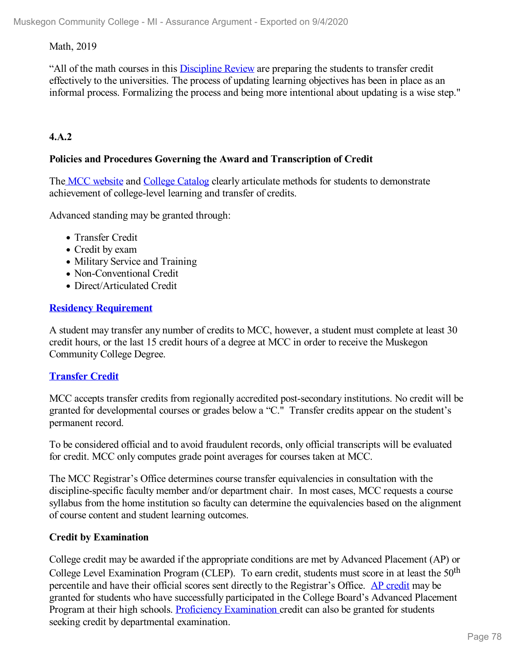#### Math, 2019

"All of the math courses in this [Discipline](file:///D:/evidence/viewfile?fileId=1068921) Review are preparing the students to transfer credit effectively to the universities. The process of updating learning objectives has been in place as an informal process. Formalizing the process and being more intentional about updating is a wise step."

#### **4.A.2**

#### **Policies and Procedures Governing the Award and Transcription of Credit**

The MCC [website](file:///D:/evidence/viewfile?fileId=1063207) and College [Catalog](http://www.muskegoncc.edu/academic-affairs/wp-content/uploads/sites/51/2020/05/20-21-Catalog-Web.pdf) clearly articulate methods for students to demonstrate achievement of college-level learning and transfer of credits.

Advanced standing may be granted through:

- Transfer Credit
- Credit by exam
- Military Service and Training
- Non-Conventional Credit
- Direct/Articulated Credit

#### **Residency [Requirement](file:///D:/evidence/viewfile?fileId=1086545#page=13)**

A student may transfer any number of credits to MCC, however, a student must complete at least 30 credit hours, or the last 15 credit hours of a degree at MCC in order to receive the Muskegon Community College Degree.

#### **[Transfer](file:///D:/evidence/viewfile?fileId=1086545#page=296) Credit**

MCC accepts transfer credits from regionally accredited post-secondary institutions. No credit will be granted for developmental courses or grades below a"C." Transfer credits appear on the student's permanent record.

To be considered official and to avoid fraudulent records, only official transcripts will be evaluated for credit. MCC only computes grade point averages for courses taken at MCC.

The MCC Registrar's Office determines course transfer equivalencies in consultation with the discipline-specific faculty member and/or department chair. In most cases, MCC requests a course syllabus from the home institution so faculty can determine the equivalencies based on the alignment of course content and student learning outcomes.

#### **Credit by Examination**

College credit may be awarded if the appropriate conditions are met by Advanced Placement (AP) or College Level Examination Program (CLEP). To earn credit, students must score in at least the 50<sup>th</sup> percentile and have their official scores sent directly to the Registrar's Office. AP [credit](file:///D:/evidence/viewfile?fileId=1063208) may be granted for students who have successfully participated in the College Board's Advanced Placement Program at their high schools. Proficiency [Examination](file:///D:/evidence/viewfile?fileId=1063206) credit can also be granted for students seeking credit by departmental examination.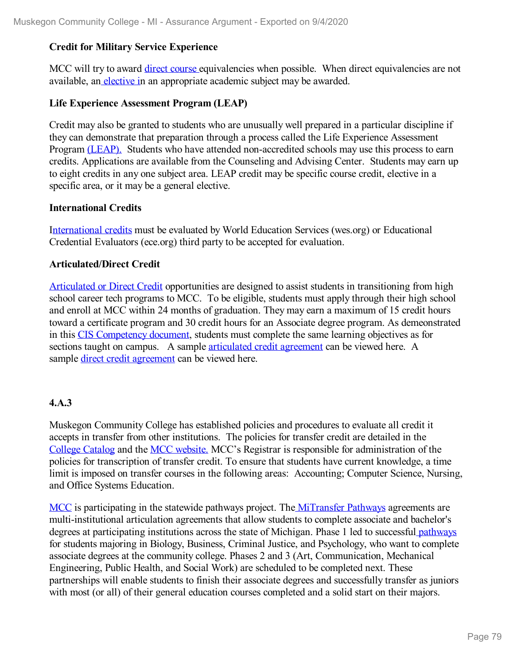#### **Credit for Military Service Experience**

MCC will try to award direct [course](file:///D:/evidence/viewfile?fileId=1063213) equivalencies when possible. When direct equivalencies are not available, an [elective](file:///D:/evidence/viewfile?fileId=1077163) in an appropriate academic subject may be awarded.

#### **Life Experience Assessment Program (LEAP)**

Credit may also be granted to students who are unusually well prepared in a particular discipline if they can demonstrate that preparation through a process called the Life Experience Assessment Program [\(LEAP\).](file:///D:/evidence/viewfile?fileId=1063202) Students who have attended non-accredited schools may use this process to earn credits. Applications are available from the Counseling and Advising Center. Students may earn up to eight credits in any one subject area. LEAP credit may be specific course credit, elective in a specific area, or it may be a general elective.

#### **International Credits**

I[nternational](file:///D:/evidence/viewfile?fileId=1063212) credits must be evaluated by World Education Services (wes.org) or Educational Credential Evaluators (ece.org) third party to be accepted for evaluation.

#### **Articulated/Direct Credit**

[Articulated](file:///D:/evidence/viewfile?fileId=1086545#page=299) or Direct Credit opportunities are designed to assist students in transitioning from high school career tech programs to MCC. To be eligible, students must apply through their high school and enroll at MCC within 24 months of graduation. They may earn a maximum of 15 credit hours toward a certificate program and 30 credit hours for an Associate degree program. As demeonstrated in this CIS [Competency](file:///D:/evidence/viewfile?fileId=1097360) document, students must complete the same learning objectives as for sections taught on campus. A sample [articulated](file:///D:/evidence/viewfile?fileId=1097362) credit agreement can be viewed here. A sample direct credit [agreement](file:///D:/evidence/viewfile?fileId=1097361) can be viewed here.

#### **4.A.3**

Muskegon Community College has established policies and procedures to evaluate all credit it accepts in transfer from other institutions. The policies for transfer credit are detailed in the [College](file:///D:/evidence/viewfile?fileId=1086545#page=299) [Catalog](file:///D:/evidence/viewfile?fileid=1063209) and the MCC [website.](file:///D:/evidence/viewfile?fileid=1063212) MCC's Registrar is responsible for administration of the policies for transcription of transfer credit. To ensure that students have current knowledge, a time limit is imposed on transfer courses in the following areas: Accounting; Computer Science, Nursing, and Office Systems Education.

[MCC](file:///D:/evidence/viewfile?fileId=1077166) is participating in the statewide pathways project. The [MiTransfer](file:///D:/evidence/viewfile?fileid=1063207) Pathways agreements are multi-institutional articulation agreements that allow students to complete associate and bachelor's degrees at participating institutions across the state of Michigan. Phase 1 led to successful [pathways](file:///D:/evidence/viewfile?fileId=1077142) for students majoring in Biology, Business, Criminal Justice, and Psychology, who want to complete associate degrees at the community college. Phases 2 and 3 (Art, Communication, Mechanical Engineering, Public Health, and Social Work) are scheduled to be completed next. These partnerships will enable students to finish their associate degrees and successfully transfer as juniors with most (or all) of their general education courses completed and a solid start on their majors.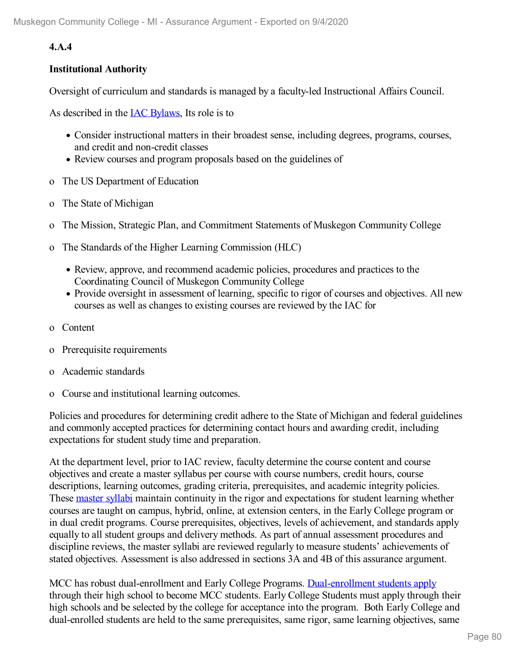### **4.A.4**

#### **Institutional Authority**

Oversight of curriculum and standards is managed by a faculty-led Instructional Affairs Council.

As described in the IAC [Bylaws](file:///D:/evidence/viewfile?fileId=1068738), Its role is to

- Consider instructional matters in their broadest sense, including degrees, programs, courses, and credit and non-credit classes
- Review courses and program proposals based on the guidelines of
- o The US Department of Education
- o The State of Michigan
- o The Mission, Strategic Plan, and Commitment Statements of Muskegon Community College
- o The Standards of the Higher Learning Commission (HLC)
	- Review, approve, and recommend academic policies, procedures and practices to the Coordinating Council of Muskegon Community College
	- Provide oversight in assessment of learning, specific to rigor of courses and objectives. All new courses as well as changes to existing courses are reviewed by the IAC for
- o Content
- o Prerequisite requirements
- o Academic standards
- o Course and institutional learning outcomes.

Policies and procedures for determining credit adhere to the State of Michigan and federal guidelines and commonly accepted practices for determining contact hours and awarding credit, including expectations for student study time and preparation.

At the department level, prior to IAC review, faculty determine the course content and course objectives and create a master syllabus per course with course numbers, credit hours, course descriptions, learning outcomes, grading criteria, prerequisites, and academic integrity policies. These [master](file:///D:/evidence/viewfile?fileId=1097402) syllabi maintain continuity in the rigor and expectations for student learning whether courses are taught on campus, hybrid, online, at extension centers, in the Early College program or in dual credit programs. Course prerequisites, objectives, levels of achievement, and standards apply equally to all student groups and delivery methods. As part of annual assessment procedures and discipline reviews, the master syllabi are reviewed regularly to measure students' achievements of stated objectives. Assessment is also addressed in sections 3A and 4B of this assurance argument.

MCC has robust dual-enrollment and Early College Programs. [Dual-enrollment](file:///D:/evidence/viewfile?fileId=1097398) students apply through their high school to become MCC students. Early College Students must apply through their high schools and be selected by the college for acceptance into the program. Both Early College and dual-enrolled students are held to the same prerequisites, same rigor, same learning objectives, same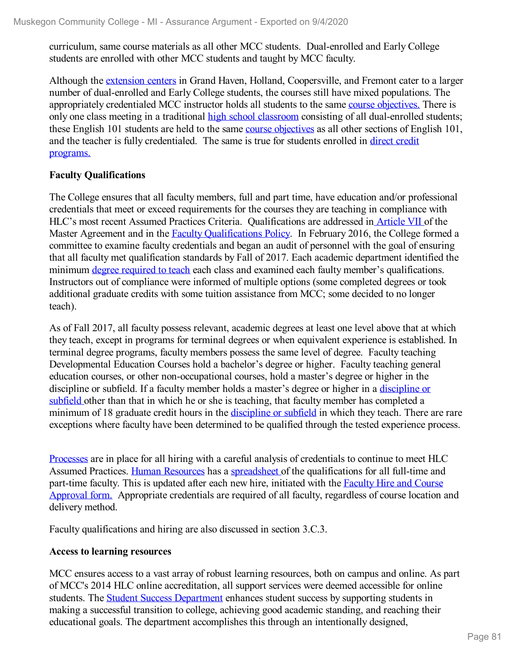curriculum, same course materials as all other MCC students. Dual-enrolled and Early College students are enrolled with other MCC students and taught by MCC faculty.

Although the [extension](file:///D:/evidence/viewfile?fileId=1063201#page=4) centers in Grand Haven, Holland, Coopersville, and Fremont cater to a larger number of dual-enrolled and Early College students, the courses still have mixed populations. The appropriately credentialed MCC instructor holds all students to the same course [objectives.](file:///D:/evidence/viewfile?fileId=1079235#page=2) There is only one class meeting in a traditional high school [classroom](file:///D:/evidence/viewfile?fileId=1063201#page=5) consisting of all dual-enrolled students; these English 101 students are held to the same course [objectives](file:///D:/evidence/viewfile?fileid=1079234) as all other sections of English 101, and the teacher is fully [credentialed.](file:///D:/evidence/viewfile?fileid=1063053) The same is true for students enrolled in direct credit programs[.](file:///D:/evidence/viewfile?fileid=1063053)

#### **Faculty Qualifications**

The College ensures that all faculty members, full and part time, have education and/or professional credentials that meet or exceed requirements for the courses they are teaching in compliance with HLC's most recent Assumed Practices Criteria. Qualifications are addressed in [Article](file:///D:/evidence/viewfile?fileId=1063200) VII of the Master Agreement and in the **Faculty [Qualifications](file:///D:/evidence/viewfile?fileId=1063194) Policy**. In February 2016, the College formed a committee to examine faculty credentials and began an audit of personnel with the goal of ensuring that all faculty met qualification standards by Fall of 2017. Each academic department identified the minimum degree [required](file:///D:/evidence/viewfile?fileId=1063186) to teach each class and examined each faulty member's qualifications. Instructors out of compliance were informed of multiple options (some completed degrees or took additional graduate credits with some tuition assistance from MCC; some decided to no longer teach).

As of Fall 2017, all faculty possess relevant, academic degrees at least one level above that at which they teach, except in programs for terminal degrees or when equivalent experience is established. In terminal degree programs, faculty members possess the same level of degree. Faculty teaching Developmental Education Courses hold a bachelor's degree or higher. Faculty teaching general education courses, or other non-occupational courses, hold a master's degree or higher in the discipline or subfield. If a faculty member holds a master's degree or higher in a discipline or subfield other than that in which he or she is teaching, that faculty member has [completed](file:///D:/evidence/viewfile?fileId=1063217) a minimum of 18 graduate credit hours in the [discipline](file:///D:/evidence/viewfile?fileId=1063216) or subfield in which they teach. There are rare exceptions where faculty have been determined to be qualified through the tested experience process.

[Processes](file:///D:/evidence/viewfile?fileId=1063195) are in place for all hiring with a careful analysis of credentials to continue to meet HLC Assumed Practices. Human [Resources](file:///D:/evidence/viewfile?fileId=1063198) has a [spreadsheet](file:///D:/evidence/viewfile?fileId=1063189) of the qualifications for all full-time and part-time faculty. This is updated after each new hire, initiated with the **Faculty Hire and Course** Approval form. [Appropriate](file:///D:/evidence/viewfile?fileId=1063192) credentials are required of all faculty, regardless of course location and delivery method.

Faculty qualifications and hiring are also discussed in section 3.C.3.

#### **Access to learning resources**

MCC ensures access to a vast array of robust learning resources, both on campus and online. As part of MCC's 2014 HLC online accreditation, all support services were deemed accessible for online students. The **Student Success [Department](file:///D:/evidence/viewfile?fileId=1097419)** enhances student success by supporting students in making a successful transition to college, achieving good academic standing, and reaching their educational goals. The department accomplishes this through an intentionally designed,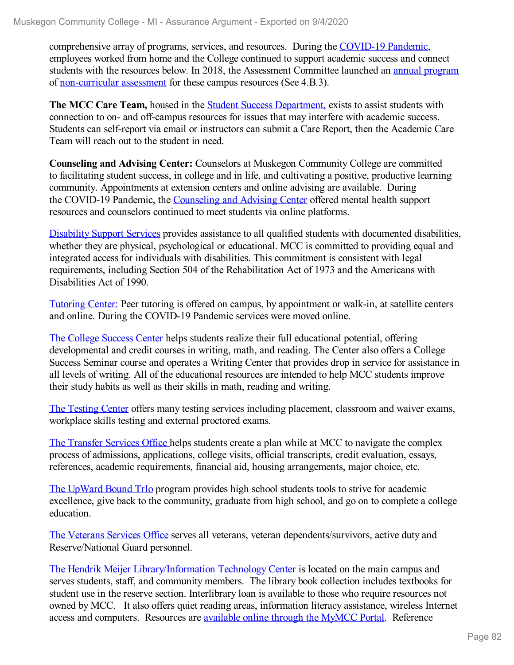comprehensive array of programs, services, and resources. During the [COVID-19](file:///D:/evidence/viewfile?fileId=1097409) Pandemic, employees worked from home and the College continued to support academic success and connect students with the resources below. In 2018, the Assessment Committee launched an annual [program](file:///D:/evidence/viewfile?fileId=1063218) of [non-curricular](file:///D:/evidence/viewfile?fileId=1068901) assessment for these campus resources (See 4.B.3).

**The MCC Care Team,** housed in the Student Success [Department,](file:///D:/evidence/viewfile?fileId=1097419) exists to assist students with connection to on- and off-campus resources for issues that may interfere with academic success. Students can self-report via email or instructors can submit a Care Report, then the Academic Care Team will reach out to the student in need.

**Counseling and Advising Center:** Counselors at Muskegon Community College are committed to facilitating student success, in college and in life, and cultivating a positive, productive learning community. Appointments at extension centers and online advising are available. During the COVID-19 Pandemic, the [Counseling](file:///D:/evidence/viewfile?fileId=1097408) and Advising Center offered mental health support resources and counselors continued to meet students via online platforms.

[Disability](file:///D:/evidence/viewfile?fileId=1097407) Support Services provides assistance to all qualified students with documented disabilities, whether they are physical, psychological or educational. MCC is committed to providing equal and integrated access for individuals with disabilities. This commitment is consistent with legal requirements, including Section 504 of the Rehabilitation Act of 1973 and the Americans with Disabilities Act of 1990.

[Tutoring](file:///D:/evidence/viewfile?fileId=1086545#page=21) Center: Peer tutoring is offered on campus, by appointment or walk-in, at satellite centers and online. During the COVID-19 Pandemic services were moved online.

The College [Success](file:///D:/evidence/viewfile?fileId=1086545#page=21) Center helps students realize their full educational potential, offering developmental and credit courses in writing, math, and reading. The Center also offers a College Success Seminar course and operates a Writing Center that provides drop in service for assistance in all levels of writing. All of the educational resources are intended to help MCC students improve their study habits as well as their skills in math, reading and writing.

The [Testing](file:///D:/evidence/viewfile?fileId=1086545#page=15) Center offers many testing services including placement, classroom and waiver exams, workplace skills testing and external proctored exams.

The [Transfer](file:///D:/evidence/viewfile?fileId=1063191) Services Office helps students create a plan while at MCC to navigate the complex process of admissions, applications, college visits, official transcripts, credit evaluation, essays, references, academic requirements, financial aid, housing arrangements, major choice, etc.

The [UpWard](file:///D:/evidence/viewfile?fileId=1097416) Bound TrIo program provides high school students tools to strive for academic excellence, give back to the community, graduate from high school, and go on to complete a college education.

The [Veterans](file:///D:/evidence/viewfile?fileId=1086545#page=28) Services Office serves all veterans, veteran dependents/survivors, active duty and Reserve/National Guard personnel.

The Hendrik Meijer [Library/Information](file:///D:/evidence/viewfile?fileId=1097411) Technology Center is located on the main campus and serves students, staff, and community members. The library book collection includes textbooks for student use in the reserve section. Interlibrary loan is available to those who require resources not owned by MCC. It also offers quiet reading areas, information literacy assistance, wireless Internet access and computers. Resources are [available](file:///D:/evidence/viewfile?fileId=1097413) online through the MyMCC Portal. Reference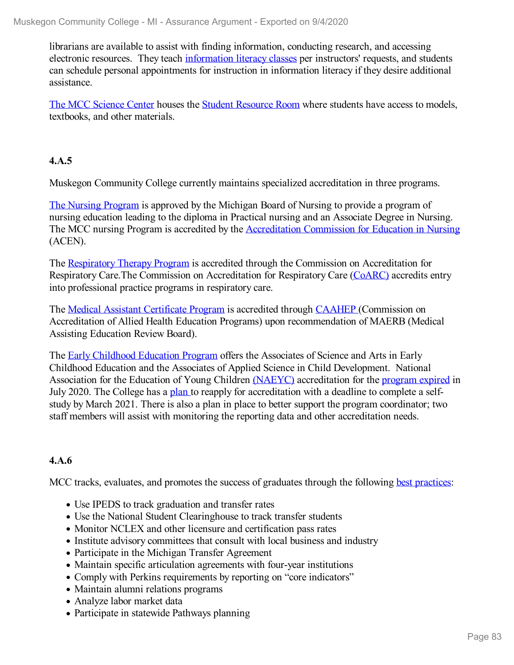librarians are available to assist with finding information, conducting research, and accessing electronic resources. They teach [information](file:///D:/evidence/viewfile?fileId=1077201) literacy classes per instructors' requests, and students can schedule personal appointments for instruction in information literacy if they desire additional assistance.

The MCC [Science](file:///D:/evidence/viewfile?fileid=1097414) Center houses the Student [Resource](file:///D:/evidence/viewfile?fileId=1097414#page=5) Room where students have access to models, textbooks, and other materials.

#### **4.A.5**

Muskegon Community College currently maintains specialized accreditation in three programs.

The Nursing [Program](file:///D:/evidence/viewfile?fileId=1097418) is approved by the Michigan Board of Nursing to provide a program of nursing education leading to the diploma in Practical nursing and an Associate Degree in Nursing. The MCC nursing Program is accredited by the [Accreditation](file:///D:/evidence/viewfile?fileId=1063182) Commission for Education in Nursing (ACEN).

The [Respiratory](file:///D:/evidence/viewfile?fileId=1097410) Therapy Program is accredited through the Commission on Accreditation for Respiratory Care.The Commission on Accreditation for Respiratory Care [\(CoARC\)](file:///D:/evidence/viewfile?fileId=1063183) accredits entry into professional practice programs in respiratory care.

The Medical Assistant [Certificate](file:///D:/evidence/viewfile?fileId=1097412) Program is accredited through [CAAHEP](file:///D:/evidence/viewfile?fileId=1063176) (Commission on Accreditation of Allied Health Education Programs) upon recommendation of MAERB (Medical Assisting Education Review Board).

The Early [Childhood](file:///D:/evidence/viewfile?fileId=1097406) Education Program offers the Associates of Science and Arts in Early Childhood Education and the Associates of Applied Science in Child Development. National Association for the Education of Young Children [\(NAEYC\)](file:///D:/evidence/viewfile?fileId=1063173) accreditation for the [program](file:///D:/evidence/viewfile?fileId=1077207) expired in July 2020. The College has a [plan](file:///D:/evidence/viewfile?fileId=1077198) to reapply for accreditation with a deadline to complete a selfstudy by March 2021. There is also a plan in place to better support the program coordinator; two staff members will assist with monitoring the reporting data and other accreditation needs.

#### **4.A.6**

MCC tracks, evaluates, and promotes the success of graduates through the following best [practices](file:///D:/evidence/viewfile?fileId=1068742):

- Use IPEDS to track graduation and transfer rates
- Use the National Student Clearinghouse to track transfer students
- Monitor NCLEX and other licensure and certification pass rates
- Institute advisory committees that consult with local business and industry
- Participate in the Michigan Transfer Agreement
- Maintain specific articulation agreements with four-year institutions
- Comply with Perkins requirements by reporting on "core indicators"
- Maintain alumni relations programs
- Analyze labor market data
- Participate in statewide Pathways planning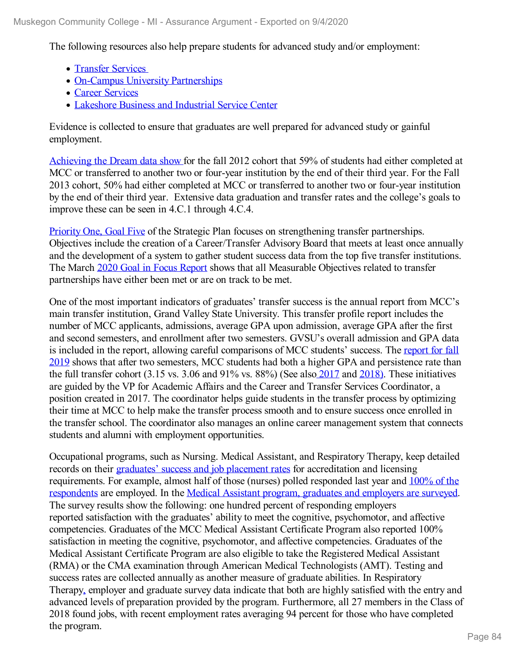The following resources also help prepare students for advanced study and/or employment:

- [Transfer](file:///D:/evidence/viewfile?fileId=1063191) Services
- On-Campus University [Partnerships](file:///D:/evidence/viewfile?fileId=1063169)
- Career [Services](file:///D:/evidence/viewfile?fileId=1063164)
- [Lakeshore](file:///D:/evidence/viewfile?fileId=1097415) Business and Industrial Service Center

Evidence is collected to ensure that graduates are well prepared for advanced study or gainful employment.

[Achieving](file:///D:/evidence/viewfile?fileId=1063151) the Dream data [show](file:///D:/evidence/viewfile?fileId=1063150) for the fall 2012 cohort that 59% of students had either completed at MCC or transferred to another two or four-year institution by the end of their third year. For the Fall 2013 cohort, 50% had either completed at MCC or transferred to another two or four-year institution by the end of their third year. Extensive data graduation and transfer rates and the college's goals to improve these can be seen in 4.C.1 through 4.C.4.

[Priority](file:///D:/evidence/viewfile?fileId=1077293#page=3) One, Goal Five of the Strategic Plan focuses on strengthening transfer partnerships. Objectives include the creation of a Career/Transfer Advisory Board that meets at least once annually and the development of a system to gather student success data from the top five transfer institutions. The March 2020 Goal in Focus [Report](file:///D:/evidence/viewfile?fileId=1063160) shows that all Measurable Objectives related to transfer partnerships have either been met or are on track to be met.

One of the most important indicators of graduates' transfer success is the annual report from MCC's main transfer institution, Grand Valley State University. This transfer profile report includes the number of MCC applicants, admissions, average GPA upon admission, average GPA after the first and second semesters, and enrollment after two semesters. GVSU's overall admission and GPA data is included in the report, allowing careful [comparisons](file:///D:/evidence/viewfile?fileId=1063157) of MCC students' success. The report for fall 2019 shows that after two semesters, MCC students had both a higher GPA and persistence rate than the full transfer cohort (3.15 vs. 3.06 and 91% vs. 88%) (See also [2017](file:///D:/evidence/viewfile?fileId=1063149) and [2018\)](file:///D:/evidence/viewfile?fileId=1063148). These initiatives are guided by the VP for Academic Affairs and the Career and Transfer Services Coordinator, a position created in 2017. The coordinator helps guide students in the transfer process by optimizing their time at MCC to help make the transfer process smooth and to ensure success once enrolled in the transfer school. The coordinator also manages an online career management system that connects students and alumni with employment opportunities.

Occupational programs, such as Nursing. Medical Assistant, and Respiratory Therapy, keep detailed records on their [graduates'](file:///D:/evidence/viewfile?fileId=1063156#page=7) success and job placement rates for accreditation and licensing [requirements.](file:///D:/evidence/viewfile?fileId=1063156) For example, almost half of those (nurses) polled responded last year and 100% of the respondents are employed. In the Medical Assistant program, graduates and [employers](file:///D:/evidence/viewfile?fileId=1097617) are surveyed. The survey results show the following: one hundred percent of responding employers reported satisfaction with the graduates' ability to meet the cognitive, psychomotor, and affective competencies. Graduates of the MCC Medical Assistant Certificate Program also reported 100% satisfaction in meeting the cognitive, psychomotor, and affective competencies. Graduates of the Medical Assistant Certificate Program are also eligible to take the Registered Medical Assistant (RMA) or the CMA examination through American Medical Technologists (AMT). Testing and success rates are collected annually as another measure of graduate abilities. In Respiratory Therap[y,](file:///D:/evidence/viewfile?fileId=1097421) employer and graduate survey data indicate that both are highly satisfied with the entry and advanced levels of preparation provided by the program. Furthermore, all 27 members in the Class of 2018 found jobs, with recent employment rates averaging 94 percent for those who have completed the program.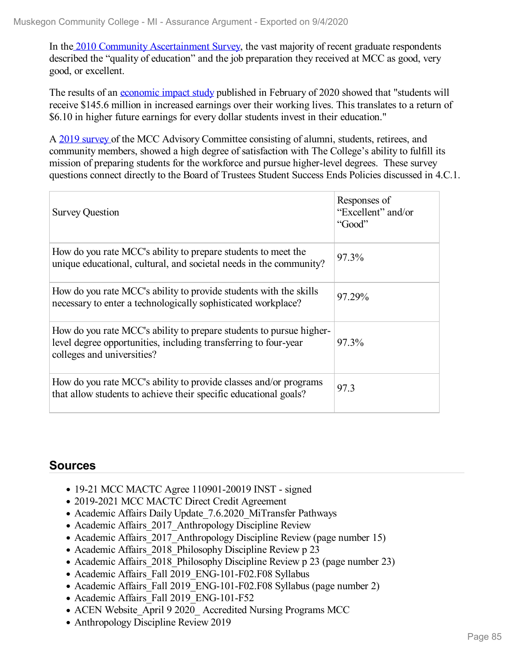In the 2010 Community [Ascertainment](file:///D:/evidence/viewfile?fileId=1063162) Survey, the vast majority of recent graduate respondents described the "quality of education" and the job preparation they received at MCC as good, very good, or excellent.

The results of an <u>[economic](file:///D:/evidence/viewfile?fileId=1097364) impact study</u> published in February of 2020 showed that "students will receive \$145.6 million in increased earnings over their working lives. This translates to a return of \$6.10 in higher future earnings for every dollar students invest in their education."

A 2019 [survey](file:///D:/evidence/viewfile?fileId=1063154) of the MCC Advisory Committee consisting of alumni, students, retirees, and community members, showed a high degree of satisfaction with The College's ability to fulfill its mission of preparing students for the workforce and pursue higher-level degrees. These survey questions connect directly to the Board of Trustees Student Success Ends Policies discussed in 4.C.1.

| <b>Survey Question</b>                                                                                                                                               | Responses of<br>"Excellent" and/or<br>"Good" |
|----------------------------------------------------------------------------------------------------------------------------------------------------------------------|----------------------------------------------|
| How do you rate MCC's ability to prepare students to meet the<br>unique educational, cultural, and societal needs in the community?                                  | 97.3%                                        |
| How do you rate MCC's ability to provide students with the skills<br>necessary to enter a technologically sophisticated workplace?                                   | 97.29%                                       |
| How do you rate MCC's ability to prepare students to pursue higher-<br>level degree opportunities, including transferring to four-year<br>colleges and universities? | $97.3\%$                                     |
| How do you rate MCC's ability to provide classes and/or programs<br>that allow students to achieve their specific educational goals?                                 | 97.3                                         |

### **Sources**

- 19-21 MCC MACTC Agree 110901-20019 INST signed
- 2019-2021 MCC MACTC Direct Credit Agreement
- Academic Affairs Daily Update 7.6.2020 MiTransfer Pathways
- Academic Affairs 2017 Anthropology Discipline Review
- Academic Affairs 2017 Anthropology Discipline Review (page number 15)
- Academic Affairs 2018 Philosophy Discipline Review p 23
- Academic Affairs 2018 Philosophy Discipline Review p 23 (page number 23)
- Academic Affairs Fall 2019 ENG-101-F02.F08 Syllabus
- Academic Affairs Fall 2019 ENG-101-F02.F08 Syllabus (page number 2)
- Academic Affairs Fall 2019 ENG-101-F52
- ACEN Website April 9 2020 Accredited Nursing Programs MCC
- Anthropology Discipline Review 2019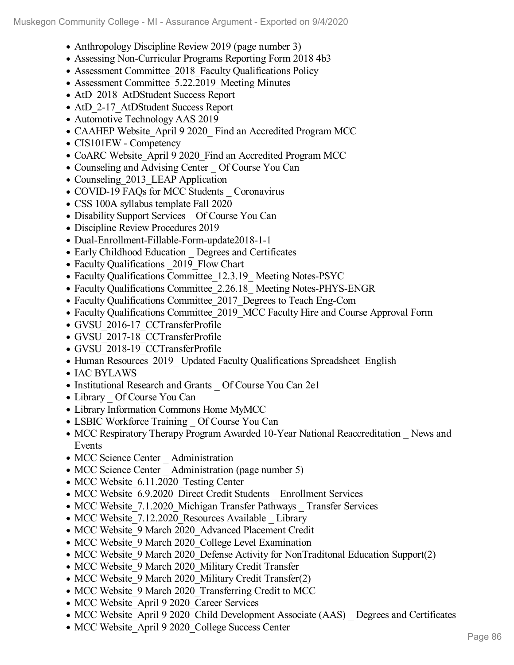- Anthropology Discipline Review 2019 (page number 3)
- Assessing Non-Curricular Programs Reporting Form 2018 4b3
- Assessment Committee\_2018\_Faculty Qualifications Policy
- Assessment Committee 5.22.2019 Meeting Minutes
- AtD 2018 AtDStudent Success Report
- AtD 2-17 AtDStudent Success Report
- Automotive Technology AAS 2019
- CAAHEP Website April 9 2020 Find an Accredited Program MCC
- CIS101EW Competency
- CoARC Website April 9 2020 Find an Accredited Program MCC
- Counseling and Advising Center Of Course You Can
- Counseling 2013 LEAP Application
- COVID-19 FAQs for MCC Students Coronavirus
- CSS 100A syllabus template Fall 2020
- Disability Support Services Of Course You Can
- Discipline Review Procedures 2019
- Dual-Enrollment-Fillable-Form-update2018-1-1
- Early Childhood Education \_ Degrees and Certificates
- Faculty Qualifications 2019 Flow Chart
- Faculty Qualifications Committee 12.3.19 Meeting Notes-PSYC
- Faculty Qualifications Committee 2.26.18 Meeting Notes-PHYS-ENGR
- Faculty Qualifications Committee 2017 Degrees to Teach Eng-Com
- Faculty Qualifications Committee 2019 MCC Faculty Hire and Course Approval Form
- GVSU\_2016-17\_CCTransferProfile
- GVSU\_2017-18\_CCTransferProfile
- GVSU\_2018-19\_CCTransferProfile
- Human Resources 2019 Updated Faculty Qualifications Spreadsheet English
- IAC BYLAWS
- Institutional Research and Grants \_ Of Course You Can 2e1
- Library Of Course You Can
- Library Information Commons Home MyMCC
- LSBIC Workforce Training \_ Of Course You Can
- MCC Respiratory Therapy Program Awarded 10-Year National Reaccreditation News and Events
- MCC Science Center Administration
- MCC Science Center Administration (page number 5)
- MCC Website 6.11.2020 Testing Center
- MCC Website 6.9.2020 Direct Credit Students Enrollment Services
- MCC Website 7.1.2020 Michigan Transfer Pathways Transfer Services
- MCC Website 7.12.2020 Resources Available Library
- MCC Website 9 March 2020 Advanced Placement Credit
- MCC Website 9 March 2020 College Level Examination
- MCC Website 9 March 2020 Defense Activity for NonTraditonal Education Support(2)
- MCC Website 9 March 2020 Military Credit Transfer
- MCC Website 9 March 2020 Military Credit Transfer(2)
- MCC Website 9 March 2020 Transferring Credit to MCC
- MCC Website April 9 2020 Career Services
- MCC Website April 9 2020 Child Development Associate (AAS) Degrees and Certificates
- MCC Website\_April 9 2020\_College Success Center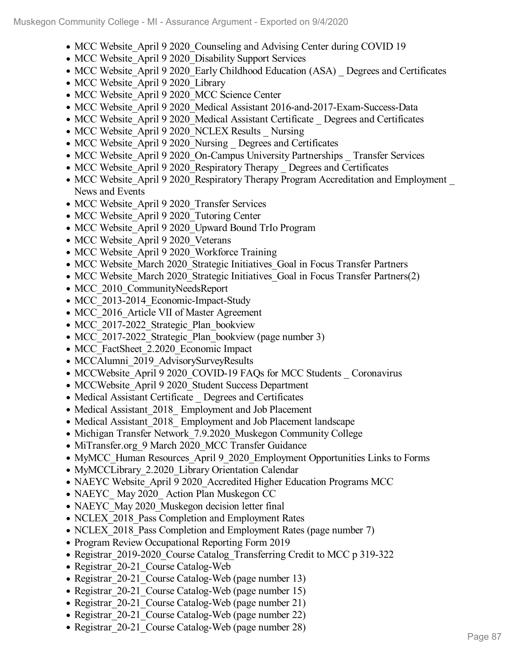- MCC Website April 9 2020 Counseling and Advising Center during COVID 19
- MCC Website April 9 2020 Disability Support Services
- MCC Website April 9 2020 Early Childhood Education (ASA) Degrees and Certificates
- MCC Website April 9 2020 Library
- MCC Website\_April 9 2020 MCC Science Center
- MCC Website April 9 2020 Medical Assistant 2016-and-2017-Exam-Success-Data
- MCC Website April 9 2020 Medical Assistant Certificate Degrees and Certificates
- MCC Website April 9 2020 NCLEX Results Nursing
- MCC Website April 9 2020 Nursing Degrees and Certificates
- MCC Website April 9 2020 On-Campus University Partnerships Transfer Services
- MCC Website April 9 2020 Respiratory Therapy Degrees and Certificates
- MCC Website April 9 2020 Respiratory Therapy Program Accreditation and Employment News and Events
- MCC Website April 9 2020 Transfer Services
- MCC Website April 9 2020 Tutoring Center
- MCC Website April 9 2020 Upward Bound TrIo Program
- MCC Website April 9 2020 Veterans
- MCC Website April 9 2020 Workforce Training
- MCC Website March 2020 Strategic Initiatives Goal in Focus Transfer Partners
- MCC Website March 2020 Strategic Initiatives Goal in Focus Transfer Partners(2)
- MCC 2010 CommunityNeedsReport
- MCC 2013-2014 Economic-Impact-Study
- MCC 2016 Article VII of Master Agreement
- MCC 2017-2022 Strategic Plan bookview
- MCC 2017-2022 Strategic Plan bookview (page number 3)
- MCC\_FactSheet\_2.2020\_Economic Impact
- MCCAlumni 2019 AdvisorySurveyResults
- MCCWebsite April 9 2020 COVID-19 FAQs for MCC Students Coronavirus
- MCCWebsite April 9 2020 Student Success Department
- Medical Assistant Certificate Degrees and Certificates
- Medical Assistant 2018 Employment and Job Placement
- Medical Assistant 2018 Employment and Job Placement landscape
- Michigan Transfer Network 7.9.2020 Muskegon Community College
- MiTransfer.org 9 March 2020 MCC Transfer Guidance
- MyMCC Human Resources April 9 2020 Employment Opportunities Links to Forms
- MyMCCLibrary 2.2020 Library Orientation Calendar
- NAEYC Website April 9 2020 Accredited Higher Education Programs MCC
- NAEYC May 2020 Action Plan Muskegon CC
- NAEYC May 2020 Muskegon decision letter final
- NCLEX 2018 Pass Completion and Employment Rates
- NCLEX 2018 Pass Completion and Employment Rates (page number 7)
- Program Review Occupational Reporting Form 2019
- Registrar 2019-2020 Course Catalog Transferring Credit to MCC p 319-322
- Registrar 20-21 Course Catalog-Web
- Registrar 20-21 Course Catalog-Web (page number 13)
- Registrar 20-21 Course Catalog-Web (page number 15)
- Registrar 20-21 Course Catalog-Web (page number 21)
- Registrar 20-21 Course Catalog-Web (page number 22)
- Registrar 20-21\_Course Catalog-Web (page number 28)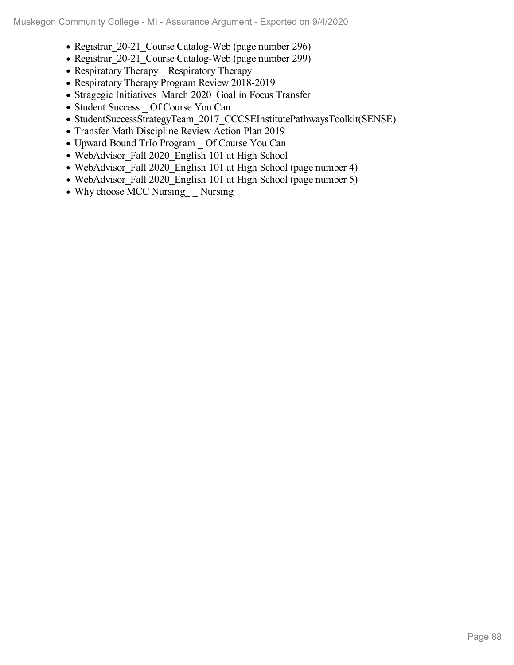- Registrar 20-21 Course Catalog-Web (page number 296)
- Registrar 20-21 Course Catalog-Web (page number 299)
- Respiratory Therapy Respiratory Therapy
- Respiratory Therapy Program Review 2018-2019
- Stragegic Initiatives March 2020 Goal in Focus Transfer
- Student Success \_ Of Course You Can
- StudentSuccessStrategyTeam\_2017\_CCCSEInstitutePathwaysToolkit(SENSE)
- Transfer Math Discipline Review Action Plan 2019
- Upward Bound TrIo Program \_ Of Course You Can
- WebAdvisor\_Fall 2020\_English 101 at High School
- WebAdvisor\_Fall 2020\_English 101 at High School (page number 4)
- WebAdvisor Fall 2020 English 101 at High School (page number 5)
- Why choose MCC Nursing Nursing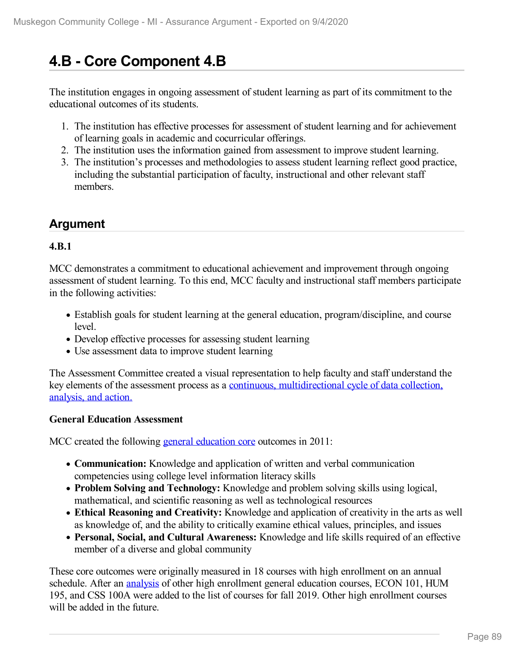# **4.B - Core Component 4.B**

The institution engages in ongoing assessment of student learning as part of its commitment to the educational outcomes of its students.

- 1. The institution has effective processes for assessment of student learning and for achievement of learning goals in academic and cocurricular offerings.
- 2. The institution uses the information gained from assessment to improve student learning.
- 3. The institution's processes and methodologies to assess student learning reflect good practice, including the substantial participation of faculty, instructional and other relevant staff members.

## **Argument**

#### **4.B.1**

MCC demonstrates a commitment to educational achievement and improvement through ongoing assessment of student learning. To this end, MCC faculty and instructional staff members participate in the following activities:

- Establish goals for student learning at the general education, program/discipline, and course level.
- Develop effective processes for assessing student learning
- Use assessment data to improve student learning

The Assessment Committee created a visual representation to help faculty and staff understand the key elements of the assessment process as a continuous, [multidirectional](file:///D:/evidence/viewfile?fileId=1097619) cycle of data collection, analysis, and action.

#### **General Education Assessment**

MCC created the following general [education](file:///D:/evidence/viewfile?fileId=1068914) core outcomes in 2011:

- **Communication:** Knowledge and application of written and verbal communication competencies using college level information literacy skills
- **Problem Solving and Technology:** Knowledge and problem solving skills using logical, mathematical, and scientific reasoning as well as technological resources
- **Ethical Reasoning and Creativity:** Knowledge and application of creativity in the arts as well as knowledge of, and the ability to critically examine ethical values, principles, and issues
- **Personal, Social, and Cultural Awareness:** Knowledge and life skills required of an effective member of a diverse and global community

These core outcomes were originally measured in 18 courses with high enrollment on an annual schedule. After an [analysis](file:///D:/evidence/viewfile?fileId=1068900) of other high enrollment general education courses, ECON 101, HUM 195, and CSS 100A were added to the list of courses for fall 2019. Other high enrollment courses will be added in the future.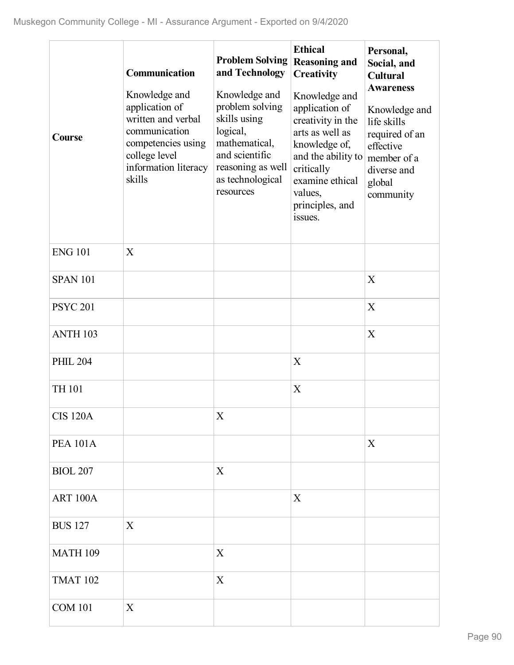| Course              | Communication<br>Knowledge and<br>application of<br>written and verbal<br>communication<br>competencies using<br>college level<br>information literacy<br>skills | <b>Problem Solving</b><br>and Technology<br>Knowledge and<br>problem solving<br>skills using<br>logical,<br>mathematical,<br>and scientific<br>reasoning as well<br>as technological<br>resources | <b>Ethical</b><br><b>Reasoning and</b><br>Creativity<br>Knowledge and<br>application of<br>creativity in the<br>arts as well as<br>knowledge of,<br>and the ability to<br>critically<br>examine ethical<br>values,<br>principles, and<br>issues. | Personal,<br>Social, and<br><b>Cultural</b><br><b>Awareness</b><br>Knowledge and<br>life skills<br>required of an<br>effective<br>member of a<br>diverse and<br>global<br>community |
|---------------------|------------------------------------------------------------------------------------------------------------------------------------------------------------------|---------------------------------------------------------------------------------------------------------------------------------------------------------------------------------------------------|--------------------------------------------------------------------------------------------------------------------------------------------------------------------------------------------------------------------------------------------------|-------------------------------------------------------------------------------------------------------------------------------------------------------------------------------------|
| <b>ENG 101</b>      | X                                                                                                                                                                |                                                                                                                                                                                                   |                                                                                                                                                                                                                                                  |                                                                                                                                                                                     |
| <b>SPAN 101</b>     |                                                                                                                                                                  |                                                                                                                                                                                                   |                                                                                                                                                                                                                                                  | X                                                                                                                                                                                   |
| <b>PSYC 201</b>     |                                                                                                                                                                  |                                                                                                                                                                                                   |                                                                                                                                                                                                                                                  | X                                                                                                                                                                                   |
| ANTH <sub>103</sub> |                                                                                                                                                                  |                                                                                                                                                                                                   |                                                                                                                                                                                                                                                  | X                                                                                                                                                                                   |
| <b>PHIL 204</b>     |                                                                                                                                                                  |                                                                                                                                                                                                   | X                                                                                                                                                                                                                                                |                                                                                                                                                                                     |
| TH 101              |                                                                                                                                                                  |                                                                                                                                                                                                   | X                                                                                                                                                                                                                                                |                                                                                                                                                                                     |
| <b>CIS 120A</b>     |                                                                                                                                                                  | $\mathbf X$                                                                                                                                                                                       |                                                                                                                                                                                                                                                  |                                                                                                                                                                                     |
| <b>PEA 101A</b>     |                                                                                                                                                                  |                                                                                                                                                                                                   |                                                                                                                                                                                                                                                  | X                                                                                                                                                                                   |
| <b>BIOL 207</b>     |                                                                                                                                                                  | X                                                                                                                                                                                                 |                                                                                                                                                                                                                                                  |                                                                                                                                                                                     |
| ART 100A            |                                                                                                                                                                  |                                                                                                                                                                                                   | X                                                                                                                                                                                                                                                |                                                                                                                                                                                     |
| <b>BUS 127</b>      | X                                                                                                                                                                |                                                                                                                                                                                                   |                                                                                                                                                                                                                                                  |                                                                                                                                                                                     |
| <b>MATH 109</b>     |                                                                                                                                                                  | X                                                                                                                                                                                                 |                                                                                                                                                                                                                                                  |                                                                                                                                                                                     |
| <b>TMAT 102</b>     |                                                                                                                                                                  | X                                                                                                                                                                                                 |                                                                                                                                                                                                                                                  |                                                                                                                                                                                     |
| <b>COM 101</b>      | X                                                                                                                                                                |                                                                                                                                                                                                   |                                                                                                                                                                                                                                                  |                                                                                                                                                                                     |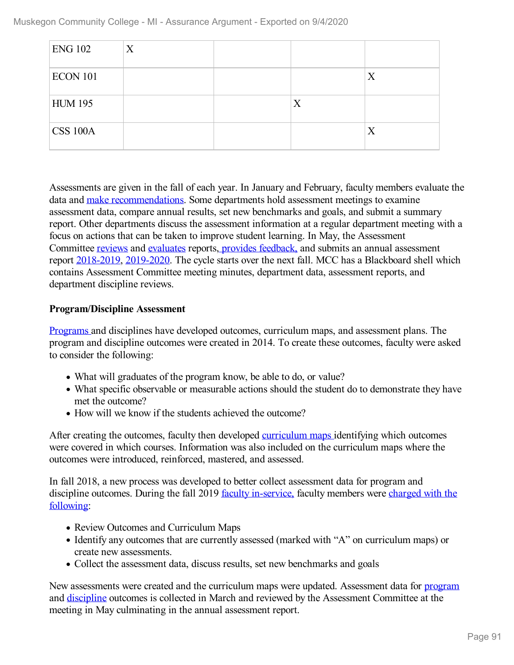Muskegon Community College - MI - Assurance Argument - Exported on 9/4/2020

| <b>ENG 102</b>  | X |   |   |
|-----------------|---|---|---|
| <b>ECON 101</b> |   |   | X |
| <b>HUM 195</b>  |   | X |   |
| <b>CSS 100A</b> |   |   | X |

Assessments are given in the fall of each year. In January and February, faculty members evaluate the data and make [recommendations.](file:///D:/evidence/viewfile?fileId=1068899) Some departments hold assessment meetings to examine assessment data, compare annual results, set new benchmarks and goals, and submit a summary report. Other departments discuss the assessment information at a regular department meeting with a focus on actions that can be taken to improve student learning. In May, the Assessment Committee [reviews](file:///D:/evidence/viewfile?fileId=1063218) and [evaluates](file:///D:/evidence/viewfile?fileId=1063219) reports, provides [feedback,](file:///D:/evidence/viewfile?fileId=1068897) and submits an annual assessment report [2018-2019](file:///D:/evidence/viewfile?fileid=1068896), [2019-2020](file:///D:/evidence/viewfile?fileId=1100923). The cycle starts over the next fall. MCC has a Blackboard shell which contains Assessment Committee meeting minutes, department data, assessment reports, and department discipline reviews.

#### **Program/Discipline Assessment**

[Programs](file:///D:/evidence/viewfile?fileId=1068917) and disciplines have developed outcomes, curriculum maps, and assessment plans. The program and discipline outcomes were created in 2014. To create these outcomes, faculty were asked to consider the following:

- What will graduates of the program know, be able to do, or value?
- What specific observable or measurable actions should the student do to demonstrate they have met the outcome?
- How will we know if the students achieved the outcome?

After creating the outcomes, faculty then developed [curriculum](file:///D:/evidence/viewfile?fileId=1068892) maps identifying which outcomes were covered in which courses. Information was also included on the curriculum maps where the outcomes were introduced, reinforced, mastered, and assessed.

In fall 2018, a new process was developed to better collect assessment data for program and discipline outcomes. During the fall 2019 faculty [in-service,](file:///D:/evidence/viewfile?fileId=1097620) faculty members were charged with the following:

- Review Outcomes and Curriculum Maps
- Identify any outcomes that are currently assessed (marked with "A" on curriculum maps) or create new assessments.
- Collect the assessment data, discuss results, set new benchmarks and goals

New assessments were created and the curriculum maps were updated. Assessment data for [program](file:///D:/evidence/viewfile?fileId=1068916) and [discipline](file:///D:/evidence/viewfile?fileId=1068904) outcomes is collected in March and reviewed by the Assessment Committee at the meeting in May culminating in the annual assessment report.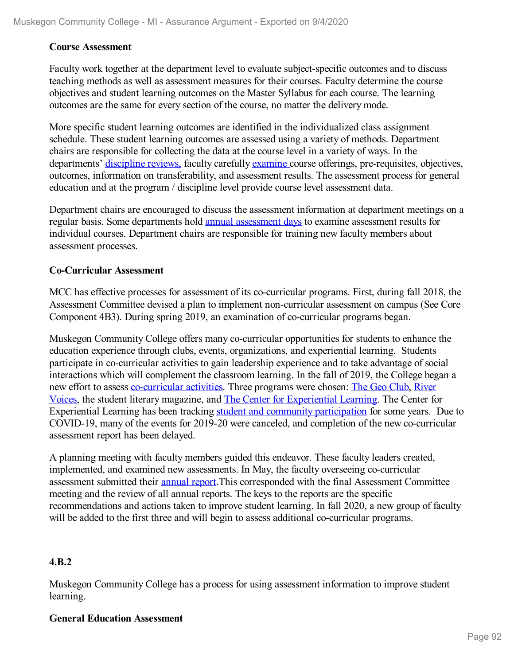#### **Course Assessment**

Faculty work together at the department level to evaluate subject-specific outcomes and to discuss teaching methods as well as assessment measures for their courses. Faculty determine the course objectives and student learning outcomes on the Master Syllabus for each course. The learning outcomes are the same for every section of the course, no matter the delivery mode.

More specific student learning outcomes are identified in the individualized class assignment schedule. These student learning outcomes are assessed using a variety of methods. Department chairs are responsible for collecting the data at the course level in a variety of ways. In the departments' [discipline](file:///D:/evidence/viewfile?fileId=1068905) reviews, faculty carefully [examine](file:///D:/evidence/viewfile?fileId=1068908) course offerings, pre-requisites, objectives, outcomes, information on transferability, and assessment results. The assessment process for general education and at the program / discipline level provide course level assessment data.

Department chairs are encouraged to discuss the assessment information at department meetings on a regular basis. Some departments hold annual [assessment](file:///D:/evidence/viewfile?fileId=1077235) days to examine assessment results for individual courses. Department chairs are responsible for training new faculty members about assessment processes.

#### **Co-Curricular Assessment**

MCC has effective processes for assessment of its co-curricular programs. First, during fall 2018, the Assessment Committee devised a plan to implement non-curricular assessment on campus (See Core Component 4B3). During spring 2019, an examination of co-curricular programs began.

Muskegon Community College offers many co-curricular opportunities for students to enhance the education experience through clubs, events, organizations, and experiential learning. Students participate in co-curricular activities to gain leadership experience and to take advantage of social interactions which will complement the classroom learning. In the fall of 2019, the College began a new effort to assess [co-curricular](file:///D:/evidence/viewfile?fileId=1099425) activities. Three programs were chosen: The Geo [Club](file:///D:/evidence/viewfile?fileId=1068903), River Voices, the student literary magazine, and The Center for [Experiential](file:///D:/evidence/viewfile?fileId=1068664) Learning. The Center for Experiential Learning has been tracking student and community [participation](file:///D:/evidence/viewfile?fileId=1099428) for some years. Due to COVID-19, many of the events for 2019-20 were canceled, and completion of the new co-curricular assessment report has been delayed.

A planning meeting with faculty members guided this endeavor. These faculty leaders created, implemented, and examined new assessments. In May, the faculty overseeing co-curricular assessment submitted their [annual](file:///D:/evidence/viewfile?fileId=1099423) report.This corresponded with the final Assessment Committee meeting and the review of all annual reports. The keys to the reports are the specific recommendations and actions taken to improve student learning. In fall 2020, a new group of faculty will be added to the first three and will begin to assess additional co-curricular programs.

#### **4.B.2**

Muskegon Community College has a process for using assessment information to improve student learning.

#### **General Education Assessment**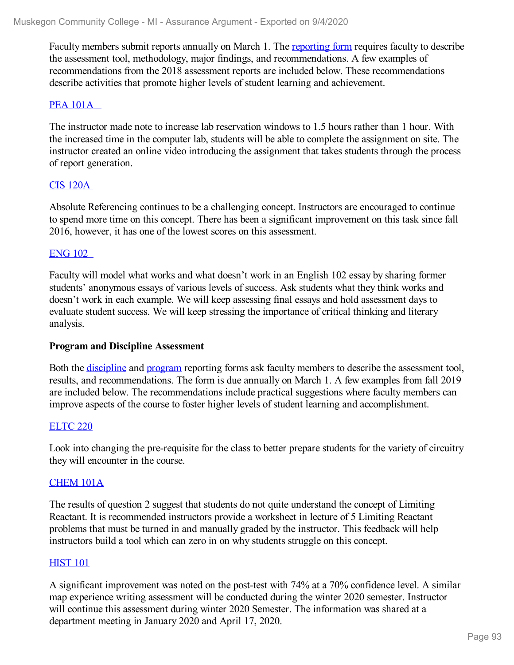Faculty members submit reports annually on March 1. The [reporting](file:///D:/evidence/viewfile?fileId=1097621) form requires faculty to describe the assessment tool, methodology, major findings, and recommendations. A few examples of recommendations from the 2018 assessment reports are included below. These recommendations describe activities that promote higher levels of student learning and achievement.

#### PEA [101A](file:///D:/evidence/viewfile?fileId=1068920)

The instructor made note to increase lab reservation windows to 1.5 hours rather than 1 hour. With the increased time in the computer lab, students will be able to complete the assignment on site. The instructor created an online video introducing the assignment that takes students through the process of report generation.

#### CIS [120A](file:///D:/evidence/viewfile?fileId=1068907)

Absolute Referencing continues to be a challenging concept. Instructors are encouraged to continue to spend more time on this concept. There has been a significant improvement on this task since fall 2016, however, it has one of the lowest scores on this assessment.

#### [ENG](file:///D:/evidence/viewfile?fileId=1068913) 102

Faculty will model what works and what doesn't work in an English 102 essay by sharing former students' anonymous essays of various levels of success. Ask students what they think works and doesn't work in each example. We will keep assessing final essays and hold assessment days to evaluate student success. We will keep stressing the importance of critical thinking and literary analysis.

#### **Program and Discipline Assessment**

Both the [discipline](file:///D:/evidence/viewfile?fileId=1097622) and [program](file:///D:/evidence/viewfile?fileid=1068915) reporting forms ask faculty members to describe the assessment tool, results, and recommendations. The form is due annually on March 1. A few examples from fall 2019 are included below. The recommendations include practical suggestions where faculty members can improve aspects of the course to foster higher levels of student learning and accomplishment.

#### [ELTC](file:///D:/evidence/viewfile?fileId=1099440) 220

Look into changing the pre-requisite for the class to better prepare students for the variety of circuitry they will encounter in the course.

#### [CHEM](file:///D:/evidence/viewfile?fileId=1099438) 101A

The results of question 2 suggest that students do not quite understand the concept of Limiting Reactant. It is recommended instructors provide a worksheet in lecture of 5 Limiting Reactant problems that must be turned in and manually graded by the instructor. This feedback will help instructors build a tool which can zero in on why students struggle on this concept.

#### **[HIST](file:///D:/evidence/viewfile?fileId=1068918) 101**

A significant improvement was noted on the post-test with 74% at a 70% confidence level. A similar map experience writing assessment will be conducted during the winter 2020 semester. Instructor will continue this assessment during winter 2020 Semester. The information was shared at a department meeting in January 2020 and April 17, 2020.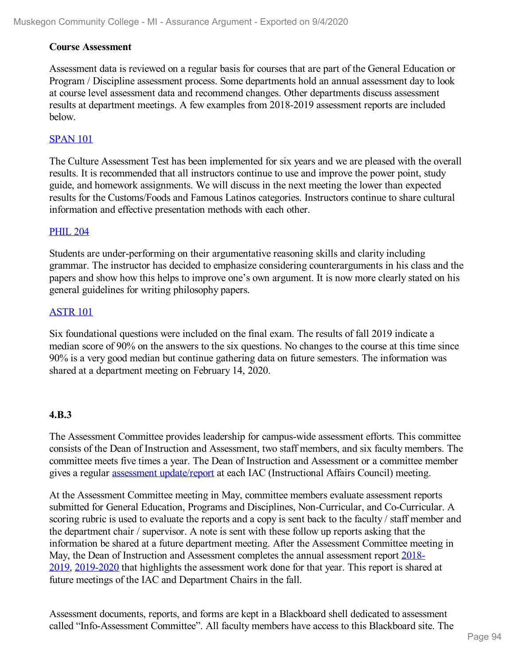#### **Course Assessment**

Assessment data is reviewed on a regular basis for courses that are part of the General Education or Program / Discipline assessment process. Some departments hold an annual assessment day to look at course level assessment data and recommend changes. Other departments discuss assessment results at department meetings. A few examples from 2018-2019 assessment reports are included below.

#### **[SPAN](file:///D:/evidence/viewfile?fileId=1068924) 101**

The Culture Assessment Test has been implemented for six years and we are pleased with the overall results. It is recommended that all instructors continue to use and improve the power point, study guide, and homework assignments. We will discuss in the next meeting the lower than expected results for the Customs/Foods and Famous Latinos categories. Instructors continue to share cultural information and effective presentation methods with each other.

#### [PHIL](file:///D:/evidence/viewfile?fileId=1097624#page=2) 204

Students are under-performing on their argumentative reasoning skills and clarity including grammar. The instructor has decided to emphasize considering counterarguments in his class and the papers and show how this helps to improve one's own argument. It is now more clearly stated on his general guidelines for writing philosophy papers.

#### [ASTR](file:///D:/evidence/viewfile?fileId=1099439) 101

Six foundational questions were included on the final exam. The results of fall 2019 indicate a median score of 90% on the answers to the six questions. No changes to the course at this time since 90% is a very good median but continue gathering data on future semesters. The information was shared at a department meeting on February 14, 2020.

#### **4.B.3**

The Assessment Committee provides leadership for campus-wide assessment efforts. This committee consists of the Dean of Instruction and Assessment, two staff members, and six faculty members. The committee meets five times a year. The Dean of Instruction and Assessment or a committee member gives a regular [assessment](file:///D:/evidence/viewfile?fileId=1068894#page=4) [update](file:///D:/evidence/viewfile?fileId=1068894)[/](file:///D:/evidence/viewfile?fileId=1068894#page=4)[report](file:///D:/evidence/viewfile?fileId=1068891) at each IAC (Instructional Affairs Council) meeting.

At the Assessment Committee meeting in May, committee members evaluate assessment reports submitted for General Education, Programs and Disciplines, Non-Curricular, and Co-Curricular. A scoring rubric is used to evaluate the reports and a copy is sent back to the faculty / staff member and the department chair / supervisor. A note is sent with these follow up reports asking that the information be shared at a future department meeting. After the Assessment Committee meeting in May, the Dean of Instruction and [Assessment](file:///D:/evidence/viewfile?fileid=1068896) completes the annual assessment report 2018-2019, [2019-2020](file:///D:/evidence/viewfile?fileId=1100923) that highlights the assessment work done for that year. This report is shared at future meetings of the IAC and Department Chairs in the fall.

Assessment documents, reports, and forms are kept in a Blackboard shell dedicated to assessment called "Info-Assessment Committee". All faculty members have access to this Blackboard site. The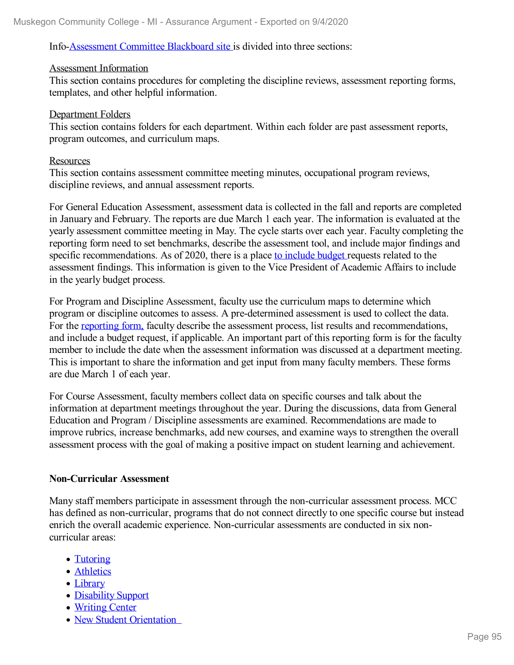#### Info[-Assessment](file:///D:/evidence/viewfile?fileId=1068898) Committee Blackboard site is divided into three sections:

#### Assessment Information

This section contains procedures for completing the discipline reviews, assessment reporting forms, templates, and other helpful information.

#### Department Folders

This section contains folders for each department. Within each folder are past assessment reports, program outcomes, and curriculum maps.

#### **Resources**

This section contains assessment committee meeting minutes, occupational program reviews, discipline reviews, and annual assessment reports.

For General Education Assessment, assessment data is collected in the fall and reports are completed in January and February. The reports are due March 1 each year. The information is evaluated at the yearly assessment committee meeting in May. The cycle starts over each year. Faculty completing the reporting form need to set benchmarks, describe the assessment tool, and include major findings and specific recommendations. As of 2020, there is a place to [include](file:///D:/evidence/viewfile?fileid=1068899) budget requests related to the assessment findings. This information is given to the Vice President of Academic Affairs to include in the yearly budget process.

For Program and Discipline Assessment, faculty use the curriculum maps to determine which program or discipline outcomes to assess. A pre-determined assessment is used to collect the data. For the [reporting](file:///D:/evidence/viewfile?fileid=1068915) form, faculty describe the assessment process, list results and recommendations, and include a budget request, if applicable. An important part of this reporting form is for the faculty member to include the date when the assessment information was discussed at a department meeting. This is important to share the information and get input from many faculty members. These forms are due March 1 of each year.

For Course Assessment, faculty members collect data on specific courses and talk about the information at department meetings throughout the year. During the discussions, data from General Education and Program / Discipline assessments are examined. Recommendations are made to improve rubrics, increase benchmarks, add new courses, and examine ways to strengthen the overall assessment process with the goal of making a positive impact on student learning and achievement.

#### **Non-Curricular Assessment**

Many staff members participate in assessment through the non-curricular assessment process. MCC has defined as non-curricular, programs that do not connect directly to one specific course but instead enrich the overall academic experience. Non-curricular assessments are conducted in six noncurricular areas:

- [Tutoring](file:///D:/evidence/viewfile?fileId=1068922)
- [Athletics](file:///D:/evidence/viewfile?fileId=1068901)
- [Library](file:///D:/evidence/viewfile?fileId=1097625)
- [Disability](file:///D:/evidence/viewfile?fileId=1068909) Support
- [Writing](file:///D:/evidence/viewfile?fileId=1097626) Center
- New Student [Orientation](file:///D:/evidence/viewfile?fileId=1097627)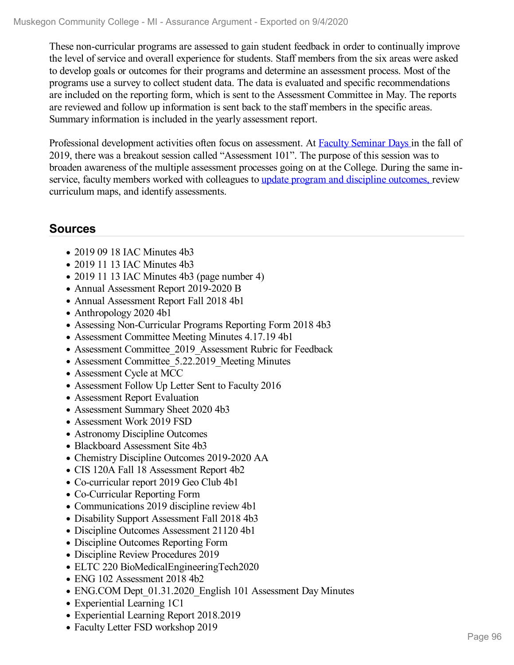These non-curricular programs are assessed to gain student feedback in order to continually improve the level of service and overall experience for students. Staff members from the six areas were asked to develop goals or outcomes for their programs and determine an assessment process. Most of the programs use a survey to collect student data. The data is evaluated and specific recommendations are included on the reporting form, which is sent to the Assessment Committee in May. The reports are reviewed and follow up information is sent back to the staff members in the specific areas. Summary information is included in the yearly assessment report.

Professional development activities often focus on assessment. At Faculty [Seminar](file:///D:/evidence/viewfile?fileid=1068910) Days in the fall of 2019, there was a breakout session called "Assessment 101". The purpose of this session was to broaden awareness of the multiple assessment processes going on at the College. During the same inservice, faculty members worked with colleagues to update program and discipline [outcomes,](file:///D:/evidence/viewfile?fileid=1068917) review curriculum maps, and identify assessments.

## **Sources**

- 2019 09 18 IAC Minutes 4b3
- 2019 11 13 IAC Minutes 4b3
- 2019 11 13 IAC Minutes 4b3 (page number 4)
- Annual Assessment Report 2019-2020 B
- Annual Assessment Report Fall 2018 4b1
- Anthropology 2020 4b1
- Assessing Non-Curricular Programs Reporting Form 2018 4b3
- Assessment Committee Meeting Minutes 4.17.19 4b1
- Assessment Committee 2019 Assessment Rubric for Feedback
- Assessment Committee 5.22.2019 Meeting Minutes
- Assessment Cycle at MCC
- Assessment Follow Up Letter Sent to Faculty 2016
- Assessment Report Evaluation
- Assessment Summary Sheet 2020 4b3
- Assessment Work 2019 FSD
- Astronomy Discipline Outcomes
- Blackboard Assessment Site 4b3
- Chemistry Discipline Outcomes 2019-2020 AA
- CIS 120A Fall 18 Assessment Report 4b2
- Co-curricular report 2019 Geo Club 4b1
- Co-Curricular Reporting Form
- Communications 2019 discipline review 4b1
- Disability Support Assessment Fall 2018 4b3
- Discipline Outcomes Assessment 21120 4b1
- Discipline Outcomes Reporting Form
- Discipline Review Procedures 2019
- ELTC 220 BioMedicalEngineeringTech2020
- ENG 102 Assessment 2018 4b2
- ENG.COM Dept 01.31.2020 English 101 Assessment Day Minutes
- Experiential Learning 1C1
- Experiential Learning Report 2018.2019
- Faculty Letter FSD workshop 2019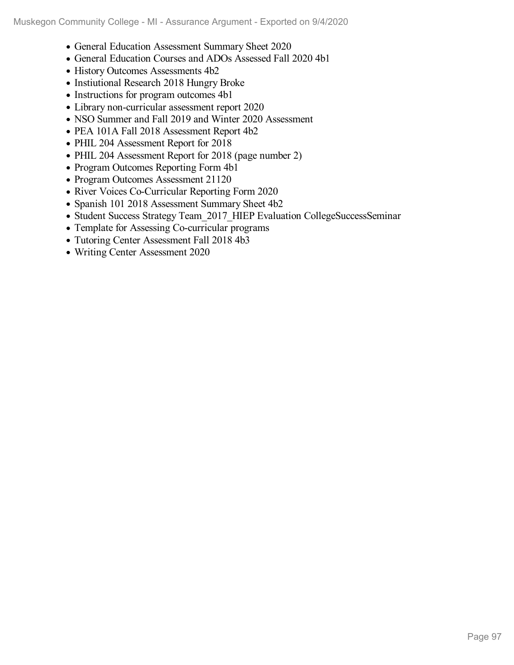- General Education Assessment Summary Sheet 2020
- General Education Courses and ADOs Assessed Fall 2020 4b1
- History Outcomes Assessments 4b2
- Instiutional Research 2018 Hungry Broke
- Instructions for program outcomes 4b1
- Library non-curricular assessment report 2020
- NSO Summer and Fall 2019 and Winter 2020 Assessment
- PEA 101A Fall 2018 Assessment Report 4b2
- PHIL 204 Assessment Report for 2018
- PHIL 204 Assessment Report for 2018 (page number 2)
- Program Outcomes Reporting Form 4b1
- Program Outcomes Assessment 21120
- River Voices Co-Curricular Reporting Form 2020
- Spanish 101 2018 Assessment Summary Sheet 4b2
- Student Success Strategy Team 2017 HIEP Evaluation CollegeSuccessSeminar
- Template for Assessing Co-curricular programs
- Tutoring Center Assessment Fall 2018 4b3
- Writing Center Assessment 2020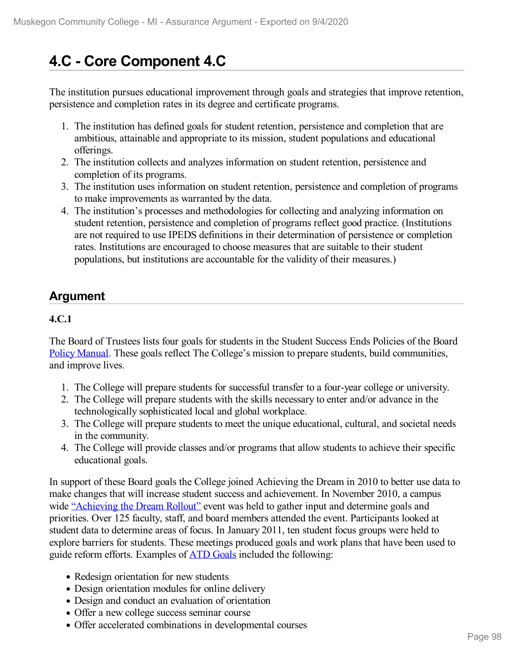# **4.C - Core Component 4.C**

The institution pursues educational improvement through goals and strategies that improve retention, persistence and completion rates in its degree and certificate programs.

- 1. The institution has defined goals for student retention, persistence and completion that are ambitious, attainable and appropriate to its mission, student populations and educational offerings.
- 2. The institution collects and analyzes information on student retention, persistence and completion of its programs.
- 3. The institution uses information on student retention, persistence and completion of programs to make improvements as warranted by the data.
- 4. The institution's processes and methodologies for collecting and analyzing information on student retention, persistence and completion of programs reflect good practice. (Institutions are not required to use IPEDS definitions in their determination of persistence or completion rates. Institutions are encouraged to choose measures that are suitable to their student populations, but institutions are accountable for the validity of their measures.)

# **Argument**

### **4.C.1**

The Board of Trustees lists four goals for students in the Student Success Ends Policies of the Board Policy [Manual](file:///D:/evidence/viewfile?fileId=1068982). These goals reflect The College's mission to prepare students, build communities, and improve lives.

- 1. The College will prepare students for successful transfer to a four-year college or university.
- 2. The College will prepare students with the skills necessary to enter and/or advance in the technologically sophisticated local and global workplace.
- 3. The College will prepare students to meet the unique educational, cultural, and societal needs in the community.
- 4. The College will provide classes and/or programs that allow students to achieve their specific educational goals.

In support of these Board goals the College joined Achieving the Dream in 2010 to better use data to make changes that will increase student success and achievement. In November 2010, a campus wide ["Achieving](file:///D:/evidence/viewfile?fileId=1099469) the Dream Rollout" event was held to gather input and determine goals and priorities. Over 125 faculty, staff, and board members attended the event. Participants looked at student data to determine areas of focus. In January 2011, ten student focus groups were held to explore barriers for students. These meetings produced goals and work plans that have been used to guide reform efforts. Examples of ATD [Goals](file:///D:/evidence/viewfile?fileId=1099469#page=1) included the following:

- Redesign orientation for new students
- Design orientation modules for online delivery
- Design and conduct an evaluation of orientation
- Offer a new college success seminar course
- Offer accelerated combinations in developmental courses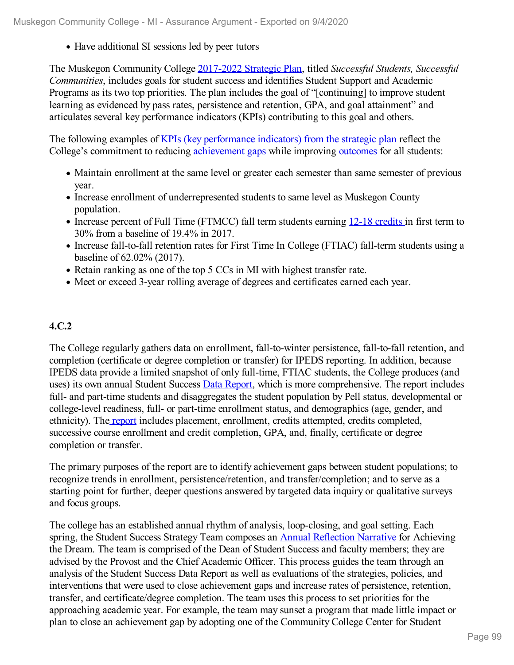Have additional SI sessions led by peer tutors

The Muskegon Community College [2017-2022](file:///D:/evidence/viewfile?fileid=1077293) Strategic Plan, titled *Successful Students, Successful Communities*, includes goals for student success and identifies Student Support and Academic Programs as its two top priorities. The plan includes the goal of "[continuing] to improve student learning as evidenced by pass rates, persistence and retention, GPA, and goal attainment" and articulates several key performance indicators (KPIs) contributing to this goal and others.

The following examples of KPIs (key [performance](file:///D:/evidence/viewfile?fileId=1097628) indicators) from the strategic plan reflect the College's commitment to reducing [achievement](file:///D:/evidence/viewfile?fileId=1069008) gaps while improving [outcomes](file:///D:/evidence/viewfile?fileId=1068995) for all students:

- Maintain enrollment at the same level or greater each semester than same semester of previous year.
- Increase enrollment of underrepresented students to same level as Muskegon County population.
- Increase percent of Full Time (FTMCC) fall term students earning 12-18 [credits](file:///D:/evidence/viewfile?fileId=1069002) in first term to 30% from a baseline of 19.4% in 2017.
- Increase fall-to-fall retention rates for First Time In College (FTIAC) fall-term students using a baseline of 62.02% (2017).
- Retain ranking as one of the top 5 CCs in MI with highest transfer rate.
- Meet or exceed 3-year rolling average of degrees and certificates earned each year.

### **4.C.2**

The College regularly gathers data on enrollment, fall-to-winter persistence, fall-to-fall retention, and completion (certificate or degree completion or transfer) for IPEDS reporting. In addition, because IPEDS data provide a limited snapshot of only full-time, FTIAC students, the College produces (and uses) its own annual Student Success Data [Report](file:///D:/evidence/viewfile?fileId=1068990), which is more comprehensive. The report includes full- and part-time students and disaggregates the student population by Pell status, developmental or college-level readiness, full- or part-time enrollment status, and demographics (age, gender, and ethnicity). The [report](file:///D:/evidence/viewfile?fileId=1068990) includes placement, enrollment, credits attempted, credits completed, successive course enrollment and credit completion, GPA, and, finally, certificate or degree completion or transfer.

The primary purposes of the report are to identify achievement gaps between student populations; to recognize trends in enrollment, persistence/retention, and transfer/completion; and to serve as a starting point for further, deeper questions answered by targeted data inquiry or qualitative surveys and focus groups.

The college has an established annual rhythm of analysis, loop-closing, and goal setting. Each spring, the Student Success Strategy Team composes an **Annual [Reflection](file:///D:/evidence/viewfile?fileId=1069006) Narrative** for Achieving the Dream. The team is comprised of the Dean of Student Success and faculty members; they are advised by the Provost and the Chief Academic Officer. This process guides the team through an analysis of the Student Success Data Report as well as evaluations of the strategies, policies, and interventions that were used to close achievement gaps and increase rates of persistence, retention, transfer, and certificate/degree completion. The team uses this process to set priorities for the approaching academic year. For example, the team may sunset a program that made little impact or plan to close an achievement gap by adopting one of the Community College Center for Student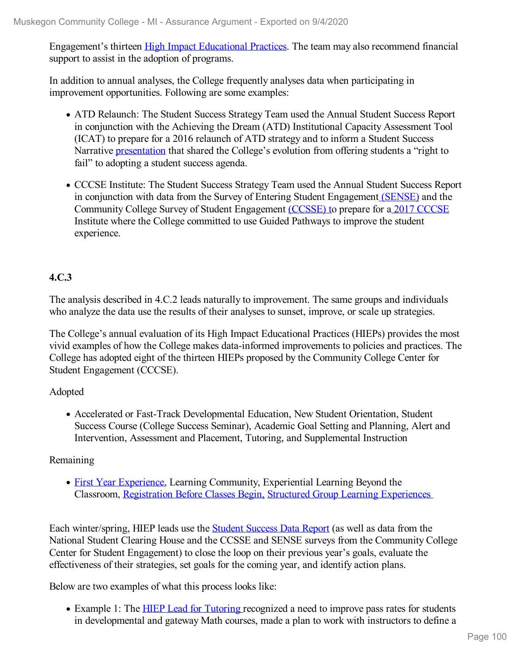Engagement's thirteen High Impact [Educational](file:///D:/evidence/viewfile?fileId=1099546) Practices. The team may also recommend financial support to assist in the adoption of programs.

In addition to annual analyses, the College frequently analyses data when participating in improvement opportunities. Following are some examples:

- ATD Relaunch: The Student Success Strategy Team used the Annual Student Success Report in conjunction with the Achieving the Dream (ATD) Institutional Capacity Assessment Tool (ICAT) to prepare for a 2016 relaunch of ATD strategy and to inform a Student Success Narrative [presentation](file:///D:/evidence/viewfile?fileId=1069004) that shared the College's evolution from offering students a "right to fail" to adopting a student success agenda.
- CCCSE Institute: The Student Success Strategy Team used the Annual Student Success Report in conjunction with data from the Survey of Entering Student Engagement [\(SENSE\)](file:///D:/evidence/viewfile?fileId=1069007) and the Community College Survey of Student Engagement [\(CCSSE\)](file:///D:/evidence/viewfile?fileId=1068999) [t](file:///D:/evidence/viewfile?fileId=1069007)o prepare for a 2017 [CCCSE](file:///D:/evidence/viewfile?fileId=1068989) Institute where the College committed to use Guided Pathways to improve the student experience.

#### **4.C.3**

The analysis described in 4.C.2 leads naturally to improvement. The same groups and individuals who analyze the data use the results of their analyses to sunset, improve, or scale up strategies.

The College's annual evaluation of its High Impact Educational Practices (HIEPs) provides the most vivid examples of how the College makes data-informed improvements to policies and practices. The College has adopted eight of the thirteen HIEPs proposed by the Community College Center for Student Engagement (CCCSE).

#### Adopted

Accelerated or Fast-Track Developmental Education, New Student Orientation, Student Success Course (College Success Seminar), Academic Goal Setting and Planning, Alert and Intervention, Assessment and Placement, Tutoring, and Supplemental Instruction

#### Remaining

• First Year [Experience](file:///D:/evidence/viewfile?fileId=1068997), Learning Community, Experiential Learning Beyond the Classroom, [Registration](file:///D:/evidence/viewfile?fileId=1068998) Before Classes Begin, Structured Group Learning [Experiences](file:///D:/evidence/viewfile?fileId=1069001)

Each win[t](file:///D:/evidence/viewfile?fileid=1069005)er/spring, HIEP leads use the **Student [Success](file:///D:/evidence/viewfile?fileId=1069005) Data Report** (as well as data from the National Student Clearing House and the CCSSE and SENSE surveys from the Community College Center for Student Engagement) to close the loop on their previous year's goals, evaluate the effectiveness of their strategies, set goals for the coming year, and identify action plans.

Below are two examples of what this process looks like:

• Example 1: The HIEP Lead for [Tutoring](file:///D:/evidence/viewfile?fileId=1069001) recognized a need to improve pass rates for students in developmental and gateway Math courses, made a plan to work with instructors to define a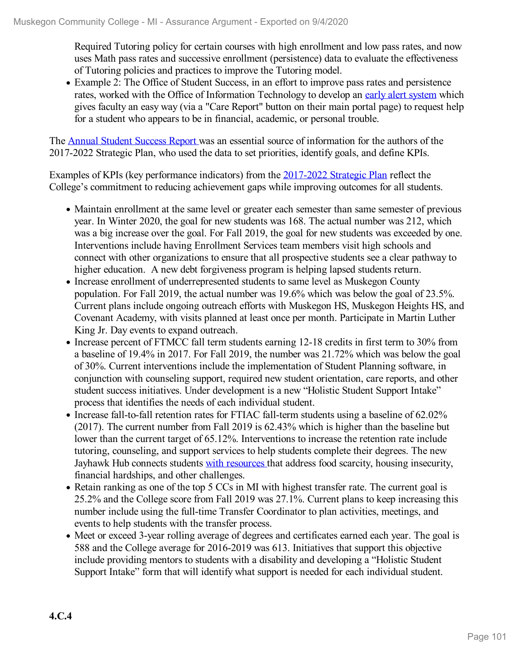Required Tutoring policy for certain courses with high enrollment and low pass rates, and now uses Math pass rates and successive enrollment (persistence) data to evaluate the effectiveness of Tutoring policies and practices to improve the Tutoring model.

Example 2: The Office of Student Success, in an effort to improve pass rates and persistence rates, worked with the Office of Information Technology to develop an early alert [system](file:///D:/evidence/viewfile?fileId=1097629) which gives faculty an easy way (via a "Care Report" button on their main portal page) to request help for a student who appears to be in financial, academic, or personal trouble.

The Annual Student [Success](file:///D:/evidence/viewfile?fileId=1063151) Report was an essential source of information for the authors of the 2017-2022 Strategic Plan, who used the data to set priorities, identify goals, and define KPIs.

Examples of KPIs (key performance indicators) from the [2017-2022](file:///D:/evidence/viewfile?fileId=1077293) Strategic Plan reflect the College's commitment to reducing achievement gaps while improving outcomes for all students.

- Maintain enrollment at the same level or greater each semester than same semester of previous year. In Winter 2020, the goal for new students was 168. The actual number was 212, which was a big increase over the goal. For Fall 2019, the goal for new students was exceeded by one. Interventions include having Enrollment Services team members visit high schools and connect with other organizations to ensure that all prospective students see a clear pathway to higher education. A new debt forgiveness program is helping lapsed students return.
- Increase enrollment of underrepresented students to same level as Muskegon County population. For Fall 2019, the actual number was 19.6% which was below the goal of 23.5%. Current plans include ongoing outreach efforts with Muskegon HS, Muskegon Heights HS, and Covenant Academy, with visits planned at least once per month. Participate in Martin Luther King Jr. Day events to expand outreach.
- Increase percent of FTMCC fall term students earning 12-18 credits in first term to 30% from a baseline of 19.4% in 2017. For Fall 2019, the number was 21.72% which was below the goal of 30%. Current interventions include the implementation of Student Planning software, in conjunction with counseling support, required new student orientation, care reports, and other student success initiatives. Under development is a new "Holistic Student Support Intake" process that identifies the needs of each individual student.
- Increase fall-to-fall retention rates for FTIAC fall-term students using a baseline of 62.02% (2017). The current number from Fall 2019 is 62.43% which is higher than the baseline but lower than the current target of 65.12%. Interventions to increase the retention rate include tutoring, counseling, and support services to help students complete their degrees. The new Jayhawk Hub connects students with [resources](file:///D:/evidence/viewfile?fileid=1068991) that address food scarcity, housing insecurity, financial hardships, and other challenges.
- Retain ranking as one of the top 5 CCs in MI with highest transfer rate. The current goal is 25.2% and the College score from Fall 2019 was 27.1%. Current plans to keep increasing this number include using the full-time Transfer Coordinator to plan activities, meetings, and events to help students with the transfer process.
- Meet or exceed 3-year rolling average of degrees and certificates earned each year. The goal is 588 and the College average for 2016-2019 was 613. Initiatives that support this objective include providing mentors to students with a disability and developing a "Holistic Student Support Intake" form that will identify what support is needed for each individual student.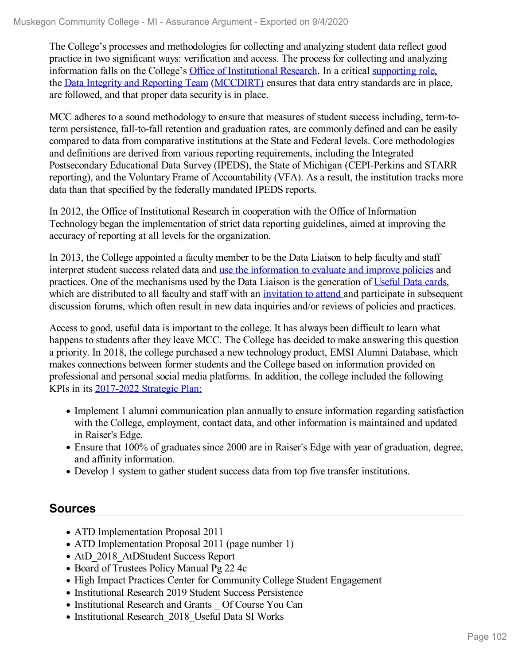The College's processes and methodologies for collecting and analyzing student data reflect good practice in two significant ways: verification and access. The process for collecting and analyzing information falls on the College's Office of [Institutional](file:///D:/evidence/viewfile?fileId=1097630) Research. In a critical [supporting](file:///D:/evidence/viewfile?fileId=1068993) role, the Data Integrity and [Reporting](file:///D:/evidence/viewfile?fileId=1068994) Team [\(MCCDIRT\)](file:///D:/evidence/viewfile?fileId=1068992) ensures that data entry standards are in place, are followed, and that proper data security is in place.

MCC adheres to a sound methodology to ensure that measures of student success including, term-toterm persistence, fall-to-fall retention and graduation rates, are commonly defined and can be easily compared to data from comparative institutions at the State and Federal levels. Core methodologies and definitions are derived from various reporting requirements, including the Integrated Postsecondary Educational Data Survey (IPEDS), the State of Michigan (CEPI-Perkins and STARR reporting), and the Voluntary Frame of Accountability (VFA). As a result, the institution tracks more data than that specified by the federally mandated IPEDS reports.

In 2012, the Office of Institutional Research in cooperation with the Office of Information Technology began the implementation of strict data reporting guidelines, aimed at improving the accuracy of reporting at all levels for the organization.

In 2013, the College appointed a faculty member to be the Data Liaison to help faculty and staff interpret student success related data and use the [information](file:///D:/evidence/viewfile?fileid=1068987) to evaluate and improve policies and practices. One of the mechanisms used by the Data Liaison is the generation of [Useful](file:///D:/evidence/viewfile?fileid=1068991) Data cards, which are distributed to all faculty and staff with an [invitation](file:///D:/evidence/viewfile?fileId=1068985) to attend and participate in subsequent discussion forums, which often result in new data inquiries and/or reviews of policies and practices.

Access to good, useful data is important to the college. It has always been difficult to learn what happens to students after they leave MCC. The College has decided to make answering this question a priority. In 2018, the college purchased a new technology product, EMSI Alumni Database, which makes connections between former students and the College based on information provided on professional and personal social media platforms. In addition, the college included the following KPIs in its [2017-2022](file:///D:/evidence/viewfile?fileid=1077293) Strategic Plan:

- Implement 1 alumni communication plan annually to ensure information regarding satisfaction with the College, employment, contact data, and other information is maintained and updated in Raiser's Edge.
- Ensure that 100% of graduates since 2000 are in Raiser's Edge with year of graduation, degree, and affinity information.
- Develop 1 system to gather student success data from top five transfer institutions.

## **Sources**

- ATD Implementation Proposal 2011
- ATD Implementation Proposal 2011 (page number 1)
- AtD 2018 AtDStudent Success Report
- Board of Trustees Policy Manual Pg 22 4c
- High Impact Practices Center for Community College Student Engagement
- Institutional Research 2019 Student Success Persistence
- Institutional Research and Grants Of Course You Can
- Institutional Research 2018 Useful Data SI Works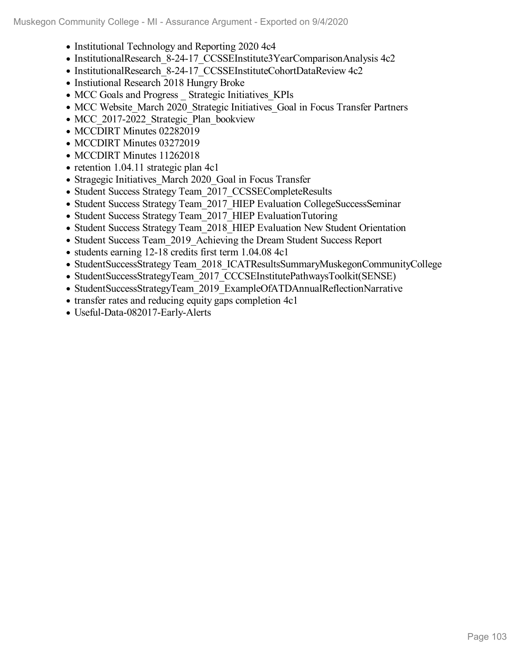- Institutional Technology and Reporting 2020 4c4
- InstitutionalResearch 8-24-17 CCSSEInstitute3YearComparisonAnalysis 4c2
- InstitutionalResearch 8-24-17\_CCSSEInstituteCohortDataReview 4c2
- Instiutional Research 2018 Hungry Broke
- MCC Goals and Progress Strategic Initiatives KPIs
- MCC Website March 2020 Strategic Initiatives Goal in Focus Transfer Partners
- MCC 2017-2022 Strategic Plan bookview
- MCCDIRT Minutes 02282019
- MCCDIRT Minutes 03272019
- MCCDIRT Minutes 11262018
- $\bullet$  retention 1.04.11 strategic plan 4c1
- Stragegic Initiatives March 2020 Goal in Focus Transfer
- Student Success Strategy Team 2017 CCSSECompleteResults
- Student Success Strategy Team 2017 HIEP Evaluation CollegeSuccessSeminar
- Student Success Strategy Team 2017 HIEP EvaluationTutoring
- Student Success Strategy Team 2018 HIEP Evaluation New Student Orientation
- Student Success Team 2019 Achieving the Dream Student Success Report
- students earning 12-18 credits first term 1.04.08 4c1
- StudentSuccessStrategy Team 2018 ICATResultsSummaryMuskegonCommunityCollege
- StudentSuccessStrategyTeam 2017 CCCSEInstitutePathwaysToolkit(SENSE)
- StudentSuccessStrategyTeam 2019 ExampleOfATDAnnualReflectionNarrative
- transfer rates and reducing equity gaps completion 4c1
- Useful-Data-082017-Early-Alerts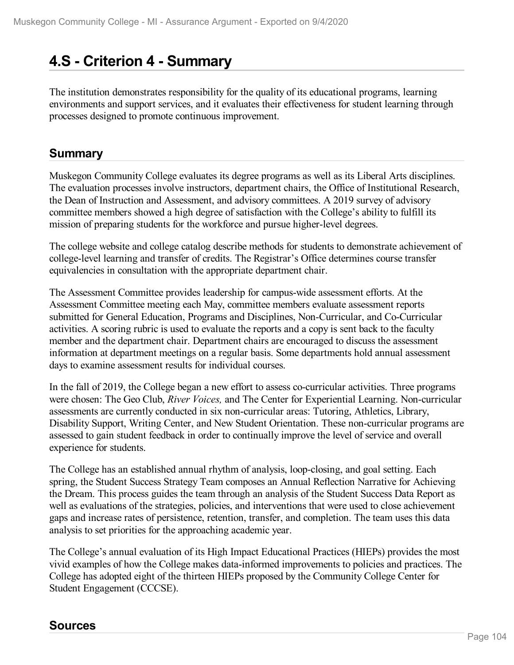# **4.S - Criterion 4 -Summary**

The institution demonstrates responsibility for the quality of its educational programs, learning environments and support services, and it evaluates their effectiveness for student learning through processes designed to promote continuous improvement.

## **Summary**

Muskegon Community College evaluates its degree programs as well as its Liberal Arts disciplines. The evaluation processes involve instructors, department chairs, the Office of Institutional Research, the Dean of Instruction and Assessment, and advisory committees. A 2019 survey of advisory committee members showed a high degree of satisfaction with the College's ability to fulfill its mission of preparing students for the workforce and pursue higher-level degrees.

The college website and college catalog describe methods for students to demonstrate achievement of college-level learning and transfer of credits. The Registrar's Office determines course transfer equivalencies in consultation with the appropriate department chair.

The Assessment Committee provides leadership for campus-wide assessment efforts. At the Assessment Committee meeting each May, committee members evaluate assessment reports submitted for General Education, Programs and Disciplines, Non-Curricular, and Co-Curricular activities. A scoring rubric is used to evaluate the reports and a copy is sent back to the faculty member and the department chair. Department chairs are encouraged to discuss the assessment information at department meetings on a regular basis. Some departments hold annual assessment days to examine assessment results for individual courses.

In the fall of 2019, the College began a new effort to assess co-curricular activities. Three programs were chosen: The Geo Club, *River Voices,* and The Center for Experiential Learning. Non-curricular assessments are currently conducted in six non-curricular areas: Tutoring, Athletics, Library, Disability Support, Writing Center, and New Student Orientation. These non-curricular programs are assessed to gain student feedback in order to continually improve the level of service and overall experience for students.

The College has an established annual rhythm of analysis, loop-closing, and goal setting. Each spring, the Student Success Strategy Team composes an Annual Reflection Narrative for Achieving the Dream. This process guides the team through an analysis of the Student Success Data Report as well as evaluations of the strategies, policies, and interventions that were used to close achievement gaps and increase rates of persistence, retention, transfer, and completion. The team uses this data analysis to set priorities for the approaching academic year.

The College's annual evaluation of its High Impact Educational Practices (HIEPs) provides the most vivid examples of how the College makes data-informed improvements to policies and practices. The College has adopted eight of the thirteen HIEPs proposed by the Community College Center for Student Engagement (CCCSE).

## **Sources**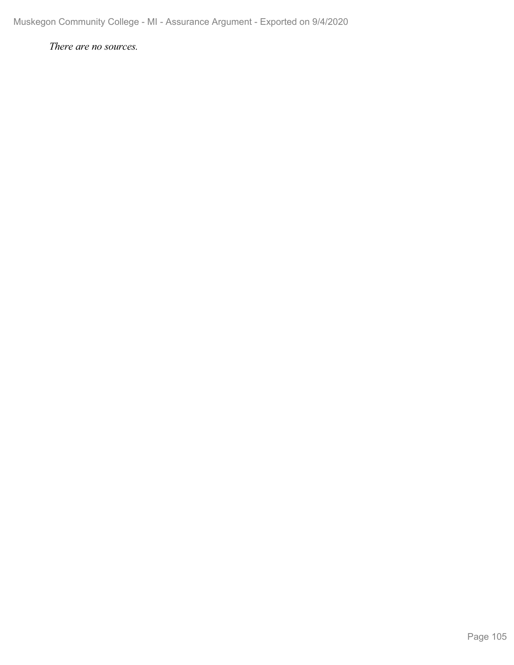*There are no sources.*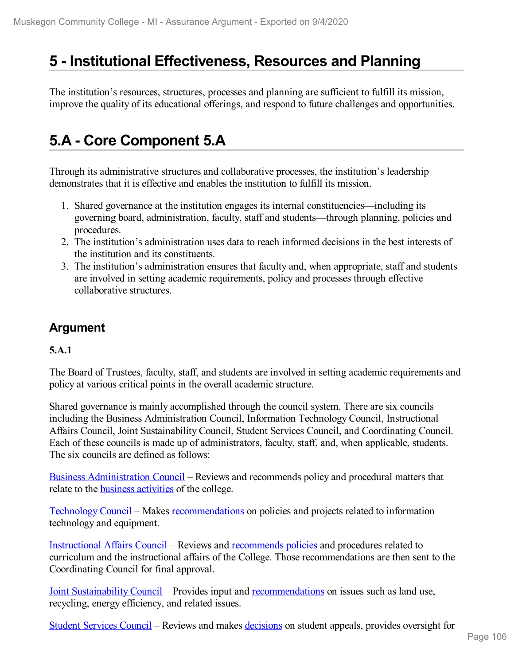# **5 -Institutional Effectiveness, Resources and Planning**

The institution's resources, structures, processes and planning are sufficient to fulfill its mission, improve the quality of its educational offerings, and respond to future challenges and opportunities.

# **5.A - Core Component 5.A**

Through its administrative structures and collaborative processes, the institution's leadership demonstrates that it is effective and enables the institution to fulfill its mission.

- 1. Shared governance at the institution engages its internal constituencies—including its governing board, administration, faculty, staff and students—through planning, policies and procedures.
- 2. The institution's administration uses data to reach informed decisions in the best interests of the institution and its constituents.
- 3. The institution's administration ensures that faculty and, when appropriate, staff and students are involved in setting academic requirements, policy and processes through effective collaborative structures.

## **Argument**

#### **5.A.1**

The Board of Trustees, faculty, staff, and students are involved in setting academic requirements and policy at various critical points in the overall academic structure.

Shared governance is mainly accomplished through the council system. There are six councils including the Business Administration Council, Information Technology Council, Instructional Affairs Council, Joint Sustainability Council, Student Services Council, and Coordinating Council. Each of these councils is made up of administrators, faculty, staff, and, when applicable, students. The six councils are defined as follows:

Business [Administration](file:///D:/evidence/viewfile?fileId=1077255) Council – Reviews and recommends policy and procedural matters that relate to the business [activities](file:///D:/evidence/viewfile?fileId=1069044) of the college.

[Technology](file:///D:/evidence/viewfile?fileId=1077279) Council – Makes [recommendations](file:///D:/evidence/viewfile?fileId=1077280) on policies and projects related to information technology and equipment.

[Instructional](file:///D:/evidence/viewfile?fileId=1068863) Affairs Council – Reviews and [recommends](file:///D:/evidence/viewfile?fileId=1077250) policies and procedures related to curriculum and the instructional affairs of the College. Those recommendations are then sent to the Coordinating Council for final approval.

Joint [Sustainability](file:///D:/evidence/viewfile?fileId=1077264) Council – Provides input and [recommendations](file:///D:/evidence/viewfile?fileId=1077248) on issues such as land use, recycling, energy efficiency, and related issues.

Student [Services](file:///D:/evidence/viewfile?fileId=1077273) Council – Reviews and makes [decisions](file:///D:/evidence/viewfile?fileId=1077274) on student appeals, provides oversight for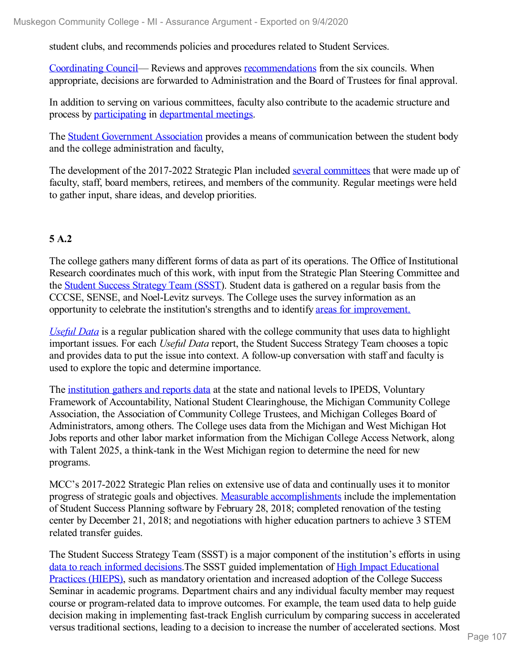student clubs, and recommends policies and procedures related to Student Services.

[Coordinating](file:///D:/evidence/viewfile?fileId=1077226) Council— Reviews and approves [recommendations](file:///D:/evidence/viewfile?fileId=1077225) from the six councils. When appropriate, decisions are forwarded to Administration and the Board of Trustees for final approval.

In addition to serving on various committees, faculty also contribute to the academic structure and process by [participating](file:///D:/evidence/viewfile?fileId=1077233) in [departmental](file:///D:/evidence/viewfile?fileId=1077221) meetings.

The Student [Government](file:///D:/evidence/viewfile?fileId=1077268) Association provides a means of communication between the student body and the college administration and faculty,

The development of the 2017-2022 Strategic Plan included several [committees](file:///D:/evidence/viewfile?fileId=1069074) that were made up of faculty, staff, board members, retirees, and members of the community. Regular meetings were held to gather input, share ideas, and develop priorities.

#### **5 A.2**

The college gathers many different forms of data as part of its operations. The Office of Institutional Research coordinates much of this work, with input from the Strategic Plan Steering Committee and the Student Success [Strategy](file:///D:/evidence/viewfile?fileId=1077278) Team (SSST). Student data is gathered on a regular basis from the CCCSE, SENSE, and Noel-Levitz surveys. The College uses the survey information as an opportunity to celebrate the institution's strengths and to identify areas for [improvement.](file:///D:/evidence/viewfile?fileId=1069090)

*[Useful](file:///D:/evidence/viewfile?fileId=1069067) Data* is a regular publication shared with the college community that uses data to highlight important issues. For each *Useful Data* report, the Student Success Strategy Team chooses a topic and provides data to put the issue into context. A follow-up conversation with staff and faculty is used to explore the topic and determine importance.

The [institution](file:///D:/evidence/viewfile?fileId=1097630) gathers and reports data at the state and national levels to IPEDS, Voluntary Framework of Accountability, National Student Clearinghouse, the Michigan Community College Association, the Association of Community College Trustees, and Michigan Colleges Board of Administrators, among others. The College uses data from the Michigan and West Michigan Hot Jobs reports and other labor market information from the Michigan College Access Network, along with Talent 2025, a think-tank in the West Michigan region to determine the need for new programs.

MCC's 2017-2022 Strategic Plan relies on extensive use of data and continually uses it to monitor progress of strategic goals and objectives. Measurable [accomplishments](file:///D:/evidence/viewfile?fileId=1077257) include the implementation of Student Success Planning software by February 28, 2018; completed renovation of the testing center by December 21, 2018; and negotiations with higher education partners to achieve 3 STEM related transfer guides.

The Student Success Strategy Team (SSST) is a major component of the institution's efforts in using data to reach [informed](file:///D:/evidence/viewfile?fileId=1077277) decisions.The SSST guided [implementation](file:///D:/evidence/viewfile?fileId=1077275) of High Impact Educational Practices (HIEPS), such as mandatory orientation and increased adoption of the College Success Seminar in academic programs. Department chairs and any individual faculty member may request course or program-related data to improve outcomes. For example, the team used data to help guide decision making in implementing fast-track English curriculum by comparing success in accelerated versus traditional sections, leading to a decision to increase the number of accelerated sections. Most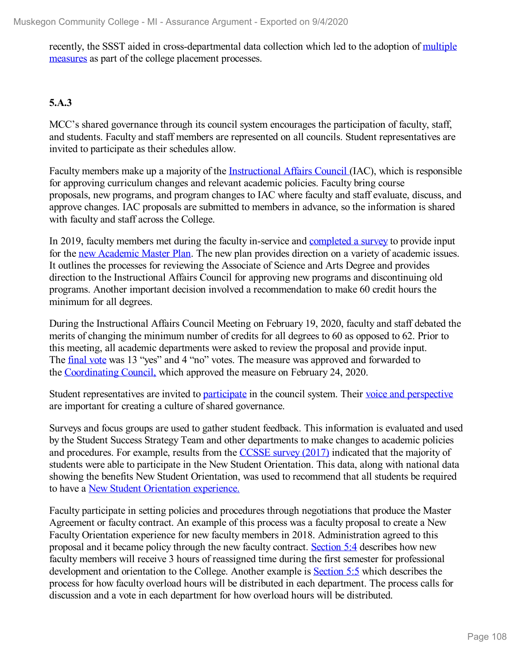recently, the SSST aided in [cross-departmental](file:///D:/evidence/viewfile?fileId=1077250) data collection which led to the adoption of multiple measures as part of the college placement processes.

### **5.A.3**

MCC's shared governance through its council system encourages the participation of faculty, staff, and students. Faculty and staff members are represented on all councils. Student representatives are invited to participate as their schedules allow.

Faculty members make up a majority of the [Instructional](file:///D:/evidence/viewfile?fileId=1069039) Affairs Council (IAC), which is responsible for approving curriculum changes and relevant academic policies. Faculty bring course proposals, new programs, and program changes to IAC where faculty and staff evaluate, discuss, and approve changes. IAC proposals are submitted to members in advance, so the information is shared with faculty and staff across the College.

In 2019, faculty members met during the faculty in-service and [completed](file:///D:/evidence/viewfile?fileId=1101095) a survey to provide input for the <u>new [Academic](file:///D:/evidence/viewfile?fileId=1069072) Master Plan</u>. The new plan provides direction on a variety of academic issues. It outlines the processes for reviewing the Associate of Science and Arts Degree and provides direction to the Instructional Affairs Council for approving new programs and discontinuing old programs. Another important decision involved a recommendation to make 60 credit hours the minimum for all degrees.

During the Instructional Affairs Council Meeting on February 19, 2020, faculty and staff debated the merits of changing the minimum number of credits for all degrees to 60 as opposed to 62. Prior to this meeting, all academic departments were asked to review the proposal and provide input. The [final](file:///D:/evidence/viewfile?fileId=1077252#page=2) vote was 13 "yes" and 4 "no" votes. The measure was approved and forwarded to the [Coordinating](file:///D:/evidence/viewfile?fileId=1077229#page=2) Council, which approved the measure on February 24, 2020.

Student representatives are invited to [participate](file:///D:/evidence/viewfile?fileId=1079095) in the council system. Their voice and [perspective](file:///D:/evidence/viewfile?fileId=1069092) are important for creating a culture of shared governance.

Surveys and focus groups are used to gather student feedback. This information is evaluated and used by the Student Success Strategy Team and other departments to make changes to academic policies and procedures. For example, results from the [CCSSE](file:///D:/evidence/viewfile?fileId=1069089#page=14) survey (2017) indicated that the majority of students were able to participate in the New Student Orientation. This data, along with national data showing the benefits New Student Orientation, was used to recommend that all students be required to have a New Student [Orientation](file:///D:/evidence/viewfile?fileId=1069088) experience.

Faculty participate in setting policies and procedures through negotiations that produce the Master Agreement or faculty contract. An example of this process was a faculty proposal to create a New Faculty Orientation experience for new faculty members in 2018. Administration agreed to this proposal and it became policy through the new faculty contract. [Section](file:///D:/evidence/viewfile?fileId=1069062#page=25) 5:4 describes how new faculty members will receive 3 hours of reassigned time during the first semester for professional development and orientation to the College. Another example is [Section](file:///D:/evidence/viewfile?fileId=1069062#page=27) 5:5 which describes the process for how faculty overload hours will be distributed in each department. The process calls for discussion and a vote in each department for how overload hours will be distributed.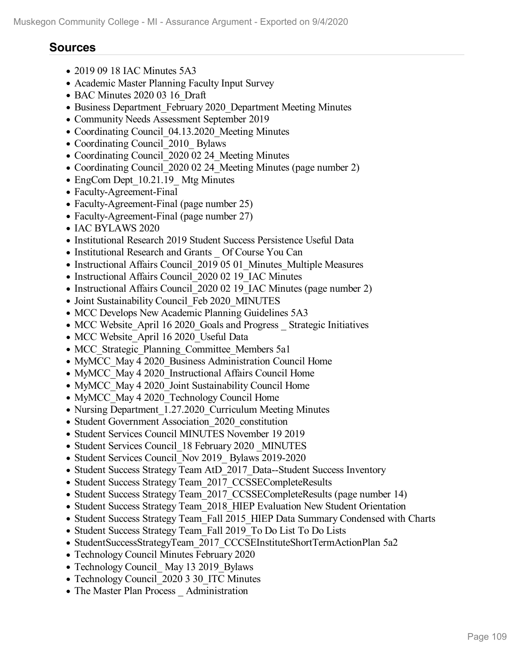#### **Sources**

- 2019 09 18 IAC Minutes 5A3
- Academic Master Planning Faculty Input Survey
- BAC Minutes 2020 03 16 Draft
- Business Department February 2020 Department Meeting Minutes
- Community Needs Assessment September 2019
- Coordinating Council 04.13.2020 Meeting Minutes
- Coordinating Council 2010 Bylaws
- Coordinating Council 2020 02 24 Meeting Minutes
- Coordinating Council 2020 02 24 Meeting Minutes (page number 2)
- EngCom Dept 10.21.19 Mtg Minutes
- Faculty-Agreement-Final
- Faculty-Agreement-Final (page number 25)
- Faculty-Agreement-Final (page number 27)
- IAC BYLAWS 2020
- Institutional Research 2019 Student Success Persistence Useful Data
- Institutional Research and Grants \_ Of Course You Can
- Instructional Affairs Council 2019 05 01 Minutes Multiple Measures
- Instructional Affairs Council 2020 02 19 IAC Minutes
- Instructional Affairs Council 2020 02 19 IAC Minutes (page number 2)
- Joint Sustainability Council Feb 2020 MINUTES
- MCC Develops New Academic Planning Guidelines 5A3
- MCC Website April 16 2020 Goals and Progress Strategic Initiatives
- MCC Website April 16 2020 Useful Data
- MCC Strategic Planning Committee Members 5a1
- MyMCC\_May 4 2020 Business Administration Council Home
- MyMCC May 4 2020 Instructional Affairs Council Home
- MyMCC\_May 4 2020\_Joint Sustainability Council Home
- MyMCC\_May 4 2020\_Technology Council Home
- Nursing Department 1.27.2020 Curriculum Meeting Minutes
- Student Government Association 2020 constitution
- Student Services Council MINUTES November 19 2019
- Student Services Council 18 February 2020 MINUTES
- Student Services Council Nov 2019 Bylaws 2019-2020
- Student Success Strategy Team AtD 2017 Data--Student Success Inventory
- Student Success Strategy Team 2017 CCSSECompleteResults
- Student Success Strategy Team 2017 CCSSECompleteResults (page number 14)
- Student Success Strategy Team 2018 HIEP Evaluation New Student Orientation
- Student Success Strategy Team Fall 2015 HIEP Data Summary Condensed with Charts
- Student Success Strategy Team Fall 2019 To Do List To Do Lists
- StudentSuccessStrategyTeam 2017 CCCSEInstituteShortTermActionPlan 5a2
- Technology Council Minutes February 2020
- Technology Council May 13 2019 Bylaws
- Technology Council 2020 3 30 ITC Minutes
- The Master Plan Process Administration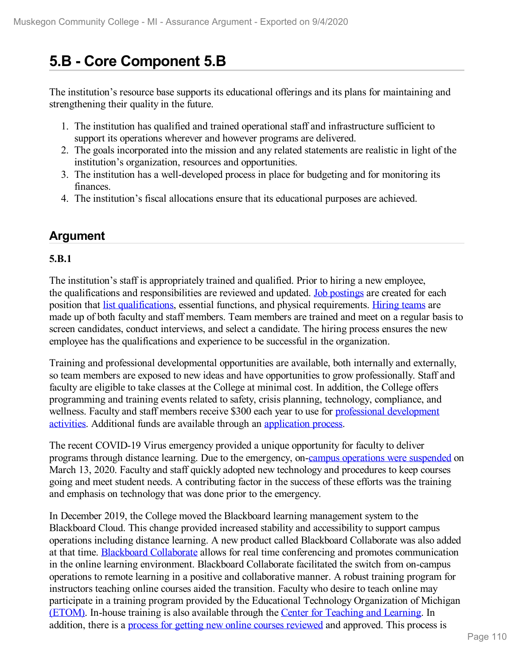# **5.B - Core Component 5.B**

The institution's resource base supports its educational offerings and its plans for maintaining and strengthening their quality in the future.

- 1. The institution has qualified and trained operational staff and infrastructure sufficient to support its operations wherever and however programs are delivered.
- 2. The goals incorporated into the mission and any related statements are realistic in light of the institution's organization, resources and opportunities.
- 3. The institution has a well-developed process in place for budgeting and for monitoring its finances.
- 4. The institution's fiscal allocations ensure that its educational purposes are achieved.

## **Argument**

#### **5.B.1**

The institution's staff is appropriately trained and qualified. Prior to hiring a new employee, the qualifications and responsibilities are reviewed and updated. Job [postings](file:///D:/evidence/viewfile?fileId=1069055) are created for each position that list [qualifications](file:///D:/evidence/viewfile?fileId=1069042), essential functions, and physical requirements. [Hiring](file:///D:/evidence/viewfile?fileId=1069065) teams are made up of both faculty and staff members. Team members are trained and meet on a regular basis to screen candidates, conduct interviews, and select a candidate. The hiring process ensures the new employee has the qualifications and experience to be successful in the organization.

Training and professional developmental opportunities are available, both internally and externally, so team members are exposed to new ideas and have opportunities to grow professionally. Staff and faculty are eligible to take classes at the College at minimal cost. In addition, the College offers programming and training events related to safety, crisis planning, technology, compliance, and wellness. Faculty and staff members receive \$300 each year to use for professional [development](file:///D:/evidence/viewfile?fileId=1069058) activities. Additional funds are available through an [application](file:///D:/evidence/viewfile?fileId=1077246) process.

The recent COVID-19 Virus emergency provided a unique opportunity for faculty to deliver programs through distance learning. Due to the emergency, on-campus [operations](file:///D:/evidence/viewfile?fileId=1069050) were suspended on March 13, 2020. Faculty and staff quickly adopted new technology and procedures to keep courses going and meet student needs. A contributing factor in the success of these efforts was the training and emphasis on technology that was done prior to the emergency.

In December 2019, the College moved the Blackboard learning management system to the Blackboard Cloud. This change provided increased stability and accessibility to support campus operations including distance learning. A new product called Blackboard Collaborate was also added at that time. Blackboard [Collaborate](file:///D:/evidence/viewfile?fileId=1077222#page=3) allows for real time conferencing and promotes communication in the online learning environment. Blackboard Collaborate facilitated the switch from on-campus operations to remote learning in a positive and collaborative manner. A robust training program for instructors teaching online courses aided the transition. Faculty who desire to teach online may participate in a training program provided by the Educational Technology Organization of Michigan [\(ETOM\)](file:///D:/evidence/viewfile?fileId=1069056). In-house training is also available through the Center for [Teaching](file:///D:/evidence/viewfile?fileId=1077112) and Learning. In addition, there is a process for getting new online courses [reviewed](file:///D:/evidence/viewfile?fileId=1069052) and approved. This process is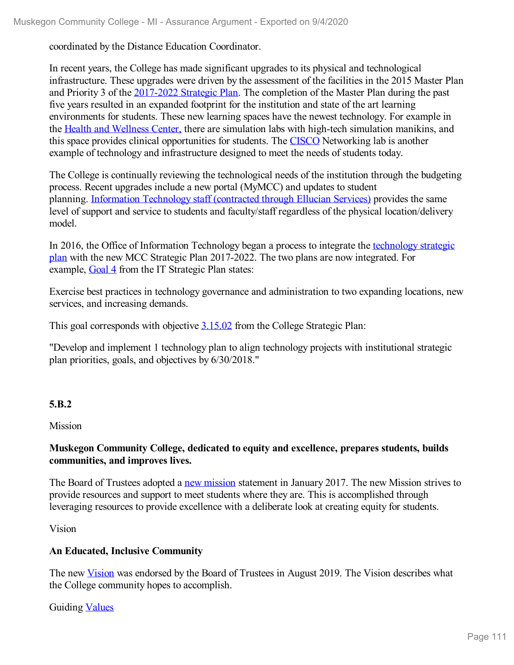coordinated by the Distance Education Coordinator.

In recent years, the College has made significant upgrades to its physical and technological infrastructure. These upgrades were driven by the assessment of the facilities in the 2015 Master Plan and Priority 3 of the [2017-2022](file:///D:/evidence/viewfile?fileId=1077271) Strategic Plan. The completion of the Master Plan during the past five years resulted in an expanded footprint for the institution and state of the art learning environments for students. These new learning spaces have the newest technology. For example in the Health and [Wellness](file:///D:/evidence/viewfile?fileId=1069069) Center, there are simulation labs with high-tech simulation manikins, and this space provides clinical opportunities for students. The [CISCO](file:///D:/evidence/viewfile?fileId=1077256) Networking lab is another example of technology and infrastructure designed to meet the needs of students today.

The College is continually reviewing the technological needs of the institution through the budgeting process. Recent upgrades include a new portal (MyMCC) and updates to student planning. [Information](file:///D:/evidence/viewfile?fileId=1097726) Technology staff (contracted through Ellucian Services) provides the same level of support and service to students and faculty/staff regardless of the physical location/delivery model.

In 2016, the Office of [Information](file:///D:/evidence/viewfile?fileId=1069079) Technology began a process to integrate the [te](file:///D:/evidence/viewfile?fileid=1069079)chnology strategic plan with the new MCC Strategic Plan 2017-2022. The two plans are now integrated. For example, [Goal](file:///D:/evidence/viewfile?fileId=1069079#page=12) 4 from the IT Strategic Plan states:

Exercise best practices in technology governance and administration to two expanding locations, new services, and increasing demands.

This goal corresponds with objective [3.15.02](file:///D:/evidence/viewfile?fileId=1077257#page=3) from the College Strategic Plan:

"Develop and implement 1 technology plan to align technology projects with institutional strategic plan priorities, goals, and objectives by 6/30/2018."

#### **5.B.2**

Mission

#### **Muskegon Community College, dedicated to equity and excellence, prepares students, builds communities, and improves lives.**

The Board of Trustees adopted a new [mission](file:///D:/evidence/viewfile?fileId=1077259) statement in January 2017. The new Mission strives to provide resources and support to meet students where they are. This is accomplished through leveraging resources to provide excellence with a deliberate look at creating equity for students.

Vision

#### **An Educated, Inclusive Community**

The new [Vision](file:///D:/evidence/viewfile?fileId=1077259) was endorsed by the Board of Trustees in August 2019. The Vision describes what the College community hopes to accomplish.

Guiding [Values](file:///D:/evidence/viewfile?fileId=1077259)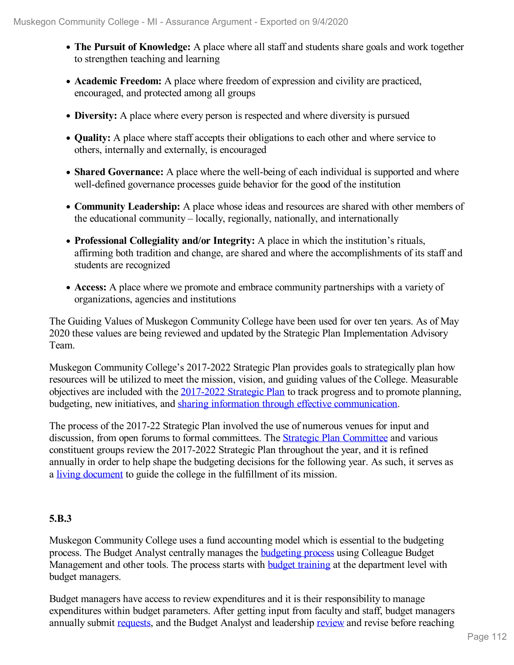- **The Pursuit of Knowledge:** A place where all staff and students share goals and work together to strengthen teaching and learning
- Academic Freedom: A place where freedom of expression and civility are practiced, encouraged, and protected among all groups
- **Diversity:** A place where every person is respected and where diversity is pursued
- **Quality:** A place where staff accepts their obligations to each other and where service to others, internally and externally, is encouraged
- **Shared Governance:** A place where the well-being of each individual is supported and where well-defined governance processes guide behavior for the good of the institution
- **Community Leadership:** A place whose ideas and resources are shared with other members of the educational community – locally, regionally, nationally, and internationally
- **Professional Collegiality and/or Integrity:** A place in which the institution's rituals, affirming both tradition and change, are shared and where the accomplishments of its staff and students are recognized
- **Access:** A place where we promote and embrace community partnerships with a variety of organizations, agencies and institutions

The Guiding Values of Muskegon Community College have been used for over ten years. As of May 2020 these values are being reviewed and updated by the Strategic Plan Implementation Advisory Team.

Muskegon Community College's 2017-2022 Strategic Plan provides goals to strategically plan how resources will be utilized to meet the mission, vision, and guiding values of the College. Measurable objectives are included with the [2017-2022](file:///D:/evidence/viewfile?fileId=1077293) Strategic Plan to track progress and to promote planning, budgeting, new initiatives, and sharing information through effective [communication](file:///D:/evidence/viewfile?fileId=1069073).

The process of the 2017-22 Strategic Plan involved the use of numerous venues for input and discussion, from open forums to formal committees. The **Strategic Plan [Committee](file:///D:/evidence/viewfile?fileId=1069071) and various** constituent groups review the 2017-2022 Strategic Plan throughout the year, and it is refined annually in order to help shape the budgeting decisions for the following year. As such, it serves as a living [document](file:///D:/evidence/viewfile?fileId=1077257) to guide the college in the fulfillment of its mission.

### **5.B.3**

Muskegon Community College uses a fund accounting model which is essential to the budgeting process. The Budget Analyst centrally manages the [budgeting](file:///D:/evidence/viewfile?fileId=1077245) process using Colleague Budget Management and other tools. The process starts with **budget [training](file:///D:/evidence/viewfile?fileId=1077244)** at the department level with budget managers.

Budget managers have access to review expenditures and it is their responsibility to manage expenditures within budget parameters. After getting input from faculty and staff, budget managers annually submit [requests](file:///D:/evidence/viewfile?fileId=1077237), and the Budget Analyst and leadership [review](file:///D:/evidence/viewfile?fileId=1077239) and revise before reaching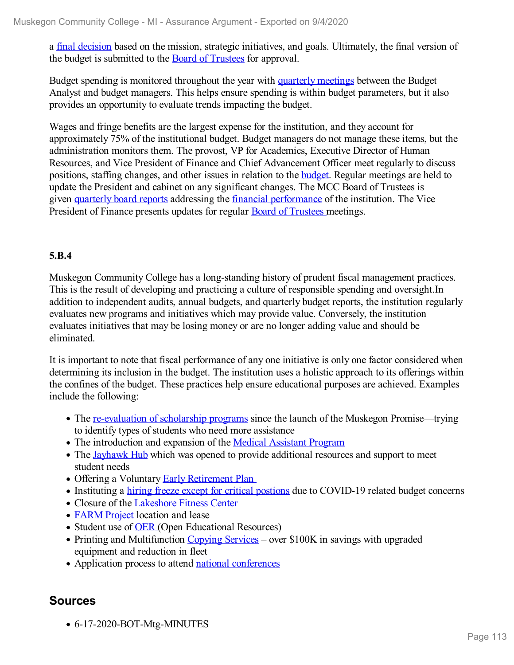a final [decision](file:///D:/evidence/viewfile?fileId=1077243) based on the mission, strategic initiatives, and goals. Ultimately, the final version of the budget is submitted to the Board of [Trustees](file:///D:/evidence/viewfile?fileId=1077215) for approval.

Budget spending is monitored throughout the year with [quarterly](file:///D:/evidence/viewfile?fileId=1077242) meetings between the Budget Analyst and budget managers. This helps ensure spending is within budget parameters, but it also provides an opportunity to evaluate trends impacting the budget.

Wages and fringe benefits are the largest expense for the institution, and they account for approximately 75% of the institutional budget. Budget managers do not manage these items, but the administration monitors them. The provost, VP for Academics, Executive Director of Human Resources, and Vice President of Finance and Chief Advancement Officer meet regularly to discuss positions, staffing changes, and other issues in relation to the [budget](file:///D:/evidence/viewfile?fileId=1077249). Regular meetings are held to update the President and cabinet on any significant changes. The MCC Board of Trustees is given [quarterly](file:///D:/evidence/viewfile?fileId=1077240) board reports addressing the financial [performance](file:///D:/evidence/viewfile?fileId=1077232) of the institution. The Vice President of Finance presents updates for regular Board of [Trustees](file:///D:/evidence/viewfile?fileId=1077217#page=13) meetings.

#### **5.B.4**

Muskegon Community College has a long-standing history of prudent fiscal management practices. This is the result of developing and practicing a culture of responsible spending and oversight.In addition to independent audits, annual budgets, and quarterly budget reports, the institution regularly evaluates new programs and initiatives which may provide value. Conversely, the institution evaluates initiatives that may be losing money or are no longer adding value and should be eliminated.

It is important to note that fiscal performance of any one initiative is only one factor considered when determining its inclusion in the budget. The institution uses a holistic approach to its offerings within the confines of the budget. These practices help ensure educational purposes are achieved. Examples include the following:

- The <u>[re-evaluation](file:///D:/evidence/viewfile?fileId=1077219) of scholarship programs</u> since the launch of the Muskegon Promise—trying to identify types of students who need more assistance
- The introduction and expansion of the Medical [Assistant](file:///D:/evidence/viewfile?fileId=1077251) Program
- The [Jayhawk](file:///D:/evidence/viewfile?fileId=1077254) Hub which was opened to provide additional resources and support to meet student needs
- Offering a Voluntary Early [Retirement](file:///D:/evidence/viewfile?fileId=1077251) Pla[n](file:///D:/evidence/viewfile?fileId=1077213#page=2)
- Instituting a hiring freeze except for critical [postions](file:///D:/evidence/viewfile?fileId=1097727#page=4) due to COVID-19 related budget concerns
- Closure of the [Lakeshore](file:///D:/evidence/viewfile?fileId=1077216#page=2) Fitness Center
- [FARM](file:///D:/evidence/viewfile?fileId=1077223#page=2) Project location and lease
- Student use of **[OER](file:///D:/evidence/viewfile?fileId=1077223#page=2)** (Open Educational Resources)
- Printing and Multifunction [Copying](file:///D:/evidence/viewfile?fileid=1077222#page=3) Services over \$100K in savings with upgraded equipment and reduction in fleet
- Application process to attend national [conferences](file:///D:/evidence/viewfile?fileid=1077246)

### **Sources**

6-17-2020-BOT-Mtg-MINUTES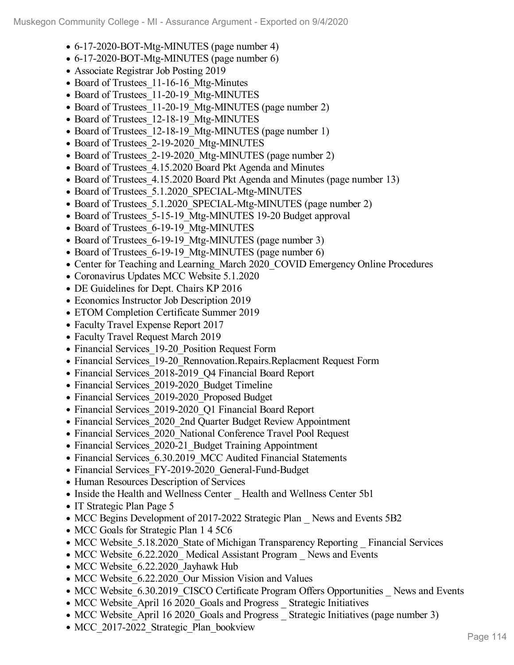- 6-17-2020-BOT-Mtg-MINUTES (page number 4)
- 6-17-2020-BOT-Mtg-MINUTES (page number 6)
- Associate Registrar Job Posting 2019
- Board of Trustees 11-16-16 Mtg-Minutes
- Board of Trustees 11-20-19 Mtg-MINUTES
- Board of Trustees 11-20-19 Mtg-MINUTES (page number 2)
- Board of Trustees 12-18-19 Mtg-MINUTES
- Board of Trustees 12-18-19 Mtg-MINUTES (page number 1)
- Board of Trustees 2-19-2020 Mtg-MINUTES
- Board of Trustees 2-19-2020 Mtg-MINUTES (page number 2)
- Board of Trustees 4.15.2020 Board Pkt Agenda and Minutes
- Board of Trustees 4.15.2020 Board Pkt Agenda and Minutes (page number 13)
- Board of Trustees 5.1.2020 SPECIAL-Mtg-MINUTES
- Board of Trustees 5.1.2020 SPECIAL-Mtg-MINUTES (page number 2)
- Board of Trustees 5-15-19 Mtg-MINUTES 19-20 Budget approval
- Board of Trustees 6-19-19 Mtg-MINUTES
- Board of Trustees 6-19-19 Mtg-MINUTES (page number 3)
- Board of Trustees 6-19-19 Mtg-MINUTES (page number 6)
- Center for Teaching and Learning March 2020 COVID Emergency Online Procedures
- Coronavirus Updates MCC Website 5.1.2020
- DE Guidelines for Dept. Chairs KP 2016
- Economics Instructor Job Description 2019
- ETOM Completion Certificate Summer 2019
- Faculty Travel Expense Report 2017
- Faculty Travel Request March 2019
- Financial Services 19-20 Position Request Form
- Financial Services 19-20 Rennovation.Repairs.Replacment Request Form
- Financial Services 2018-2019 Q4 Financial Board Report
- Financial Services 2019-2020 Budget Timeline
- Financial Services 2019-2020 Proposed Budget
- Financial Services 2019-2020 Q1 Financial Board Report
- Financial Services 2020 2nd Quarter Budget Review Appointment
- Financial Services 2020 National Conference Travel Pool Request
- Financial Services 2020-21 Budget Training Appointment
- Financial Services 6.30.2019 MCC Audited Financial Statements
- Financial Services FY-2019-2020 General-Fund-Budget
- Human Resources Description of Services
- Inside the Health and Wellness Center Health and Wellness Center 5b1
- IT Strategic Plan Page 5
- MCC Begins Development of 2017-2022 Strategic Plan News and Events 5B2
- MCC Goals for Strategic Plan 1 4 5 C6
- MCC Website 5.18.2020 State of Michigan Transparency Reporting \_ Financial Services
- MCC Website 6.22.2020 Medical Assistant Program News and Events
- MCC Website 6.22.2020 Jayhawk Hub
- MCC Website 6.22.2020 Our Mission Vision and Values
- MCC Website 6.30.2019 CISCO Certificate Program Offers Opportunities News and Events
- MCC Website April 16 2020 Goals and Progress Strategic Initiatives
- MCC Website\_April 16 2020\_Goals and Progress \_ Strategic Initiatives (page number 3)
- MCC\_2017-2022\_Strategic\_Plan\_bookview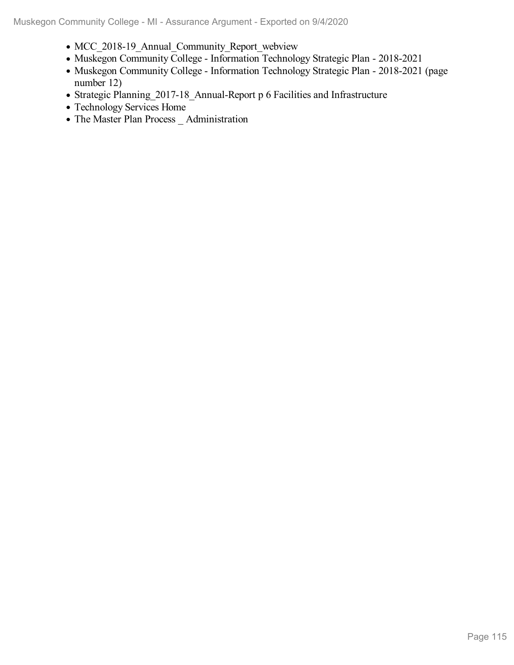- MCC 2018-19 Annual Community Report webview
- Muskegon Community College Information Technology Strategic Plan 2018-2021
- Muskegon Community College Information Technology Strategic Plan 2018-2021 (page number 12)
- Strategic Planning\_2017-18\_Annual-Report p 6 Facilities and Infrastructure
- Technology Services Home
- The Master Plan Process \_ Administration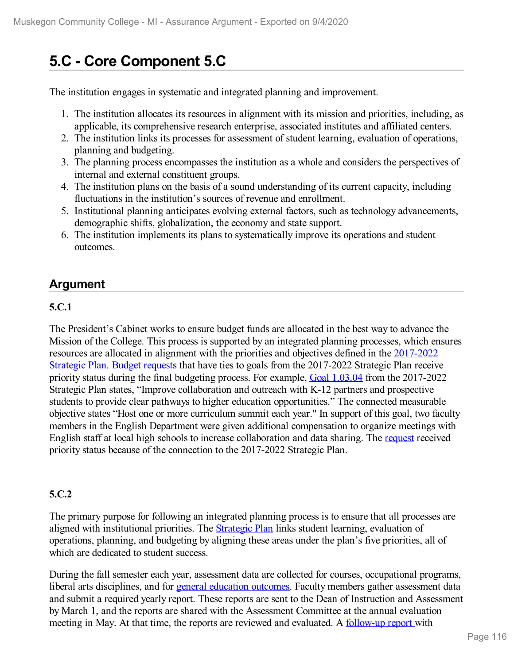# **5.C - Core Component 5.C**

The institution engages in systematic and integrated planning and improvement.

- 1. The institution allocates its resources in alignment with its mission and priorities, including, as applicable, its comprehensive research enterprise, associated institutes and affiliated centers.
- 2. The institution links its processes for assessment of student learning, evaluation of operations, planning and budgeting.
- 3. The planning process encompasses the institution as a whole and considers the perspectives of internal and external constituent groups.
- 4. The institution plans on the basis of a sound understanding of its current capacity, including fluctuations in the institution's sources of revenue and enrollment.
- 5. Institutional planning anticipates evolving external factors, such as technology advancements, demographic shifts, globalization, the economy and state support.
- 6. The institution implements its plans to systematically improve its operations and student outcomes.

## **Argument**

#### **5.C.1**

The President's Cabinet works to ensure budget funds are allocated in the best way to advance the Mission of the College. This process is supported by an integrated planning processes, which ensures resources are allocated in alignment with the priorities and objectives defined in the [2017-2022](file:///D:/evidence/viewfile?fileid=1079287) Strategic Plan. Budget [requests](file:///D:/evidence/viewfile?fileId=1069060) that have ties to goals from the 2017-2022 Strategic Plan receive priority status during the final budgeting process. For example, Goal [1.03.04](file:///D:/evidence/viewfile?fileId=1090015) from the 2017-2022 Strategic Plan states, "Improve collaboration and outreach with K-12 partners and prospective students to provide clear pathways to higher education opportunities." The connected measurable objective states "Host one or more curriculum summit each year." In support of this goal, two faculty members in the English Department were given additional compensation to organize meetings with English staff at local high schools to increase collaboration and data sharing. The [request](file:///D:/evidence/viewfile?fileId=1069054) received priority status because of the connection to the 2017-2022 Strategic Plan.

### **5.C.2**

The primary purpose for following an integrated planning process is to ensure that all processes are aligned with institutional priorities. The **[Strategic](file:///D:/evidence/viewfile?fileId=1079287) Plan** links student learning, evaluation of operations, planning, and budgeting by aligning these areas under the plan's five priorities, all of which are dedicated to student success.

During the fall semester each year, assessment data are collected for courses, occupational programs, liberal arts disciplines, and for general [education](file:///D:/evidence/viewfile?fileId=1068899) outcomes. Faculty members gather assessment data and submit a required yearly report. These reports are sent to the Dean of Instruction and Assessment by March 1, and the reports are shared with the Assessment Committee at the annual evaluation meeting in May. At that time, the reports are reviewed and evaluated. A [follow-up](file:///D:/evidence/viewfile?fileId=1069043) report with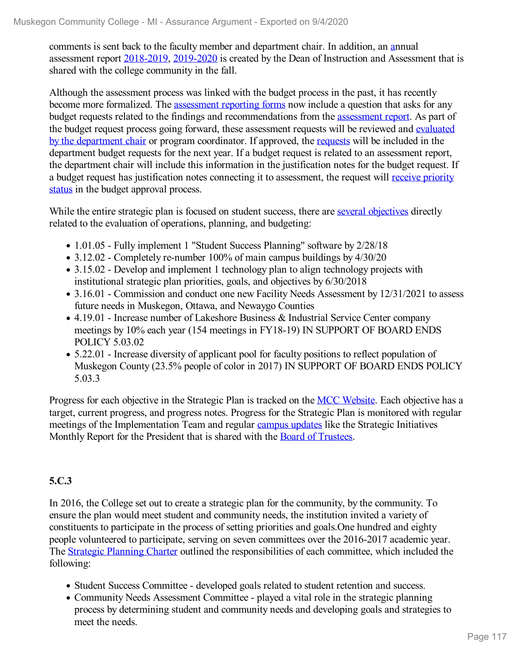comments is sent back to the faculty member and department chair. In addition, an [an](file:///D:/evidence/viewfile?fileId=1069041)nual assessment report [2018-2019](file:///D:/evidence/viewfile?fileid=1069041), [2019-2020](file:///D:/evidence/viewfile?fileId=1100923) is created by the Dean of Instruction and Assessment that is shared with the college community in the fall.

Although the assessment process was linked with the budget process in the past, it has recently become more formalized. The [assessment](file:///D:/evidence/viewfile?fileId=1069093) reporting forms now include a question that asks for any budget requests related to the findings and recommendations from the [assessment](file:///D:/evidence/viewfile?fileid=1069054) report. As part of the budget request process going forward, these assessment requests will be reviewed and evaluated by the department chair or program [coordinator.](file:///D:/evidence/viewfile?fileId=1079092) If approved, the [requests](file:///D:/evidence/viewfile?fileId=1069051) will be included in the department budget requests for the next year. If a budget request is related to an assessment report, the department chair will include this information in the justification notes for the budget request. If a budget request has [justification](file:///D:/evidence/viewfile?fileId=1069064) notes connecting it to assessment, the request will receive priority status in the budget approval process.

While the entire strategic plan is focused on student success, there are several [objectives](file:///D:/evidence/viewfile?fileid=1069038) directly related to the evaluation of operations, planning, and budgeting:

- 1.01.05 Fully implement 1 "Student Success Planning" software by 2/28/18
- 3.12.02 Completely re-number 100% of main campus buildings by 4/30/20
- 3.15.02 Develop and implement 1 technology plan to align technology projects with institutional strategic plan priorities, goals, and objectives by 6/30/2018
- 3.16.01 Commission and conduct one new Facility Needs Assessment by 12/31/2021 to assess future needs in Muskegon, Ottawa, and Newaygo Counties
- 4.19.01 Increase number of Lakeshore Business & Industrial Service Center company meetings by 10% each year (154 meetings in FY18-19) IN SUPPORT OF BOARD ENDS POLICY 5.03.02
- 5.22.01 Increase diversity of applicant pool for faculty positions to reflect population of Muskegon County (23.5% people of color in 2017) IN SUPPORT OF BOARD ENDS POLICY 5.03.3

Progress for each objective in the Strategic Plan is tracked on the MCC [Website](file:///D:/evidence/viewfile?fileid=1069038). Each objective has a target, current progress, and progress notes. Progress for the Strategic Plan is monitored with regular meetings of the Implementation Team and regular [campus](file:///D:/evidence/viewfile?fileId=1084959) updates like the Strategic Initiatives Monthly Report for the President that is shared with the Board of [Trustees.](file:///D:/evidence/viewfile?fileId=1090016)

#### **5.C.3**

In 2016, the College set out to create a strategic plan for the community, by the community. To ensure the plan would meet student and community needs, the institution invited a variety of constituents to participate in the process of setting priorities and goals.One hundred and eighty people volunteered to participate, serving on seven committees over the 2016-2017 academic year. The Strategic [Planning](file:///D:/evidence/viewfile?fileId=1069082) Charter outlined the responsibilities of each committee, which included the following:

- Student Success Committee developed goals related to student retention and success.
- Community Needs Assessment Committee played a vital role in the strategic planning process by determining student and community needs and developing goals and strategies to meet the needs.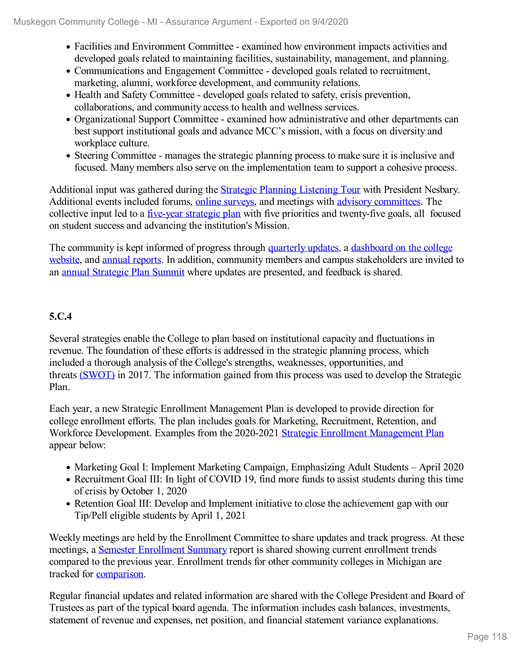- Facilities and Environment Committee examined how environment impacts activities and developed goals related to maintaining facilities, sustainability, management, and planning.
- Communications and Engagement Committee developed goals related to recruitment, marketing, alumni, workforce development, and community relations.
- Health and Safety Committee developed goals related to safety, crisis prevention, collaborations, and community access to health and wellness services.
- Organizational Support Committee examined how administrative and other departments can best support institutional goals and advance MCC's mission, with a focus on diversity and workplace culture.
- Steering Committee manages the strategic planning process to make sure it is inclusive and focused. Many members also serve on the implementation team to support a cohesive process.

Additional input was gathered during the Strategic Planning [Listening](file:///D:/evidence/viewfile?fileId=1097728) Tour with President Nesbary. Additional events included forums, online [surveys](file:///D:/evidence/viewfile?fileId=1069091), and meetings with advisory [committees](file:///D:/evidence/viewfile?fileId=1069049). The collective input led to a <u>[five-year](file:///D:/evidence/viewfile?fileId=1069071) strategic plan</u> with five priorities and twenty-five goals, all focused on student success and advancing the institution's Mission.

The community is kept informed of progress through [quarterly](file:///D:/evidence/viewfile?fileId=1069087) updates, a dashboard on the college website, and annual [reports](file:///D:/evidence/viewfile?fileid=1084959). In addition, community members and campus [stakeholders](file:///D:/evidence/viewfile?fileId=1100518) are invited to an annual [Strategic](file:///D:/evidence/viewfile?fileId=1097729) Plan Summit where updates are presented, and feedback is shared.

### **5.C.4**

Several strategies enable the College to plan based on institutional capacity and fluctuations in revenue. The foundation of these efforts is addressed in the strategic planning process, which included a thorough analysis of the College's strengths, weaknesses, opportunities, and threats [\(SWOT\)](file:///D:/evidence/viewfile?fileId=1069081) in 2017. The information gained from this process was used to develop the Strategic Plan.

Each year, a new Strategic Enrollment Management Plan is developed to provide direction for college enrollment efforts. The plan includes goals for Marketing, Recruitment, Retention, and Workforce Development. Examples from the 2020-2021 Strategic Enrollment [Management](file:///D:/evidence/viewfile?fileId=1069083) Plan appear below:

- Marketing Goal I: Implement Marketing Campaign, Emphasizing Adult Students April 2020
- Recruitment Goal III: In light of COVID 19, find more funds to assist students during this time of crisis by October 1, 2020
- Retention Goal III: Develop and Implement initiative to close the achievement gap with our Tip/Pell eligible students by April 1, 2021

Weekly meetings are held by the Enrollment Committee to share updates and track progress. At these meetings, a Semester [Enrollment](file:///D:/evidence/viewfile?fileId=1069057) Summary report is shared showing current enrollment trends compared to the previous year. Enrollment trends for other community colleges in Michigan are tracked for [comparison](file:///D:/evidence/viewfile?fileId=1069076).

Regular financial updates and related information are shared with the College President and Board of Trustees as part of the typical board agenda. The information includes cash balances, investments, statement of revenue and expenses, net position, and financial statement variance explanations.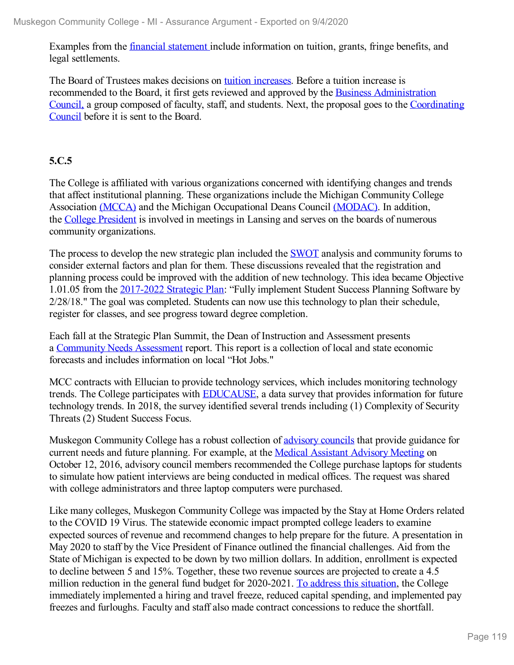Examples from the financial [statement](file:///D:/evidence/viewfile?fileId=1069045) include information on tuition, grants, fringe benefits, and legal settlements.

The Board of Trustees makes decisions on tuition [increases](file:///D:/evidence/viewfile?fileId=1069046). Before a tuition increase is recommended to the Board, it first gets reviewed and approved by the Business [Administration](file:///D:/evidence/viewfile?fileId=1077227) Council, a group composed of faculty, staff, and students. Next, the proposal goes to the [Coordinating](file:///D:/evidence/viewfile?fileId=1077225) Council before it is sent to the Board.

#### **5.C.5**

The College is affiliated with various organizations concerned with identifying changes and trends that affect institutional planning. These organizations include the Michigan Community College Association [\(MCCA\)](file:///D:/evidence/viewfile?fileId=1079094) and the Michigan Occupational Deans Council [\(MODAC\).](file:///D:/evidence/viewfile?fileId=1069077) In addition, the College [President](file:///D:/evidence/viewfile?fileId=1069047) is involved in meetings in Lansing and serves on the boards of numerous community organizations.

The process to develop the new strategic plan included the **[SWOT](file:///D:/evidence/viewfile?fileId=1069081)** analysis and community forums to consider external factors and plan for them. These discussions revealed that the registration and planning process could be improved with the addition of new technology. This idea became Objective 1.01.05 from the [2017-2022](file:///D:/evidence/viewfile?fileid=1079287) Strategic Plan: "Fully implement Student Success Planning Software by 2/28/18." The goal was completed. Students can now use this technology to plan their schedule, register for classes, and see progress toward degree completion.

Each fall at the Strategic Plan Summit, the Dean of Instruction and Assessment presents a [Community](file:///D:/evidence/viewfile?fileId=1069049) Needs Assessment report. This report is a collection of local and state economic forecasts and includes information on local "Hot Jobs."

MCC contracts with Ellucian to provide technology services, which includes monitoring technology trends. The College participates with [EDUCAUSE](file:///D:/evidence/viewfile?fileId=1069079#page=5), a data survey that provides information for future technology trends. In 2018, the survey identified several trends including (1) Complexity of Security Threats (2) Student Success Focus.

Muskegon Community College has a robust collection of [advisory](file:///D:/evidence/viewfile?fileId=1069048) councils that provide guidance for current needs and future planning. For example, at the Medical Assistant [Advisory](file:///D:/evidence/viewfile?fileId=1069078) Meeting on October 12, 2016, advisory council members recommended the College purchase laptops for students to simulate how patient interviews are being conducted in medical offices. The request was shared with college administrators and three laptop computers were purchased.

Like many colleges, Muskegon Community College was impacted by the Stay at Home Orders related to the COVID 19 Virus. The statewide economic impact prompted college leaders to examine expected sources of revenue and recommend changes to help prepare for the future. A presentation in May 2020 to staff by the Vice President of Finance outlined the financial challenges. Aid from the State of Michigan is expected to be down by two million dollars. In addition, enrollment is expected to decline between 5 and 15%. Together, these two revenue sources are projected to create a 4.5 million reduction in the general fund budget for 2020-2021. To address this [situation](file:///D:/evidence/viewfile?fileId=1069061), the College immediately implemented a hiring and travel freeze, reduced capital spending, and implemented pay freezes and furloughs. Faculty and staff also made contract concessions to reduce the shortfall.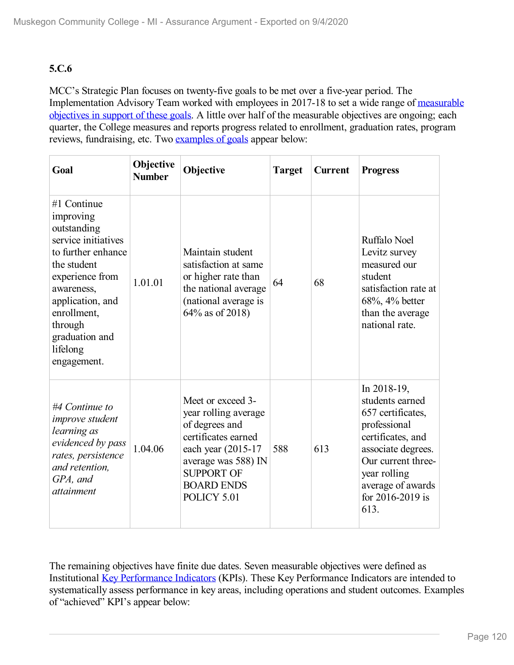### **5.C.6**

MCC's Strategic Plan focuses on twenty-five goals to be met over a five-year period. The [Implementation](file:///D:/evidence/viewfile?fileId=1097731) Advisory Team worked with employees in 2017-18 to set a wide range of measurable objectives in support of these goals. A little over half of the measurable objectives are ongoing; each quarter, the College measures and reports progress related to enrollment, graduation rates, program reviews, fundraising, etc. Two [examples](file:///D:/evidence/viewfile?fileId=1079093) of goals appear below:

| Goal                                                                                                                                                                                                                            | Objective<br><b>Number</b> | Objective                                                                                                                                                                                 | <b>Target</b> | <b>Current</b> | <b>Progress</b>                                                                                                                                                                                       |
|---------------------------------------------------------------------------------------------------------------------------------------------------------------------------------------------------------------------------------|----------------------------|-------------------------------------------------------------------------------------------------------------------------------------------------------------------------------------------|---------------|----------------|-------------------------------------------------------------------------------------------------------------------------------------------------------------------------------------------------------|
| #1 Continue<br>improving<br>outstanding<br>service initiatives<br>to further enhance<br>the student<br>experience from<br>awareness,<br>application, and<br>enrollment,<br>through<br>graduation and<br>lifelong<br>engagement. | 1.01.01                    | Maintain student<br>satisfaction at same<br>or higher rate than<br>the national average<br>(national average is<br>64% as of 2018)                                                        | 64            | 68             | Ruffalo Noel<br>Levitz survey<br>measured our<br>student<br>satisfaction rate at<br>68%, 4% better<br>than the average<br>national rate.                                                              |
| #4 Continue to<br><i>improve</i> student<br>learning as<br>evidenced by pass<br>rates, persistence<br>and retention.<br>GPA, and<br><i>attainment</i>                                                                           | 1.04.06                    | Meet or exceed 3-<br>year rolling average<br>of degrees and<br>certificates earned<br>each year (2015-17)<br>average was 588) IN<br><b>SUPPORT OF</b><br><b>BOARD ENDS</b><br>POLICY 5.01 | 588           | 613            | In 2018-19,<br>students earned<br>657 certificates,<br>professional<br>certificates, and<br>associate degrees.<br>Our current three-<br>year rolling<br>average of awards<br>for 2016-2019 is<br>613. |

The remaining objectives have finite due dates. Seven measurable objectives were defined as Institutional Key [Performance](file:///D:/evidence/viewfile?fileid=1069038) Indicators (KPIs). These Key Performance Indicators are intended to systematically assess performance in key areas, including operations and student outcomes. Examples of "achieved" KPI's appear below: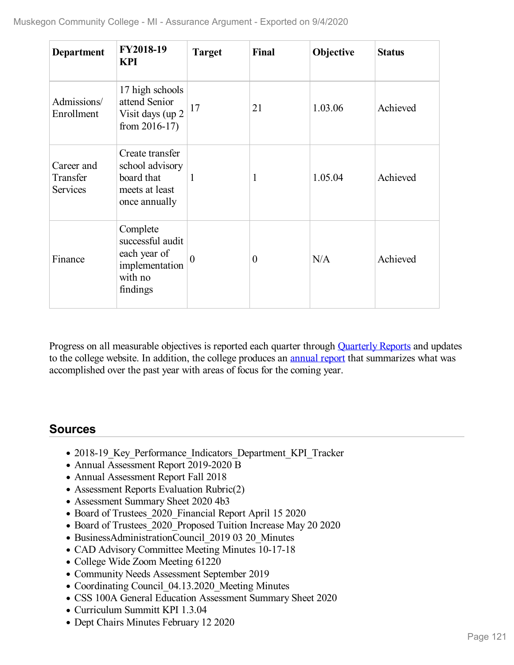| <b>Department</b>                         | FY2018-19<br><b>KPI</b>                                                               | <b>Target</b>  | Final          | Objective | <b>Status</b> |
|-------------------------------------------|---------------------------------------------------------------------------------------|----------------|----------------|-----------|---------------|
| Admissions/<br>Enrollment                 | 17 high schools<br>attend Senior<br>Visit days (up 2<br>from $2016-17$ )              | 17             | 21             | 1.03.06   | Achieved      |
| Career and<br>Transfer<br><b>Services</b> | Create transfer<br>school advisory<br>board that<br>meets at least<br>once annually   | $\mathbf{1}$   | 1              | 1.05.04   | Achieved      |
| Finance                                   | Complete<br>successful audit<br>each year of<br>implementation<br>with no<br>findings | $\overline{0}$ | $\overline{0}$ | N/A       | Achieved      |

Progress on all measurable objectives is reported each quarter through [Quarterly](file:///D:/evidence/viewfile?fileId=1069087) Reports and updates to the college website. In addition, the college produces an [annual](file:///D:/evidence/viewfile?fileid=1084959) report that summarizes what was accomplished over the past year with areas of focus for the coming year.

## **Sources**

- 2018-19 Key Performance Indicators Department KPI Tracker
- Annual Assessment Report 2019-2020 B
- Annual Assessment Report Fall 2018
- Assessment Reports Evaluation Rubric(2)
- Assessment Summary Sheet 2020 4b3
- Board of Trustees 2020 Financial Report April 15 2020
- Board of Trustees 2020 Proposed Tuition Increase May 20 2020
- BusinessAdministrationCouncil 2019 03 20 Minutes
- CAD Advisory Committee Meeting Minutes 10-17-18
- College Wide Zoom Meeting 61220
- Community Needs Assessment September 2019
- Coordinating Council 04.13.2020 Meeting Minutes
- CSS 100A General Education Assessment Summary Sheet 2020
- Curriculum Summitt KPI 1.3.04
- Dept Chairs Minutes February 12 2020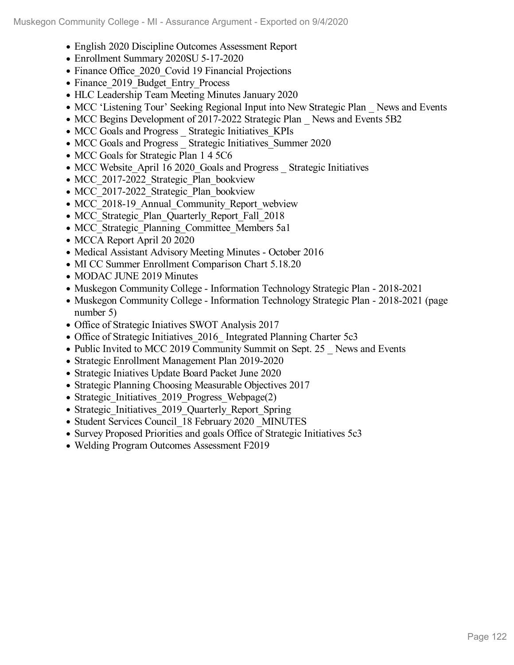- English 2020 Discipline Outcomes Assessment Report
- Enrollment Summary 2020SU 5-17-2020
- Finance Office 2020 Covid 19 Financial Projections
- Finance 2019 Budget Entry Process
- HLC Leadership Team Meeting Minutes January 2020
- MCC 'Listening Tour' Seeking Regional Input into New Strategic Plan News and Events
- MCC Begins Development of 2017-2022 Strategic Plan News and Events 5B2
- MCC Goals and Progress Strategic Initiatives KPIs
- MCC Goals and Progress Strategic Initiatives Summer 2020
- MCC Goals for Strategic Plan 1 4 5 C6
- MCC Website April 16 2020 Goals and Progress Strategic Initiatives
- MCC 2017-2022 Strategic Plan bookview
- MCC 2017-2022 Strategic Plan bookview
- MCC 2018-19 Annual Community Report webview
- MCC Strategic Plan Quarterly Report Fall 2018
- MCC Strategic Planning Committee Members 5a1
- MCCA Report April 20 2020
- Medical Assistant Advisory Meeting Minutes October 2016
- MI CC Summer Enrollment Comparison Chart 5.18.20
- MODAC JUNE 2019 Minutes
- Muskegon Community College Information Technology Strategic Plan 2018-2021
- Muskegon Community College Information Technology Strategic Plan 2018-2021 (page number 5)
- Office of Strategic Iniatives SWOT Analysis 2017
- Office of Strategic Initiatives 2016 Integrated Planning Charter 5c3
- Public Invited to MCC 2019 Community Summit on Sept. 25 News and Events
- Strategic Enrollment Management Plan 2019-2020
- Strategic Iniatives Update Board Packet June 2020
- Strategic Planning Choosing Measurable Objectives 2017
- Strategic Initiatives 2019 Progress Webpage(2)
- Strategic Initiatives 2019 Quarterly Report Spring
- Student Services Council 18 February 2020 MINUTES
- Survey Proposed Priorities and goals Office of Strategic Initiatives 5c3
- Welding Program Outcomes Assessment F2019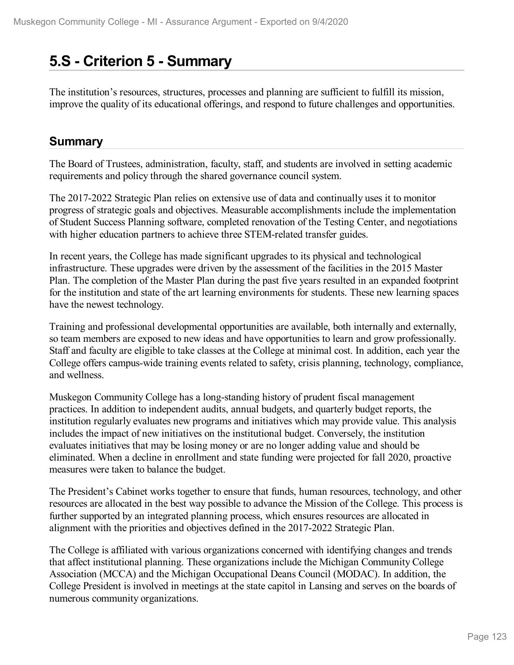## **5.S - Criterion 5 -Summary**

The institution's resources, structures, processes and planning are sufficient to fulfill its mission, improve the quality of its educational offerings, and respond to future challenges and opportunities.

### **Summary**

The Board of Trustees, administration, faculty, staff, and students are involved in setting academic requirements and policy through the shared governance council system.

The 2017-2022 Strategic Plan relies on extensive use of data and continually uses it to monitor progress of strategic goals and objectives. Measurable accomplishments include the implementation of Student Success Planning software, completed renovation of the Testing Center, and negotiations with higher education partners to achieve three STEM-related transfer guides.

In recent years, the College has made significant upgrades to its physical and technological infrastructure. These upgrades were driven by the assessment of the facilities in the 2015 Master Plan. The completion of the Master Plan during the past five years resulted in an expanded footprint for the institution and state of the art learning environments for students. These new learning spaces have the newest technology.

Training and professional developmental opportunities are available, both internally and externally, so team members are exposed to new ideas and have opportunities to learn and grow professionally. Staff and faculty are eligible to take classes at the College at minimal cost. In addition, each year the College offers campus-wide training events related to safety, crisis planning, technology, compliance, and wellness.

Muskegon Community College has a long-standing history of prudent fiscal management practices. In addition to independent audits, annual budgets, and quarterly budget reports, the institution regularly evaluates new programs and initiatives which may provide value. This analysis includes the impact of new initiatives on the institutional budget. Conversely, the institution evaluates initiatives that may be losing money or are no longer adding value and should be eliminated. When a decline in enrollment and state funding were projected for fall 2020, proactive measures were taken to balance the budget.

The President's Cabinet works together to ensure that funds, human resources, technology, and other resources are allocated in the best way possible to advance the Mission of the College. This process is further supported by an integrated planning process, which ensures resources are allocated in alignment with the priorities and objectives defined in the 2017-2022 Strategic Plan.

The College is affiliated with various organizations concerned with identifying changes and trends that affect institutional planning. These organizations include the Michigan Community College Association (MCCA) and the Michigan Occupational Deans Council (MODAC). In addition, the College President is involved in meetings at the state capitol in Lansing and serves on the boards of numerous community organizations.